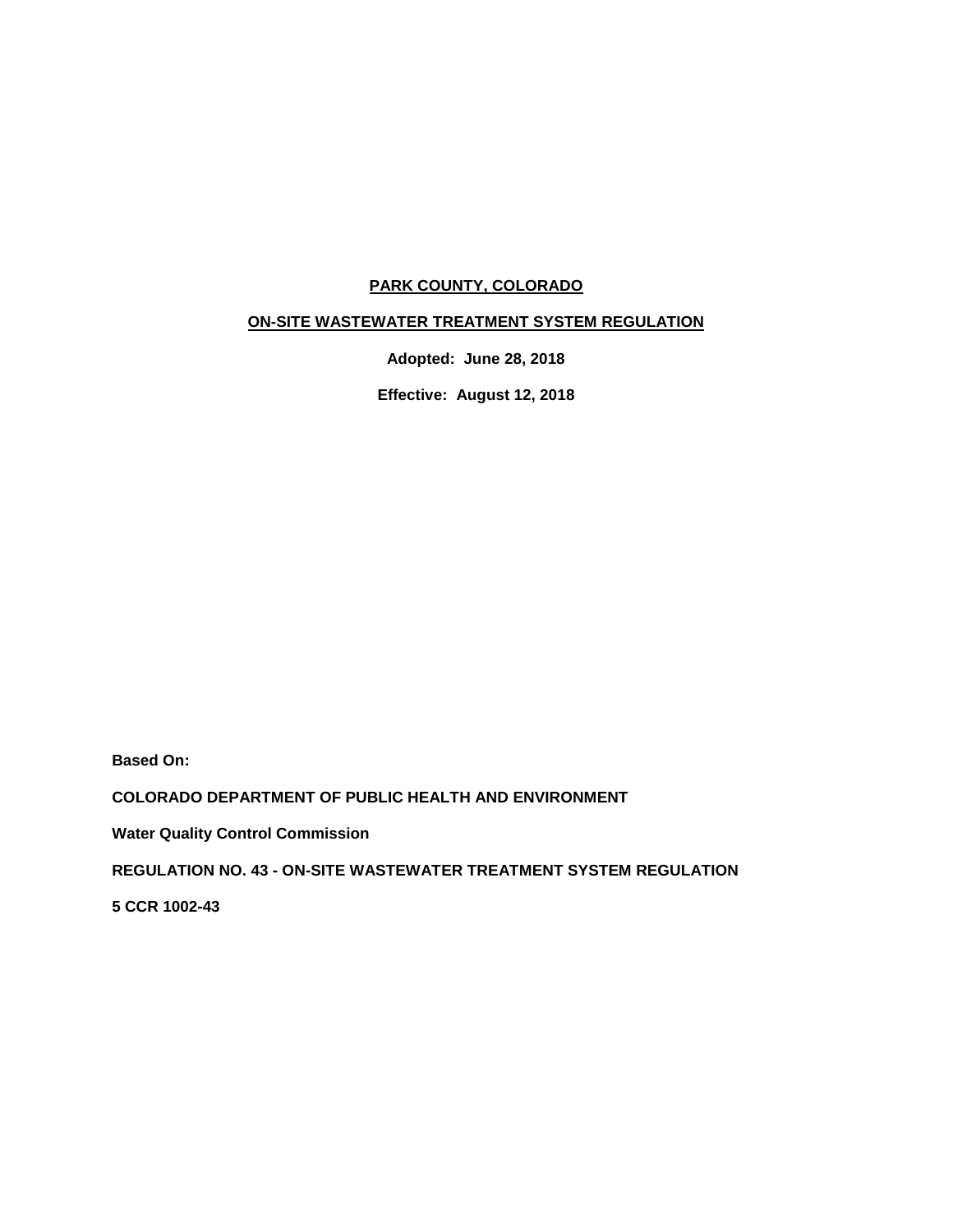# **PARK COUNTY, COLORADO**

# **ON-SITE WASTEWATER TREATMENT SYSTEM REGULATION**

**Adopted: June 28, 2018**

**Effective: August 12, 2018**

**Based On:**

**COLORADO DEPARTMENT OF PUBLIC HEALTH AND ENVIRONMENT**

**Water Quality Control Commission**

**REGULATION NO. 43 - ON-SITE WASTEWATER TREATMENT SYSTEM REGULATION**

**5 CCR 1002-43**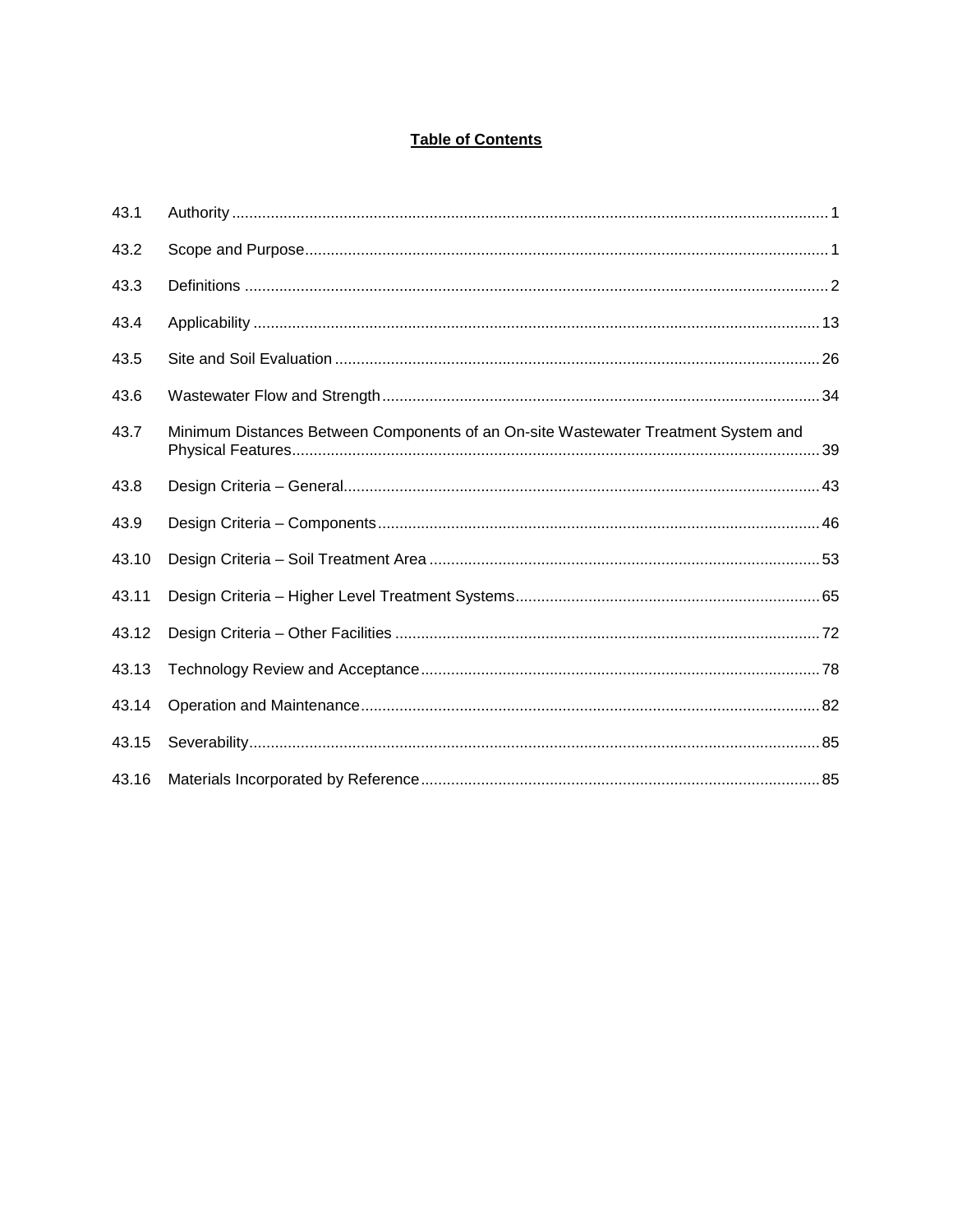# **Table of Contents**

| 43.1  |                                                                                    |
|-------|------------------------------------------------------------------------------------|
| 43.2  |                                                                                    |
| 43.3  |                                                                                    |
| 43.4  |                                                                                    |
| 43.5  |                                                                                    |
| 43.6  |                                                                                    |
| 43.7  | Minimum Distances Between Components of an On-site Wastewater Treatment System and |
| 43.8  |                                                                                    |
| 43.9  |                                                                                    |
| 43.10 |                                                                                    |
| 43.11 |                                                                                    |
| 43.12 |                                                                                    |
| 43.13 |                                                                                    |
| 43.14 |                                                                                    |
| 43.15 |                                                                                    |
| 43.16 |                                                                                    |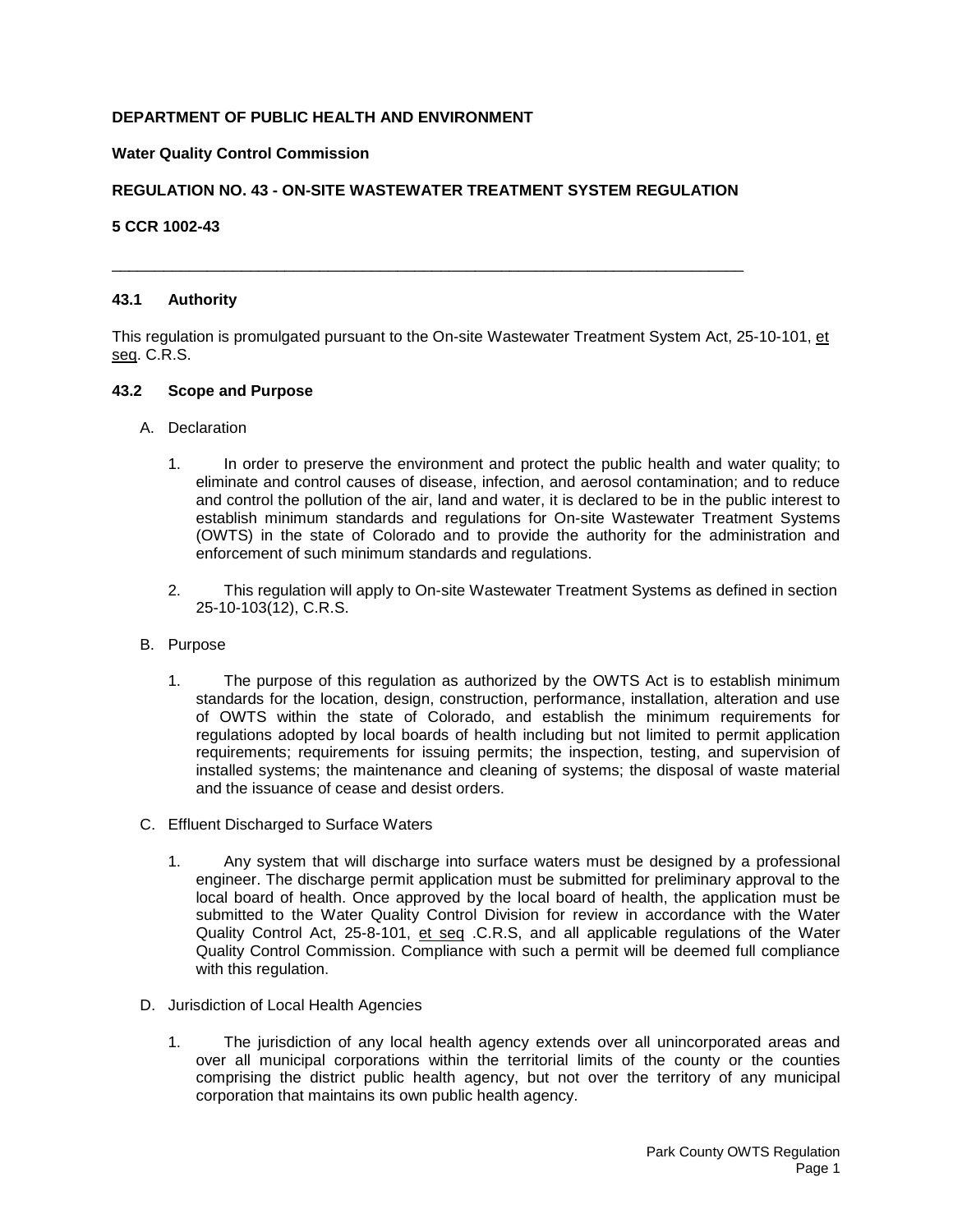# **DEPARTMENT OF PUBLIC HEALTH AND ENVIRONMENT**

#### **Water Quality Control Commission**

## **REGULATION NO. 43 - ON-SITE WASTEWATER TREATMENT SYSTEM REGULATION**

<span id="page-2-0"></span>\_\_\_\_\_\_\_\_\_\_\_\_\_\_\_\_\_\_\_\_\_\_\_\_\_\_\_\_\_\_\_\_\_\_\_\_\_\_\_\_\_\_\_\_\_\_\_\_\_\_\_\_\_\_\_\_\_\_\_\_\_\_\_\_\_\_\_\_\_\_\_\_\_

#### **5 CCR 1002-43**

#### **43.1 Authority**

This regulation is promulgated pursuant to the On-site Wastewater Treatment System Act, 25-10-101, et seq. C.R.S.

#### <span id="page-2-1"></span>**43.2 Scope and Purpose**

- A. Declaration
	- 1. In order to preserve the environment and protect the public health and water quality; to eliminate and control causes of disease, infection, and aerosol contamination; and to reduce and control the pollution of the air, land and water, it is declared to be in the public interest to establish minimum standards and regulations for On-site Wastewater Treatment Systems (OWTS) in the state of Colorado and to provide the authority for the administration and enforcement of such minimum standards and regulations.
	- 2. This regulation will apply to On-site Wastewater Treatment Systems as defined in section 25-10-103(12), C.R.S.
- B. Purpose
	- 1. The purpose of this regulation as authorized by the OWTS Act is to establish minimum standards for the location, design, construction, performance, installation, alteration and use of OWTS within the state of Colorado, and establish the minimum requirements for regulations adopted by local boards of health including but not limited to permit application requirements; requirements for issuing permits; the inspection, testing, and supervision of installed systems; the maintenance and cleaning of systems; the disposal of waste material and the issuance of cease and desist orders.
- C. Effluent Discharged to Surface Waters
	- 1. Any system that will discharge into surface waters must be designed by a professional engineer. The discharge permit application must be submitted for preliminary approval to the local board of health. Once approved by the local board of health, the application must be submitted to the Water Quality Control Division for review in accordance with the Water Quality Control Act, 25-8-101, et seq .C.R.S, and all applicable regulations of the Water Quality Control Commission. Compliance with such a permit will be deemed full compliance with this regulation.
- D. Jurisdiction of Local Health Agencies
	- 1. The jurisdiction of any local health agency extends over all unincorporated areas and over all municipal corporations within the territorial limits of the county or the counties comprising the district public health agency, but not over the territory of any municipal corporation that maintains its own public health agency.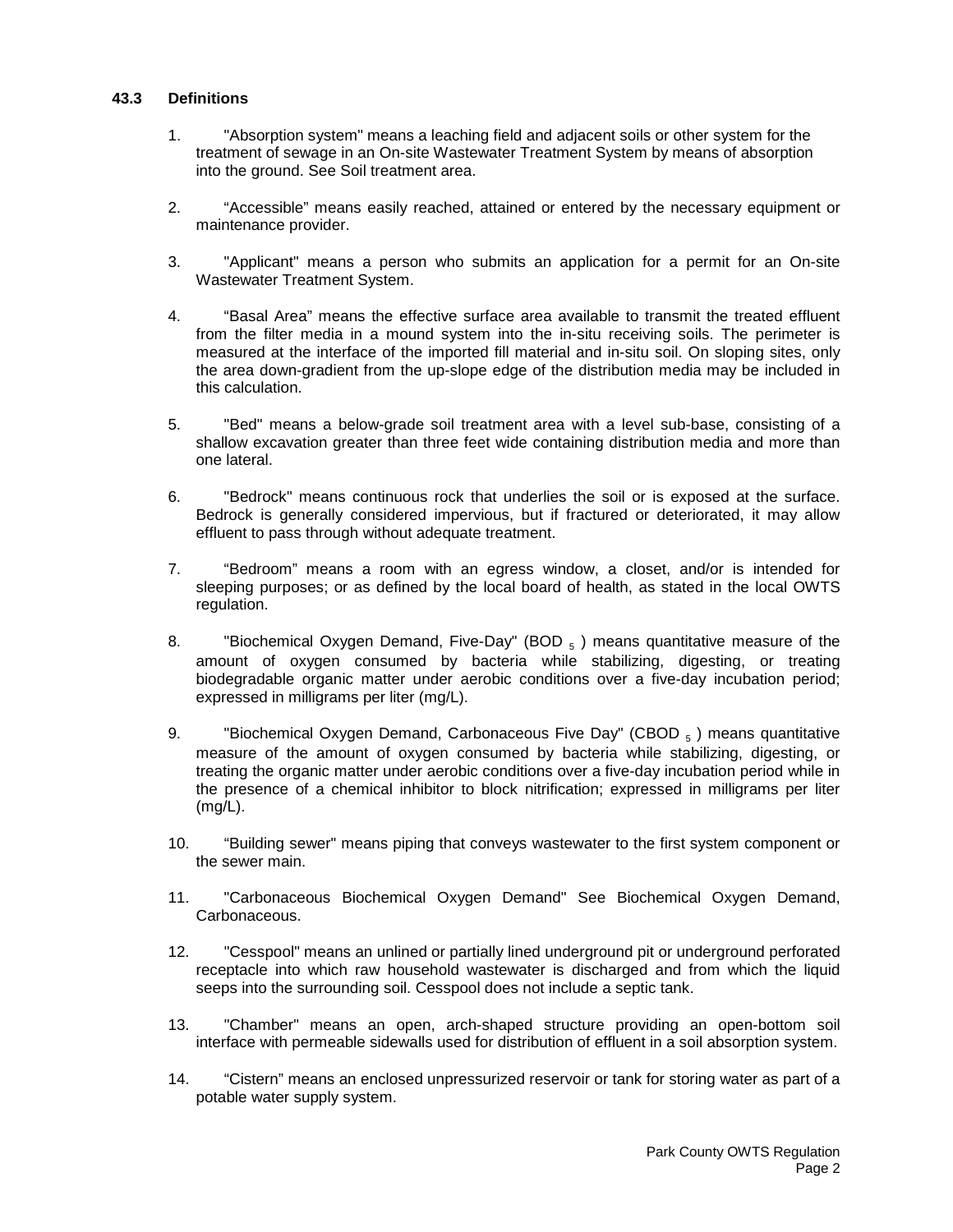## <span id="page-3-0"></span>**43.3 Definitions**

- 1. "Absorption system" means a leaching field and adjacent soils or other system for the treatment of sewage in an On-site Wastewater Treatment System by means of absorption into the ground. See Soil treatment area.
- 2. "Accessible" means easily reached, attained or entered by the necessary equipment or maintenance provider.
- 3. "Applicant" means a person who submits an application for a permit for an On-site Wastewater Treatment System.
- 4. "Basal Area" means the effective surface area available to transmit the treated effluent from the filter media in a mound system into the in-situ receiving soils. The perimeter is measured at the interface of the imported fill material and in-situ soil. On sloping sites, only the area down-gradient from the up-slope edge of the distribution media may be included in this calculation.
- 5. "Bed" means a below-grade soil treatment area with a level sub-base, consisting of a shallow excavation greater than three feet wide containing distribution media and more than one lateral.
- 6. "Bedrock" means continuous rock that underlies the soil or is exposed at the surface. Bedrock is generally considered impervious, but if fractured or deteriorated, it may allow effluent to pass through without adequate treatment.
- 7. "Bedroom" means a room with an egress window, a closet, and/or is intended for sleeping purposes; or as defined by the local board of health, as stated in the local OWTS regulation.
- 8. "Biochemical Oxygen Demand, Five-Day" (BOD  $_5$ ) means quantitative measure of the amount of oxygen consumed by bacteria while stabilizing, digesting, or treating biodegradable organic matter under aerobic conditions over a five-day incubation period; expressed in milligrams per liter (mg/L).
- 9. "Biochemical Oxygen Demand, Carbonaceous Five Day" (CBOD <sub>5</sub>) means quantitative measure of the amount of oxygen consumed by bacteria while stabilizing, digesting, or treating the organic matter under aerobic conditions over a five-day incubation period while in the presence of a chemical inhibitor to block nitrification; expressed in milligrams per liter (mg/L).
- 10. "Building sewer" means piping that conveys wastewater to the first system component or the sewer main.
- 11. "Carbonaceous Biochemical Oxygen Demand" See Biochemical Oxygen Demand, Carbonaceous.
- 12. "Cesspool" means an unlined or partially lined underground pit or underground perforated receptacle into which raw household wastewater is discharged and from which the liquid seeps into the surrounding soil. Cesspool does not include a septic tank.
- 13. "Chamber" means an open, arch-shaped structure providing an open-bottom soil interface with permeable sidewalls used for distribution of effluent in a soil absorption system.
- 14. "Cistern" means an enclosed unpressurized reservoir or tank for storing water as part of a potable water supply system.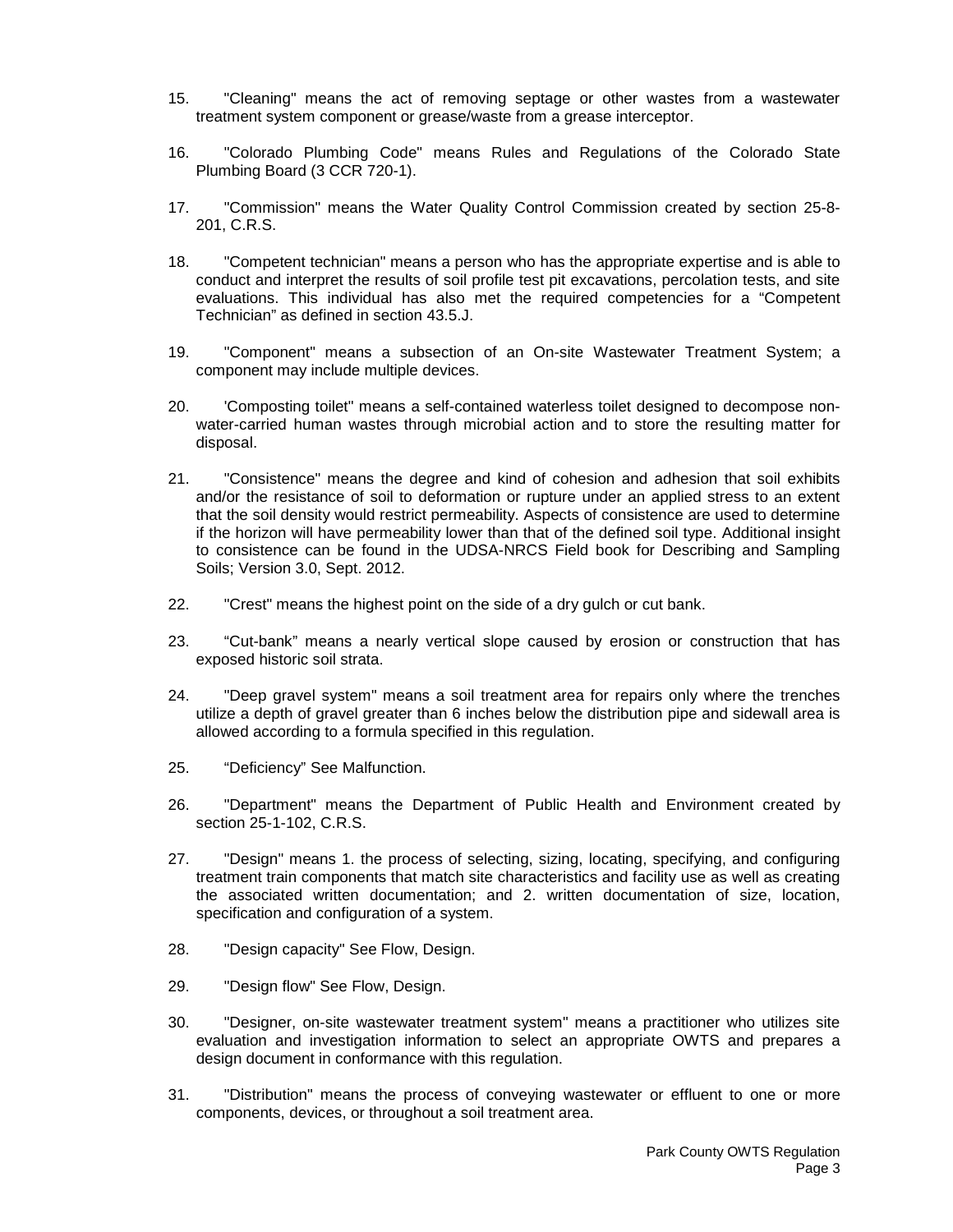- 15. "Cleaning" means the act of removing septage or other wastes from a wastewater treatment system component or grease/waste from a grease interceptor.
- 16. "Colorado Plumbing Code" means Rules and Regulations of the Colorado State Plumbing Board (3 CCR 720-1).
- 17. "Commission" means the Water Quality Control Commission created by section 25-8- 201, C.R.S.
- 18. "Competent technician" means a person who has the appropriate expertise and is able to conduct and interpret the results of soil profile test pit excavations, percolation tests, and site evaluations. This individual has also met the required competencies for a "Competent Technician" as defined in section 43.5.J.
- 19. "Component" means a subsection of an On-site Wastewater Treatment System; a component may include multiple devices.
- 20. 'Composting toilet" means a self-contained waterless toilet designed to decompose nonwater-carried human wastes through microbial action and to store the resulting matter for disposal.
- 21. "Consistence" means the degree and kind of cohesion and adhesion that soil exhibits and/or the resistance of soil to deformation or rupture under an applied stress to an extent that the soil density would restrict permeability. Aspects of consistence are used to determine if the horizon will have permeability lower than that of the defined soil type. Additional insight to consistence can be found in the UDSA-NRCS Field book for Describing and Sampling Soils; Version 3.0, Sept. 2012.
- 22. "Crest" means the highest point on the side of a dry gulch or cut bank.
- 23. "Cut-bank" means a nearly vertical slope caused by erosion or construction that has exposed historic soil strata.
- 24. "Deep gravel system" means a soil treatment area for repairs only where the trenches utilize a depth of gravel greater than 6 inches below the distribution pipe and sidewall area is allowed according to a formula specified in this regulation.
- 25. "Deficiency" See Malfunction.
- 26. "Department" means the Department of Public Health and Environment created by section 25-1-102, C.R.S.
- 27. "Design" means 1. the process of selecting, sizing, locating, specifying, and configuring treatment train components that match site characteristics and facility use as well as creating the associated written documentation; and 2. written documentation of size, location, specification and configuration of a system.
- 28. "Design capacity" See Flow, Design.
- 29. "Design flow" See Flow, Design.
- 30. "Designer, on-site wastewater treatment system" means a practitioner who utilizes site evaluation and investigation information to select an appropriate OWTS and prepares a design document in conformance with this regulation.
- 31. "Distribution" means the process of conveying wastewater or effluent to one or more components, devices, or throughout a soil treatment area.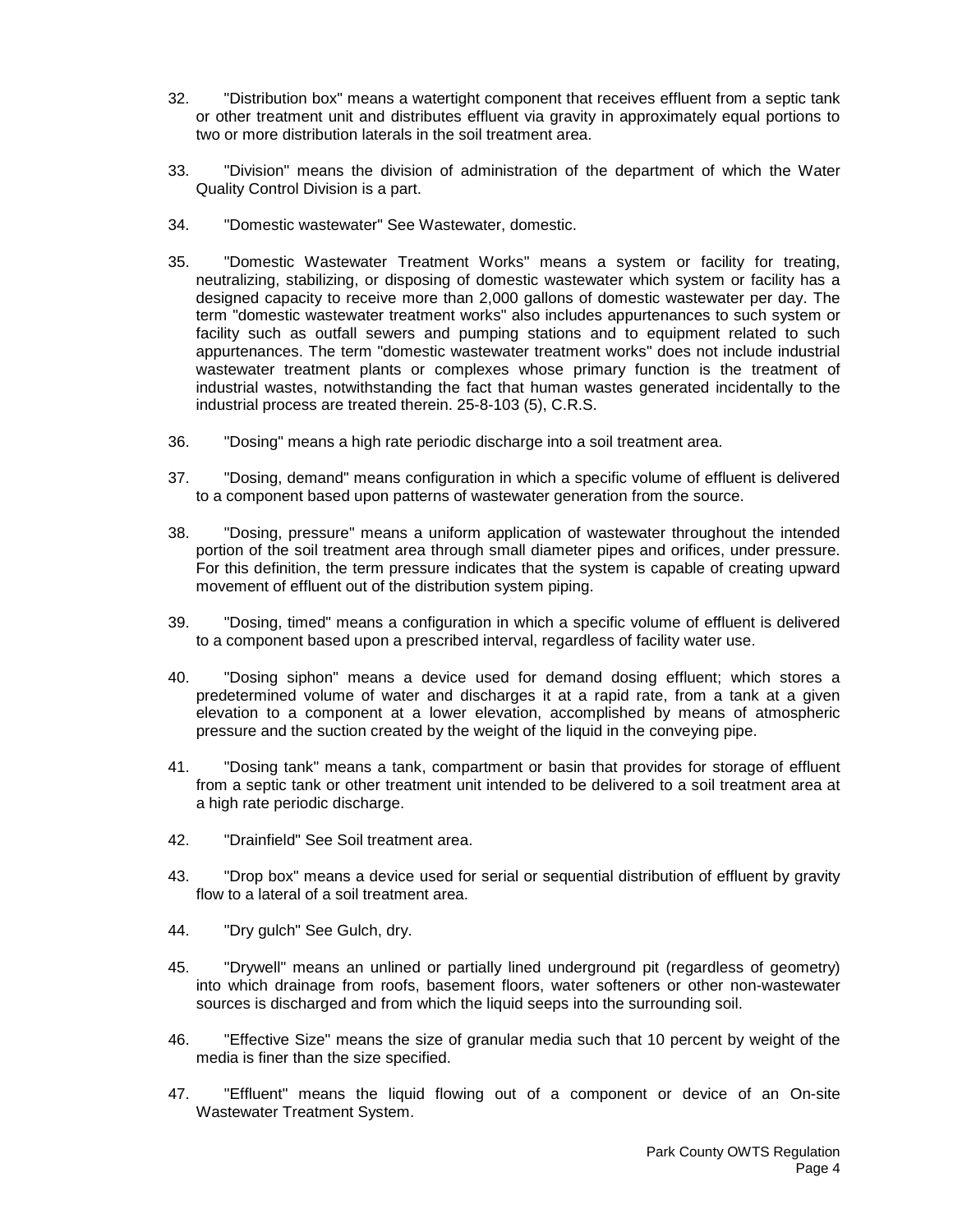- 32. "Distribution box" means a watertight component that receives effluent from a septic tank or other treatment unit and distributes effluent via gravity in approximately equal portions to two or more distribution laterals in the soil treatment area.
- 33. "Division" means the division of administration of the department of which the Water Quality Control Division is a part.
- 34. "Domestic wastewater" See Wastewater, domestic.
- 35. "Domestic Wastewater Treatment Works" means a system or facility for treating, neutralizing, stabilizing, or disposing of domestic wastewater which system or facility has a designed capacity to receive more than 2,000 gallons of domestic wastewater per day. The term "domestic wastewater treatment works" also includes appurtenances to such system or facility such as outfall sewers and pumping stations and to equipment related to such appurtenances. The term "domestic wastewater treatment works" does not include industrial wastewater treatment plants or complexes whose primary function is the treatment of industrial wastes, notwithstanding the fact that human wastes generated incidentally to the industrial process are treated therein. 25-8-103 (5), C.R.S.
- 36. "Dosing" means a high rate periodic discharge into a soil treatment area.
- 37. "Dosing, demand" means configuration in which a specific volume of effluent is delivered to a component based upon patterns of wastewater generation from the source.
- 38. "Dosing, pressure" means a uniform application of wastewater throughout the intended portion of the soil treatment area through small diameter pipes and orifices, under pressure. For this definition, the term pressure indicates that the system is capable of creating upward movement of effluent out of the distribution system piping.
- 39. "Dosing, timed" means a configuration in which a specific volume of effluent is delivered to a component based upon a prescribed interval, regardless of facility water use.
- 40. "Dosing siphon" means a device used for demand dosing effluent; which stores a predetermined volume of water and discharges it at a rapid rate, from a tank at a given elevation to a component at a lower elevation, accomplished by means of atmospheric pressure and the suction created by the weight of the liquid in the conveying pipe.
- 41. "Dosing tank" means a tank, compartment or basin that provides for storage of effluent from a septic tank or other treatment unit intended to be delivered to a soil treatment area at a high rate periodic discharge.
- 42. "Drainfield" See Soil treatment area.
- 43. "Drop box" means a device used for serial or sequential distribution of effluent by gravity flow to a lateral of a soil treatment area.
- 44. "Dry gulch" See Gulch, dry.
- 45. "Drywell" means an unlined or partially lined underground pit (regardless of geometry) into which drainage from roofs, basement floors, water softeners or other non-wastewater sources is discharged and from which the liquid seeps into the surrounding soil.
- 46. "Effective Size" means the size of granular media such that 10 percent by weight of the media is finer than the size specified.
- 47. "Effluent" means the liquid flowing out of a component or device of an On-site Wastewater Treatment System.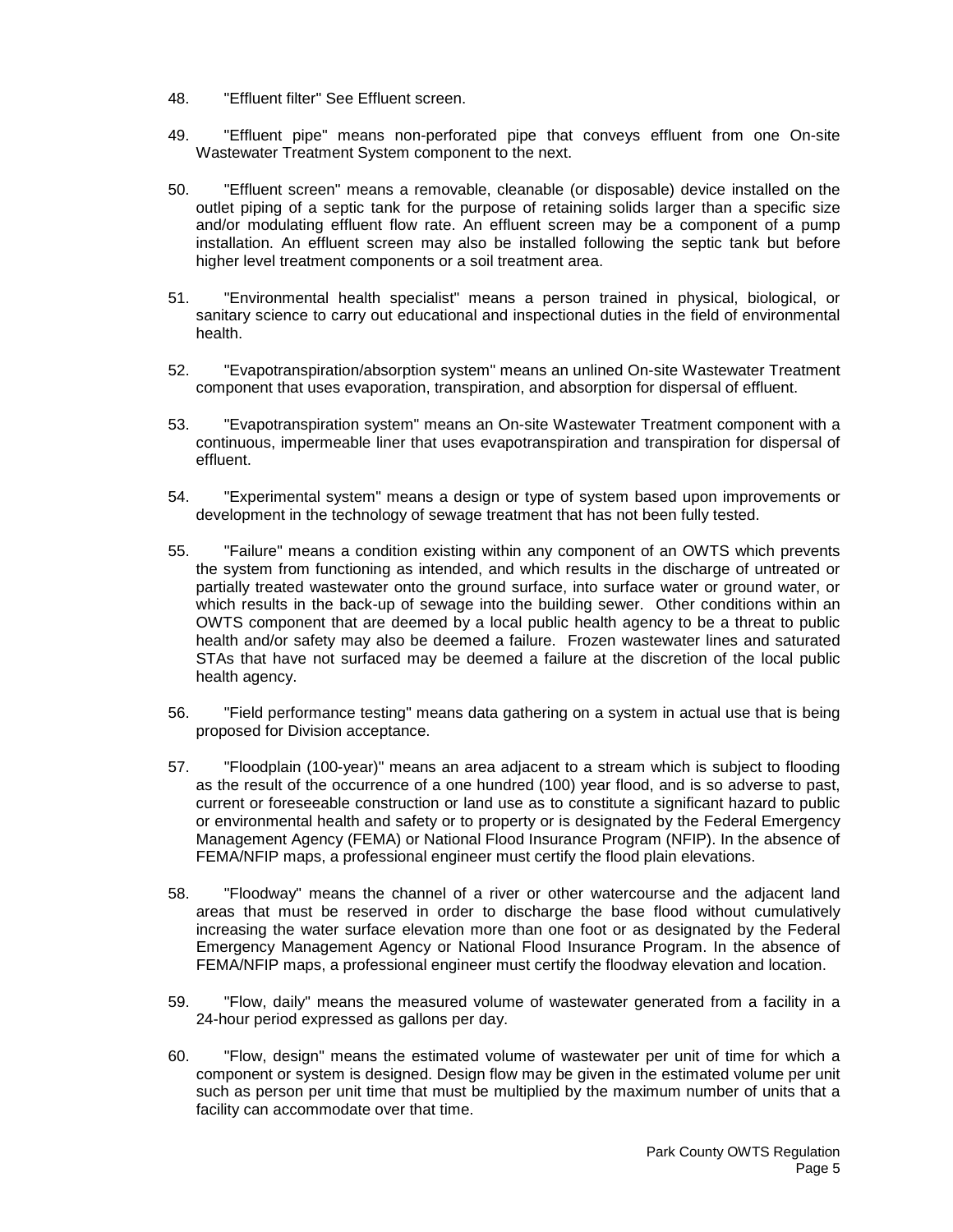- 48. "Effluent filter" See Effluent screen.
- 49. "Effluent pipe" means non-perforated pipe that conveys effluent from one On-site Wastewater Treatment System component to the next.
- 50. "Effluent screen" means a removable, cleanable (or disposable) device installed on the outlet piping of a septic tank for the purpose of retaining solids larger than a specific size and/or modulating effluent flow rate. An effluent screen may be a component of a pump installation. An effluent screen may also be installed following the septic tank but before higher level treatment components or a soil treatment area.
- 51. "Environmental health specialist" means a person trained in physical, biological, or sanitary science to carry out educational and inspectional duties in the field of environmental health.
- 52. "Evapotranspiration/absorption system" means an unlined On-site Wastewater Treatment component that uses evaporation, transpiration, and absorption for dispersal of effluent.
- 53. "Evapotranspiration system" means an On-site Wastewater Treatment component with a continuous, impermeable liner that uses evapotranspiration and transpiration for dispersal of effluent.
- 54. "Experimental system" means a design or type of system based upon improvements or development in the technology of sewage treatment that has not been fully tested.
- 55. "Failure" means a condition existing within any component of an OWTS which prevents the system from functioning as intended, and which results in the discharge of untreated or partially treated wastewater onto the ground surface, into surface water or ground water, or which results in the back-up of sewage into the building sewer. Other conditions within an OWTS component that are deemed by a local public health agency to be a threat to public health and/or safety may also be deemed a failure. Frozen wastewater lines and saturated STAs that have not surfaced may be deemed a failure at the discretion of the local public health agency.
- 56. "Field performance testing" means data gathering on a system in actual use that is being proposed for Division acceptance.
- 57. "Floodplain (100-year)" means an area adjacent to a stream which is subject to flooding as the result of the occurrence of a one hundred (100) year flood, and is so adverse to past, current or foreseeable construction or land use as to constitute a significant hazard to public or environmental health and safety or to property or is designated by the Federal Emergency Management Agency (FEMA) or National Flood Insurance Program (NFIP). In the absence of FEMA/NFIP maps, a professional engineer must certify the flood plain elevations.
- 58. "Floodway" means the channel of a river or other watercourse and the adjacent land areas that must be reserved in order to discharge the base flood without cumulatively increasing the water surface elevation more than one foot or as designated by the Federal Emergency Management Agency or National Flood Insurance Program. In the absence of FEMA/NFIP maps, a professional engineer must certify the floodway elevation and location.
- 59. "Flow, daily" means the measured volume of wastewater generated from a facility in a 24-hour period expressed as gallons per day.
- 60. "Flow, design" means the estimated volume of wastewater per unit of time for which a component or system is designed. Design flow may be given in the estimated volume per unit such as person per unit time that must be multiplied by the maximum number of units that a facility can accommodate over that time.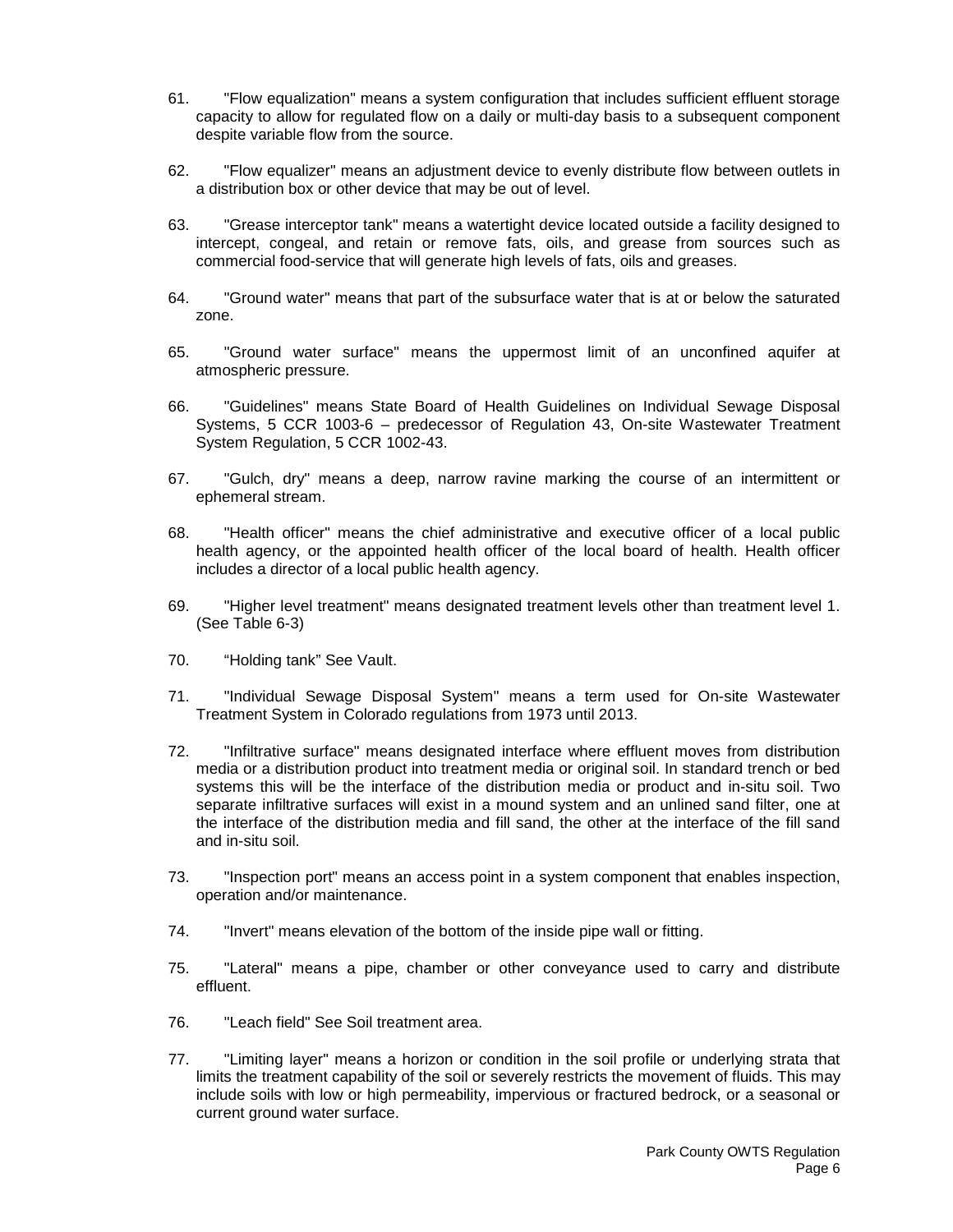- 61. "Flow equalization" means a system configuration that includes sufficient effluent storage capacity to allow for regulated flow on a daily or multi-day basis to a subsequent component despite variable flow from the source.
- 62. "Flow equalizer" means an adjustment device to evenly distribute flow between outlets in a distribution box or other device that may be out of level.
- 63. "Grease interceptor tank" means a watertight device located outside a facility designed to intercept, congeal, and retain or remove fats, oils, and grease from sources such as commercial food-service that will generate high levels of fats, oils and greases.
- 64. "Ground water" means that part of the subsurface water that is at or below the saturated zone.
- 65. "Ground water surface" means the uppermost limit of an unconfined aquifer at atmospheric pressure.
- 66. "Guidelines" means State Board of Health Guidelines on Individual Sewage Disposal Systems, 5 CCR 1003-6 – predecessor of Regulation 43, On-site Wastewater Treatment System Regulation, 5 CCR 1002-43.
- 67. "Gulch, dry" means a deep, narrow ravine marking the course of an intermittent or ephemeral stream.
- 68. "Health officer" means the chief administrative and executive officer of a local public health agency, or the appointed health officer of the local board of health. Health officer includes a director of a local public health agency.
- 69. "Higher level treatment" means designated treatment levels other than treatment level 1. (See Table 6-3)
- 70. "Holding tank" See Vault.
- 71. "Individual Sewage Disposal System" means a term used for On-site Wastewater Treatment System in Colorado regulations from 1973 until 2013.
- 72. "Infiltrative surface" means designated interface where effluent moves from distribution media or a distribution product into treatment media or original soil. In standard trench or bed systems this will be the interface of the distribution media or product and in-situ soil. Two separate infiltrative surfaces will exist in a mound system and an unlined sand filter, one at the interface of the distribution media and fill sand, the other at the interface of the fill sand and in-situ soil.
- 73. "Inspection port" means an access point in a system component that enables inspection, operation and/or maintenance.
- 74. "Invert" means elevation of the bottom of the inside pipe wall or fitting.
- 75. "Lateral" means a pipe, chamber or other conveyance used to carry and distribute effluent.
- 76. "Leach field" See Soil treatment area.
- 77. "Limiting layer" means a horizon or condition in the soil profile or underlying strata that limits the treatment capability of the soil or severely restricts the movement of fluids. This may include soils with low or high permeability, impervious or fractured bedrock, or a seasonal or current ground water surface.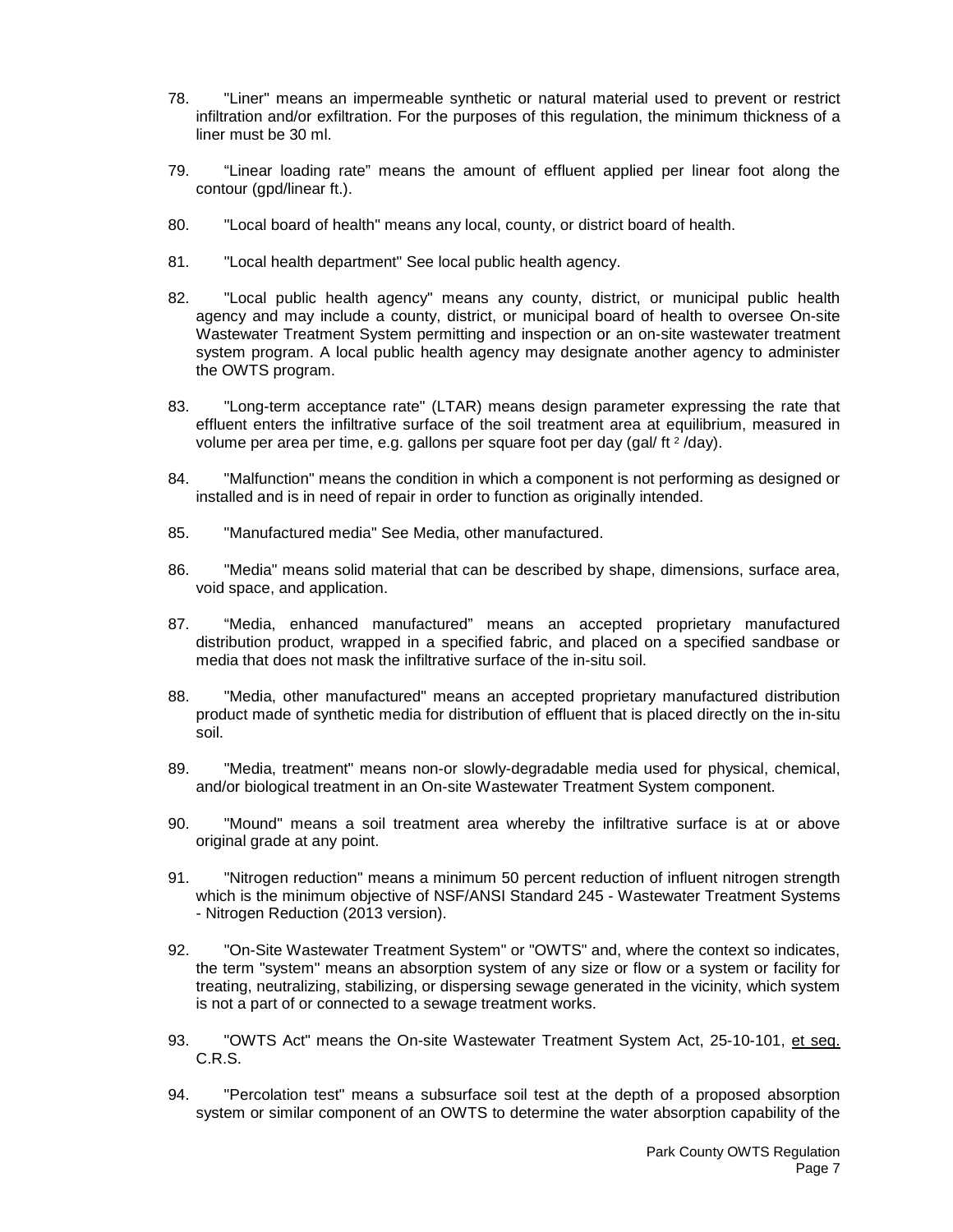- 78. "Liner" means an impermeable synthetic or natural material used to prevent or restrict infiltration and/or exfiltration. For the purposes of this regulation, the minimum thickness of a liner must be 30 ml.
- 79. "Linear loading rate" means the amount of effluent applied per linear foot along the contour (gpd/linear ft.).
- 80. "Local board of health" means any local, county, or district board of health.
- 81. "Local health department" See local public health agency.
- 82. "Local public health agency" means any county, district, or municipal public health agency and may include a county, district, or municipal board of health to oversee On-site Wastewater Treatment System permitting and inspection or an on-site wastewater treatment system program. A local public health agency may designate another agency to administer the OWTS program.
- 83. "Long-term acceptance rate" (LTAR) means design parameter expressing the rate that effluent enters the infiltrative surface of the soil treatment area at equilibrium, measured in volume per area per time, e.g. gallons per square foot per day (gal/ ft 2 /day).
- 84. "Malfunction" means the condition in which a component is not performing as designed or installed and is in need of repair in order to function as originally intended.
- 85. "Manufactured media" See Media, other manufactured.
- 86. "Media" means solid material that can be described by shape, dimensions, surface area, void space, and application.
- 87. "Media, enhanced manufactured" means an accepted proprietary manufactured distribution product, wrapped in a specified fabric, and placed on a specified sandbase or media that does not mask the infiltrative surface of the in-situ soil.
- 88. "Media, other manufactured" means an accepted proprietary manufactured distribution product made of synthetic media for distribution of effluent that is placed directly on the in-situ soil.
- 89. "Media, treatment" means non-or slowly-degradable media used for physical, chemical, and/or biological treatment in an On-site Wastewater Treatment System component.
- 90. "Mound" means a soil treatment area whereby the infiltrative surface is at or above original grade at any point.
- 91. "Nitrogen reduction" means a minimum 50 percent reduction of influent nitrogen strength which is the minimum objective of NSF/ANSI Standard 245 - Wastewater Treatment Systems - Nitrogen Reduction (2013 version).
- 92. "On-Site Wastewater Treatment System" or "OWTS" and, where the context so indicates, the term "system" means an absorption system of any size or flow or a system or facility for treating, neutralizing, stabilizing, or dispersing sewage generated in the vicinity, which system is not a part of or connected to a sewage treatment works.
- 93. "OWTS Act" means the On-site Wastewater Treatment System Act, 25-10-101, et seq. C.R.S.
- 94. "Percolation test" means a subsurface soil test at the depth of a proposed absorption system or similar component of an OWTS to determine the water absorption capability of the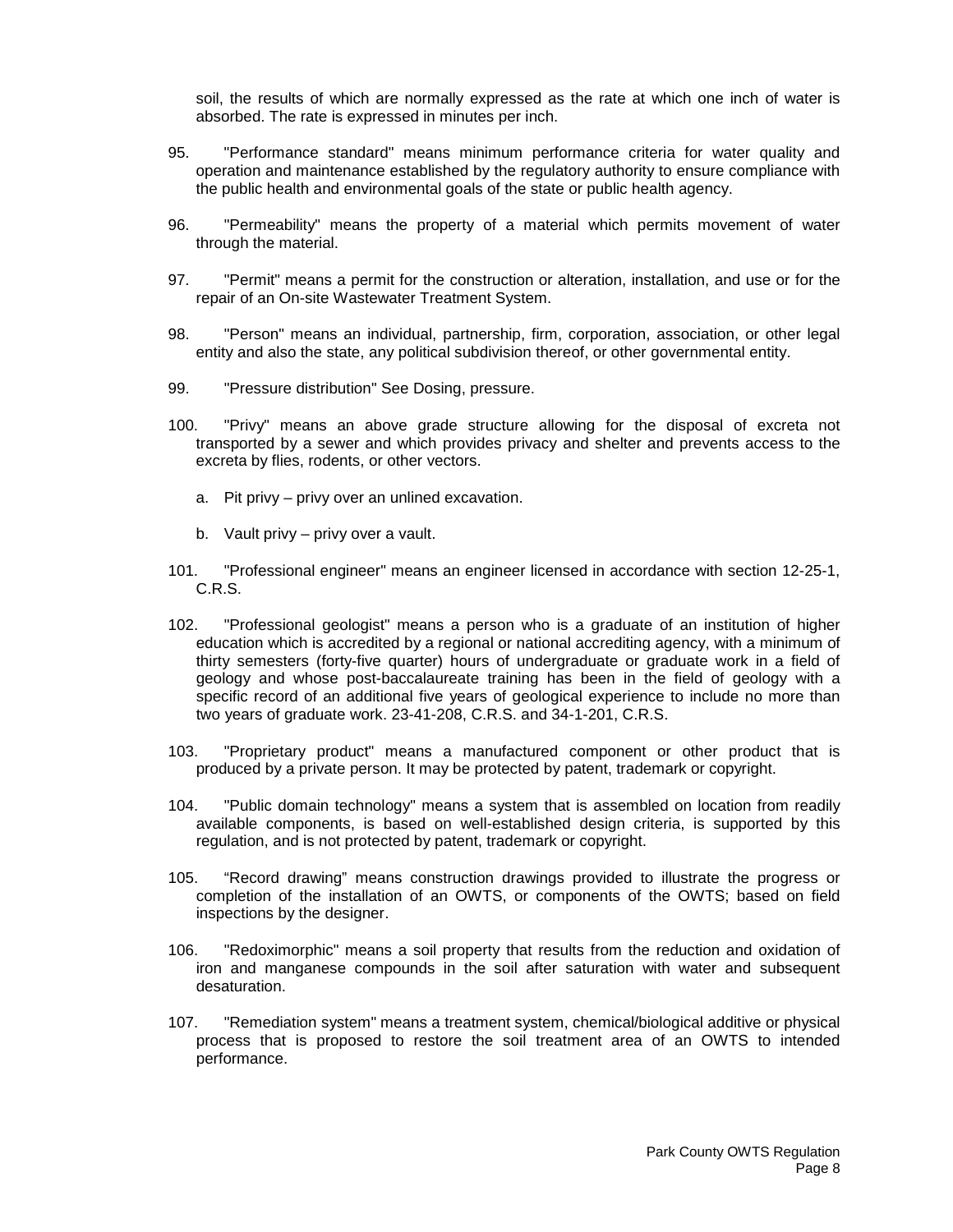soil, the results of which are normally expressed as the rate at which one inch of water is absorbed. The rate is expressed in minutes per inch.

- 95. "Performance standard" means minimum performance criteria for water quality and operation and maintenance established by the regulatory authority to ensure compliance with the public health and environmental goals of the state or public health agency.
- 96. "Permeability" means the property of a material which permits movement of water through the material.
- 97. "Permit" means a permit for the construction or alteration, installation, and use or for the repair of an On-site Wastewater Treatment System.
- 98. "Person" means an individual, partnership, firm, corporation, association, or other legal entity and also the state, any political subdivision thereof, or other governmental entity.
- 99. "Pressure distribution" See Dosing, pressure.
- 100. "Privy" means an above grade structure allowing for the disposal of excreta not transported by a sewer and which provides privacy and shelter and prevents access to the excreta by flies, rodents, or other vectors.
	- a. Pit privy privy over an unlined excavation.
	- b. Vault privy privy over a vault.
- 101. "Professional engineer" means an engineer licensed in accordance with section 12-25-1, C.R.S.
- 102. "Professional geologist" means a person who is a graduate of an institution of higher education which is accredited by a regional or national accrediting agency, with a minimum of thirty semesters (forty-five quarter) hours of undergraduate or graduate work in a field of geology and whose post-baccalaureate training has been in the field of geology with a specific record of an additional five years of geological experience to include no more than two years of graduate work. 23-41-208, C.R.S. and 34-1-201, C.R.S.
- 103. "Proprietary product" means a manufactured component or other product that is produced by a private person. It may be protected by patent, trademark or copyright.
- 104. "Public domain technology" means a system that is assembled on location from readily available components, is based on well-established design criteria, is supported by this regulation, and is not protected by patent, trademark or copyright.
- 105. "Record drawing" means construction drawings provided to illustrate the progress or completion of the installation of an OWTS, or components of the OWTS; based on field inspections by the designer.
- 106. "Redoximorphic" means a soil property that results from the reduction and oxidation of iron and manganese compounds in the soil after saturation with water and subsequent desaturation.
- 107. "Remediation system" means a treatment system, chemical/biological additive or physical process that is proposed to restore the soil treatment area of an OWTS to intended performance.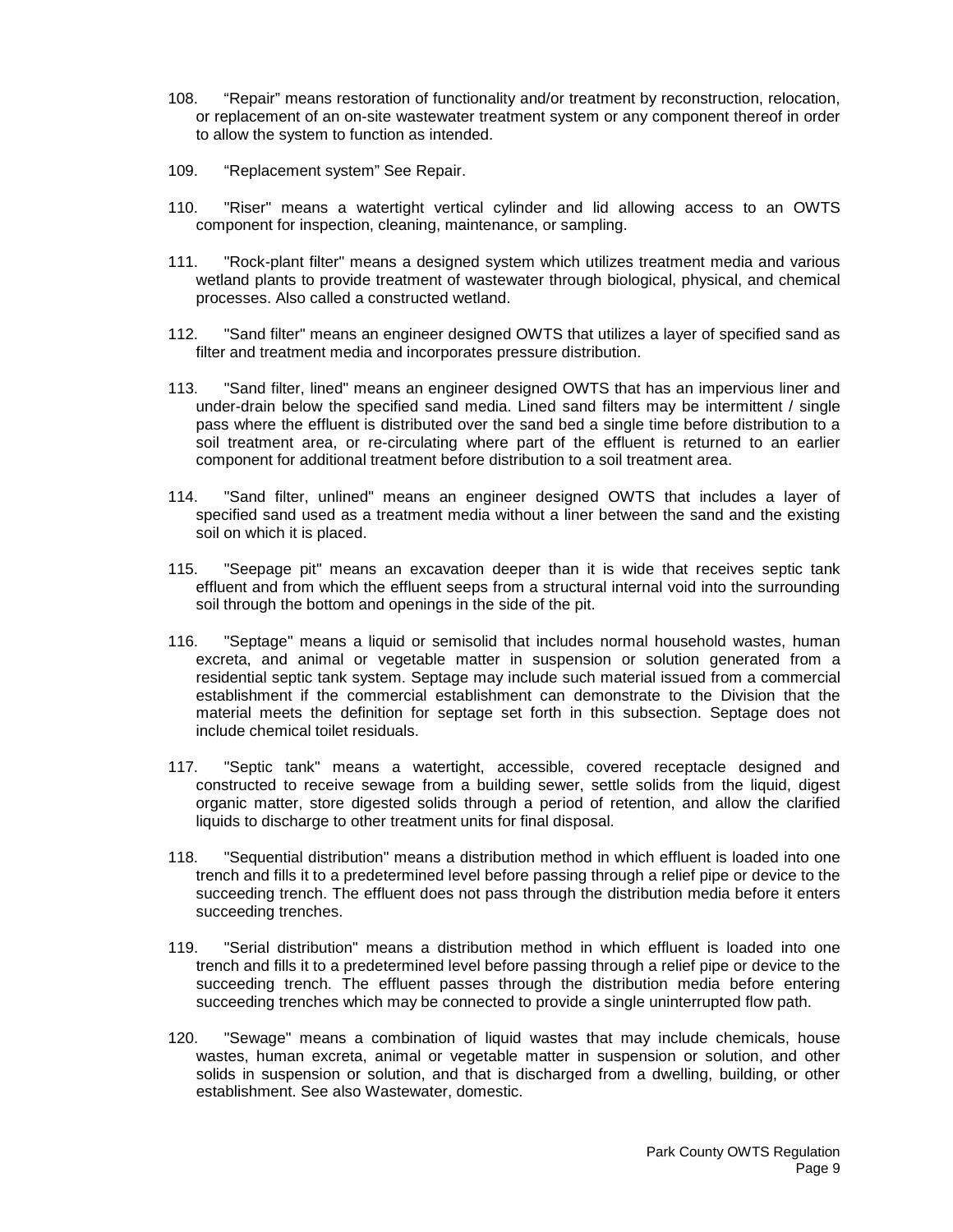- 108. "Repair" means restoration of functionality and/or treatment by reconstruction, relocation, or replacement of an on-site wastewater treatment system or any component thereof in order to allow the system to function as intended.
- 109. "Replacement system" See Repair.
- 110. "Riser" means a watertight vertical cylinder and lid allowing access to an OWTS component for inspection, cleaning, maintenance, or sampling.
- 111. "Rock-plant filter" means a designed system which utilizes treatment media and various wetland plants to provide treatment of wastewater through biological, physical, and chemical processes. Also called a constructed wetland.
- 112. "Sand filter" means an engineer designed OWTS that utilizes a layer of specified sand as filter and treatment media and incorporates pressure distribution.
- 113. "Sand filter, lined" means an engineer designed OWTS that has an impervious liner and under-drain below the specified sand media. Lined sand filters may be intermittent / single pass where the effluent is distributed over the sand bed a single time before distribution to a soil treatment area, or re-circulating where part of the effluent is returned to an earlier component for additional treatment before distribution to a soil treatment area.
- 114. "Sand filter, unlined" means an engineer designed OWTS that includes a layer of specified sand used as a treatment media without a liner between the sand and the existing soil on which it is placed.
- 115. "Seepage pit" means an excavation deeper than it is wide that receives septic tank effluent and from which the effluent seeps from a structural internal void into the surrounding soil through the bottom and openings in the side of the pit.
- 116. "Septage" means a liquid or semisolid that includes normal household wastes, human excreta, and animal or vegetable matter in suspension or solution generated from a residential septic tank system. Septage may include such material issued from a commercial establishment if the commercial establishment can demonstrate to the Division that the material meets the definition for septage set forth in this subsection. Septage does not include chemical toilet residuals.
- 117. "Septic tank" means a watertight, accessible, covered receptacle designed and constructed to receive sewage from a building sewer, settle solids from the liquid, digest organic matter, store digested solids through a period of retention, and allow the clarified liquids to discharge to other treatment units for final disposal.
- 118. "Sequential distribution" means a distribution method in which effluent is loaded into one trench and fills it to a predetermined level before passing through a relief pipe or device to the succeeding trench. The effluent does not pass through the distribution media before it enters succeeding trenches.
- 119. "Serial distribution" means a distribution method in which effluent is loaded into one trench and fills it to a predetermined level before passing through a relief pipe or device to the succeeding trench. The effluent passes through the distribution media before entering succeeding trenches which may be connected to provide a single uninterrupted flow path.
- 120. "Sewage" means a combination of liquid wastes that may include chemicals, house wastes, human excreta, animal or vegetable matter in suspension or solution, and other solids in suspension or solution, and that is discharged from a dwelling, building, or other establishment. See also Wastewater, domestic.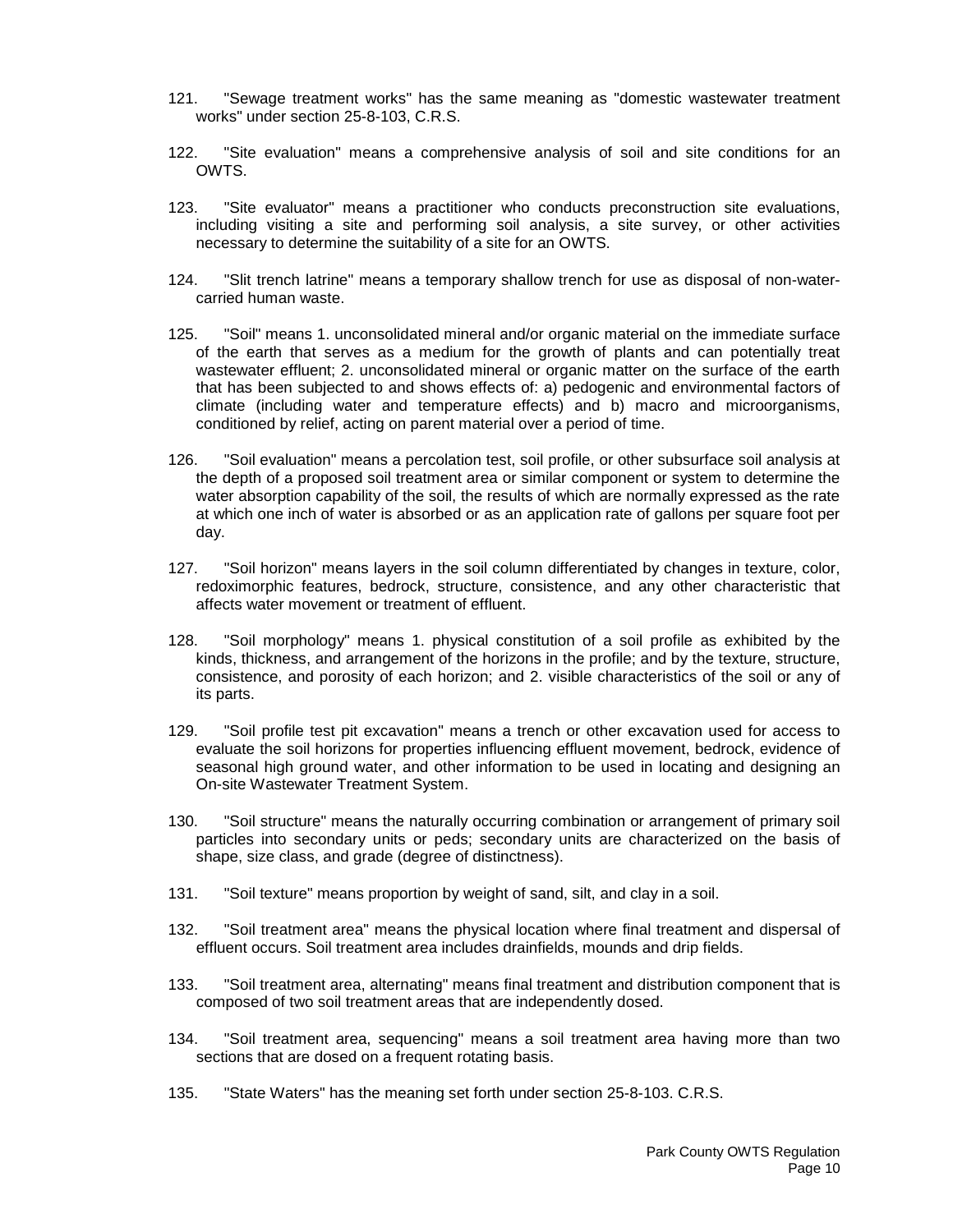- 121. "Sewage treatment works" has the same meaning as "domestic wastewater treatment works" under section 25-8-103, C.R.S.
- 122. "Site evaluation" means a comprehensive analysis of soil and site conditions for an OWTS.
- 123. "Site evaluator" means a practitioner who conducts preconstruction site evaluations, including visiting a site and performing soil analysis, a site survey, or other activities necessary to determine the suitability of a site for an OWTS.
- 124. "Slit trench latrine" means a temporary shallow trench for use as disposal of non-watercarried human waste.
- 125. "Soil" means 1. unconsolidated mineral and/or organic material on the immediate surface of the earth that serves as a medium for the growth of plants and can potentially treat wastewater effluent; 2. unconsolidated mineral or organic matter on the surface of the earth that has been subjected to and shows effects of: a) pedogenic and environmental factors of climate (including water and temperature effects) and b) macro and microorganisms, conditioned by relief, acting on parent material over a period of time.
- 126. "Soil evaluation" means a percolation test, soil profile, or other subsurface soil analysis at the depth of a proposed soil treatment area or similar component or system to determine the water absorption capability of the soil, the results of which are normally expressed as the rate at which one inch of water is absorbed or as an application rate of gallons per square foot per day.
- 127. "Soil horizon" means layers in the soil column differentiated by changes in texture, color, redoximorphic features, bedrock, structure, consistence, and any other characteristic that affects water movement or treatment of effluent.
- 128. "Soil morphology" means 1. physical constitution of a soil profile as exhibited by the kinds, thickness, and arrangement of the horizons in the profile; and by the texture, structure, consistence, and porosity of each horizon; and 2. visible characteristics of the soil or any of its parts.
- 129. "Soil profile test pit excavation" means a trench or other excavation used for access to evaluate the soil horizons for properties influencing effluent movement, bedrock, evidence of seasonal high ground water, and other information to be used in locating and designing an On-site Wastewater Treatment System.
- 130. "Soil structure" means the naturally occurring combination or arrangement of primary soil particles into secondary units or peds; secondary units are characterized on the basis of shape, size class, and grade (degree of distinctness).
- 131. "Soil texture" means proportion by weight of sand, silt, and clay in a soil.
- 132. "Soil treatment area" means the physical location where final treatment and dispersal of effluent occurs. Soil treatment area includes drainfields, mounds and drip fields.
- 133. "Soil treatment area, alternating" means final treatment and distribution component that is composed of two soil treatment areas that are independently dosed.
- 134. "Soil treatment area, sequencing" means a soil treatment area having more than two sections that are dosed on a frequent rotating basis.
- 135. "State Waters" has the meaning set forth under section 25-8-103. C.R.S.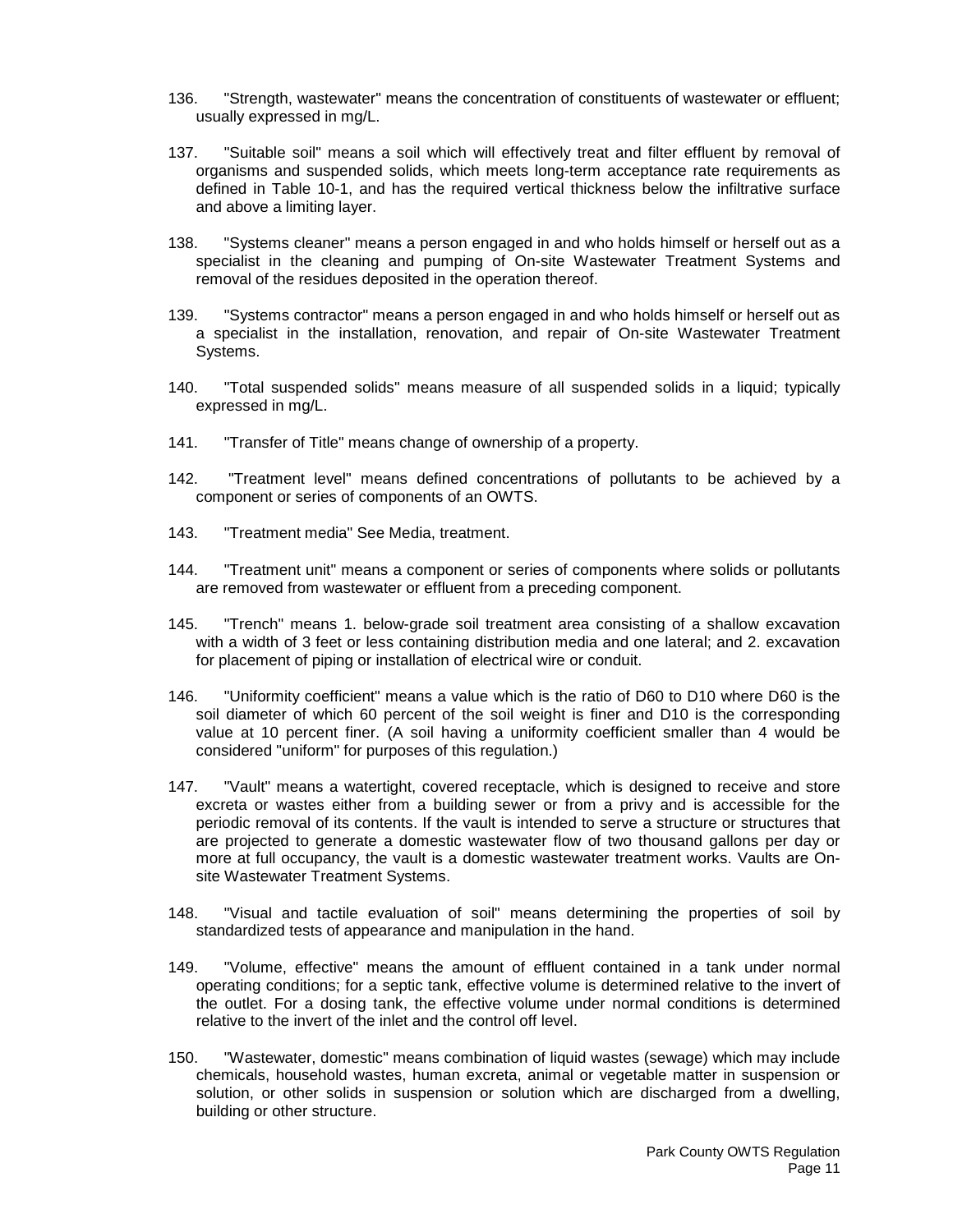- 136. "Strength, wastewater" means the concentration of constituents of wastewater or effluent; usually expressed in mg/L.
- 137. "Suitable soil" means a soil which will effectively treat and filter effluent by removal of organisms and suspended solids, which meets long-term acceptance rate requirements as defined in Table 10-1, and has the required vertical thickness below the infiltrative surface and above a limiting layer.
- 138. "Systems cleaner" means a person engaged in and who holds himself or herself out as a specialist in the cleaning and pumping of On-site Wastewater Treatment Systems and removal of the residues deposited in the operation thereof.
- 139. "Systems contractor" means a person engaged in and who holds himself or herself out as a specialist in the installation, renovation, and repair of On-site Wastewater Treatment Systems.
- 140. "Total suspended solids" means measure of all suspended solids in a liquid; typically expressed in mg/L.
- 141. "Transfer of Title" means change of ownership of a property.
- 142. "Treatment level" means defined concentrations of pollutants to be achieved by a component or series of components of an OWTS.
- 143. "Treatment media" See Media, treatment.
- 144. "Treatment unit" means a component or series of components where solids or pollutants are removed from wastewater or effluent from a preceding component.
- 145. "Trench" means 1. below-grade soil treatment area consisting of a shallow excavation with a width of 3 feet or less containing distribution media and one lateral; and 2. excavation for placement of piping or installation of electrical wire or conduit.
- 146. "Uniformity coefficient" means a value which is the ratio of D60 to D10 where D60 is the soil diameter of which 60 percent of the soil weight is finer and D10 is the corresponding value at 10 percent finer. (A soil having a uniformity coefficient smaller than 4 would be considered "uniform" for purposes of this regulation.)
- 147. "Vault" means a watertight, covered receptacle, which is designed to receive and store excreta or wastes either from a building sewer or from a privy and is accessible for the periodic removal of its contents. If the vault is intended to serve a structure or structures that are projected to generate a domestic wastewater flow of two thousand gallons per day or more at full occupancy, the vault is a domestic wastewater treatment works. Vaults are Onsite Wastewater Treatment Systems.
- 148. "Visual and tactile evaluation of soil" means determining the properties of soil by standardized tests of appearance and manipulation in the hand.
- 149. "Volume, effective" means the amount of effluent contained in a tank under normal operating conditions; for a septic tank, effective volume is determined relative to the invert of the outlet. For a dosing tank, the effective volume under normal conditions is determined relative to the invert of the inlet and the control off level.
- 150. "Wastewater, domestic" means combination of liquid wastes (sewage) which may include chemicals, household wastes, human excreta, animal or vegetable matter in suspension or solution, or other solids in suspension or solution which are discharged from a dwelling, building or other structure.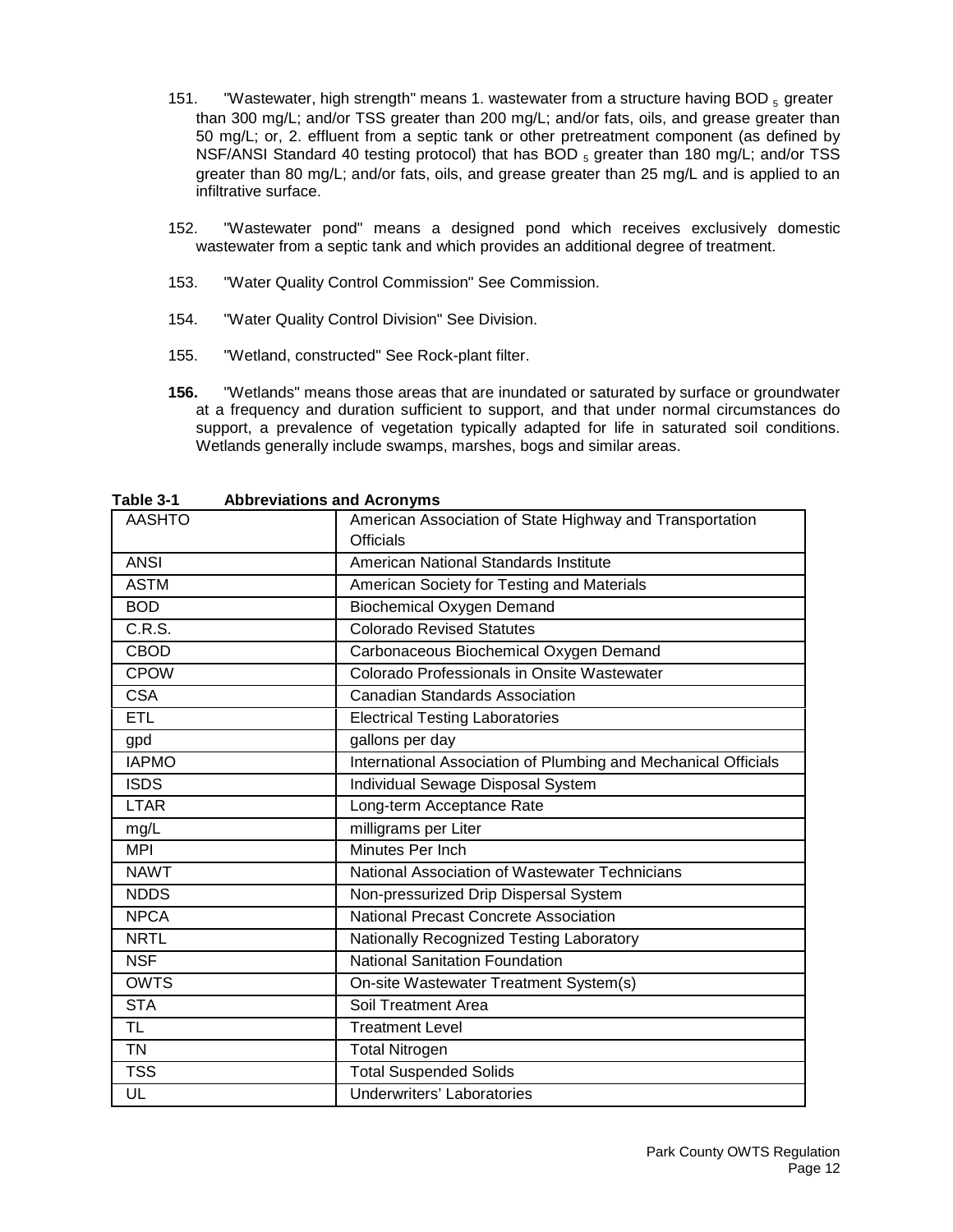- 151. "Wastewater, high strength" means 1. wastewater from a structure having BOD  $_5$  greater than 300 mg/L; and/or TSS greater than 200 mg/L; and/or fats, oils, and grease greater than 50 mg/L; or, 2. effluent from a septic tank or other pretreatment component (as defined by NSF/ANSI Standard 40 testing protocol) that has BOD  $_5$  greater than 180 mg/L; and/or TSS greater than 80 mg/L; and/or fats, oils, and grease greater than 25 mg/L and is applied to an infiltrative surface.
- 152. "Wastewater pond" means a designed pond which receives exclusively domestic wastewater from a septic tank and which provides an additional degree of treatment.
- 153. "Water Quality Control Commission" See Commission.
- 154. "Water Quality Control Division" See Division.
- 155. "Wetland, constructed" See Rock-plant filter.
- **156.** "Wetlands" means those areas that are inundated or saturated by surface or groundwater at a frequency and duration sufficient to support, and that under normal circumstances do support, a prevalence of vegetation typically adapted for life in saturated soil conditions. Wetlands generally include swamps, marshes, bogs and similar areas.

| apiv v-i<br>ADDICTIONS and ACTUNITIES |                                                                |  |  |
|---------------------------------------|----------------------------------------------------------------|--|--|
| <b>AASHTO</b>                         | American Association of State Highway and Transportation       |  |  |
|                                       | <b>Officials</b>                                               |  |  |
| <b>ANSI</b>                           | American National Standards Institute                          |  |  |
| <b>ASTM</b>                           | American Society for Testing and Materials                     |  |  |
| <b>BOD</b>                            | <b>Biochemical Oxygen Demand</b>                               |  |  |
| C.R.S.                                | <b>Colorado Revised Statutes</b>                               |  |  |
| <b>CBOD</b>                           | Carbonaceous Biochemical Oxygen Demand                         |  |  |
| <b>CPOW</b>                           | Colorado Professionals in Onsite Wastewater                    |  |  |
| <b>CSA</b>                            | Canadian Standards Association                                 |  |  |
| <b>ETL</b>                            | <b>Electrical Testing Laboratories</b>                         |  |  |
| gpd                                   | gallons per day                                                |  |  |
| <b>IAPMO</b>                          | International Association of Plumbing and Mechanical Officials |  |  |
| <b>ISDS</b>                           | Individual Sewage Disposal System                              |  |  |
| <b>LTAR</b>                           | Long-term Acceptance Rate                                      |  |  |
| mg/L                                  | milligrams per Liter                                           |  |  |
| <b>MPI</b>                            | Minutes Per Inch                                               |  |  |
| <b>NAWT</b>                           | National Association of Wastewater Technicians                 |  |  |
| <b>NDDS</b>                           | Non-pressurized Drip Dispersal System                          |  |  |
| <b>NPCA</b>                           | National Precast Concrete Association                          |  |  |
| <b>NRTL</b>                           | Nationally Recognized Testing Laboratory                       |  |  |
| <b>NSF</b>                            | <b>National Sanitation Foundation</b>                          |  |  |
| <b>OWTS</b>                           | On-site Wastewater Treatment System(s)                         |  |  |
| <b>STA</b>                            | Soil Treatment Area                                            |  |  |
| <b>TL</b>                             | <b>Treatment Level</b>                                         |  |  |
| <b>TN</b>                             | <b>Total Nitrogen</b>                                          |  |  |
| <b>TSS</b>                            | <b>Total Suspended Solids</b>                                  |  |  |
| UL                                    | Underwriters' Laboratories                                     |  |  |

**Table 3-1 Abbreviations and Acronyms**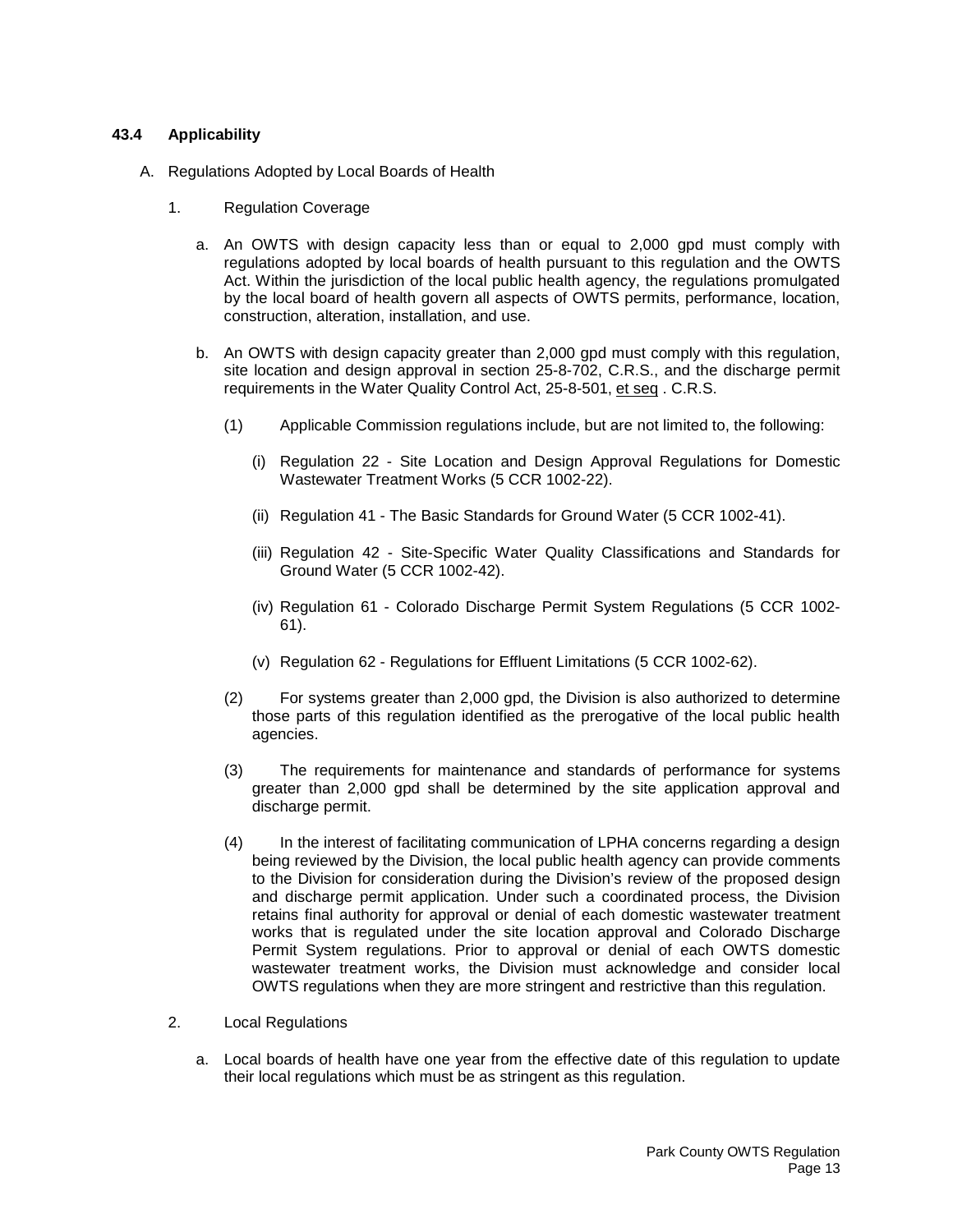## <span id="page-14-0"></span>**43.4 Applicability**

- A. Regulations Adopted by Local Boards of Health
	- 1. Regulation Coverage
		- a. An OWTS with design capacity less than or equal to 2,000 gpd must comply with regulations adopted by local boards of health pursuant to this regulation and the OWTS Act. Within the jurisdiction of the local public health agency, the regulations promulgated by the local board of health govern all aspects of OWTS permits, performance, location, construction, alteration, installation, and use.
		- b. An OWTS with design capacity greater than 2,000 gpd must comply with this regulation, site location and design approval in section 25-8-702, C.R.S., and the discharge permit requirements in the Water Quality Control Act, 25-8-501, et seq . C.R.S.
			- (1) Applicable Commission regulations include, but are not limited to, the following:
				- (i) Regulation 22 Site Location and Design Approval Regulations for Domestic Wastewater Treatment Works (5 CCR 1002-22).
				- (ii) Regulation 41 The Basic Standards for Ground Water (5 CCR 1002-41).
				- (iii) Regulation 42 Site-Specific Water Quality Classifications and Standards for Ground Water (5 CCR 1002-42).
				- (iv) Regulation 61 Colorado Discharge Permit System Regulations (5 CCR 1002- 61).
				- (v) Regulation 62 Regulations for Effluent Limitations (5 CCR 1002-62).
			- (2) For systems greater than 2,000 gpd, the Division is also authorized to determine those parts of this regulation identified as the prerogative of the local public health agencies.
			- (3) The requirements for maintenance and standards of performance for systems greater than 2,000 gpd shall be determined by the site application approval and discharge permit.
			- (4) In the interest of facilitating communication of LPHA concerns regarding a design being reviewed by the Division, the local public health agency can provide comments to the Division for consideration during the Division's review of the proposed design and discharge permit application. Under such a coordinated process, the Division retains final authority for approval or denial of each domestic wastewater treatment works that is regulated under the site location approval and Colorado Discharge Permit System regulations. Prior to approval or denial of each OWTS domestic wastewater treatment works, the Division must acknowledge and consider local OWTS regulations when they are more stringent and restrictive than this regulation.
	- 2. Local Regulations
		- a. Local boards of health have one year from the effective date of this regulation to update their local regulations which must be as stringent as this regulation.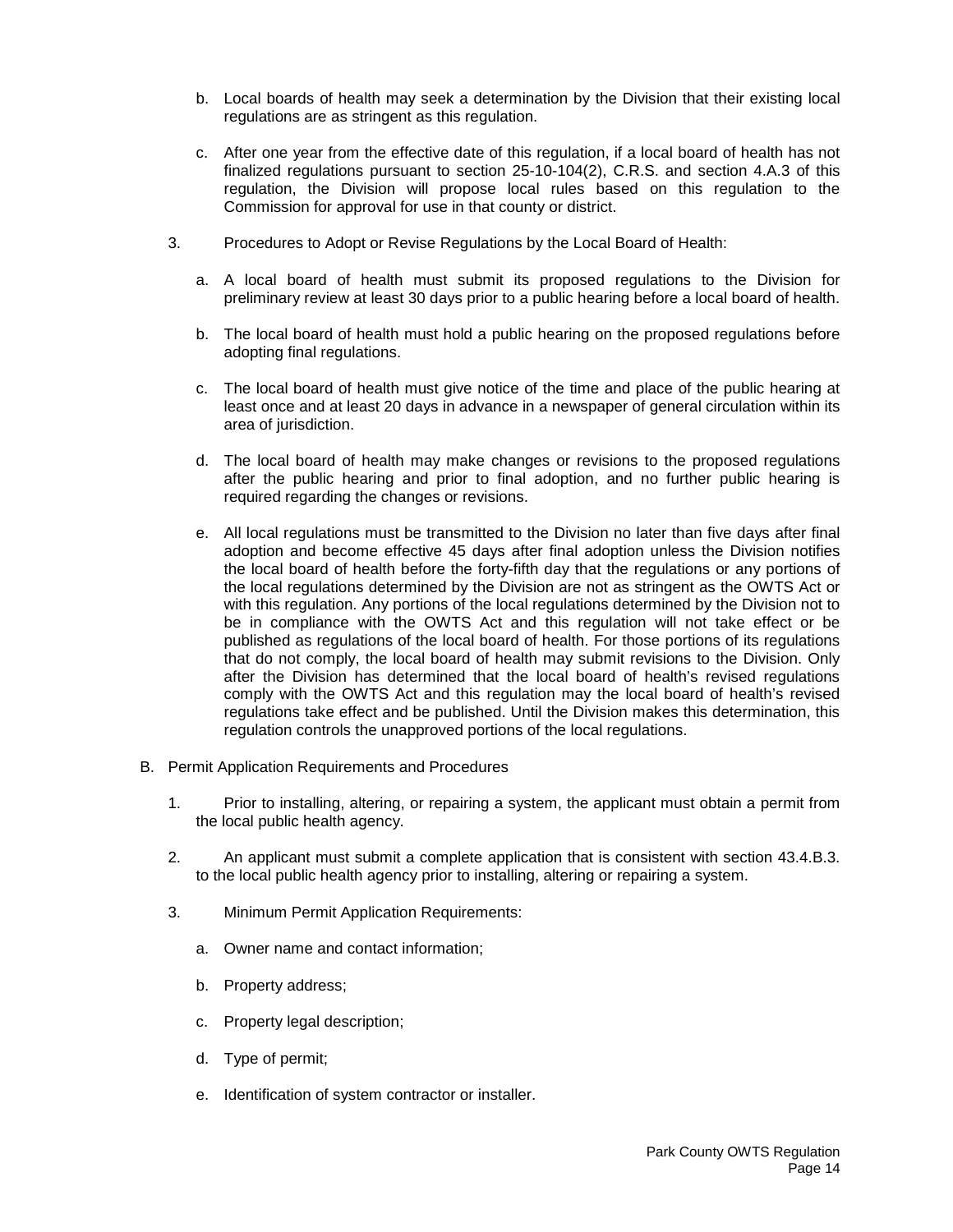- b. Local boards of health may seek a determination by the Division that their existing local regulations are as stringent as this regulation.
- c. After one year from the effective date of this regulation, if a local board of health has not finalized regulations pursuant to section 25-10-104(2), C.R.S. and section 4.A.3 of this regulation, the Division will propose local rules based on this regulation to the Commission for approval for use in that county or district.
- 3. Procedures to Adopt or Revise Regulations by the Local Board of Health:
	- a. A local board of health must submit its proposed regulations to the Division for preliminary review at least 30 days prior to a public hearing before a local board of health.
	- b. The local board of health must hold a public hearing on the proposed regulations before adopting final regulations.
	- c. The local board of health must give notice of the time and place of the public hearing at least once and at least 20 days in advance in a newspaper of general circulation within its area of jurisdiction.
	- d. The local board of health may make changes or revisions to the proposed regulations after the public hearing and prior to final adoption, and no further public hearing is required regarding the changes or revisions.
	- e. All local regulations must be transmitted to the Division no later than five days after final adoption and become effective 45 days after final adoption unless the Division notifies the local board of health before the forty-fifth day that the regulations or any portions of the local regulations determined by the Division are not as stringent as the OWTS Act or with this regulation. Any portions of the local regulations determined by the Division not to be in compliance with the OWTS Act and this regulation will not take effect or be published as regulations of the local board of health. For those portions of its regulations that do not comply, the local board of health may submit revisions to the Division. Only after the Division has determined that the local board of health's revised regulations comply with the OWTS Act and this regulation may the local board of health's revised regulations take effect and be published. Until the Division makes this determination, this regulation controls the unapproved portions of the local regulations.
- B. Permit Application Requirements and Procedures
	- 1. Prior to installing, altering, or repairing a system, the applicant must obtain a permit from the local public health agency.
	- 2. An applicant must submit a complete application that is consistent with section 43.4.B.3. to the local public health agency prior to installing, altering or repairing a system.
	- 3. Minimum Permit Application Requirements:
		- a. Owner name and contact information;
		- b. Property address;
		- c. Property legal description;
		- d. Type of permit;
		- e. Identification of system contractor or installer.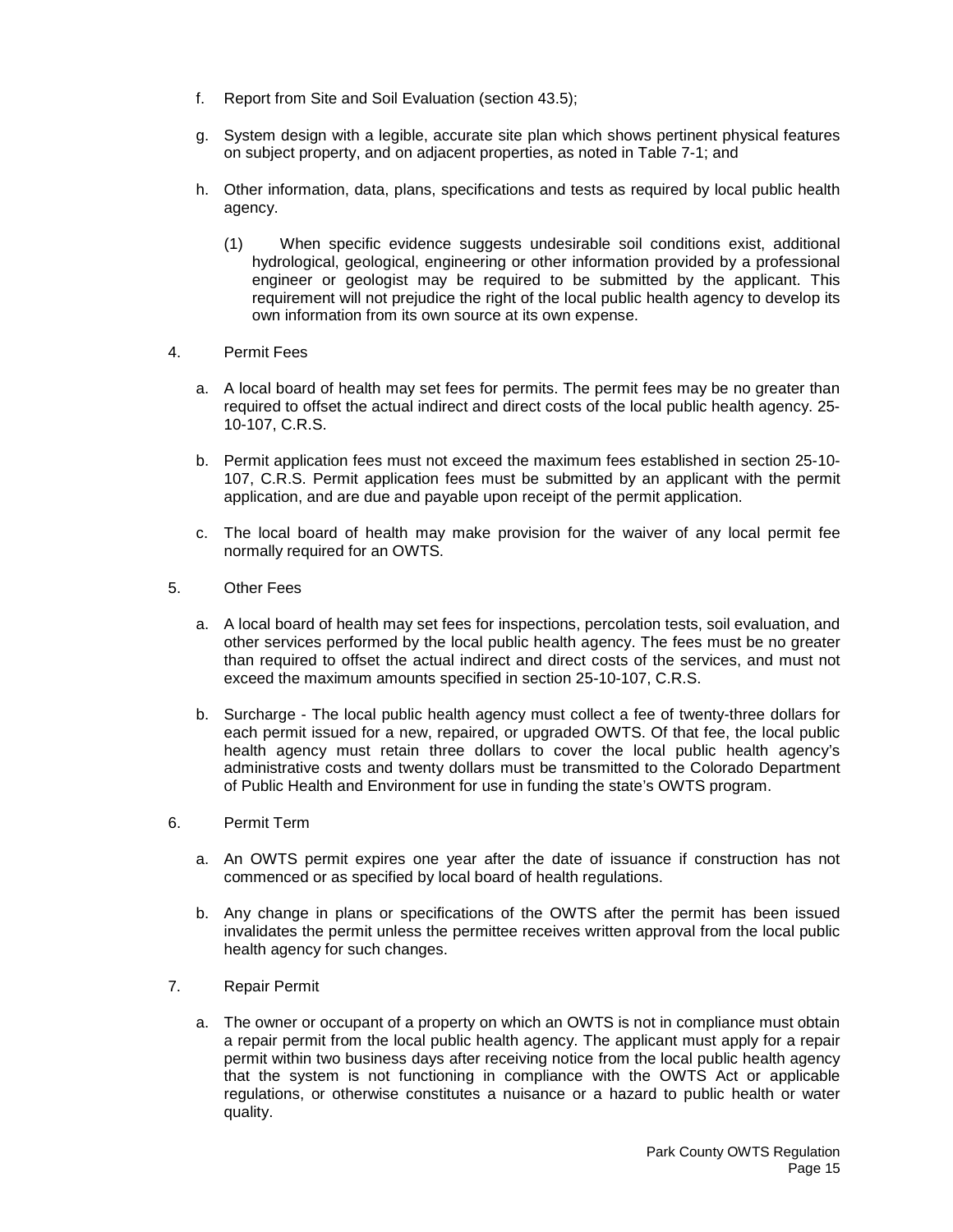- f. Report from Site and Soil Evaluation (section 43.5);
- g. System design with a legible, accurate site plan which shows pertinent physical features on subject property, and on adjacent properties, as noted in Table 7-1; and
- h. Other information, data, plans, specifications and tests as required by local public health agency.
	- (1) When specific evidence suggests undesirable soil conditions exist, additional hydrological, geological, engineering or other information provided by a professional engineer or geologist may be required to be submitted by the applicant. This requirement will not prejudice the right of the local public health agency to develop its own information from its own source at its own expense.
- 4. Permit Fees
	- a. A local board of health may set fees for permits. The permit fees may be no greater than required to offset the actual indirect and direct costs of the local public health agency. 25- 10-107, C.R.S.
	- b. Permit application fees must not exceed the maximum fees established in section 25-10- 107, C.R.S. Permit application fees must be submitted by an applicant with the permit application, and are due and payable upon receipt of the permit application.
	- c. The local board of health may make provision for the waiver of any local permit fee normally required for an OWTS.
- 5. Other Fees
	- a. A local board of health may set fees for inspections, percolation tests, soil evaluation, and other services performed by the local public health agency. The fees must be no greater than required to offset the actual indirect and direct costs of the services, and must not exceed the maximum amounts specified in section 25-10-107, C.R.S.
	- b. Surcharge The local public health agency must collect a fee of twenty-three dollars for each permit issued for a new, repaired, or upgraded OWTS. Of that fee, the local public health agency must retain three dollars to cover the local public health agency's administrative costs and twenty dollars must be transmitted to the Colorado Department of Public Health and Environment for use in funding the state's OWTS program.
- 6. Permit Term
	- a. An OWTS permit expires one year after the date of issuance if construction has not commenced or as specified by local board of health regulations.
	- b. Any change in plans or specifications of the OWTS after the permit has been issued invalidates the permit unless the permittee receives written approval from the local public health agency for such changes.
- 7. Repair Permit
	- a. The owner or occupant of a property on which an OWTS is not in compliance must obtain a repair permit from the local public health agency. The applicant must apply for a repair permit within two business days after receiving notice from the local public health agency that the system is not functioning in compliance with the OWTS Act or applicable regulations, or otherwise constitutes a nuisance or a hazard to public health or water quality.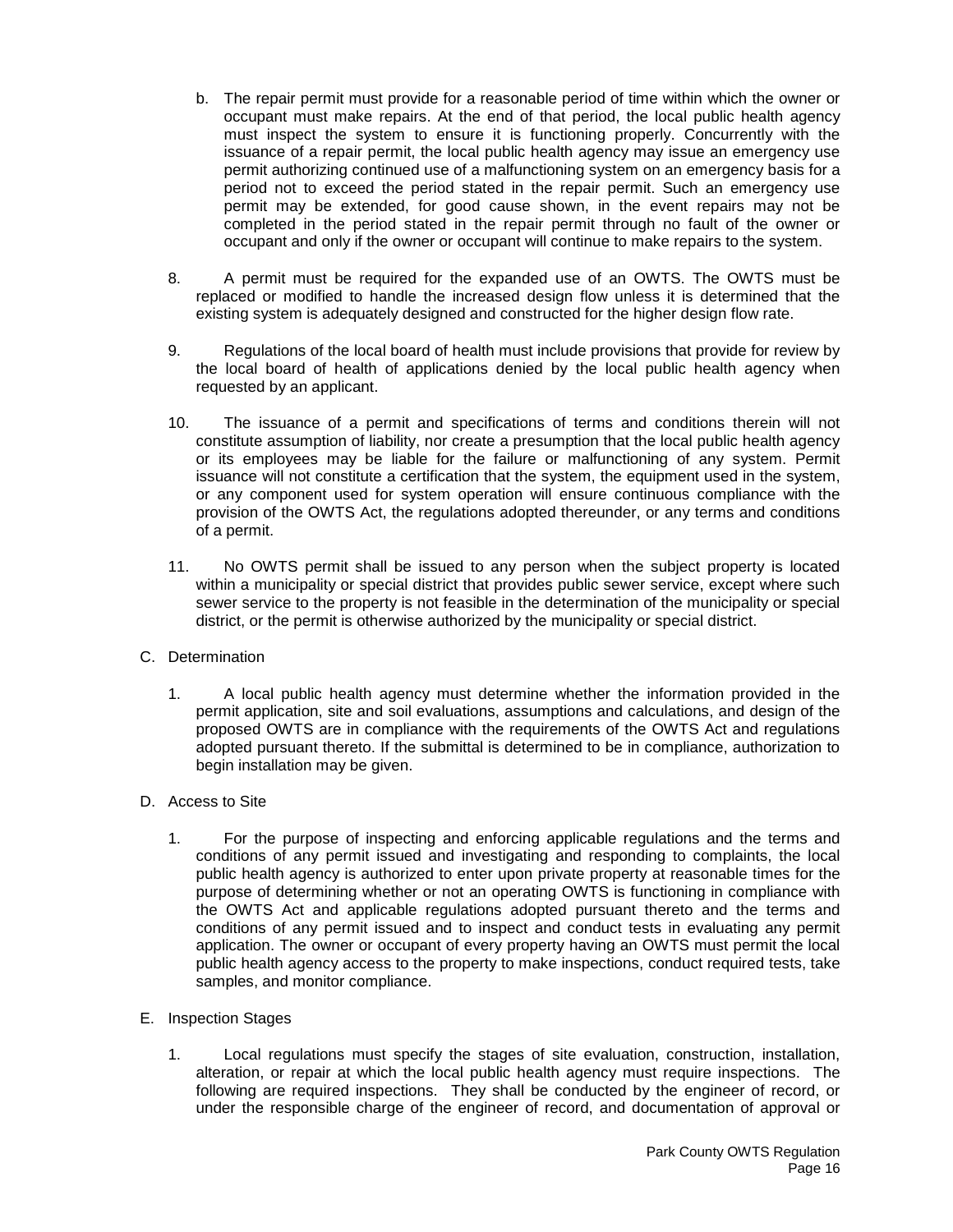- b. The repair permit must provide for a reasonable period of time within which the owner or occupant must make repairs. At the end of that period, the local public health agency must inspect the system to ensure it is functioning properly. Concurrently with the issuance of a repair permit, the local public health agency may issue an emergency use permit authorizing continued use of a malfunctioning system on an emergency basis for a period not to exceed the period stated in the repair permit. Such an emergency use permit may be extended, for good cause shown, in the event repairs may not be completed in the period stated in the repair permit through no fault of the owner or occupant and only if the owner or occupant will continue to make repairs to the system.
- 8. A permit must be required for the expanded use of an OWTS. The OWTS must be replaced or modified to handle the increased design flow unless it is determined that the existing system is adequately designed and constructed for the higher design flow rate.
- 9. Regulations of the local board of health must include provisions that provide for review by the local board of health of applications denied by the local public health agency when requested by an applicant.
- 10. The issuance of a permit and specifications of terms and conditions therein will not constitute assumption of liability, nor create a presumption that the local public health agency or its employees may be liable for the failure or malfunctioning of any system. Permit issuance will not constitute a certification that the system, the equipment used in the system, or any component used for system operation will ensure continuous compliance with the provision of the OWTS Act, the regulations adopted thereunder, or any terms and conditions of a permit.
- 11. No OWTS permit shall be issued to any person when the subject property is located within a municipality or special district that provides public sewer service, except where such sewer service to the property is not feasible in the determination of the municipality or special district, or the permit is otherwise authorized by the municipality or special district.

# C. Determination

1. A local public health agency must determine whether the information provided in the permit application, site and soil evaluations, assumptions and calculations, and design of the proposed OWTS are in compliance with the requirements of the OWTS Act and regulations adopted pursuant thereto. If the submittal is determined to be in compliance, authorization to begin installation may be given.

# D. Access to Site

1. For the purpose of inspecting and enforcing applicable regulations and the terms and conditions of any permit issued and investigating and responding to complaints, the local public health agency is authorized to enter upon private property at reasonable times for the purpose of determining whether or not an operating OWTS is functioning in compliance with the OWTS Act and applicable regulations adopted pursuant thereto and the terms and conditions of any permit issued and to inspect and conduct tests in evaluating any permit application. The owner or occupant of every property having an OWTS must permit the local public health agency access to the property to make inspections, conduct required tests, take samples, and monitor compliance.

### E. Inspection Stages

1. Local regulations must specify the stages of site evaluation, construction, installation, alteration, or repair at which the local public health agency must require inspections. The following are required inspections. They shall be conducted by the engineer of record, or under the responsible charge of the engineer of record, and documentation of approval or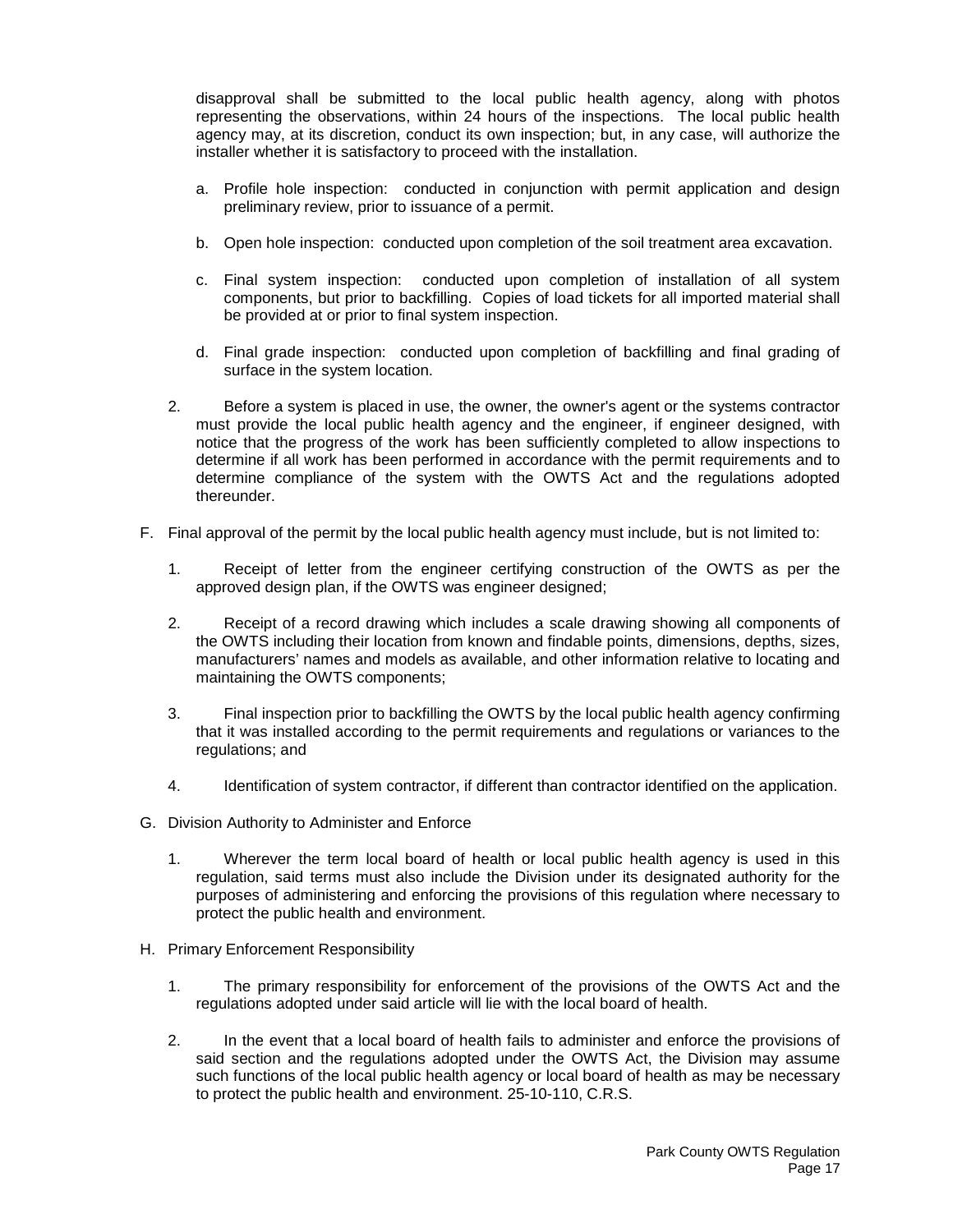disapproval shall be submitted to the local public health agency, along with photos representing the observations, within 24 hours of the inspections. The local public health agency may, at its discretion, conduct its own inspection; but, in any case, will authorize the installer whether it is satisfactory to proceed with the installation.

- a. Profile hole inspection: conducted in conjunction with permit application and design preliminary review, prior to issuance of a permit.
- b. Open hole inspection: conducted upon completion of the soil treatment area excavation.
- c. Final system inspection: conducted upon completion of installation of all system components, but prior to backfilling. Copies of load tickets for all imported material shall be provided at or prior to final system inspection.
- d. Final grade inspection: conducted upon completion of backfilling and final grading of surface in the system location.
- 2. Before a system is placed in use, the owner, the owner's agent or the systems contractor must provide the local public health agency and the engineer, if engineer designed, with notice that the progress of the work has been sufficiently completed to allow inspections to determine if all work has been performed in accordance with the permit requirements and to determine compliance of the system with the OWTS Act and the regulations adopted thereunder.
- F. Final approval of the permit by the local public health agency must include, but is not limited to:
	- 1. Receipt of letter from the engineer certifying construction of the OWTS as per the approved design plan, if the OWTS was engineer designed;
	- 2. Receipt of a record drawing which includes a scale drawing showing all components of the OWTS including their location from known and findable points, dimensions, depths, sizes, manufacturers' names and models as available, and other information relative to locating and maintaining the OWTS components;
	- 3. Final inspection prior to backfilling the OWTS by the local public health agency confirming that it was installed according to the permit requirements and regulations or variances to the regulations; and
	- 4. Identification of system contractor, if different than contractor identified on the application.
- G. Division Authority to Administer and Enforce
	- 1. Wherever the term local board of health or local public health agency is used in this regulation, said terms must also include the Division under its designated authority for the purposes of administering and enforcing the provisions of this regulation where necessary to protect the public health and environment.
- H. Primary Enforcement Responsibility
	- 1. The primary responsibility for enforcement of the provisions of the OWTS Act and the regulations adopted under said article will lie with the local board of health.
	- 2. In the event that a local board of health fails to administer and enforce the provisions of said section and the regulations adopted under the OWTS Act, the Division may assume such functions of the local public health agency or local board of health as may be necessary to protect the public health and environment. 25-10-110, C.R.S.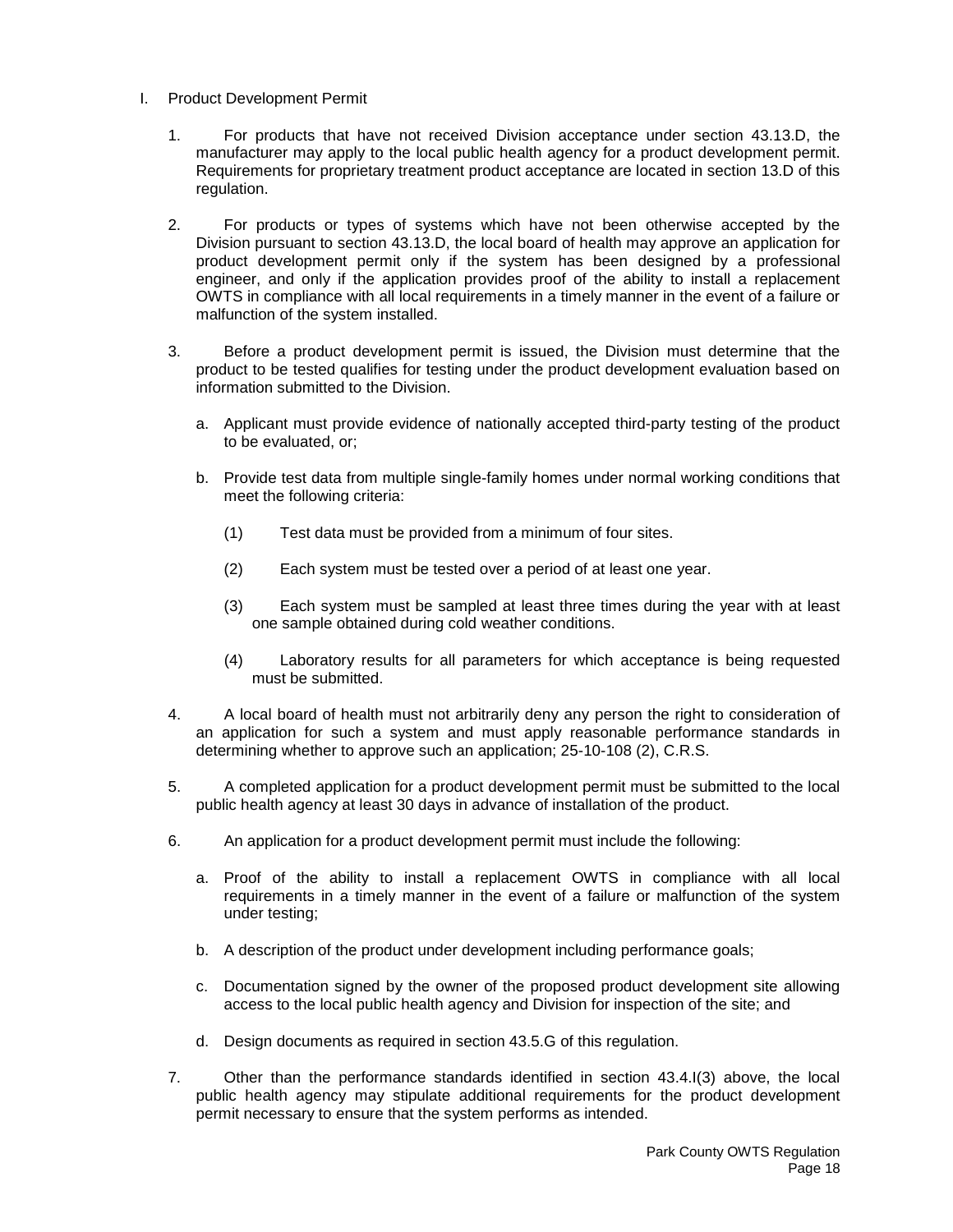- I. Product Development Permit
	- 1. For products that have not received Division acceptance under section 43.13.D, the manufacturer may apply to the local public health agency for a product development permit. Requirements for proprietary treatment product acceptance are located in section 13.D of this regulation.
	- 2. For products or types of systems which have not been otherwise accepted by the Division pursuant to section 43.13.D, the local board of health may approve an application for product development permit only if the system has been designed by a professional engineer, and only if the application provides proof of the ability to install a replacement OWTS in compliance with all local requirements in a timely manner in the event of a failure or malfunction of the system installed.
	- 3. Before a product development permit is issued, the Division must determine that the product to be tested qualifies for testing under the product development evaluation based on information submitted to the Division.
		- a. Applicant must provide evidence of nationally accepted third-party testing of the product to be evaluated, or;
		- b. Provide test data from multiple single-family homes under normal working conditions that meet the following criteria:
			- (1) Test data must be provided from a minimum of four sites.
			- (2) Each system must be tested over a period of at least one year.
			- (3) Each system must be sampled at least three times during the year with at least one sample obtained during cold weather conditions.
			- (4) Laboratory results for all parameters for which acceptance is being requested must be submitted.
	- 4. A local board of health must not arbitrarily deny any person the right to consideration of an application for such a system and must apply reasonable performance standards in determining whether to approve such an application; 25-10-108 (2), C.R.S.
	- 5. A completed application for a product development permit must be submitted to the local public health agency at least 30 days in advance of installation of the product.
	- 6. An application for a product development permit must include the following:
		- a. Proof of the ability to install a replacement OWTS in compliance with all local requirements in a timely manner in the event of a failure or malfunction of the system under testing;
		- b. A description of the product under development including performance goals;
		- c. Documentation signed by the owner of the proposed product development site allowing access to the local public health agency and Division for inspection of the site; and
		- d. Design documents as required in section 43.5.G of this regulation.
	- 7. Other than the performance standards identified in section 43.4.I(3) above, the local public health agency may stipulate additional requirements for the product development permit necessary to ensure that the system performs as intended.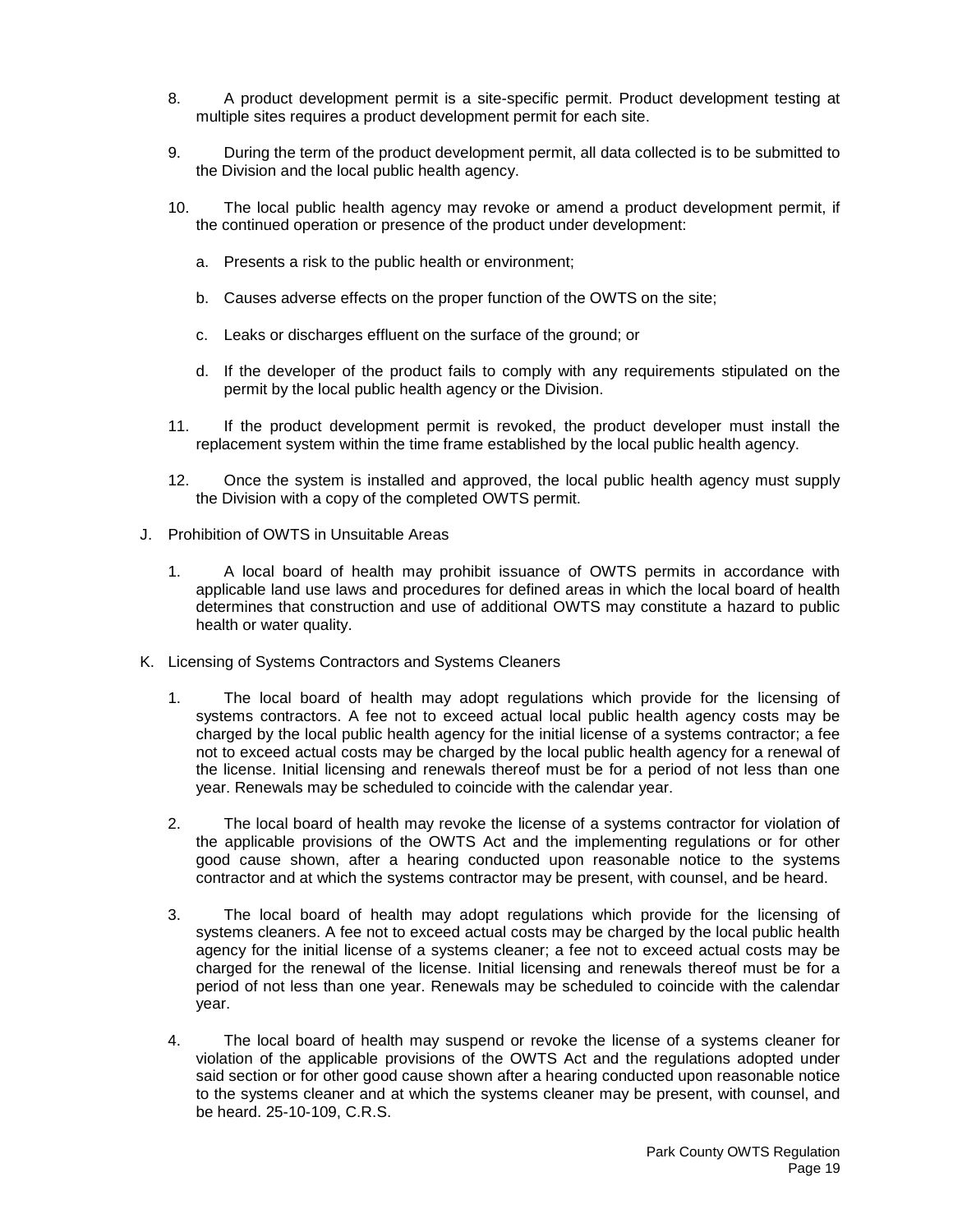- 8. A product development permit is a site-specific permit. Product development testing at multiple sites requires a product development permit for each site.
- 9. During the term of the product development permit, all data collected is to be submitted to the Division and the local public health agency.
- 10. The local public health agency may revoke or amend a product development permit, if the continued operation or presence of the product under development:
	- a. Presents a risk to the public health or environment;
	- b. Causes adverse effects on the proper function of the OWTS on the site;
	- c. Leaks or discharges effluent on the surface of the ground; or
	- d. If the developer of the product fails to comply with any requirements stipulated on the permit by the local public health agency or the Division.
- 11. If the product development permit is revoked, the product developer must install the replacement system within the time frame established by the local public health agency.
- 12. Once the system is installed and approved, the local public health agency must supply the Division with a copy of the completed OWTS permit.
- J. Prohibition of OWTS in Unsuitable Areas
	- 1. A local board of health may prohibit issuance of OWTS permits in accordance with applicable land use laws and procedures for defined areas in which the local board of health determines that construction and use of additional OWTS may constitute a hazard to public health or water quality.
- K. Licensing of Systems Contractors and Systems Cleaners
	- 1. The local board of health may adopt regulations which provide for the licensing of systems contractors. A fee not to exceed actual local public health agency costs may be charged by the local public health agency for the initial license of a systems contractor; a fee not to exceed actual costs may be charged by the local public health agency for a renewal of the license. Initial licensing and renewals thereof must be for a period of not less than one year. Renewals may be scheduled to coincide with the calendar year.
	- 2. The local board of health may revoke the license of a systems contractor for violation of the applicable provisions of the OWTS Act and the implementing regulations or for other good cause shown, after a hearing conducted upon reasonable notice to the systems contractor and at which the systems contractor may be present, with counsel, and be heard.
	- 3. The local board of health may adopt regulations which provide for the licensing of systems cleaners. A fee not to exceed actual costs may be charged by the local public health agency for the initial license of a systems cleaner; a fee not to exceed actual costs may be charged for the renewal of the license. Initial licensing and renewals thereof must be for a period of not less than one year. Renewals may be scheduled to coincide with the calendar year.
	- 4. The local board of health may suspend or revoke the license of a systems cleaner for violation of the applicable provisions of the OWTS Act and the regulations adopted under said section or for other good cause shown after a hearing conducted upon reasonable notice to the systems cleaner and at which the systems cleaner may be present, with counsel, and be heard. 25-10-109, C.R.S.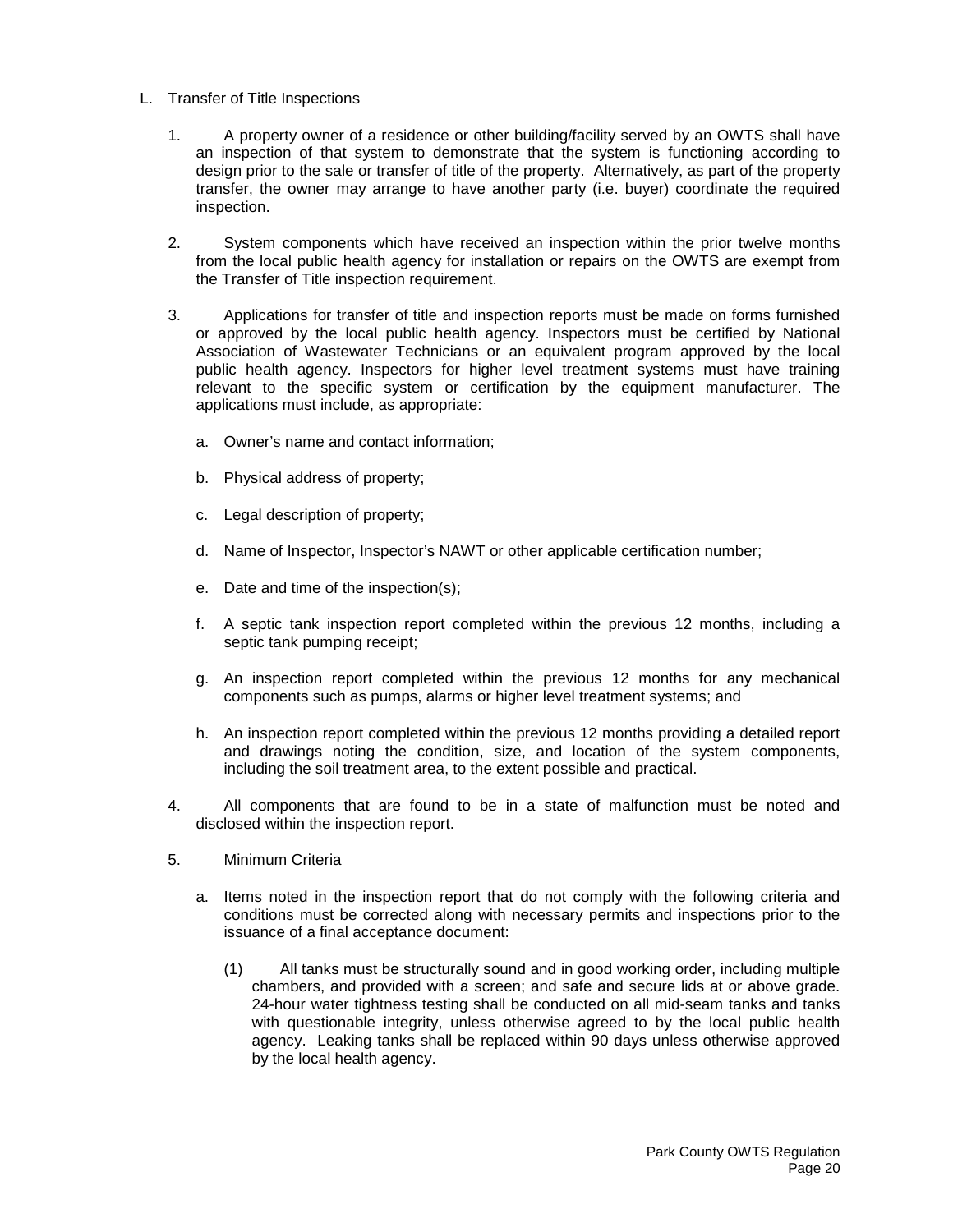- L. Transfer of Title Inspections
	- 1. A property owner of a residence or other building/facility served by an OWTS shall have an inspection of that system to demonstrate that the system is functioning according to design prior to the sale or transfer of title of the property. Alternatively, as part of the property transfer, the owner may arrange to have another party (i.e. buyer) coordinate the required inspection.
	- 2. System components which have received an inspection within the prior twelve months from the local public health agency for installation or repairs on the OWTS are exempt from the Transfer of Title inspection requirement.
	- 3. Applications for transfer of title and inspection reports must be made on forms furnished or approved by the local public health agency. Inspectors must be certified by National Association of Wastewater Technicians or an equivalent program approved by the local public health agency. Inspectors for higher level treatment systems must have training relevant to the specific system or certification by the equipment manufacturer. The applications must include, as appropriate:
		- a. Owner's name and contact information;
		- b. Physical address of property;
		- c. Legal description of property;
		- d. Name of Inspector, Inspector's NAWT or other applicable certification number;
		- e. Date and time of the inspection(s);
		- f. A septic tank inspection report completed within the previous 12 months, including a septic tank pumping receipt;
		- g. An inspection report completed within the previous 12 months for any mechanical components such as pumps, alarms or higher level treatment systems; and
		- h. An inspection report completed within the previous 12 months providing a detailed report and drawings noting the condition, size, and location of the system components, including the soil treatment area, to the extent possible and practical.
	- 4. All components that are found to be in a state of malfunction must be noted and disclosed within the inspection report.
	- 5. Minimum Criteria
		- a. Items noted in the inspection report that do not comply with the following criteria and conditions must be corrected along with necessary permits and inspections prior to the issuance of a final acceptance document:
			- (1) All tanks must be structurally sound and in good working order, including multiple chambers, and provided with a screen; and safe and secure lids at or above grade. 24-hour water tightness testing shall be conducted on all mid-seam tanks and tanks with questionable integrity, unless otherwise agreed to by the local public health agency. Leaking tanks shall be replaced within 90 days unless otherwise approved by the local health agency.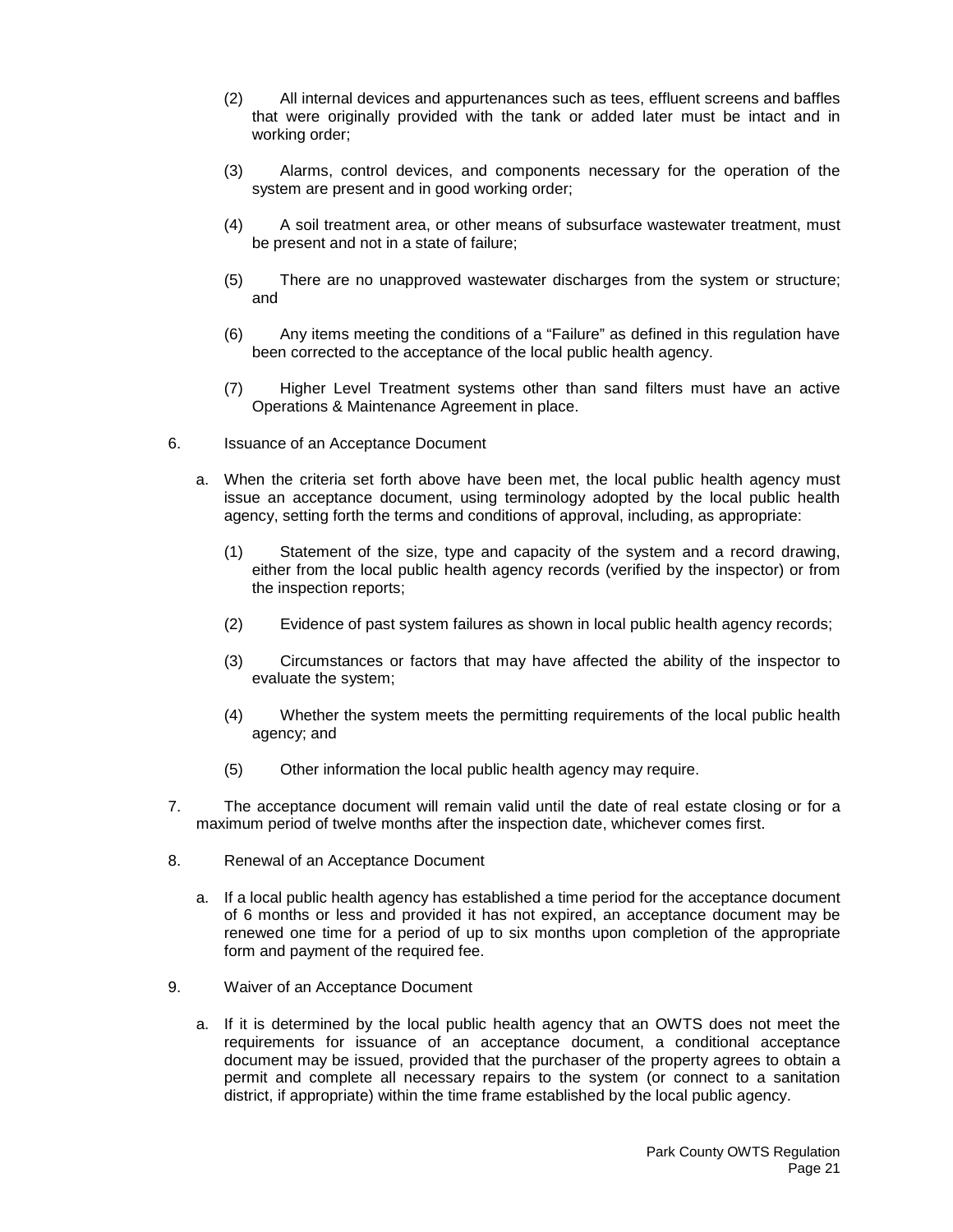- (2) All internal devices and appurtenances such as tees, effluent screens and baffles that were originally provided with the tank or added later must be intact and in working order;
- (3) Alarms, control devices, and components necessary for the operation of the system are present and in good working order;
- (4) A soil treatment area, or other means of subsurface wastewater treatment, must be present and not in a state of failure;
- (5) There are no unapproved wastewater discharges from the system or structure; and
- (6) Any items meeting the conditions of a "Failure" as defined in this regulation have been corrected to the acceptance of the local public health agency.
- (7) Higher Level Treatment systems other than sand filters must have an active Operations & Maintenance Agreement in place.
- 6. Issuance of an Acceptance Document
	- a. When the criteria set forth above have been met, the local public health agency must issue an acceptance document, using terminology adopted by the local public health agency, setting forth the terms and conditions of approval, including, as appropriate:
		- (1) Statement of the size, type and capacity of the system and a record drawing, either from the local public health agency records (verified by the inspector) or from the inspection reports;
		- (2) Evidence of past system failures as shown in local public health agency records;
		- (3) Circumstances or factors that may have affected the ability of the inspector to evaluate the system;
		- (4) Whether the system meets the permitting requirements of the local public health agency; and
		- (5) Other information the local public health agency may require.
- 7. The acceptance document will remain valid until the date of real estate closing or for a maximum period of twelve months after the inspection date, whichever comes first.
- 8. Renewal of an Acceptance Document
	- a. If a local public health agency has established a time period for the acceptance document of 6 months or less and provided it has not expired, an acceptance document may be renewed one time for a period of up to six months upon completion of the appropriate form and payment of the required fee.
- 9. Waiver of an Acceptance Document
	- a. If it is determined by the local public health agency that an OWTS does not meet the requirements for issuance of an acceptance document, a conditional acceptance document may be issued, provided that the purchaser of the property agrees to obtain a permit and complete all necessary repairs to the system (or connect to a sanitation district, if appropriate) within the time frame established by the local public agency.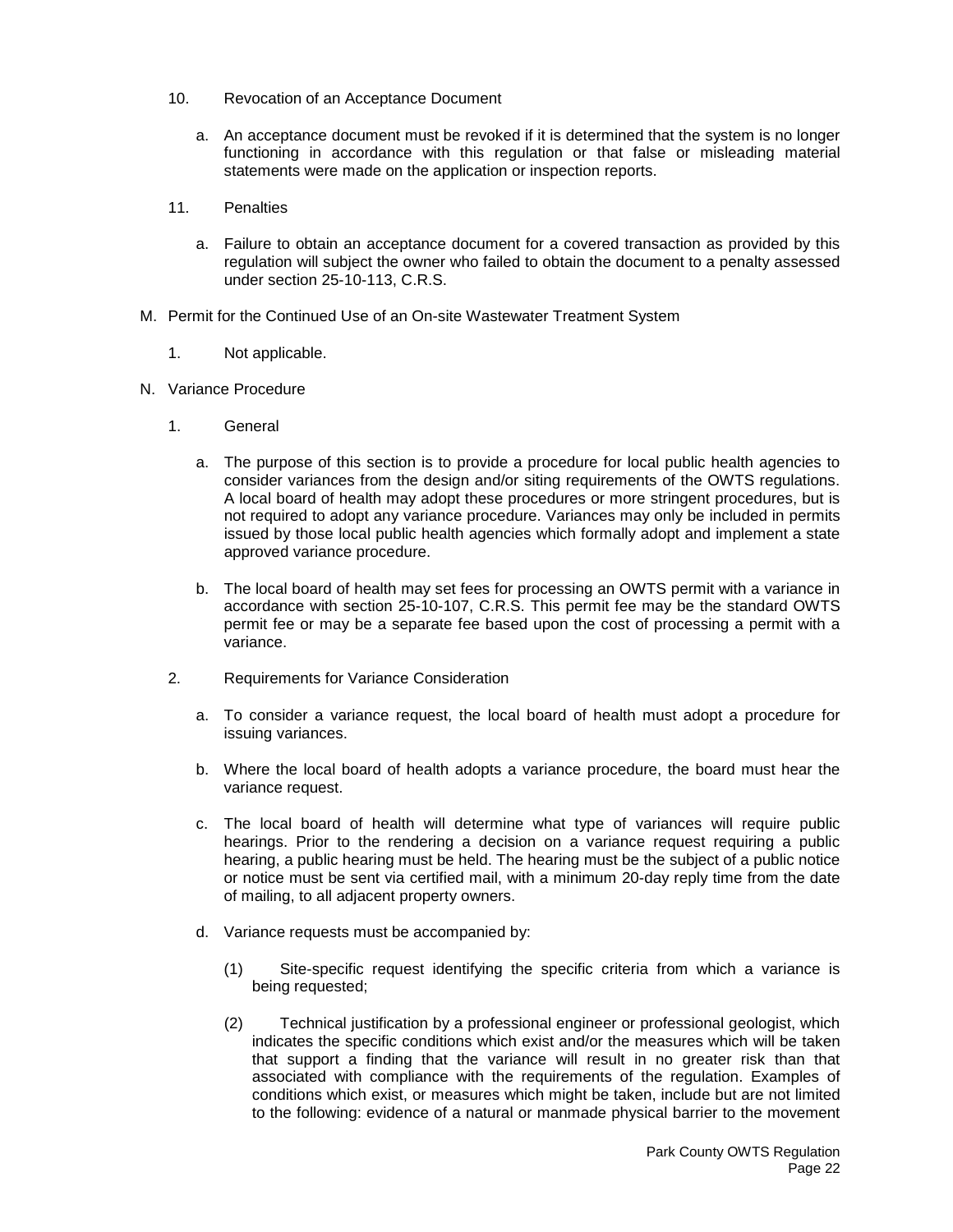- 10. Revocation of an Acceptance Document
	- a. An acceptance document must be revoked if it is determined that the system is no longer functioning in accordance with this regulation or that false or misleading material statements were made on the application or inspection reports.
- 11. Penalties
	- a. Failure to obtain an acceptance document for a covered transaction as provided by this regulation will subject the owner who failed to obtain the document to a penalty assessed under section 25-10-113, C.R.S.
- M. Permit for the Continued Use of an On-site Wastewater Treatment System
	- 1. Not applicable.
- N. Variance Procedure
	- 1. General
		- a. The purpose of this section is to provide a procedure for local public health agencies to consider variances from the design and/or siting requirements of the OWTS regulations. A local board of health may adopt these procedures or more stringent procedures, but is not required to adopt any variance procedure. Variances may only be included in permits issued by those local public health agencies which formally adopt and implement a state approved variance procedure.
		- b. The local board of health may set fees for processing an OWTS permit with a variance in accordance with section 25-10-107, C.R.S. This permit fee may be the standard OWTS permit fee or may be a separate fee based upon the cost of processing a permit with a variance.
	- 2. Requirements for Variance Consideration
		- a. To consider a variance request, the local board of health must adopt a procedure for issuing variances.
		- b. Where the local board of health adopts a variance procedure, the board must hear the variance request.
		- c. The local board of health will determine what type of variances will require public hearings. Prior to the rendering a decision on a variance request requiring a public hearing, a public hearing must be held. The hearing must be the subject of a public notice or notice must be sent via certified mail, with a minimum 20-day reply time from the date of mailing, to all adjacent property owners.
		- d. Variance requests must be accompanied by:
			- (1) Site-specific request identifying the specific criteria from which a variance is being requested;
			- (2) Technical justification by a professional engineer or professional geologist, which indicates the specific conditions which exist and/or the measures which will be taken that support a finding that the variance will result in no greater risk than that associated with compliance with the requirements of the regulation. Examples of conditions which exist, or measures which might be taken, include but are not limited to the following: evidence of a natural or manmade physical barrier to the movement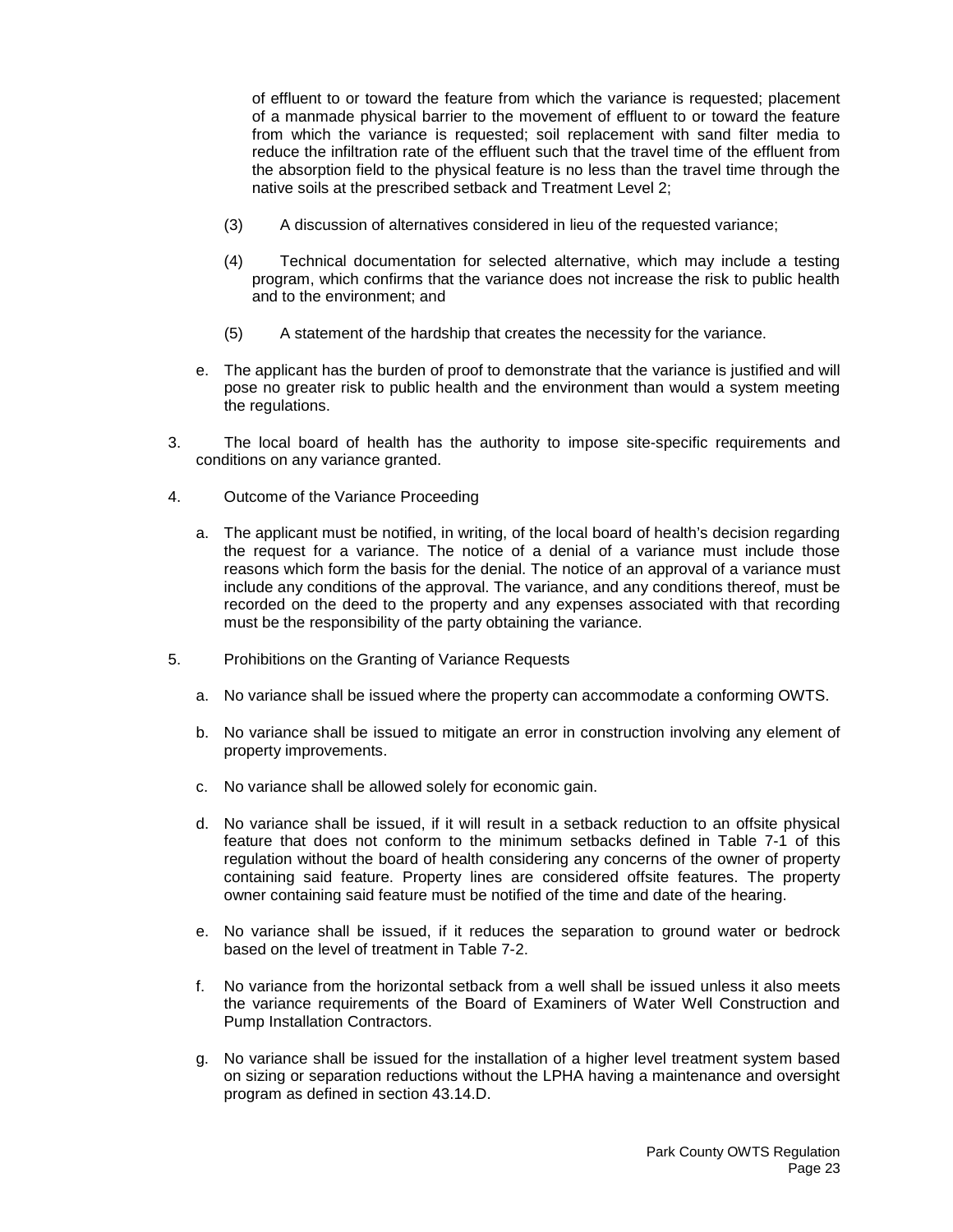of effluent to or toward the feature from which the variance is requested; placement of a manmade physical barrier to the movement of effluent to or toward the feature from which the variance is requested; soil replacement with sand filter media to reduce the infiltration rate of the effluent such that the travel time of the effluent from the absorption field to the physical feature is no less than the travel time through the native soils at the prescribed setback and Treatment Level 2;

- (3) A discussion of alternatives considered in lieu of the requested variance;
- (4) Technical documentation for selected alternative, which may include a testing program, which confirms that the variance does not increase the risk to public health and to the environment; and
- (5) A statement of the hardship that creates the necessity for the variance.
- e. The applicant has the burden of proof to demonstrate that the variance is justified and will pose no greater risk to public health and the environment than would a system meeting the regulations.
- 3. The local board of health has the authority to impose site-specific requirements and conditions on any variance granted.
- 4. Outcome of the Variance Proceeding
	- a. The applicant must be notified, in writing, of the local board of health's decision regarding the request for a variance. The notice of a denial of a variance must include those reasons which form the basis for the denial. The notice of an approval of a variance must include any conditions of the approval. The variance, and any conditions thereof, must be recorded on the deed to the property and any expenses associated with that recording must be the responsibility of the party obtaining the variance.
- 5. Prohibitions on the Granting of Variance Requests
	- a. No variance shall be issued where the property can accommodate a conforming OWTS.
	- b. No variance shall be issued to mitigate an error in construction involving any element of property improvements.
	- c. No variance shall be allowed solely for economic gain.
	- d. No variance shall be issued, if it will result in a setback reduction to an offsite physical feature that does not conform to the minimum setbacks defined in Table 7-1 of this regulation without the board of health considering any concerns of the owner of property containing said feature. Property lines are considered offsite features. The property owner containing said feature must be notified of the time and date of the hearing.
	- e. No variance shall be issued, if it reduces the separation to ground water or bedrock based on the level of treatment in Table 7-2.
	- f. No variance from the horizontal setback from a well shall be issued unless it also meets the variance requirements of the Board of Examiners of Water Well Construction and Pump Installation Contractors.
	- g. No variance shall be issued for the installation of a higher level treatment system based on sizing or separation reductions without the LPHA having a maintenance and oversight program as defined in section 43.14.D.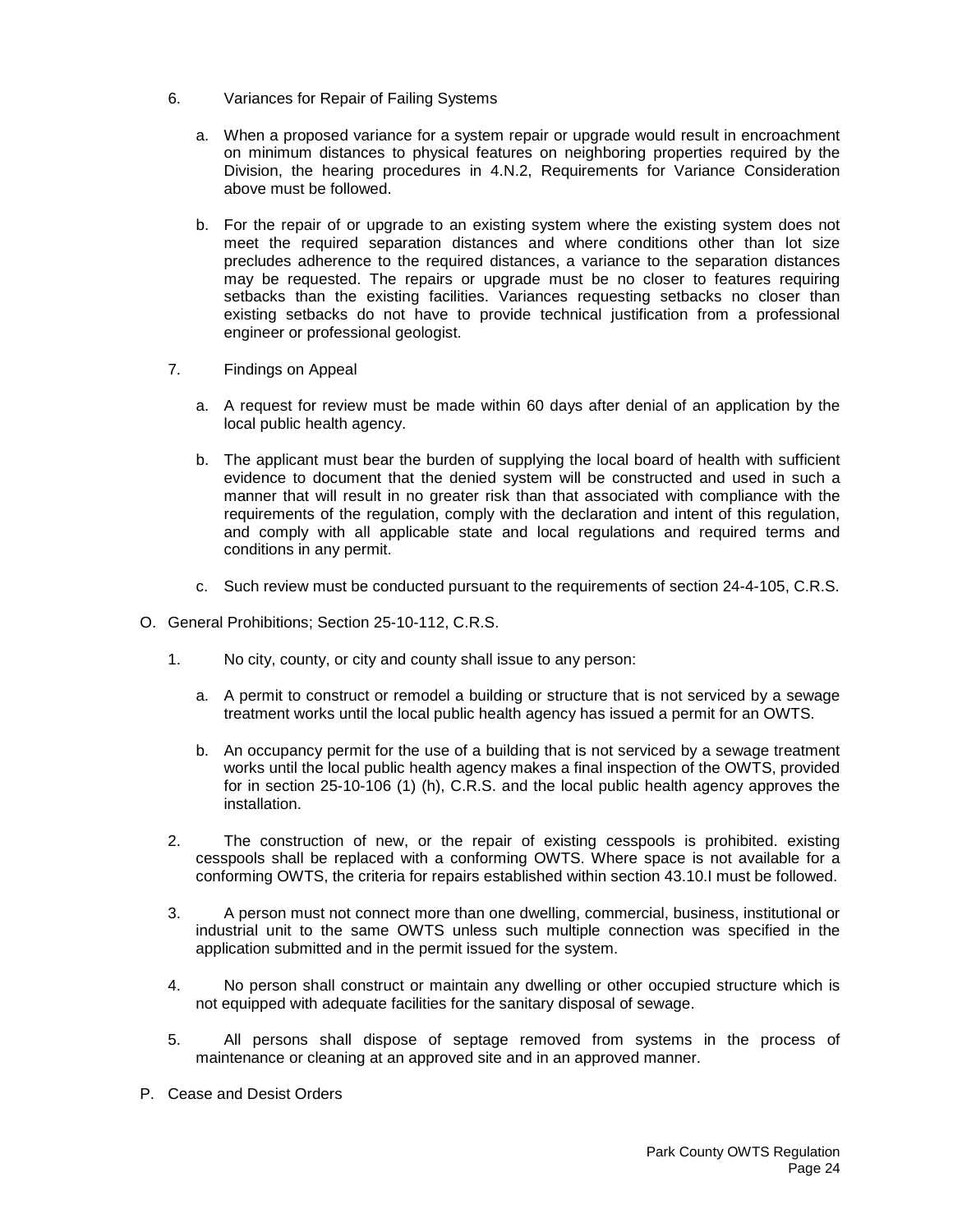- 6. Variances for Repair of Failing Systems
	- a. When a proposed variance for a system repair or upgrade would result in encroachment on minimum distances to physical features on neighboring properties required by the Division, the hearing procedures in 4.N.2, Requirements for Variance Consideration above must be followed.
	- b. For the repair of or upgrade to an existing system where the existing system does not meet the required separation distances and where conditions other than lot size precludes adherence to the required distances, a variance to the separation distances may be requested. The repairs or upgrade must be no closer to features requiring setbacks than the existing facilities. Variances requesting setbacks no closer than existing setbacks do not have to provide technical justification from a professional engineer or professional geologist.
- 7. Findings on Appeal
	- a. A request for review must be made within 60 days after denial of an application by the local public health agency.
	- b. The applicant must bear the burden of supplying the local board of health with sufficient evidence to document that the denied system will be constructed and used in such a manner that will result in no greater risk than that associated with compliance with the requirements of the regulation, comply with the declaration and intent of this regulation, and comply with all applicable state and local regulations and required terms and conditions in any permit.
	- c. Such review must be conducted pursuant to the requirements of section 24-4-105, C.R.S.
- O. General Prohibitions; Section 25-10-112, C.R.S.
	- 1. No city, county, or city and county shall issue to any person:
		- a. A permit to construct or remodel a building or structure that is not serviced by a sewage treatment works until the local public health agency has issued a permit for an OWTS.
		- b. An occupancy permit for the use of a building that is not serviced by a sewage treatment works until the local public health agency makes a final inspection of the OWTS, provided for in section 25-10-106 (1) (h), C.R.S. and the local public health agency approves the installation.
	- 2. The construction of new, or the repair of existing cesspools is prohibited. existing cesspools shall be replaced with a conforming OWTS. Where space is not available for a conforming OWTS, the criteria for repairs established within section 43.10.I must be followed.
	- 3. A person must not connect more than one dwelling, commercial, business, institutional or industrial unit to the same OWTS unless such multiple connection was specified in the application submitted and in the permit issued for the system.
	- 4. No person shall construct or maintain any dwelling or other occupied structure which is not equipped with adequate facilities for the sanitary disposal of sewage.
	- 5. All persons shall dispose of septage removed from systems in the process of maintenance or cleaning at an approved site and in an approved manner.
- P. Cease and Desist Orders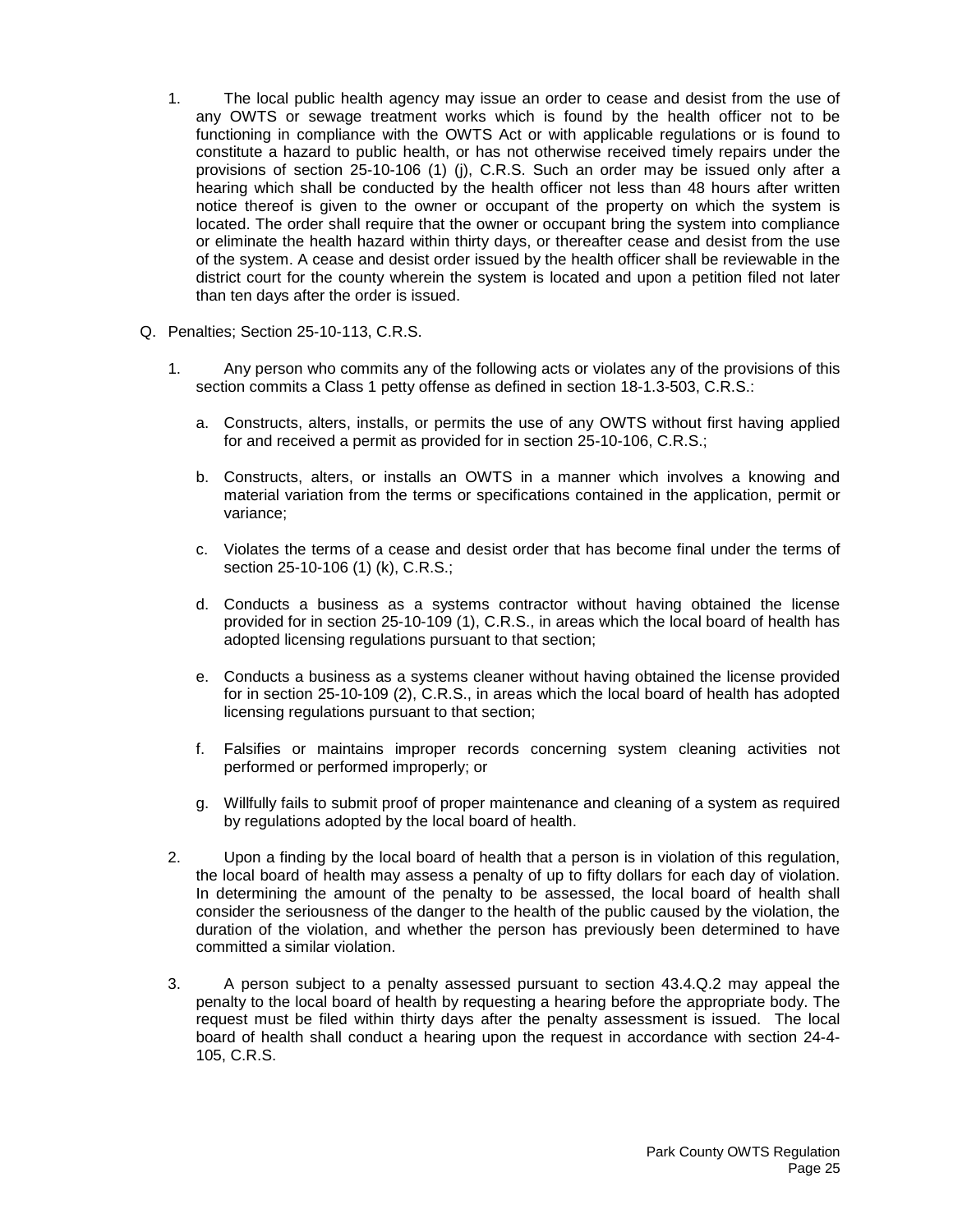- 1. The local public health agency may issue an order to cease and desist from the use of any OWTS or sewage treatment works which is found by the health officer not to be functioning in compliance with the OWTS Act or with applicable regulations or is found to constitute a hazard to public health, or has not otherwise received timely repairs under the provisions of section 25-10-106 (1) (j), C.R.S. Such an order may be issued only after a hearing which shall be conducted by the health officer not less than 48 hours after written notice thereof is given to the owner or occupant of the property on which the system is located. The order shall require that the owner or occupant bring the system into compliance or eliminate the health hazard within thirty days, or thereafter cease and desist from the use of the system. A cease and desist order issued by the health officer shall be reviewable in the district court for the county wherein the system is located and upon a petition filed not later than ten days after the order is issued.
- Q. Penalties; Section 25-10-113, C.R.S.
	- 1. Any person who commits any of the following acts or violates any of the provisions of this section commits a Class 1 petty offense as defined in section 18-1.3-503, C.R.S.:
		- a. Constructs, alters, installs, or permits the use of any OWTS without first having applied for and received a permit as provided for in section 25-10-106, C.R.S.;
		- b. Constructs, alters, or installs an OWTS in a manner which involves a knowing and material variation from the terms or specifications contained in the application, permit or variance;
		- c. Violates the terms of a cease and desist order that has become final under the terms of section 25-10-106 (1) (k), C.R.S.;
		- d. Conducts a business as a systems contractor without having obtained the license provided for in section 25-10-109 (1), C.R.S., in areas which the local board of health has adopted licensing regulations pursuant to that section;
		- e. Conducts a business as a systems cleaner without having obtained the license provided for in section 25-10-109 (2), C.R.S., in areas which the local board of health has adopted licensing regulations pursuant to that section;
		- f. Falsifies or maintains improper records concerning system cleaning activities not performed or performed improperly; or
		- g. Willfully fails to submit proof of proper maintenance and cleaning of a system as required by regulations adopted by the local board of health.
	- 2. Upon a finding by the local board of health that a person is in violation of this regulation, the local board of health may assess a penalty of up to fifty dollars for each day of violation. In determining the amount of the penalty to be assessed, the local board of health shall consider the seriousness of the danger to the health of the public caused by the violation, the duration of the violation, and whether the person has previously been determined to have committed a similar violation.
	- 3. A person subject to a penalty assessed pursuant to section 43.4.Q.2 may appeal the penalty to the local board of health by requesting a hearing before the appropriate body. The request must be filed within thirty days after the penalty assessment is issued. The local board of health shall conduct a hearing upon the request in accordance with section 24-4- 105, C.R.S.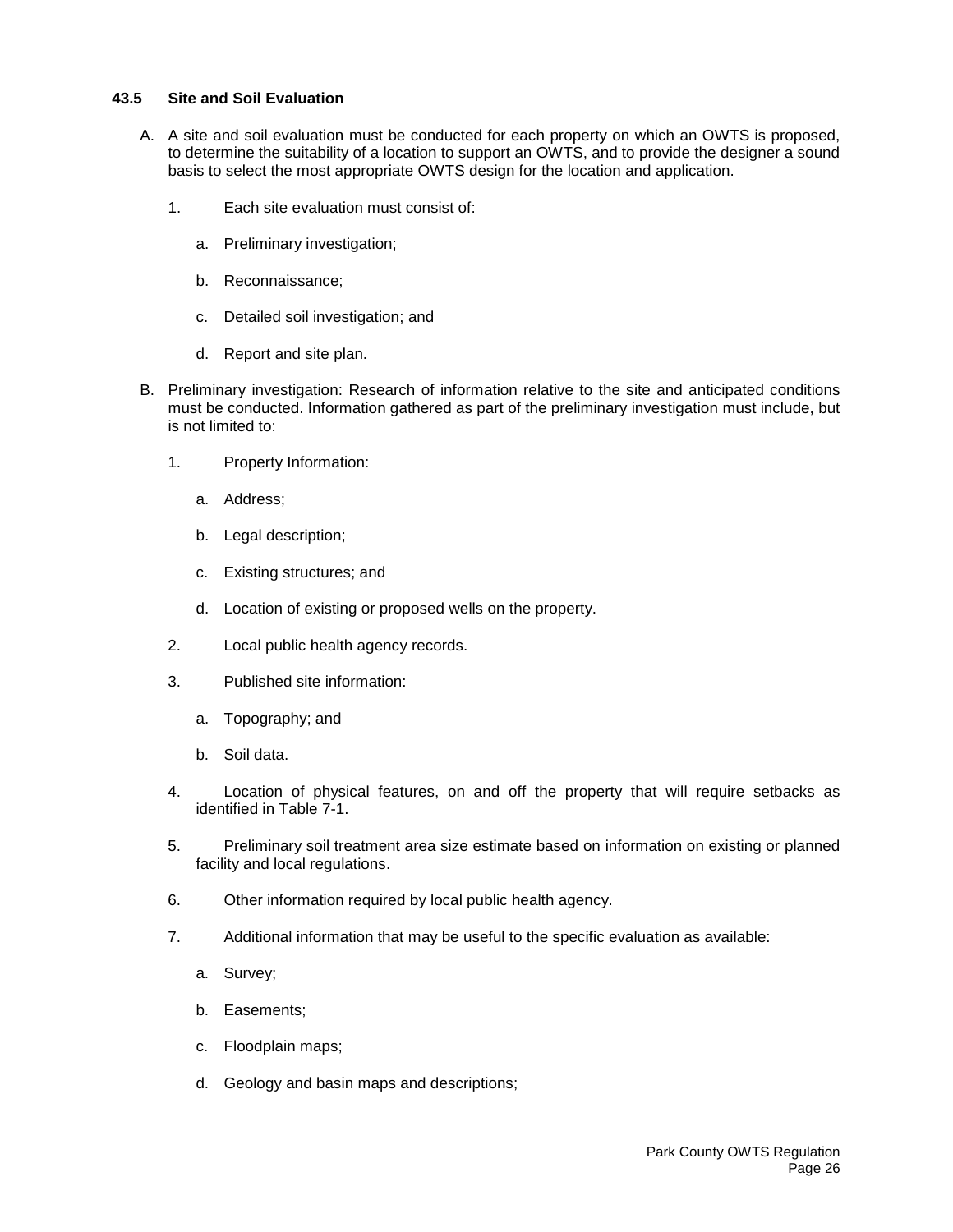## <span id="page-27-0"></span>**43.5 Site and Soil Evaluation**

- A. A site and soil evaluation must be conducted for each property on which an OWTS is proposed, to determine the suitability of a location to support an OWTS, and to provide the designer a sound basis to select the most appropriate OWTS design for the location and application.
	- 1. Each site evaluation must consist of:
		- a. Preliminary investigation;
		- b. Reconnaissance;
		- c. Detailed soil investigation; and
		- d. Report and site plan.
- B. Preliminary investigation: Research of information relative to the site and anticipated conditions must be conducted. Information gathered as part of the preliminary investigation must include, but is not limited to:
	- 1. Property Information:
		- a. Address;
		- b. Legal description;
		- c. Existing structures; and
		- d. Location of existing or proposed wells on the property.
	- 2. Local public health agency records.
	- 3. Published site information:
		- a. Topography; and
		- b. Soil data.
	- 4. Location of physical features, on and off the property that will require setbacks as identified in Table 7-1.
	- 5. Preliminary soil treatment area size estimate based on information on existing or planned facility and local regulations.
	- 6. Other information required by local public health agency.
	- 7. Additional information that may be useful to the specific evaluation as available:
		- a. Survey;
		- b. Easements;
		- c. Floodplain maps;
		- d. Geology and basin maps and descriptions;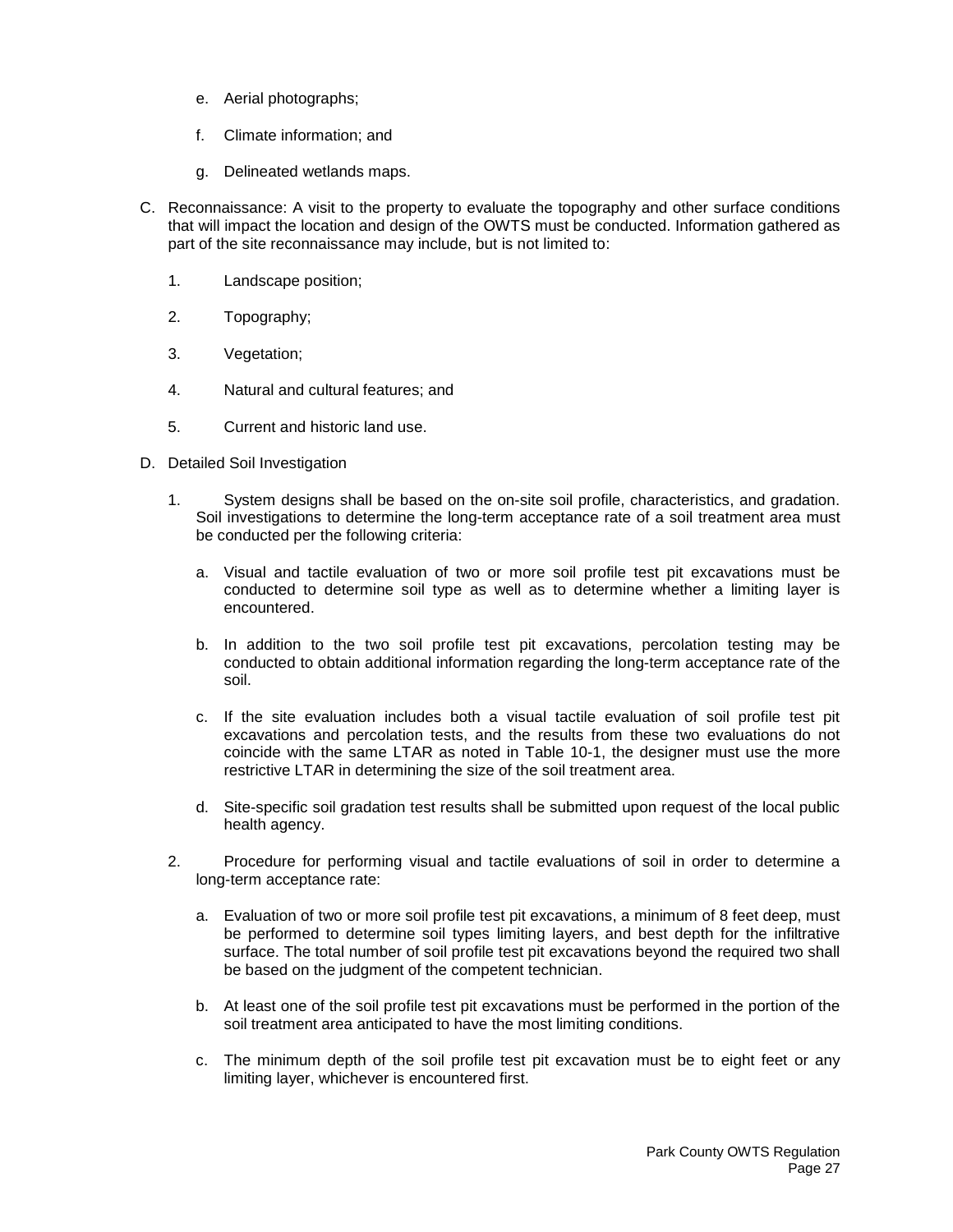- e. Aerial photographs;
- f. Climate information; and
- g. Delineated wetlands maps.
- C. Reconnaissance: A visit to the property to evaluate the topography and other surface conditions that will impact the location and design of the OWTS must be conducted. Information gathered as part of the site reconnaissance may include, but is not limited to:
	- 1. Landscape position;
	- 2. Topography;
	- 3. Vegetation;
	- 4. Natural and cultural features; and
	- 5. Current and historic land use.
- D. Detailed Soil Investigation
	- 1. System designs shall be based on the on-site soil profile, characteristics, and gradation. Soil investigations to determine the long-term acceptance rate of a soil treatment area must be conducted per the following criteria:
		- a. Visual and tactile evaluation of two or more soil profile test pit excavations must be conducted to determine soil type as well as to determine whether a limiting layer is encountered.
		- b. In addition to the two soil profile test pit excavations, percolation testing may be conducted to obtain additional information regarding the long-term acceptance rate of the soil.
		- c. If the site evaluation includes both a visual tactile evaluation of soil profile test pit excavations and percolation tests, and the results from these two evaluations do not coincide with the same LTAR as noted in Table 10-1, the designer must use the more restrictive LTAR in determining the size of the soil treatment area.
		- d. Site-specific soil gradation test results shall be submitted upon request of the local public health agency.
	- 2. Procedure for performing visual and tactile evaluations of soil in order to determine a long-term acceptance rate:
		- a. Evaluation of two or more soil profile test pit excavations, a minimum of 8 feet deep, must be performed to determine soil types limiting layers, and best depth for the infiltrative surface. The total number of soil profile test pit excavations beyond the required two shall be based on the judgment of the competent technician.
		- b. At least one of the soil profile test pit excavations must be performed in the portion of the soil treatment area anticipated to have the most limiting conditions.
		- c. The minimum depth of the soil profile test pit excavation must be to eight feet or any limiting layer, whichever is encountered first.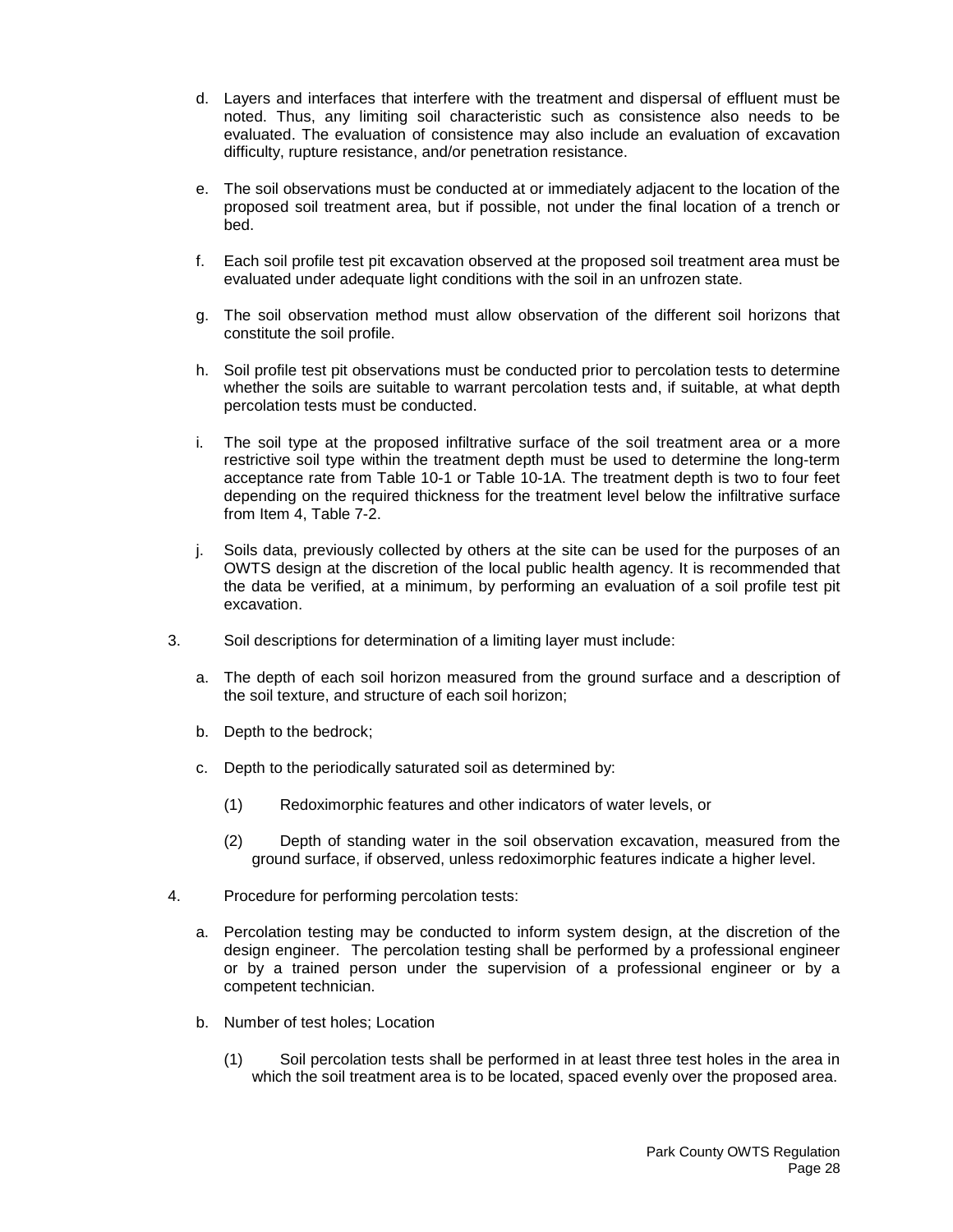- d. Layers and interfaces that interfere with the treatment and dispersal of effluent must be noted. Thus, any limiting soil characteristic such as consistence also needs to be evaluated. The evaluation of consistence may also include an evaluation of excavation difficulty, rupture resistance, and/or penetration resistance.
- e. The soil observations must be conducted at or immediately adjacent to the location of the proposed soil treatment area, but if possible, not under the final location of a trench or bed.
- f. Each soil profile test pit excavation observed at the proposed soil treatment area must be evaluated under adequate light conditions with the soil in an unfrozen state.
- g. The soil observation method must allow observation of the different soil horizons that constitute the soil profile.
- h. Soil profile test pit observations must be conducted prior to percolation tests to determine whether the soils are suitable to warrant percolation tests and, if suitable, at what depth percolation tests must be conducted.
- i. The soil type at the proposed infiltrative surface of the soil treatment area or a more restrictive soil type within the treatment depth must be used to determine the long-term acceptance rate from Table 10-1 or Table 10-1A. The treatment depth is two to four feet depending on the required thickness for the treatment level below the infiltrative surface from Item 4, Table 7-2.
- j. Soils data, previously collected by others at the site can be used for the purposes of an OWTS design at the discretion of the local public health agency. It is recommended that the data be verified, at a minimum, by performing an evaluation of a soil profile test pit excavation.
- 3. Soil descriptions for determination of a limiting layer must include:
	- a. The depth of each soil horizon measured from the ground surface and a description of the soil texture, and structure of each soil horizon;
	- b. Depth to the bedrock;
	- c. Depth to the periodically saturated soil as determined by:
		- (1) Redoximorphic features and other indicators of water levels, or
		- (2) Depth of standing water in the soil observation excavation, measured from the ground surface, if observed, unless redoximorphic features indicate a higher level.
- 4. Procedure for performing percolation tests:
	- a. Percolation testing may be conducted to inform system design, at the discretion of the design engineer. The percolation testing shall be performed by a professional engineer or by a trained person under the supervision of a professional engineer or by a competent technician.
	- b. Number of test holes; Location
		- (1) Soil percolation tests shall be performed in at least three test holes in the area in which the soil treatment area is to be located, spaced evenly over the proposed area.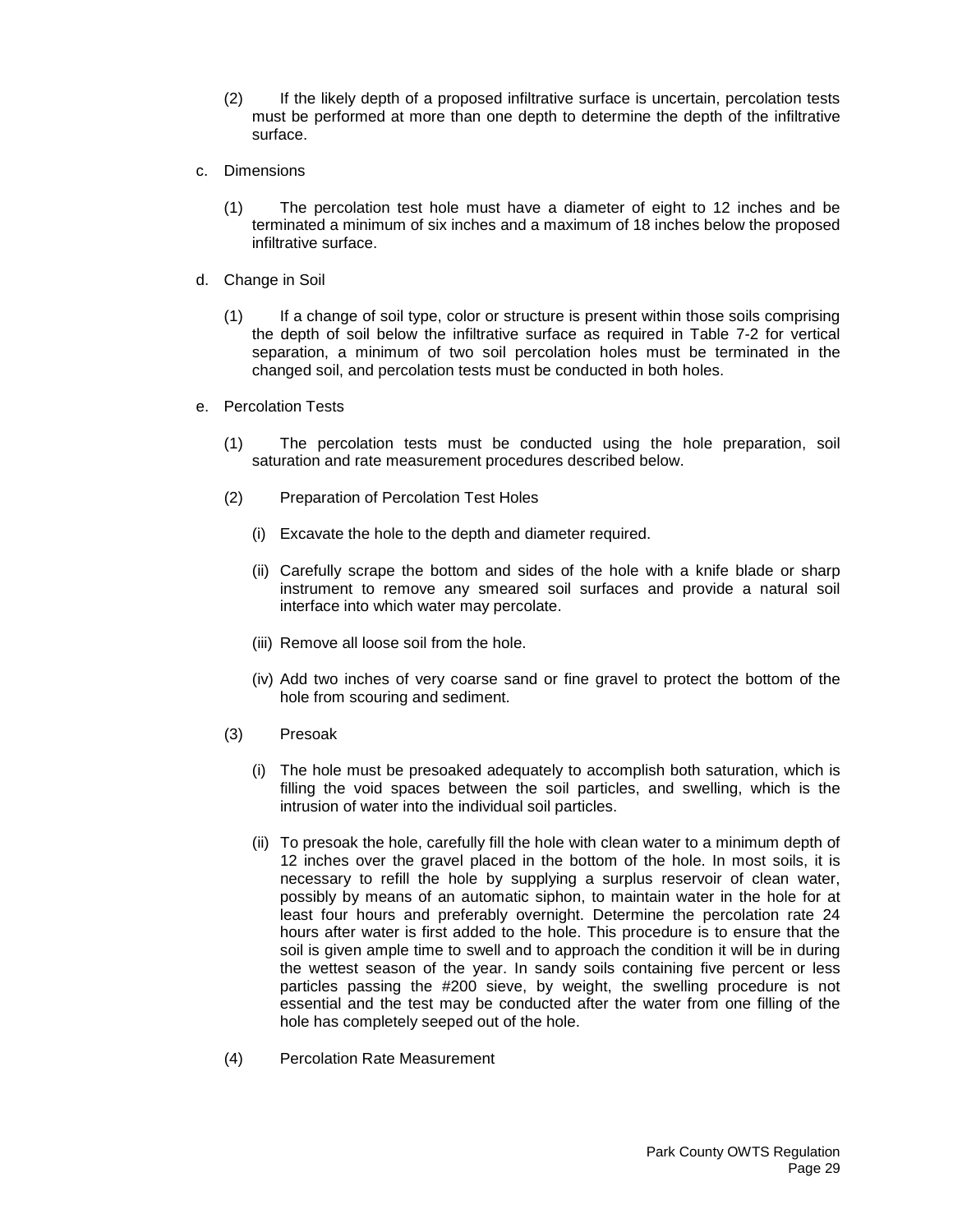- (2) If the likely depth of a proposed infiltrative surface is uncertain, percolation tests must be performed at more than one depth to determine the depth of the infiltrative surface.
- c. Dimensions
	- (1) The percolation test hole must have a diameter of eight to 12 inches and be terminated a minimum of six inches and a maximum of 18 inches below the proposed infiltrative surface.
- d. Change in Soil
	- (1) If a change of soil type, color or structure is present within those soils comprising the depth of soil below the infiltrative surface as required in Table 7-2 for vertical separation, a minimum of two soil percolation holes must be terminated in the changed soil, and percolation tests must be conducted in both holes.
- e. Percolation Tests
	- (1) The percolation tests must be conducted using the hole preparation, soil saturation and rate measurement procedures described below.
	- (2) Preparation of Percolation Test Holes
		- (i) Excavate the hole to the depth and diameter required.
		- (ii) Carefully scrape the bottom and sides of the hole with a knife blade or sharp instrument to remove any smeared soil surfaces and provide a natural soil interface into which water may percolate.
		- (iii) Remove all loose soil from the hole.
		- (iv) Add two inches of very coarse sand or fine gravel to protect the bottom of the hole from scouring and sediment.
	- (3) Presoak
		- (i) The hole must be presoaked adequately to accomplish both saturation, which is filling the void spaces between the soil particles, and swelling, which is the intrusion of water into the individual soil particles.
		- (ii) To presoak the hole, carefully fill the hole with clean water to a minimum depth of 12 inches over the gravel placed in the bottom of the hole. In most soils, it is necessary to refill the hole by supplying a surplus reservoir of clean water, possibly by means of an automatic siphon, to maintain water in the hole for at least four hours and preferably overnight. Determine the percolation rate 24 hours after water is first added to the hole. This procedure is to ensure that the soil is given ample time to swell and to approach the condition it will be in during the wettest season of the year. In sandy soils containing five percent or less particles passing the #200 sieve, by weight, the swelling procedure is not essential and the test may be conducted after the water from one filling of the hole has completely seeped out of the hole.
	- (4) Percolation Rate Measurement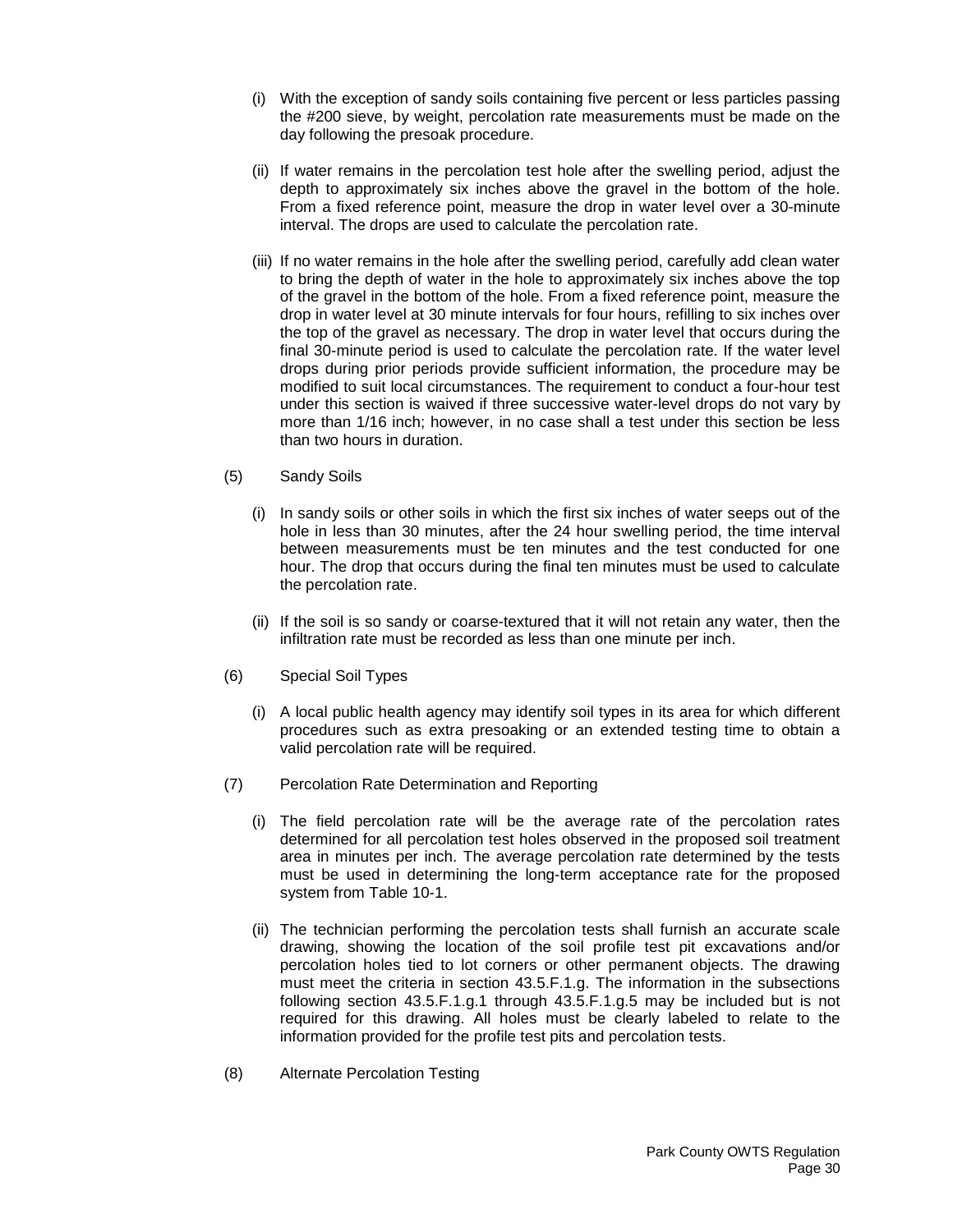- (i) With the exception of sandy soils containing five percent or less particles passing the #200 sieve, by weight, percolation rate measurements must be made on the day following the presoak procedure.
- (ii) If water remains in the percolation test hole after the swelling period, adjust the depth to approximately six inches above the gravel in the bottom of the hole. From a fixed reference point, measure the drop in water level over a 30-minute interval. The drops are used to calculate the percolation rate.
- (iii) If no water remains in the hole after the swelling period, carefully add clean water to bring the depth of water in the hole to approximately six inches above the top of the gravel in the bottom of the hole. From a fixed reference point, measure the drop in water level at 30 minute intervals for four hours, refilling to six inches over the top of the gravel as necessary. The drop in water level that occurs during the final 30-minute period is used to calculate the percolation rate. If the water level drops during prior periods provide sufficient information, the procedure may be modified to suit local circumstances. The requirement to conduct a four-hour test under this section is waived if three successive water-level drops do not vary by more than 1/16 inch; however, in no case shall a test under this section be less than two hours in duration.
- (5) Sandy Soils
	- (i) In sandy soils or other soils in which the first six inches of water seeps out of the hole in less than 30 minutes, after the 24 hour swelling period, the time interval between measurements must be ten minutes and the test conducted for one hour. The drop that occurs during the final ten minutes must be used to calculate the percolation rate.
	- (ii) If the soil is so sandy or coarse-textured that it will not retain any water, then the infiltration rate must be recorded as less than one minute per inch.
- (6) Special Soil Types
	- (i) A local public health agency may identify soil types in its area for which different procedures such as extra presoaking or an extended testing time to obtain a valid percolation rate will be required.
- (7) Percolation Rate Determination and Reporting
	- (i) The field percolation rate will be the average rate of the percolation rates determined for all percolation test holes observed in the proposed soil treatment area in minutes per inch. The average percolation rate determined by the tests must be used in determining the long-term acceptance rate for the proposed system from Table 10-1.
	- (ii) The technician performing the percolation tests shall furnish an accurate scale drawing, showing the location of the soil profile test pit excavations and/or percolation holes tied to lot corners or other permanent objects. The drawing must meet the criteria in section 43.5.F.1.g. The information in the subsections following section 43.5.F.1.g.1 through 43.5.F.1.g.5 may be included but is not required for this drawing. All holes must be clearly labeled to relate to the information provided for the profile test pits and percolation tests.
- (8) Alternate Percolation Testing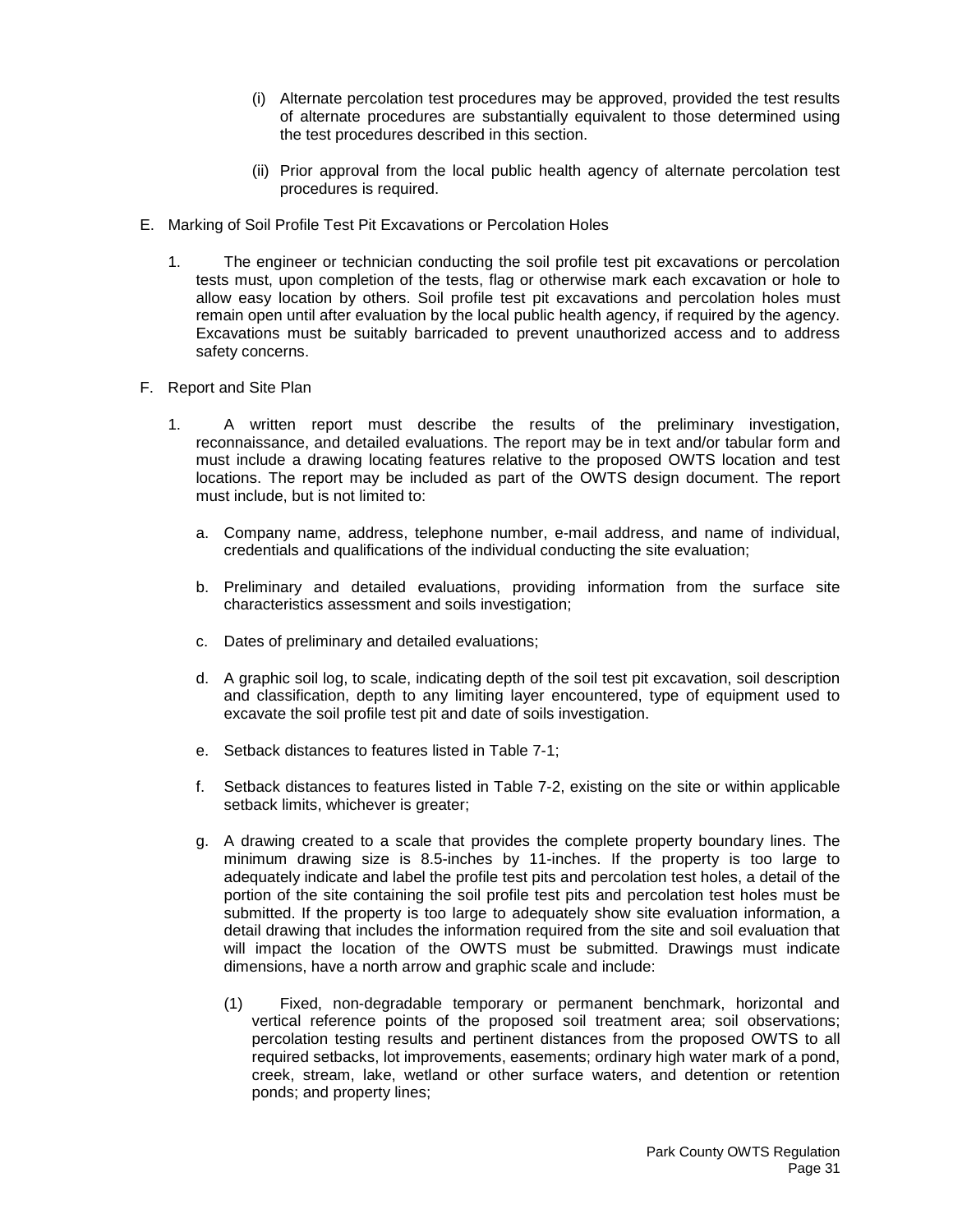- (i) Alternate percolation test procedures may be approved, provided the test results of alternate procedures are substantially equivalent to those determined using the test procedures described in this section.
- (ii) Prior approval from the local public health agency of alternate percolation test procedures is required.
- E. Marking of Soil Profile Test Pit Excavations or Percolation Holes
	- 1. The engineer or technician conducting the soil profile test pit excavations or percolation tests must, upon completion of the tests, flag or otherwise mark each excavation or hole to allow easy location by others. Soil profile test pit excavations and percolation holes must remain open until after evaluation by the local public health agency, if required by the agency. Excavations must be suitably barricaded to prevent unauthorized access and to address safety concerns.
- F. Report and Site Plan
	- 1. A written report must describe the results of the preliminary investigation, reconnaissance, and detailed evaluations. The report may be in text and/or tabular form and must include a drawing locating features relative to the proposed OWTS location and test locations. The report may be included as part of the OWTS design document. The report must include, but is not limited to:
		- a. Company name, address, telephone number, e-mail address, and name of individual, credentials and qualifications of the individual conducting the site evaluation;
		- b. Preliminary and detailed evaluations, providing information from the surface site characteristics assessment and soils investigation;
		- c. Dates of preliminary and detailed evaluations;
		- d. A graphic soil log, to scale, indicating depth of the soil test pit excavation, soil description and classification, depth to any limiting layer encountered, type of equipment used to excavate the soil profile test pit and date of soils investigation.
		- e. Setback distances to features listed in Table 7-1;
		- f. Setback distances to features listed in Table 7-2, existing on the site or within applicable setback limits, whichever is greater;
		- g. A drawing created to a scale that provides the complete property boundary lines. The minimum drawing size is 8.5-inches by 11-inches. If the property is too large to adequately indicate and label the profile test pits and percolation test holes, a detail of the portion of the site containing the soil profile test pits and percolation test holes must be submitted. If the property is too large to adequately show site evaluation information, a detail drawing that includes the information required from the site and soil evaluation that will impact the location of the OWTS must be submitted. Drawings must indicate dimensions, have a north arrow and graphic scale and include:
			- (1) Fixed, non-degradable temporary or permanent benchmark, horizontal and vertical reference points of the proposed soil treatment area; soil observations; percolation testing results and pertinent distances from the proposed OWTS to all required setbacks, lot improvements, easements; ordinary high water mark of a pond, creek, stream, lake, wetland or other surface waters, and detention or retention ponds; and property lines;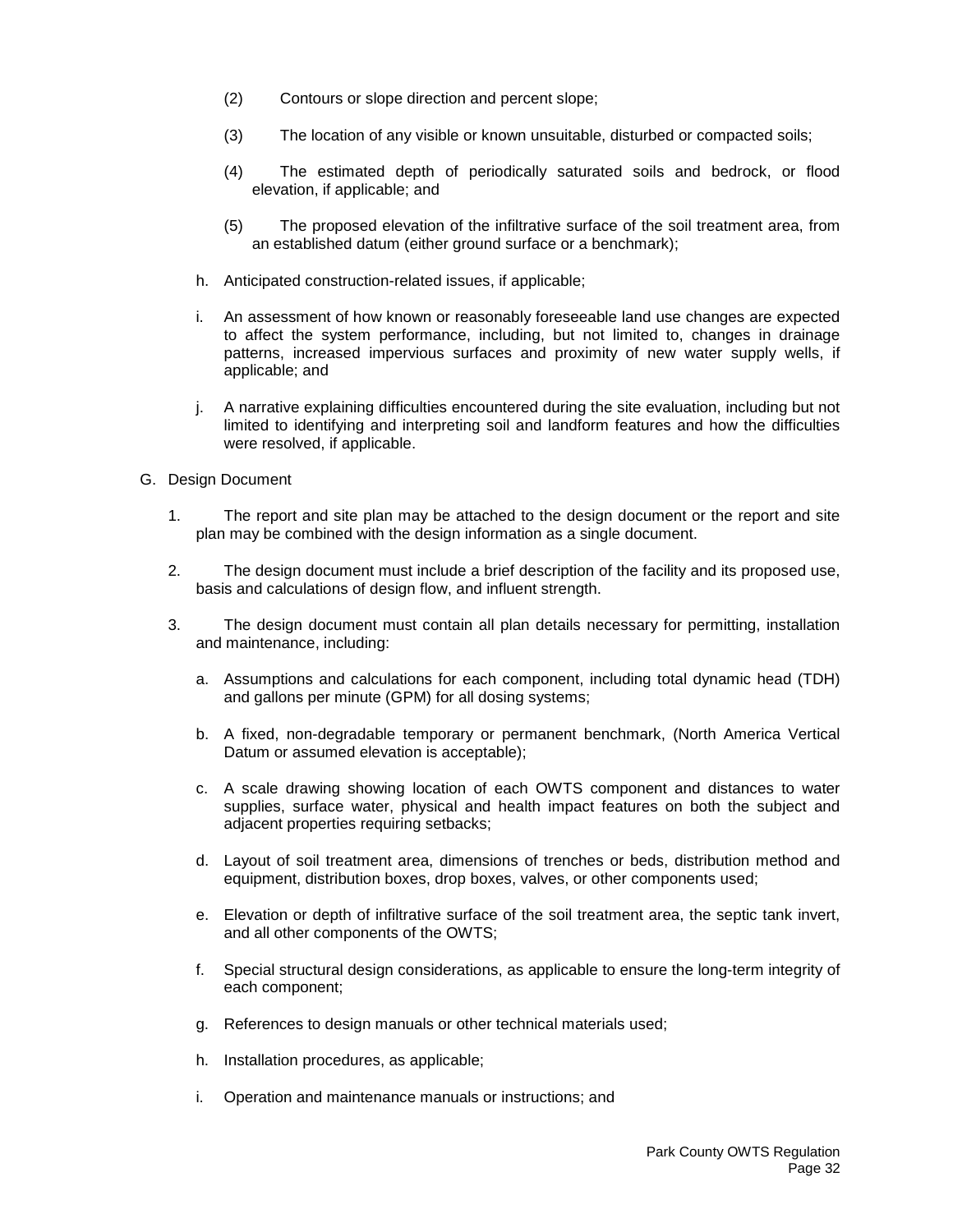- (2) Contours or slope direction and percent slope;
- (3) The location of any visible or known unsuitable, disturbed or compacted soils;
- (4) The estimated depth of periodically saturated soils and bedrock, or flood elevation, if applicable; and
- (5) The proposed elevation of the infiltrative surface of the soil treatment area, from an established datum (either ground surface or a benchmark);
- h. Anticipated construction-related issues, if applicable;
- i. An assessment of how known or reasonably foreseeable land use changes are expected to affect the system performance, including, but not limited to, changes in drainage patterns, increased impervious surfaces and proximity of new water supply wells, if applicable; and
- j. A narrative explaining difficulties encountered during the site evaluation, including but not limited to identifying and interpreting soil and landform features and how the difficulties were resolved, if applicable.
- G. Design Document
	- 1. The report and site plan may be attached to the design document or the report and site plan may be combined with the design information as a single document.
	- 2. The design document must include a brief description of the facility and its proposed use, basis and calculations of design flow, and influent strength.
	- 3. The design document must contain all plan details necessary for permitting, installation and maintenance, including:
		- a. Assumptions and calculations for each component, including total dynamic head (TDH) and gallons per minute (GPM) for all dosing systems;
		- b. A fixed, non-degradable temporary or permanent benchmark, (North America Vertical Datum or assumed elevation is acceptable);
		- c. A scale drawing showing location of each OWTS component and distances to water supplies, surface water, physical and health impact features on both the subject and adjacent properties requiring setbacks;
		- d. Layout of soil treatment area, dimensions of trenches or beds, distribution method and equipment, distribution boxes, drop boxes, valves, or other components used;
		- e. Elevation or depth of infiltrative surface of the soil treatment area, the septic tank invert, and all other components of the OWTS;
		- f. Special structural design considerations, as applicable to ensure the long-term integrity of each component;
		- g. References to design manuals or other technical materials used;
		- h. Installation procedures, as applicable;
		- i. Operation and maintenance manuals or instructions; and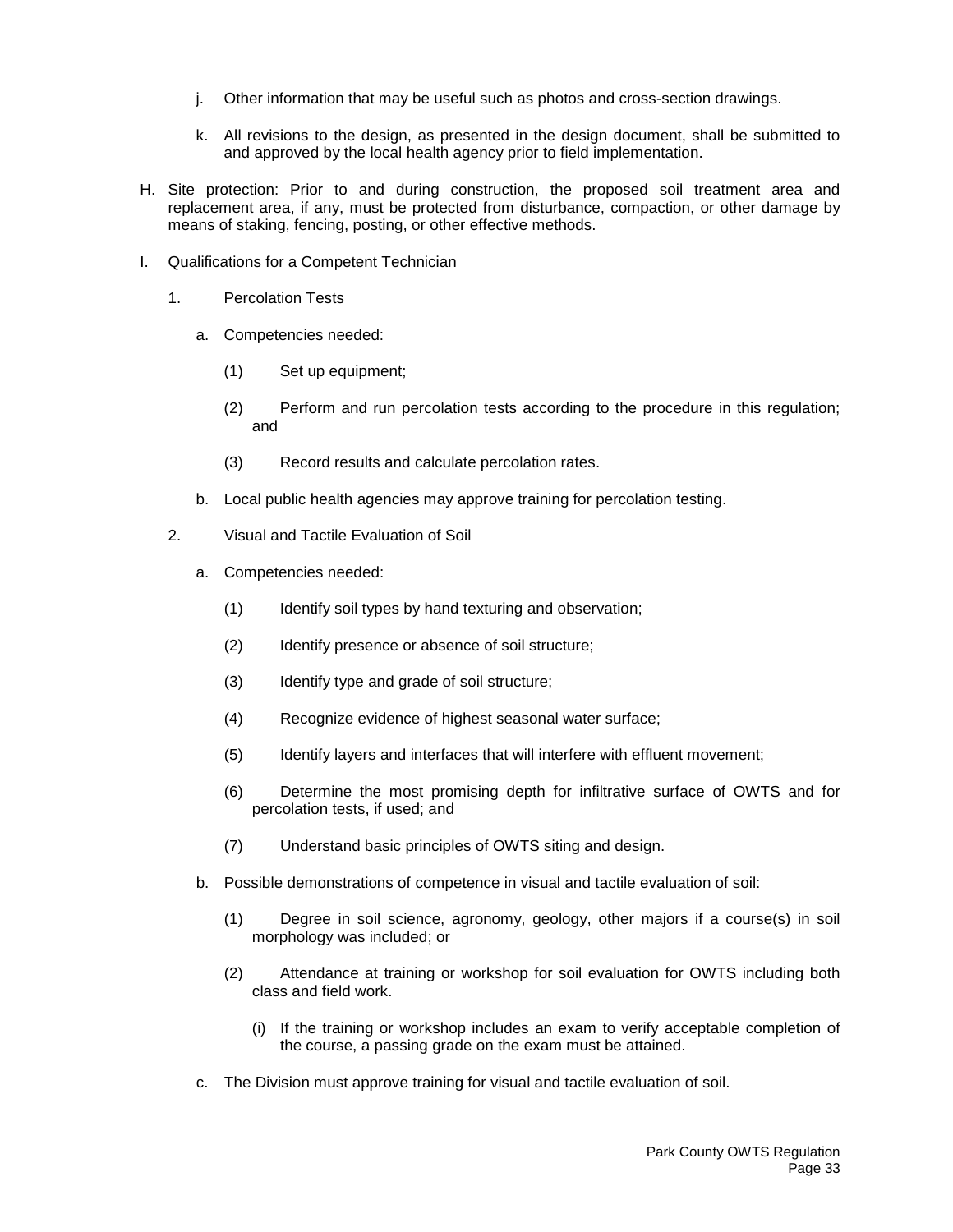- j. Other information that may be useful such as photos and cross-section drawings.
- k. All revisions to the design, as presented in the design document, shall be submitted to and approved by the local health agency prior to field implementation.
- H. Site protection: Prior to and during construction, the proposed soil treatment area and replacement area, if any, must be protected from disturbance, compaction, or other damage by means of staking, fencing, posting, or other effective methods.
- I. Qualifications for a Competent Technician
	- 1. Percolation Tests
		- a. Competencies needed:
			- (1) Set up equipment;
			- (2) Perform and run percolation tests according to the procedure in this regulation; and
			- (3) Record results and calculate percolation rates.
		- b. Local public health agencies may approve training for percolation testing.
	- 2. Visual and Tactile Evaluation of Soil
		- a. Competencies needed:
			- (1) Identify soil types by hand texturing and observation;
			- (2) Identify presence or absence of soil structure;
			- (3) Identify type and grade of soil structure;
			- (4) Recognize evidence of highest seasonal water surface;
			- (5) Identify layers and interfaces that will interfere with effluent movement;
			- (6) Determine the most promising depth for infiltrative surface of OWTS and for percolation tests, if used; and
			- (7) Understand basic principles of OWTS siting and design.
		- b. Possible demonstrations of competence in visual and tactile evaluation of soil:
			- (1) Degree in soil science, agronomy, geology, other majors if a course(s) in soil morphology was included; or
			- (2) Attendance at training or workshop for soil evaluation for OWTS including both class and field work.
				- (i) If the training or workshop includes an exam to verify acceptable completion of the course, a passing grade on the exam must be attained.
		- c. The Division must approve training for visual and tactile evaluation of soil.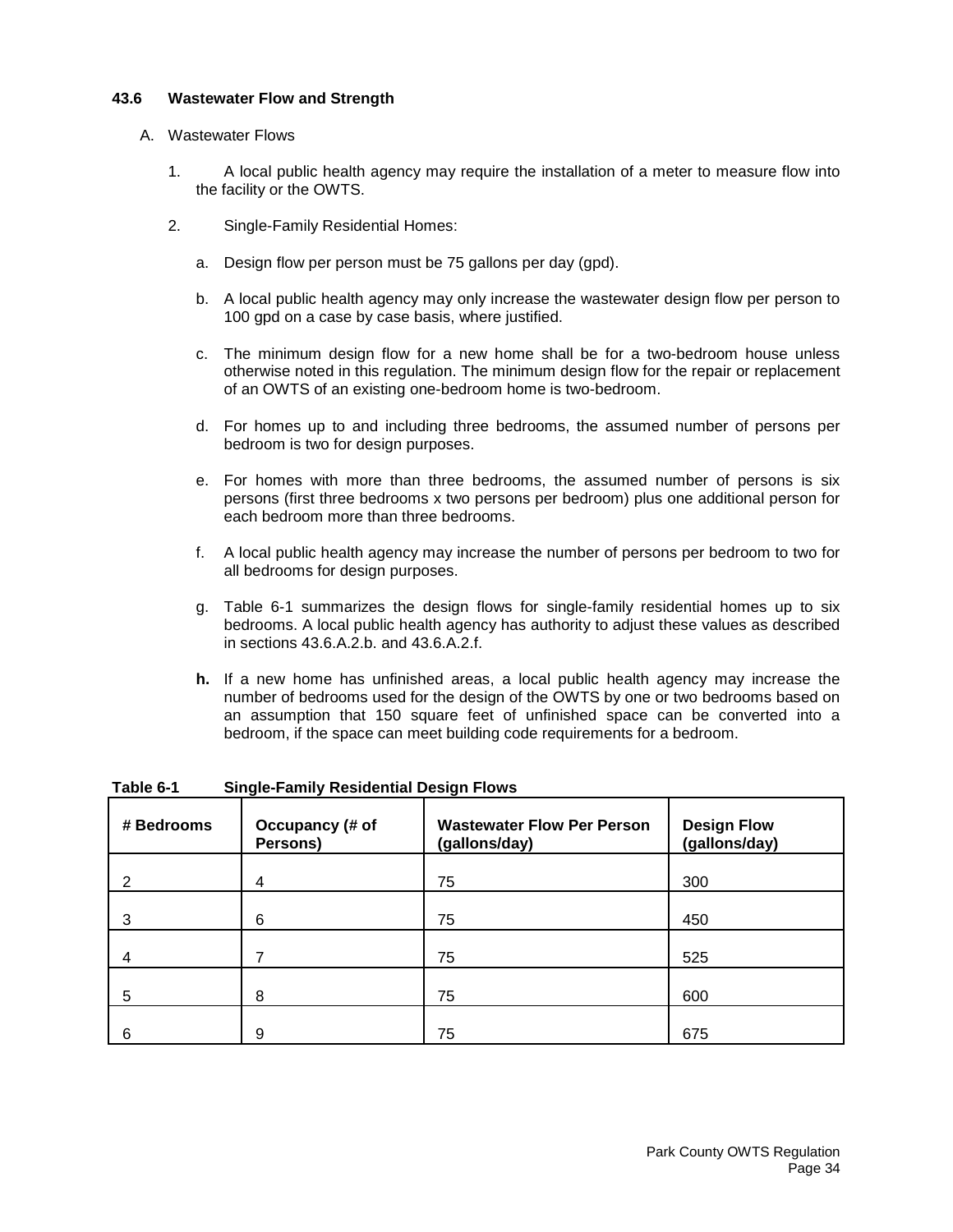## <span id="page-35-0"></span>**43.6 Wastewater Flow and Strength**

## A. Wastewater Flows

- 1. A local public health agency may require the installation of a meter to measure flow into the facility or the OWTS.
- 2. Single-Family Residential Homes:
	- a. Design flow per person must be 75 gallons per day (gpd).
	- b. A local public health agency may only increase the wastewater design flow per person to 100 gpd on a case by case basis, where justified.
	- c. The minimum design flow for a new home shall be for a two-bedroom house unless otherwise noted in this regulation. The minimum design flow for the repair or replacement of an OWTS of an existing one-bedroom home is two-bedroom.
	- d. For homes up to and including three bedrooms, the assumed number of persons per bedroom is two for design purposes.
	- e. For homes with more than three bedrooms, the assumed number of persons is six persons (first three bedrooms x two persons per bedroom) plus one additional person for each bedroom more than three bedrooms.
	- f. A local public health agency may increase the number of persons per bedroom to two for all bedrooms for design purposes.
	- g. Table 6-1 summarizes the design flows for single-family residential homes up to six bedrooms. A local public health agency has authority to adjust these values as described in sections 43.6.A.2.b. and 43.6.A.2.f.
	- **h.** If a new home has unfinished areas, a local public health agency may increase the number of bedrooms used for the design of the OWTS by one or two bedrooms based on an assumption that 150 square feet of unfinished space can be converted into a bedroom, if the space can meet building code requirements for a bedroom.

| # Bedrooms | Occupancy (# of<br>Persons) | <b>Wastewater Flow Per Person</b><br>(gallons/day) | <b>Design Flow</b><br>(gallons/day) |
|------------|-----------------------------|----------------------------------------------------|-------------------------------------|
| 2          | 4                           | 75                                                 | 300                                 |
| 3          | 6                           | 75                                                 | 450                                 |
|            |                             | 75                                                 | 525                                 |
| 5          | 8                           | 75                                                 | 600                                 |
| 6          | 9                           | 75                                                 | 675                                 |

**Table 6-1 Single-Family Residential Design Flows**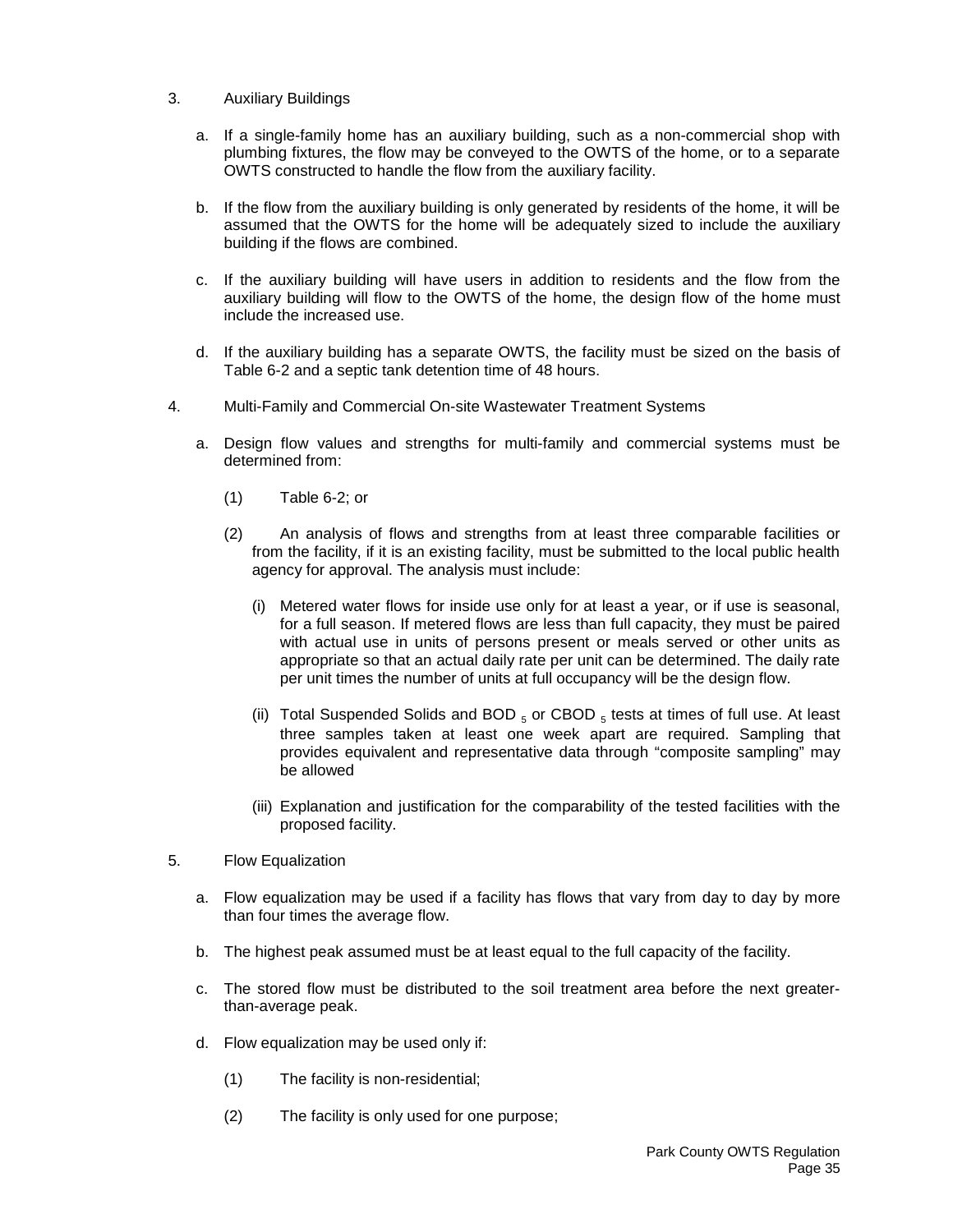- 3. Auxiliary Buildings
	- a. If a single-family home has an auxiliary building, such as a non-commercial shop with plumbing fixtures, the flow may be conveyed to the OWTS of the home, or to a separate OWTS constructed to handle the flow from the auxiliary facility.
	- b. If the flow from the auxiliary building is only generated by residents of the home, it will be assumed that the OWTS for the home will be adequately sized to include the auxiliary building if the flows are combined.
	- c. If the auxiliary building will have users in addition to residents and the flow from the auxiliary building will flow to the OWTS of the home, the design flow of the home must include the increased use.
	- d. If the auxiliary building has a separate OWTS, the facility must be sized on the basis of Table 6-2 and a septic tank detention time of 48 hours.
- 4. Multi-Family and Commercial On-site Wastewater Treatment Systems
	- a. Design flow values and strengths for multi-family and commercial systems must be determined from:
		- (1) Table 6-2; or
		- (2) An analysis of flows and strengths from at least three comparable facilities or from the facility, if it is an existing facility, must be submitted to the local public health agency for approval. The analysis must include:
			- (i) Metered water flows for inside use only for at least a year, or if use is seasonal, for a full season. If metered flows are less than full capacity, they must be paired with actual use in units of persons present or meals served or other units as appropriate so that an actual daily rate per unit can be determined. The daily rate per unit times the number of units at full occupancy will be the design flow.
			- (ii) Total Suspended Solids and BOD  $_5$  or CBOD  $_5$  tests at times of full use. At least three samples taken at least one week apart are required. Sampling that provides equivalent and representative data through "composite sampling" may be allowed
			- (iii) Explanation and justification for the comparability of the tested facilities with the proposed facility.
- 5. Flow Equalization
	- a. Flow equalization may be used if a facility has flows that vary from day to day by more than four times the average flow.
	- b. The highest peak assumed must be at least equal to the full capacity of the facility.
	- c. The stored flow must be distributed to the soil treatment area before the next greaterthan-average peak.
	- d. Flow equalization may be used only if:
		- (1) The facility is non-residential;
		- (2) The facility is only used for one purpose;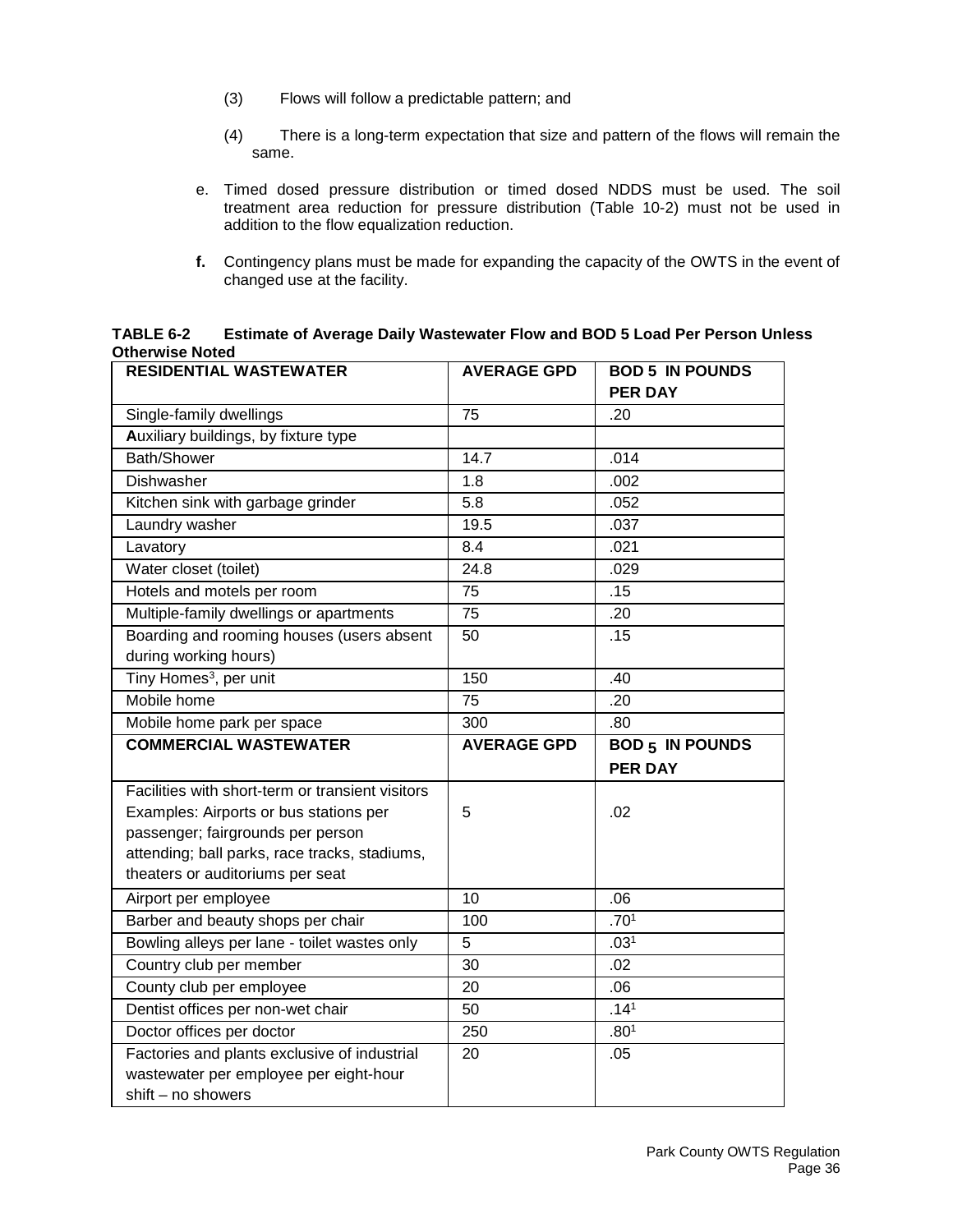- (3) Flows will follow a predictable pattern; and
- (4) There is a long-term expectation that size and pattern of the flows will remain the same.
- e. Timed dosed pressure distribution or timed dosed NDDS must be used. The soil treatment area reduction for pressure distribution (Table 10-2) must not be used in addition to the flow equalization reduction.
- **f.** Contingency plans must be made for expanding the capacity of the OWTS in the event of changed use at the facility.

| TABLE 6-2              | Estimate of Average Daily Wastewater Flow and BOD 5 Load Per Person Unless |
|------------------------|----------------------------------------------------------------------------|
| <b>Otherwise Noted</b> |                                                                            |

| <b>RESIDENTIAL WASTEWATER</b>                                | <b>AVERAGE GPD</b> | <b>BOD 5 IN POUNDS</b> |
|--------------------------------------------------------------|--------------------|------------------------|
|                                                              |                    | <b>PER DAY</b>         |
| Single-family dwellings                                      | 75                 | .20                    |
| Auxiliary buildings, by fixture type                         |                    |                        |
| Bath/Shower                                                  | 14.7               | .014                   |
| Dishwasher                                                   | 1.8                | .002                   |
| Kitchen sink with garbage grinder                            | 5.8                | .052                   |
| Laundry washer                                               | 19.5               | .037                   |
| Lavatory                                                     | 8.4                | .021                   |
| Water closet (toilet)                                        | 24.8               | .029                   |
| Hotels and motels per room                                   | 75                 | .15                    |
| Multiple-family dwellings or apartments                      | 75                 | .20                    |
| Boarding and rooming houses (users absent                    | 50                 | .15                    |
| during working hours)                                        |                    |                        |
| Tiny Homes <sup>3</sup> , per unit                           | 150                | .40                    |
| Mobile home                                                  | 75                 | .20                    |
| Mobile home park per space                                   | 300                | .80                    |
|                                                              |                    |                        |
| <b>COMMERCIAL WASTEWATER</b>                                 | <b>AVERAGE GPD</b> | <b>BOD 5 IN POUNDS</b> |
|                                                              |                    | <b>PER DAY</b>         |
| Facilities with short-term or transient visitors             |                    |                        |
| Examples: Airports or bus stations per                       | 5                  | .02                    |
| passenger; fairgrounds per person                            |                    |                        |
| attending; ball parks, race tracks, stadiums,                |                    |                        |
| theaters or auditoriums per seat                             |                    |                        |
| Airport per employee                                         | 10                 | .06                    |
| Barber and beauty shops per chair                            | 100                | .70 <sup>1</sup>       |
| Bowling alleys per lane - toilet wastes only                 | 5                  | .03 <sup>1</sup>       |
| Country club per member                                      | 30                 | .02                    |
| County club per employee                                     | 20                 | .06                    |
| Dentist offices per non-wet chair                            | 50                 | .14 <sup>1</sup>       |
| Doctor offices per doctor                                    | 250                | .80 <sup>1</sup>       |
| Factories and plants exclusive of industrial                 | 20                 | .05                    |
| wastewater per employee per eight-hour<br>shift - no showers |                    |                        |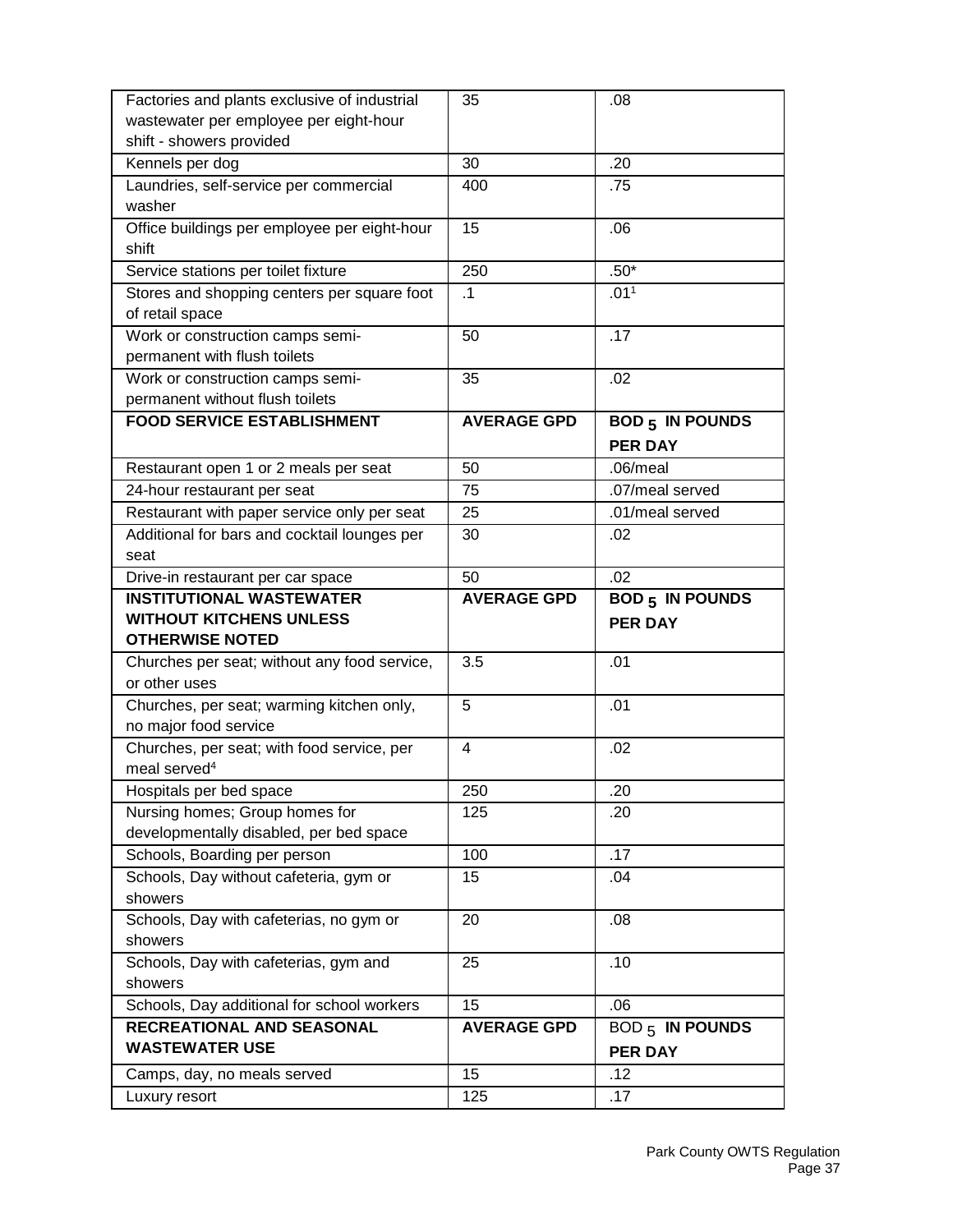| Factories and plants exclusive of industrial       | 35                      | .08                                  |
|----------------------------------------------------|-------------------------|--------------------------------------|
| wastewater per employee per eight-hour             |                         |                                      |
| shift - showers provided                           |                         |                                      |
| Kennels per dog                                    | 30                      | .20                                  |
| Laundries, self-service per commercial             | 400                     | .75                                  |
| washer                                             |                         |                                      |
| Office buildings per employee per eight-hour       | 15                      | .06                                  |
| shift                                              |                         |                                      |
| Service stations per toilet fixture                | 250                     | $.50*$                               |
| Stores and shopping centers per square foot        | $\cdot$ 1               | .01 <sup>1</sup>                     |
| of retail space                                    |                         |                                      |
| Work or construction camps semi-                   | 50                      | .17                                  |
| permanent with flush toilets                       |                         |                                      |
| Work or construction camps semi-                   | 35                      | .02                                  |
| permanent without flush toilets                    |                         |                                      |
| <b>FOOD SERVICE ESTABLISHMENT</b>                  | <b>AVERAGE GPD</b>      | <b>BOD 5 IN POUNDS</b>               |
|                                                    |                         | <b>PER DAY</b>                       |
| Restaurant open 1 or 2 meals per seat              | 50                      | $.06/m$ eal                          |
| 24-hour restaurant per seat                        | 75                      | .07/meal served                      |
| Restaurant with paper service only per seat        | 25                      | .01/meal served                      |
| Additional for bars and cocktail lounges per       | 30                      | .02                                  |
| seat                                               |                         |                                      |
| Drive-in restaurant per car space                  | 50                      | .02                                  |
| <b>INSTITUTIONAL WASTEWATER</b>                    | <b>AVERAGE GPD</b>      | <b>BOD 5 IN POUNDS</b>               |
|                                                    |                         |                                      |
| <b>WITHOUT KITCHENS UNLESS</b>                     |                         | <b>PER DAY</b>                       |
| <b>OTHERWISE NOTED</b>                             |                         |                                      |
| Churches per seat; without any food service,       | 3.5                     | .01                                  |
| or other uses                                      |                         |                                      |
| Churches, per seat; warming kitchen only,          | 5                       | .01                                  |
| no major food service                              |                         |                                      |
| Churches, per seat; with food service, per         | $\overline{\mathbf{4}}$ | .02                                  |
| meal served <sup>4</sup>                           |                         |                                      |
| Hospitals per bed space                            | 250                     | .20                                  |
| Nursing homes; Group homes for                     | 125                     | .20                                  |
| developmentally disabled, per bed space            |                         |                                      |
| Schools, Boarding per person                       | 100                     | .17                                  |
| Schools, Day without cafeteria, gym or             | 15                      | .04                                  |
| showers                                            |                         |                                      |
| Schools, Day with cafeterias, no gym or            | 20                      | .08                                  |
| showers                                            |                         |                                      |
| Schools, Day with cafeterias, gym and<br>showers   | 25                      | .10                                  |
|                                                    | 15                      | .06                                  |
| Schools, Day additional for school workers         |                         |                                      |
| RECREATIONAL AND SEASONAL<br><b>WASTEWATER USE</b> | <b>AVERAGE GPD</b>      | <b>BOD <math>_5</math> IN POUNDS</b> |
|                                                    |                         | <b>PER DAY</b>                       |
| Camps, day, no meals served<br>Luxury resort       | 15<br>125               | .12<br>.17                           |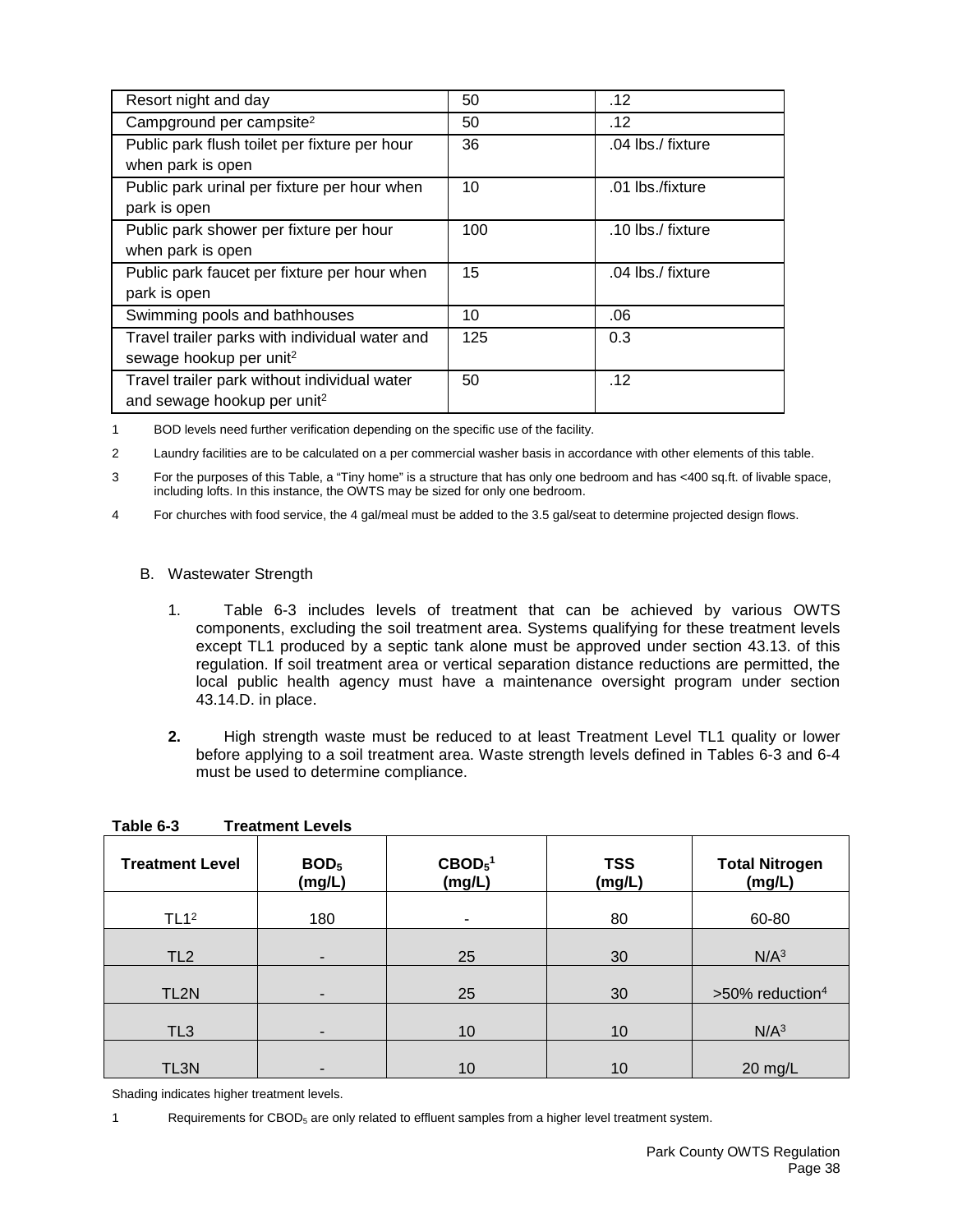| Resort night and day                           | 50  | .12               |
|------------------------------------------------|-----|-------------------|
| Campground per campsite <sup>2</sup>           | 50  | .12               |
| Public park flush toilet per fixture per hour  | 36  | .04 lbs./ fixture |
| when park is open                              |     |                   |
| Public park urinal per fixture per hour when   | 10  | .01 lbs./fixture  |
| park is open                                   |     |                   |
| Public park shower per fixture per hour        | 100 | .10 lbs./ fixture |
| when park is open                              |     |                   |
| Public park faucet per fixture per hour when   | 15  | .04 lbs./ fixture |
| park is open                                   |     |                   |
| Swimming pools and bathhouses                  | 10  | .06               |
| Travel trailer parks with individual water and | 125 | 0.3               |
| sewage hookup per unit <sup>2</sup>            |     |                   |
| Travel trailer park without individual water   | 50  | .12               |
| and sewage hookup per unit <sup>2</sup>        |     |                   |

1 BOD levels need further verification depending on the specific use of the facility.

2 Laundry facilities are to be calculated on a per commercial washer basis in accordance with other elements of this table.

3 For the purposes of this Table, a "Tiny home" is a structure that has only one bedroom and has <400 sq.ft. of livable space, including lofts. In this instance, the OWTS may be sized for only one bedroom.

4 For churches with food service, the 4 gal/meal must be added to the 3.5 gal/seat to determine projected design flows.

# B. Wastewater Strength

- 1. Table 6-3 includes levels of treatment that can be achieved by various OWTS components, excluding the soil treatment area. Systems qualifying for these treatment levels except TL1 produced by a septic tank alone must be approved under section 43.13. of this regulation. If soil treatment area or vertical separation distance reductions are permitted, the local public health agency must have a maintenance oversight program under section 43.14.D. in place.
- **2.** High strength waste must be reduced to at least Treatment Level TL1 quality or lower before applying to a soil treatment area. Waste strength levels defined in Tables 6-3 and 6-4 must be used to determine compliance.

| <b>Treatment Level</b> | BOD <sub>5</sub><br>(mg/L) | $\text{CBOD}_5^1$<br>(mg/L) | <b>TSS</b><br>(mg/L) | <b>Total Nitrogen</b><br>(mg/L) |
|------------------------|----------------------------|-----------------------------|----------------------|---------------------------------|
| TL1 <sup>2</sup>       | 180                        | ٠                           | 80                   | 60-80                           |
| TL <sub>2</sub>        | -                          | 25                          | 30                   | N/A <sup>3</sup>                |
| TL <sub>2N</sub>       |                            | 25                          | 30                   | >50% reduction <sup>4</sup>     |
| TL <sub>3</sub>        |                            | 10                          | 10                   | N/A <sup>3</sup>                |
| TL3N                   |                            | 10                          | 10                   | $20$ mg/L                       |

**Table 6-3 Treatment Levels**

Shading indicates higher treatment levels.

1 Requirements for CBOD<sub>5</sub> are only related to effluent samples from a higher level treatment system.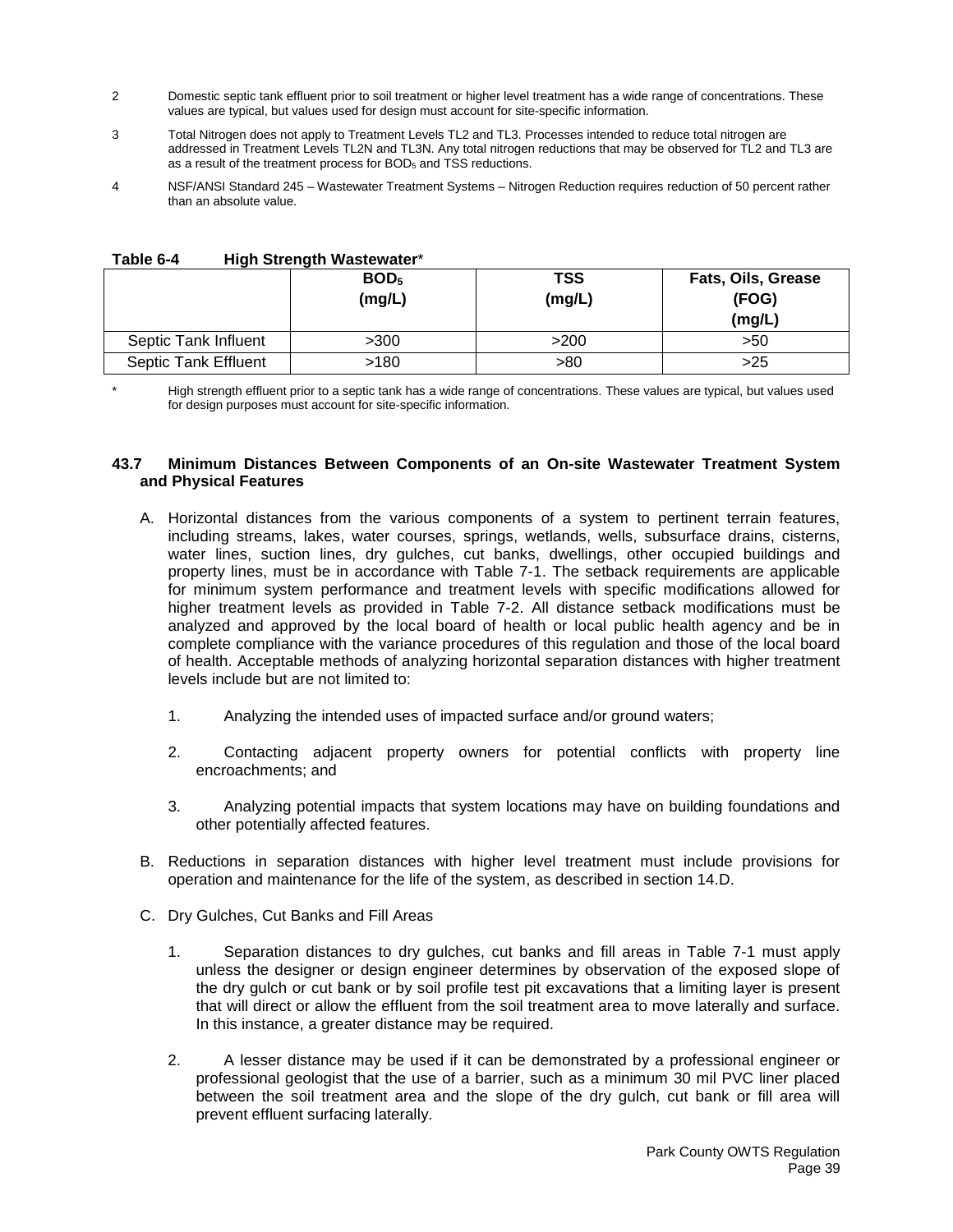- 2 Domestic septic tank effluent prior to soil treatment or higher level treatment has a wide range of concentrations. These values are typical, but values used for design must account for site-specific information.
- 3 Total Nitrogen does not apply to Treatment Levels TL2 and TL3. Processes intended to reduce total nitrogen are addressed in Treatment Levels TL2N and TL3N. Any total nitrogen reductions that may be observed for TL2 and TL3 are as a result of the treatment process for BOD<sub>5</sub> and TSS reductions.
- 4 NSF/ANSI Standard 245 Wastewater Treatment Systems Nitrogen Reduction requires reduction of 50 percent rather than an absolute value.

|                             | BOD <sub>5</sub><br>(mg/L) | <b>TSS</b><br>(mg/L) | Fats, Oils, Grease<br>(FOG)<br>(mg/L) |
|-----------------------------|----------------------------|----------------------|---------------------------------------|
| Septic Tank Influent        | >300                       | >200                 | >50                                   |
| <b>Septic Tank Effluent</b> | >180                       | >80                  | >25                                   |

**Table 6-4 High Strength Wastewater**\*

High strength effluent prior to a septic tank has a wide range of concentrations. These values are typical, but values used for design purposes must account for site-specific information.

### **43.7 Minimum Distances Between Components of an On-site Wastewater Treatment System and Physical Features**

- A. Horizontal distances from the various components of a system to pertinent terrain features, including streams, lakes, water courses, springs, wetlands, wells, subsurface drains, cisterns, water lines, suction lines, dry gulches, cut banks, dwellings, other occupied buildings and property lines, must be in accordance with Table 7-1. The setback requirements are applicable for minimum system performance and treatment levels with specific modifications allowed for higher treatment levels as provided in Table 7-2. All distance setback modifications must be analyzed and approved by the local board of health or local public health agency and be in complete compliance with the variance procedures of this regulation and those of the local board of health. Acceptable methods of analyzing horizontal separation distances with higher treatment levels include but are not limited to:
	- 1. Analyzing the intended uses of impacted surface and/or ground waters;
	- 2. Contacting adjacent property owners for potential conflicts with property line encroachments; and
	- 3. Analyzing potential impacts that system locations may have on building foundations and other potentially affected features.
- B. Reductions in separation distances with higher level treatment must include provisions for operation and maintenance for the life of the system, as described in section 14.D.
- C. Dry Gulches, Cut Banks and Fill Areas
	- 1. Separation distances to dry gulches, cut banks and fill areas in Table 7-1 must apply unless the designer or design engineer determines by observation of the exposed slope of the dry gulch or cut bank or by soil profile test pit excavations that a limiting layer is present that will direct or allow the effluent from the soil treatment area to move laterally and surface. In this instance, a greater distance may be required.
	- 2. A lesser distance may be used if it can be demonstrated by a professional engineer or professional geologist that the use of a barrier, such as a minimum 30 mil PVC liner placed between the soil treatment area and the slope of the dry gulch, cut bank or fill area will prevent effluent surfacing laterally.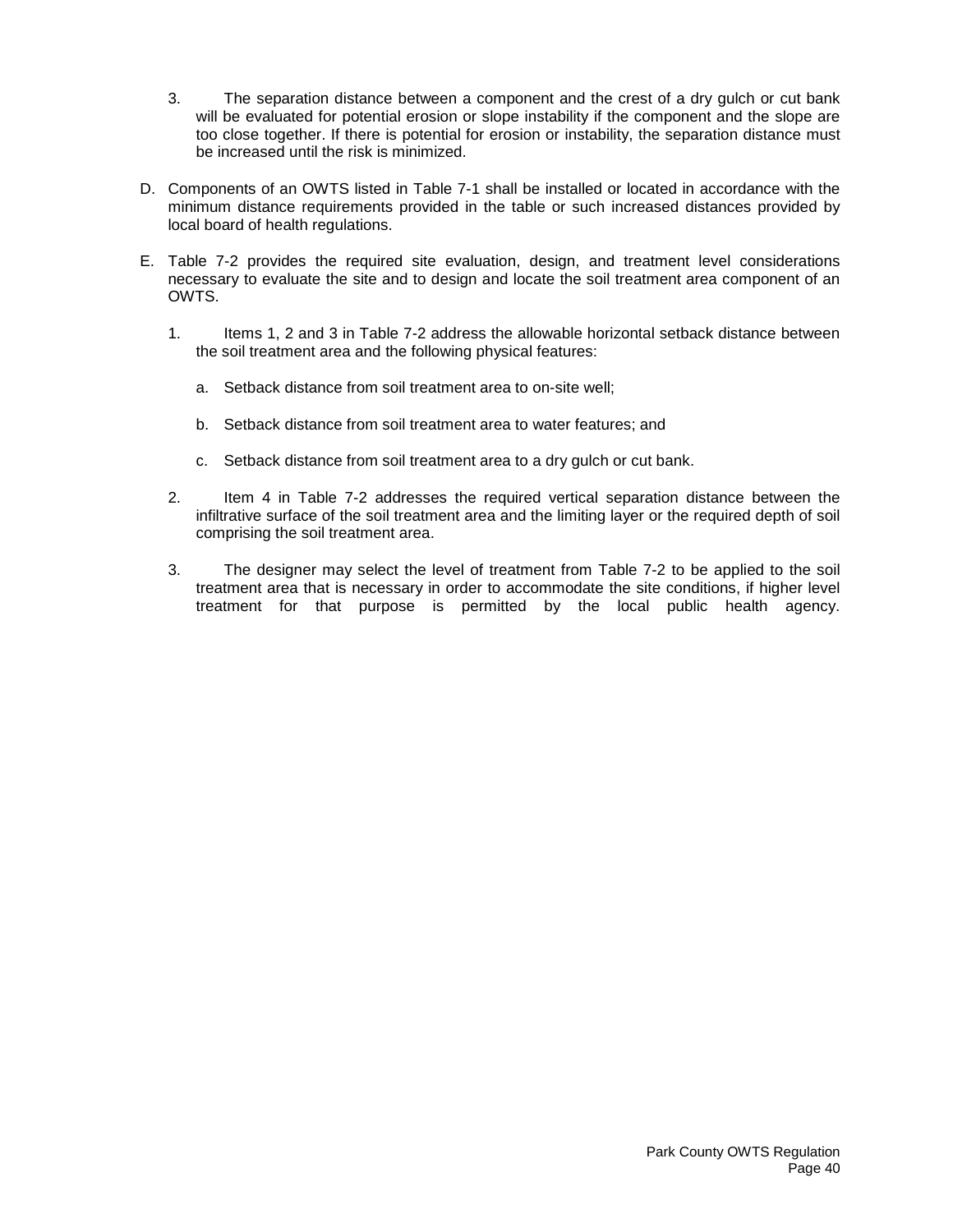- 3. The separation distance between a component and the crest of a dry gulch or cut bank will be evaluated for potential erosion or slope instability if the component and the slope are too close together. If there is potential for erosion or instability, the separation distance must be increased until the risk is minimized.
- D. Components of an OWTS listed in Table 7-1 shall be installed or located in accordance with the minimum distance requirements provided in the table or such increased distances provided by local board of health regulations.
- E. Table 7-2 provides the required site evaluation, design, and treatment level considerations necessary to evaluate the site and to design and locate the soil treatment area component of an OWTS.
	- 1. Items 1, 2 and 3 in Table 7-2 address the allowable horizontal setback distance between the soil treatment area and the following physical features:
		- a. Setback distance from soil treatment area to on-site well;
		- b. Setback distance from soil treatment area to water features; and
		- c. Setback distance from soil treatment area to a dry gulch or cut bank.
	- 2. Item 4 in Table 7-2 addresses the required vertical separation distance between the infiltrative surface of the soil treatment area and the limiting layer or the required depth of soil comprising the soil treatment area.
	- 3. The designer may select the level of treatment from Table 7-2 to be applied to the soil treatment area that is necessary in order to accommodate the site conditions, if higher level treatment for that purpose is permitted by the local public health agency.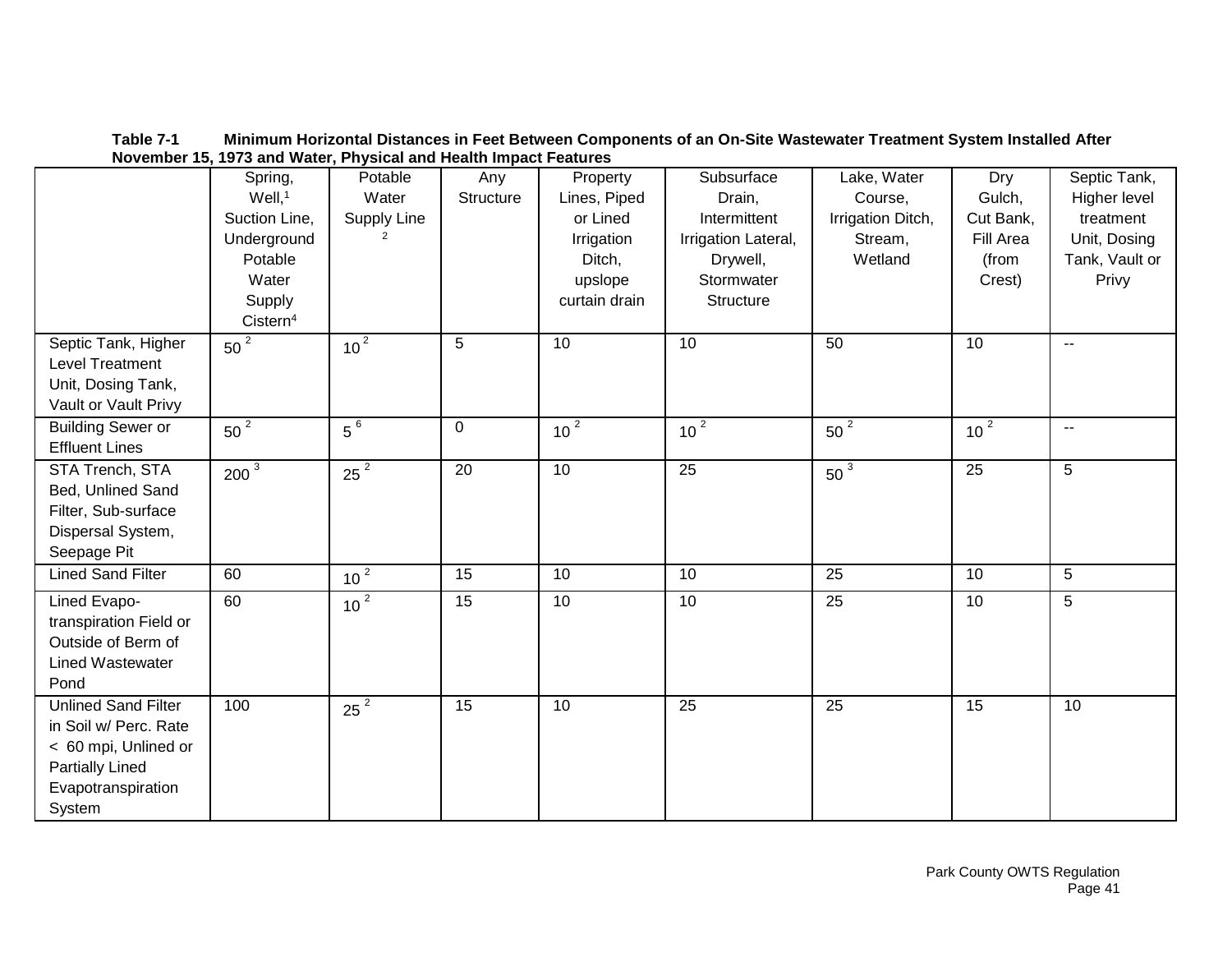|                                                                                                                                       |                                                                                                                       | <u>1010111001</u> 10, 1010 and traight hydrodi and health impact I catalog |                  |                                                                                          |                                                                                                    |                                                                   |                                                            |                                                                                      |
|---------------------------------------------------------------------------------------------------------------------------------------|-----------------------------------------------------------------------------------------------------------------------|----------------------------------------------------------------------------|------------------|------------------------------------------------------------------------------------------|----------------------------------------------------------------------------------------------------|-------------------------------------------------------------------|------------------------------------------------------------|--------------------------------------------------------------------------------------|
|                                                                                                                                       | Spring,<br>$Well,$ <sup>1</sup><br>Suction Line,<br>Underground<br>Potable<br>Water<br>Supply<br>Cistern <sup>4</sup> | Potable<br>Water<br>Supply Line<br>2                                       | Any<br>Structure | Property<br>Lines, Piped<br>or Lined<br>Irrigation<br>Ditch,<br>upslope<br>curtain drain | Subsurface<br>Drain,<br>Intermittent<br>Irrigation Lateral,<br>Drywell,<br>Stormwater<br>Structure | Lake, Water<br>Course,<br>Irrigation Ditch,<br>Stream,<br>Wetland | Dry<br>Gulch,<br>Cut Bank,<br>Fill Area<br>(from<br>Crest) | Septic Tank,<br>Higher level<br>treatment<br>Unit, Dosing<br>Tank, Vault or<br>Privy |
| Septic Tank, Higher<br>Level Treatment<br>Unit, Dosing Tank,<br>Vault or Vault Privy                                                  | $50^2$                                                                                                                | 10 <sup>2</sup>                                                            | 5                | 10                                                                                       | 10                                                                                                 | 50                                                                | 10                                                         | $\sim$                                                                               |
| <b>Building Sewer or</b><br><b>Effluent Lines</b>                                                                                     | $50^2$                                                                                                                | $5^{6}$                                                                    | $\mathbf 0$      | 10 <sup>2</sup>                                                                          | 10 <sup>2</sup>                                                                                    | $50^2$                                                            | 10 <sup>2</sup>                                            | $\sim$                                                                               |
| STA Trench, STA<br>Bed, Unlined Sand<br>Filter, Sub-surface<br>Dispersal System,<br>Seepage Pit                                       | $200^3$                                                                                                               | $25^2$                                                                     | 20               | 10                                                                                       | 25                                                                                                 | $50^3$                                                            | $\overline{25}$                                            | 5 <sup>5</sup>                                                                       |
| <b>Lined Sand Filter</b>                                                                                                              | 60                                                                                                                    | 10 <sup>2</sup>                                                            | 15               | 10                                                                                       | 10                                                                                                 | 25                                                                | 10                                                         | 5 <sup>5</sup>                                                                       |
| Lined Evapo-<br>transpiration Field or<br>Outside of Berm of<br><b>Lined Wastewater</b><br>Pond                                       | 60                                                                                                                    | 10 <sup>2</sup>                                                            | $\overline{15}$  | 10                                                                                       | 10                                                                                                 | 25                                                                | 10                                                         | 5                                                                                    |
| <b>Unlined Sand Filter</b><br>in Soil w/ Perc. Rate<br>< 60 mpi, Unlined or<br><b>Partially Lined</b><br>Evapotranspiration<br>System | 100                                                                                                                   | $25^2$                                                                     | $\overline{15}$  | 10                                                                                       | 25                                                                                                 | 25                                                                | 15                                                         | 10                                                                                   |

**Table 7-1 Minimum Horizontal Distances in Feet Between Components of an On-Site Wastewater Treatment System Installed After November 15, 1973 and Water, Physical and Health Impact Features**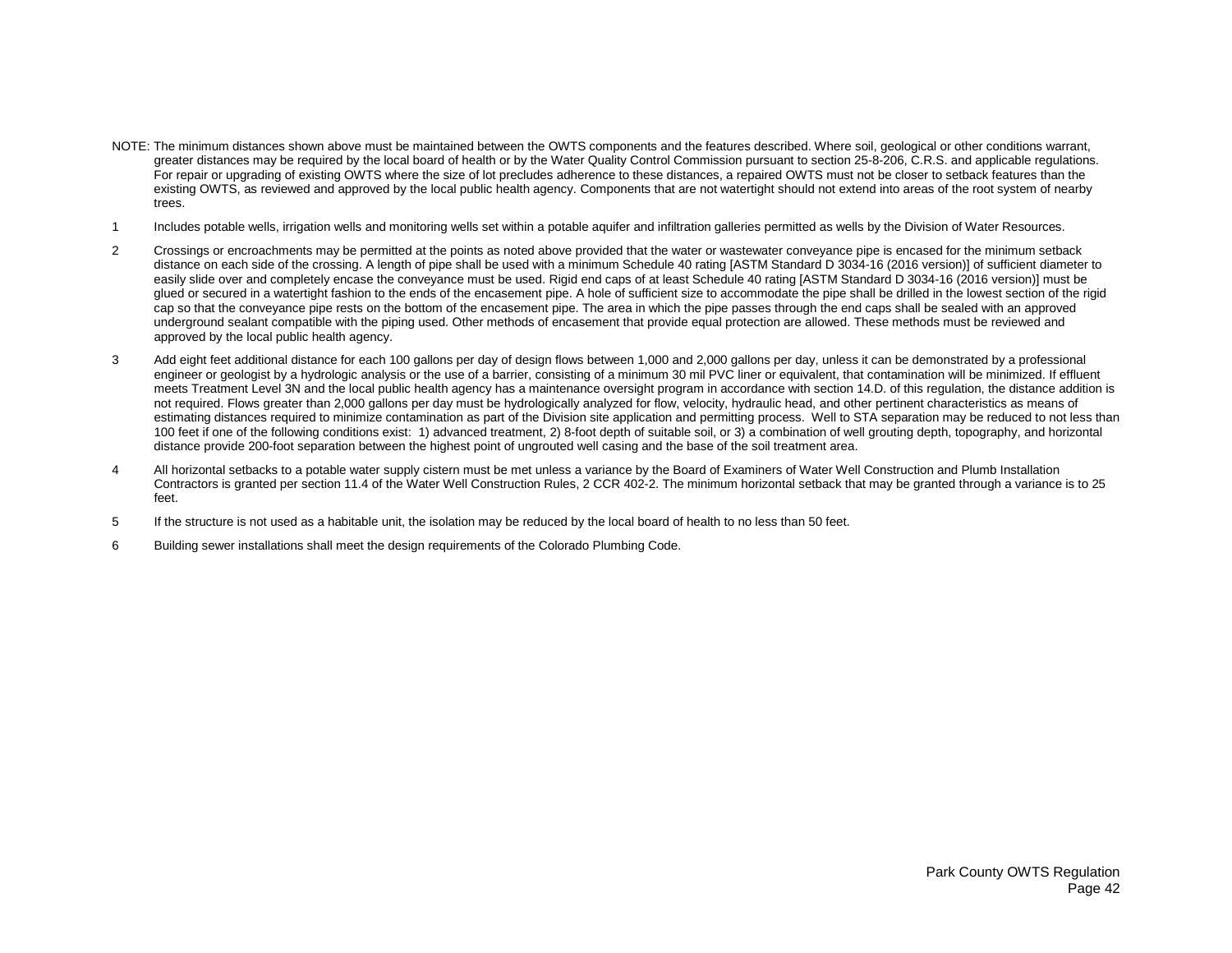- NOTE: The minimum distances shown above must be maintained between the OWTS components and the features described. Where soil, geological or other conditions warrant, greater distances may be required by the local board of health or by the Water Quality Control Commission pursuant to section 25-8-206, C.R.S. and applicable regulations. For repair or upgrading of existing OWTS where the size of lot precludes adherence to these distances, a repaired OWTS must not be closer to setback features than the existing OWTS, as reviewed and approved by the local public health agency. Components that are not watertight should not extend into areas of the root system of nearby trees.
- 1 Includes potable wells, irrigation wells and monitoring wells set within a potable aquifer and infiltration galleries permitted as wells by the Division of Water Resources.
- 2 Crossings or encroachments may be permitted at the points as noted above provided that the water or wastewater conveyance pipe is encased for the minimum setback distance on each side of the crossing. A length of pipe shall be used with a minimum Schedule 40 rating [ASTM Standard D 3034-16 (2016 version)] of sufficient diameter to easily slide over and completely encase the conveyance must be used. Rigid end caps of at least Schedule 40 rating [ASTM Standard D 3034-16 (2016 version)] must be glued or secured in a watertight fashion to the ends of the encasement pipe. A hole of sufficient size to accommodate the pipe shall be drilled in the lowest section of the rigid cap so that the conveyance pipe rests on the bottom of the encasement pipe. The area in which the pipe passes through the end caps shall be sealed with an approved underground sealant compatible with the piping used. Other methods of encasement that provide equal protection are allowed. These methods must be reviewed and approved by the local public health agency.
- 3 Add eight feet additional distance for each 100 gallons per day of design flows between 1,000 and 2,000 gallons per day, unless it can be demonstrated by a professional engineer or geologist by a hydrologic analysis or the use of a barrier, consisting of a minimum 30 mil PVC liner or equivalent, that contamination will be minimized. If effluent meets Treatment Level 3N and the local public health agency has a maintenance oversight program in accordance with section 14.D. of this regulation, the distance addition is not required. Flows greater than 2,000 gallons per day must be hydrologically analyzed for flow, velocity, hydraulic head, and other pertinent characteristics as means of estimating distances required to minimize contamination as part of the Division site application and permitting process. Well to STA separation may be reduced to not less than 100 feet if one of the following conditions exist: 1) advanced treatment, 2) 8-foot depth of suitable soil, or 3) a combination of well grouting depth, topography, and horizontal distance provide 200-foot separation between the highest point of ungrouted well casing and the base of the soil treatment area.
- 4 All horizontal setbacks to a potable water supply cistern must be met unless a variance by the Board of Examiners of Water Well Construction and Plumb Installation Contractors is granted per section 11.4 of the Water Well Construction Rules, 2 CCR 402-2. The minimum horizontal setback that may be granted through a variance is to 25 feet.
- 5 If the structure is not used as a habitable unit, the isolation may be reduced by the local board of health to no less than 50 feet.
- 6 Building sewer installations shall meet the design requirements of the Colorado Plumbing Code.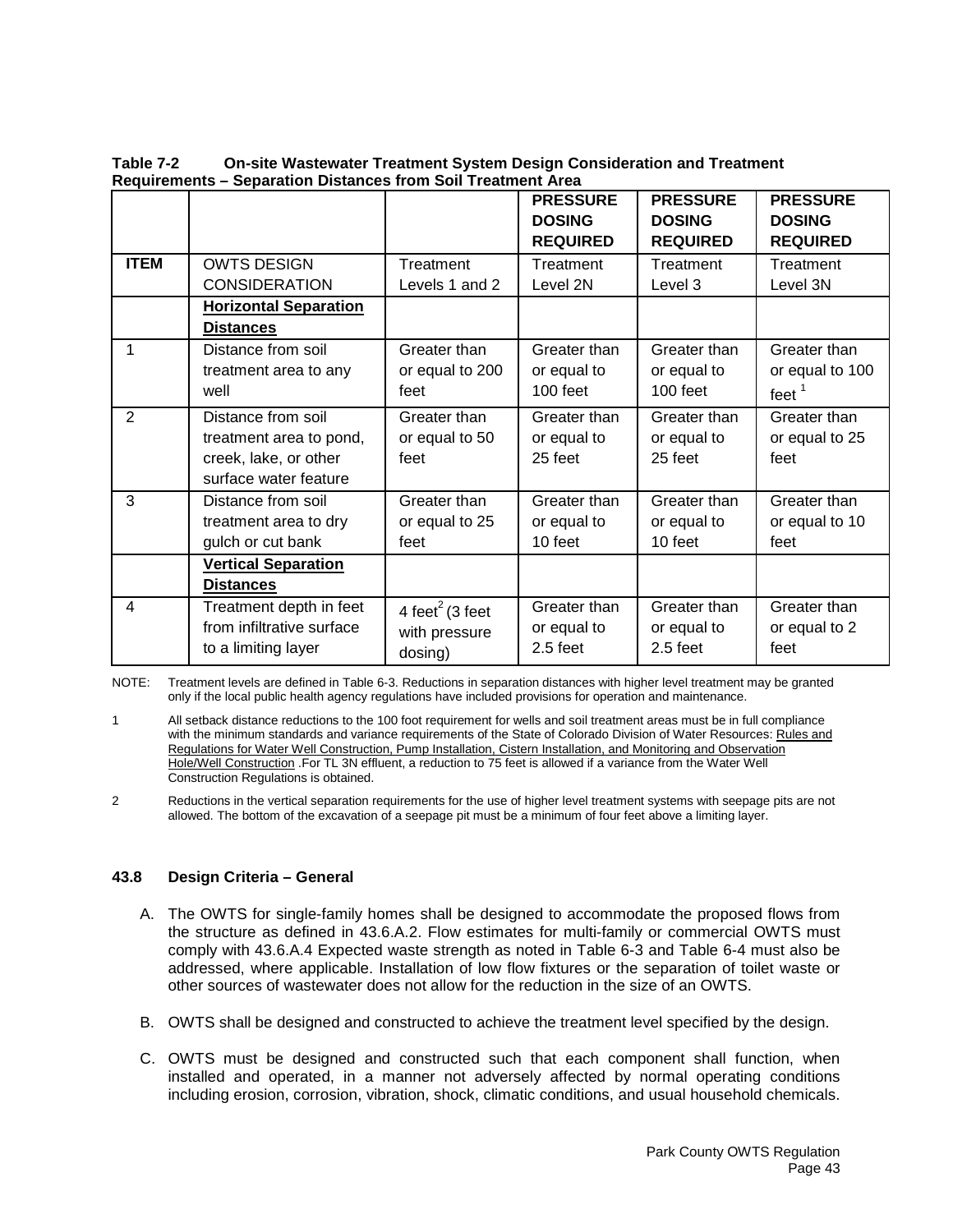|             |                                                                                                 |                                        | <b>PRESSURE</b><br><b>DOSING</b><br><b>REQUIRED</b> | <b>PRESSURE</b><br><b>DOSING</b><br><b>REQUIRED</b> | <b>PRESSURE</b><br><b>DOSING</b><br><b>REQUIRED</b> |
|-------------|-------------------------------------------------------------------------------------------------|----------------------------------------|-----------------------------------------------------|-----------------------------------------------------|-----------------------------------------------------|
| <b>ITEM</b> | <b>OWTS DESIGN</b>                                                                              | Treatment                              | Treatment                                           | Treatment                                           | Treatment                                           |
|             | <b>CONSIDERATION</b>                                                                            | Levels 1 and 2                         | Level 2N                                            | Level 3                                             | Level 3N                                            |
|             | <b>Horizontal Separation</b><br><b>Distances</b>                                                |                                        |                                                     |                                                     |                                                     |
| 1           | Distance from soil                                                                              | Greater than                           | Greater than                                        | Greater than                                        | Greater than                                        |
|             | treatment area to any                                                                           | or equal to 200                        | or equal to                                         | or equal to                                         | or equal to 100                                     |
|             | well                                                                                            | feet                                   | $100$ feet                                          | $100$ feet                                          | feet $1$                                            |
| 2           | Distance from soil<br>treatment area to pond,<br>creek, lake, or other<br>surface water feature | Greater than<br>or equal to 50<br>feet | Greater than<br>or equal to<br>25 feet              | Greater than<br>or equal to<br>25 feet              | Greater than<br>or equal to 25<br>feet              |
| 3           | Distance from soil                                                                              | Greater than                           | Greater than                                        | Greater than                                        | Greater than                                        |
|             | treatment area to dry                                                                           | or equal to 25                         | or equal to                                         | or equal to                                         | or equal to 10                                      |
|             | gulch or cut bank                                                                               | feet                                   | 10 feet                                             | 10 feet                                             | feet                                                |
|             | <b>Vertical Separation</b><br><b>Distances</b>                                                  |                                        |                                                     |                                                     |                                                     |
| 4           | Treatment depth in feet                                                                         | 4 feet <sup>2</sup> (3 feet            | Greater than                                        | Greater than                                        | Greater than                                        |
|             | from infiltrative surface                                                                       | with pressure                          | or equal to                                         | or equal to                                         | or equal to 2                                       |
|             | to a limiting layer                                                                             | dosing)                                | $2.5$ feet                                          | $2.5$ feet                                          | feet                                                |

**Table 7-2 On-site Wastewater Treatment System Design Consideration and Treatment Requirements – Separation Distances from Soil Treatment Area**

NOTE: Treatment levels are defined in Table 6-3. Reductions in separation distances with higher level treatment may be granted only if the local public health agency regulations have included provisions for operation and maintenance.

1 All setback distance reductions to the 100 foot requirement for wells and soil treatment areas must be in full compliance with the minimum standards and variance requirements of the State of Colorado Division of Water Resources: Rules and Regulations for Water Well Construction, Pump Installation, Cistern Installation, and Monitoring and Observation Hole/Well Construction .For TL 3N effluent, a reduction to 75 feet is allowed if a variance from the Water Well Construction Regulations is obtained.

2 Reductions in the vertical separation requirements for the use of higher level treatment systems with seepage pits are not allowed. The bottom of the excavation of a seepage pit must be a minimum of four feet above a limiting layer.

# **43.8 Design Criteria – General**

- A. The OWTS for single-family homes shall be designed to accommodate the proposed flows from the structure as defined in 43.6.A.2. Flow estimates for multi-family or commercial OWTS must comply with 43.6.A.4 Expected waste strength as noted in Table 6-3 and Table 6-4 must also be addressed, where applicable. Installation of low flow fixtures or the separation of toilet waste or other sources of wastewater does not allow for the reduction in the size of an OWTS.
- B. OWTS shall be designed and constructed to achieve the treatment level specified by the design.
- C. OWTS must be designed and constructed such that each component shall function, when installed and operated, in a manner not adversely affected by normal operating conditions including erosion, corrosion, vibration, shock, climatic conditions, and usual household chemicals.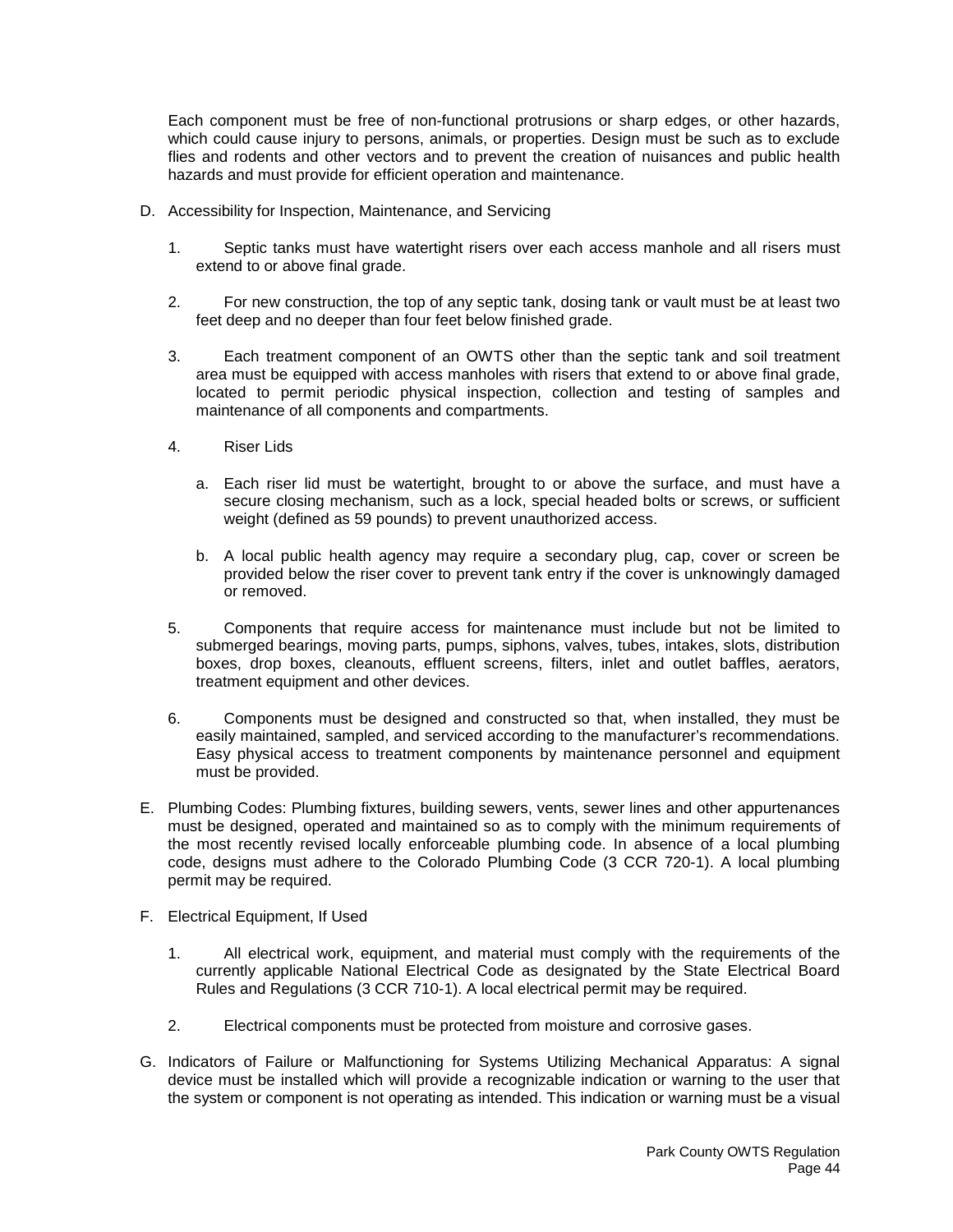Each component must be free of non-functional protrusions or sharp edges, or other hazards, which could cause injury to persons, animals, or properties. Design must be such as to exclude flies and rodents and other vectors and to prevent the creation of nuisances and public health hazards and must provide for efficient operation and maintenance.

- D. Accessibility for Inspection, Maintenance, and Servicing
	- 1. Septic tanks must have watertight risers over each access manhole and all risers must extend to or above final grade.
	- 2. For new construction, the top of any septic tank, dosing tank or vault must be at least two feet deep and no deeper than four feet below finished grade.
	- 3. Each treatment component of an OWTS other than the septic tank and soil treatment area must be equipped with access manholes with risers that extend to or above final grade, located to permit periodic physical inspection, collection and testing of samples and maintenance of all components and compartments.
	- 4. Riser Lids
		- a. Each riser lid must be watertight, brought to or above the surface, and must have a secure closing mechanism, such as a lock, special headed bolts or screws, or sufficient weight (defined as 59 pounds) to prevent unauthorized access.
		- b. A local public health agency may require a secondary plug, cap, cover or screen be provided below the riser cover to prevent tank entry if the cover is unknowingly damaged or removed.
	- 5. Components that require access for maintenance must include but not be limited to submerged bearings, moving parts, pumps, siphons, valves, tubes, intakes, slots, distribution boxes, drop boxes, cleanouts, effluent screens, filters, inlet and outlet baffles, aerators, treatment equipment and other devices.
	- 6. Components must be designed and constructed so that, when installed, they must be easily maintained, sampled, and serviced according to the manufacturer's recommendations. Easy physical access to treatment components by maintenance personnel and equipment must be provided.
- E. Plumbing Codes: Plumbing fixtures, building sewers, vents, sewer lines and other appurtenances must be designed, operated and maintained so as to comply with the minimum requirements of the most recently revised locally enforceable plumbing code. In absence of a local plumbing code, designs must adhere to the Colorado Plumbing Code (3 CCR 720-1). A local plumbing permit may be required.
- F. Electrical Equipment, If Used
	- 1. All electrical work, equipment, and material must comply with the requirements of the currently applicable National Electrical Code as designated by the State Electrical Board Rules and Regulations (3 CCR 710-1). A local electrical permit may be required.
	- 2. Electrical components must be protected from moisture and corrosive gases.
- G. Indicators of Failure or Malfunctioning for Systems Utilizing Mechanical Apparatus: A signal device must be installed which will provide a recognizable indication or warning to the user that the system or component is not operating as intended. This indication or warning must be a visual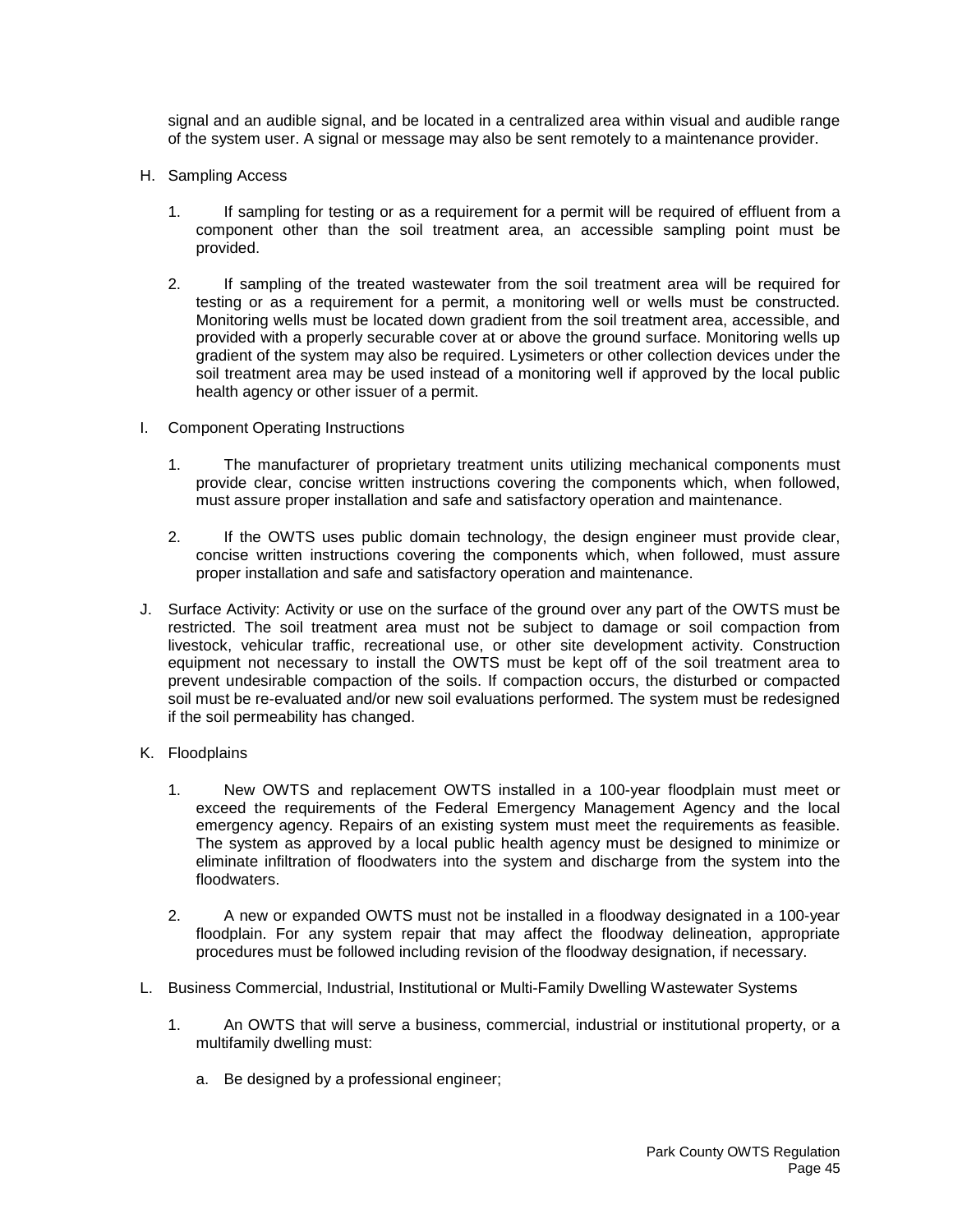signal and an audible signal, and be located in a centralized area within visual and audible range of the system user. A signal or message may also be sent remotely to a maintenance provider.

- H. Sampling Access
	- 1. If sampling for testing or as a requirement for a permit will be required of effluent from a component other than the soil treatment area, an accessible sampling point must be provided.
	- 2. If sampling of the treated wastewater from the soil treatment area will be required for testing or as a requirement for a permit, a monitoring well or wells must be constructed. Monitoring wells must be located down gradient from the soil treatment area, accessible, and provided with a properly securable cover at or above the ground surface. Monitoring wells up gradient of the system may also be required. Lysimeters or other collection devices under the soil treatment area may be used instead of a monitoring well if approved by the local public health agency or other issuer of a permit.
- I. Component Operating Instructions
	- 1. The manufacturer of proprietary treatment units utilizing mechanical components must provide clear, concise written instructions covering the components which, when followed, must assure proper installation and safe and satisfactory operation and maintenance.
	- 2. If the OWTS uses public domain technology, the design engineer must provide clear, concise written instructions covering the components which, when followed, must assure proper installation and safe and satisfactory operation and maintenance.
- J. Surface Activity: Activity or use on the surface of the ground over any part of the OWTS must be restricted. The soil treatment area must not be subject to damage or soil compaction from livestock, vehicular traffic, recreational use, or other site development activity. Construction equipment not necessary to install the OWTS must be kept off of the soil treatment area to prevent undesirable compaction of the soils. If compaction occurs, the disturbed or compacted soil must be re-evaluated and/or new soil evaluations performed. The system must be redesigned if the soil permeability has changed.
- K. Floodplains
	- 1. New OWTS and replacement OWTS installed in a 100-year floodplain must meet or exceed the requirements of the Federal Emergency Management Agency and the local emergency agency. Repairs of an existing system must meet the requirements as feasible. The system as approved by a local public health agency must be designed to minimize or eliminate infiltration of floodwaters into the system and discharge from the system into the floodwaters.
	- 2. A new or expanded OWTS must not be installed in a floodway designated in a 100-year floodplain. For any system repair that may affect the floodway delineation, appropriate procedures must be followed including revision of the floodway designation, if necessary.
- L. Business Commercial, Industrial, Institutional or Multi-Family Dwelling Wastewater Systems
	- 1. An OWTS that will serve a business, commercial, industrial or institutional property, or a multifamily dwelling must:
		- a. Be designed by a professional engineer;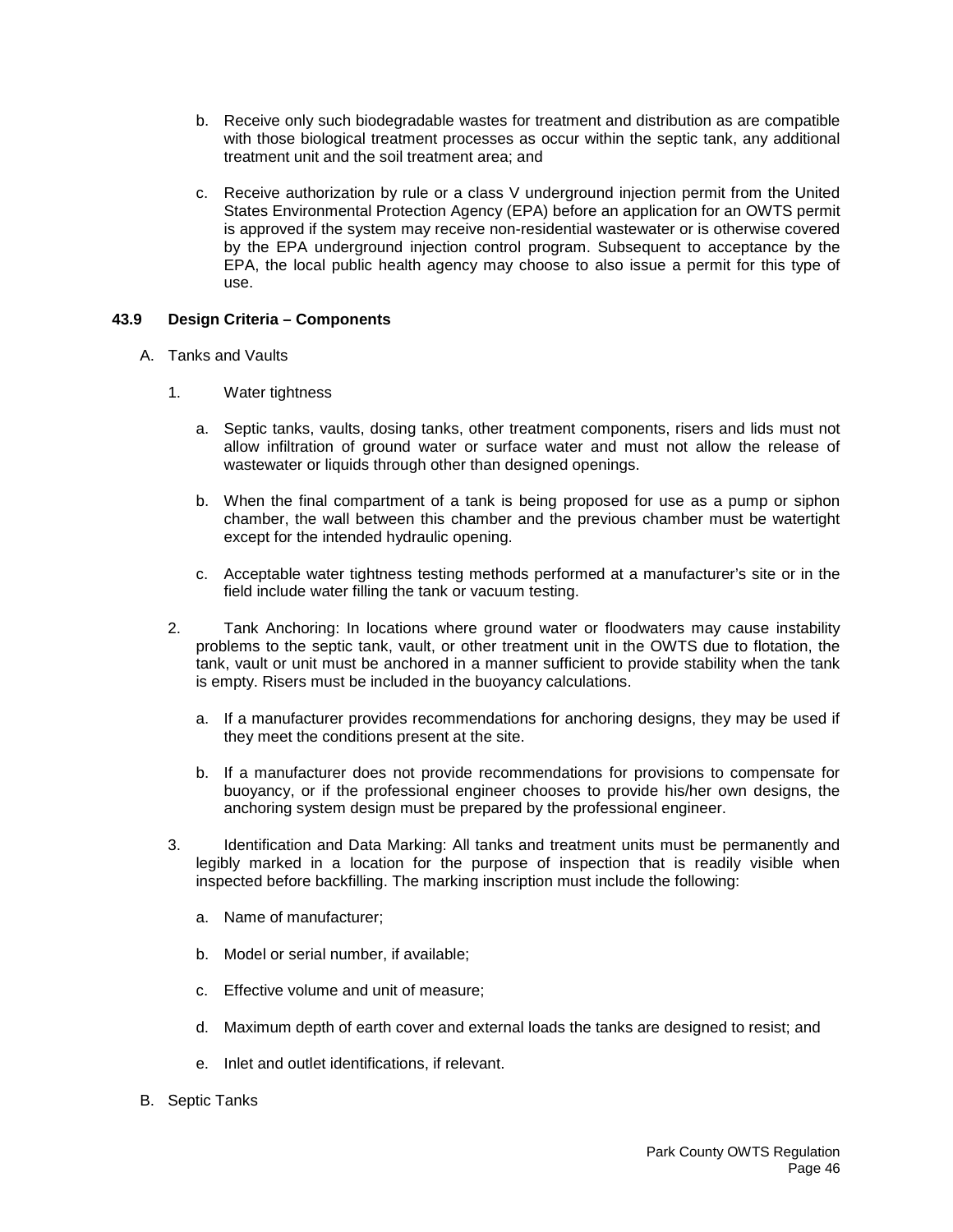- b. Receive only such biodegradable wastes for treatment and distribution as are compatible with those biological treatment processes as occur within the septic tank, any additional treatment unit and the soil treatment area; and
- c. Receive authorization by rule or a class V underground injection permit from the United States Environmental Protection Agency (EPA) before an application for an OWTS permit is approved if the system may receive non-residential wastewater or is otherwise covered by the EPA underground injection control program. Subsequent to acceptance by the EPA, the local public health agency may choose to also issue a permit for this type of use.

# **43.9 Design Criteria – Components**

- A. Tanks and Vaults
	- 1. Water tightness
		- a. Septic tanks, vaults, dosing tanks, other treatment components, risers and lids must not allow infiltration of ground water or surface water and must not allow the release of wastewater or liquids through other than designed openings.
		- b. When the final compartment of a tank is being proposed for use as a pump or siphon chamber, the wall between this chamber and the previous chamber must be watertight except for the intended hydraulic opening.
		- c. Acceptable water tightness testing methods performed at a manufacturer's site or in the field include water filling the tank or vacuum testing.
	- 2. Tank Anchoring: In locations where ground water or floodwaters may cause instability problems to the septic tank, vault, or other treatment unit in the OWTS due to flotation, the tank, vault or unit must be anchored in a manner sufficient to provide stability when the tank is empty. Risers must be included in the buoyancy calculations.
		- a. If a manufacturer provides recommendations for anchoring designs, they may be used if they meet the conditions present at the site.
		- b. If a manufacturer does not provide recommendations for provisions to compensate for buoyancy, or if the professional engineer chooses to provide his/her own designs, the anchoring system design must be prepared by the professional engineer.
	- 3. Identification and Data Marking: All tanks and treatment units must be permanently and legibly marked in a location for the purpose of inspection that is readily visible when inspected before backfilling. The marking inscription must include the following:
		- a. Name of manufacturer;
		- b. Model or serial number, if available;
		- c. Effective volume and unit of measure;
		- d. Maximum depth of earth cover and external loads the tanks are designed to resist; and
		- e. Inlet and outlet identifications, if relevant.
- B. Septic Tanks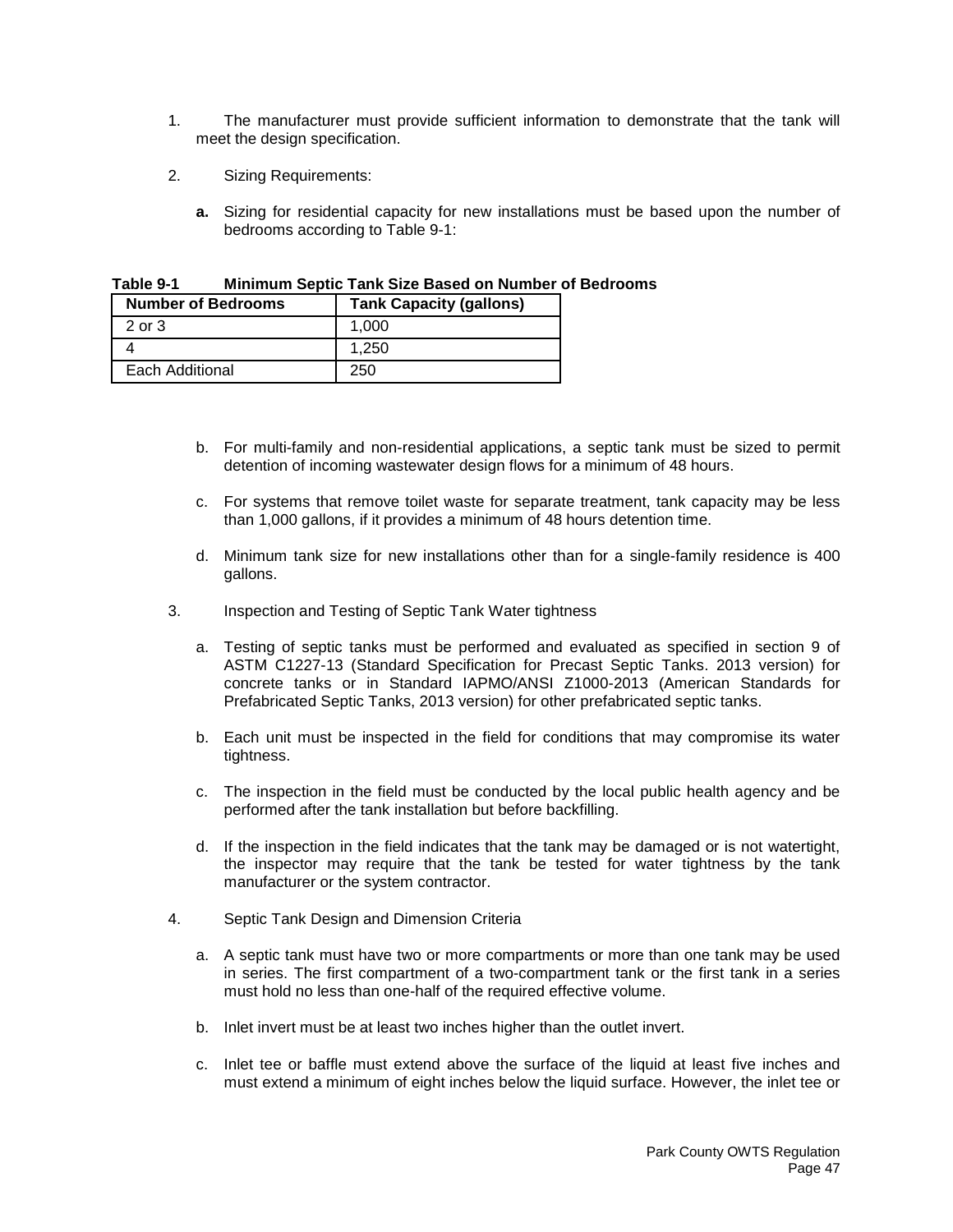- 1. The manufacturer must provide sufficient information to demonstrate that the tank will meet the design specification.
- 2. Sizing Requirements:
	- **a.** Sizing for residential capacity for new installations must be based upon the number of bedrooms according to Table 9-1:

| <b>Number of Bedrooms</b> | <b>Tank Capacity (gallons)</b> |
|---------------------------|--------------------------------|
| 2 or 3                    | 1.000                          |
|                           | 1.250                          |
| Each Additional           | 250                            |

**Table 9-1 Minimum Septic Tank Size Based on Number of Bedrooms**

- b. For multi-family and non-residential applications, a septic tank must be sized to permit detention of incoming wastewater design flows for a minimum of 48 hours.
- c. For systems that remove toilet waste for separate treatment, tank capacity may be less than 1,000 gallons, if it provides a minimum of 48 hours detention time.
- d. Minimum tank size for new installations other than for a single-family residence is 400 gallons.
- 3. Inspection and Testing of Septic Tank Water tightness
	- a. Testing of septic tanks must be performed and evaluated as specified in section 9 of ASTM C1227-13 (Standard Specification for Precast Septic Tanks. 2013 version) for concrete tanks or in Standard IAPMO/ANSI Z1000-2013 (American Standards for Prefabricated Septic Tanks, 2013 version) for other prefabricated septic tanks.
	- b. Each unit must be inspected in the field for conditions that may compromise its water tightness.
	- c. The inspection in the field must be conducted by the local public health agency and be performed after the tank installation but before backfilling.
	- d. If the inspection in the field indicates that the tank may be damaged or is not watertight, the inspector may require that the tank be tested for water tightness by the tank manufacturer or the system contractor.
- 4. Septic Tank Design and Dimension Criteria
	- a. A septic tank must have two or more compartments or more than one tank may be used in series. The first compartment of a two-compartment tank or the first tank in a series must hold no less than one-half of the required effective volume.
	- b. Inlet invert must be at least two inches higher than the outlet invert.
	- c. Inlet tee or baffle must extend above the surface of the liquid at least five inches and must extend a minimum of eight inches below the liquid surface. However, the inlet tee or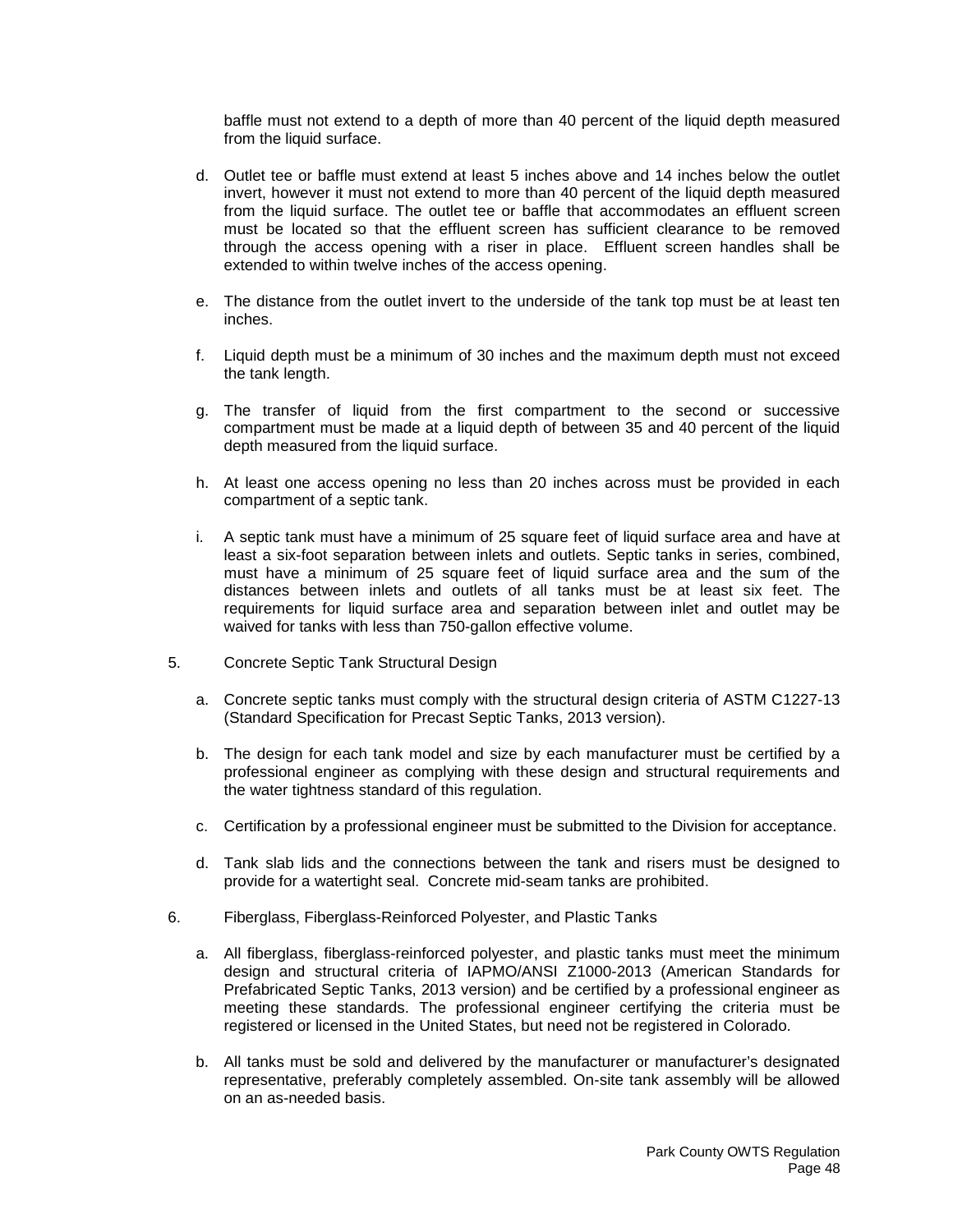baffle must not extend to a depth of more than 40 percent of the liquid depth measured from the liquid surface.

- d. Outlet tee or baffle must extend at least 5 inches above and 14 inches below the outlet invert, however it must not extend to more than 40 percent of the liquid depth measured from the liquid surface. The outlet tee or baffle that accommodates an effluent screen must be located so that the effluent screen has sufficient clearance to be removed through the access opening with a riser in place. Effluent screen handles shall be extended to within twelve inches of the access opening.
- e. The distance from the outlet invert to the underside of the tank top must be at least ten inches.
- f. Liquid depth must be a minimum of 30 inches and the maximum depth must not exceed the tank length.
- g. The transfer of liquid from the first compartment to the second or successive compartment must be made at a liquid depth of between 35 and 40 percent of the liquid depth measured from the liquid surface.
- h. At least one access opening no less than 20 inches across must be provided in each compartment of a septic tank.
- i. A septic tank must have a minimum of 25 square feet of liquid surface area and have at least a six-foot separation between inlets and outlets. Septic tanks in series, combined, must have a minimum of 25 square feet of liquid surface area and the sum of the distances between inlets and outlets of all tanks must be at least six feet. The requirements for liquid surface area and separation between inlet and outlet may be waived for tanks with less than 750-gallon effective volume.
- 5. Concrete Septic Tank Structural Design
	- a. Concrete septic tanks must comply with the structural design criteria of ASTM C1227-13 (Standard Specification for Precast Septic Tanks, 2013 version).
	- b. The design for each tank model and size by each manufacturer must be certified by a professional engineer as complying with these design and structural requirements and the water tightness standard of this regulation.
	- c. Certification by a professional engineer must be submitted to the Division for acceptance.
	- d. Tank slab lids and the connections between the tank and risers must be designed to provide for a watertight seal. Concrete mid-seam tanks are prohibited.
- 6. Fiberglass, Fiberglass-Reinforced Polyester, and Plastic Tanks
	- a. All fiberglass, fiberglass-reinforced polyester, and plastic tanks must meet the minimum design and structural criteria of IAPMO/ANSI Z1000-2013 (American Standards for Prefabricated Septic Tanks, 2013 version) and be certified by a professional engineer as meeting these standards. The professional engineer certifying the criteria must be registered or licensed in the United States, but need not be registered in Colorado.
	- b. All tanks must be sold and delivered by the manufacturer or manufacturer's designated representative, preferably completely assembled. On-site tank assembly will be allowed on an as-needed basis.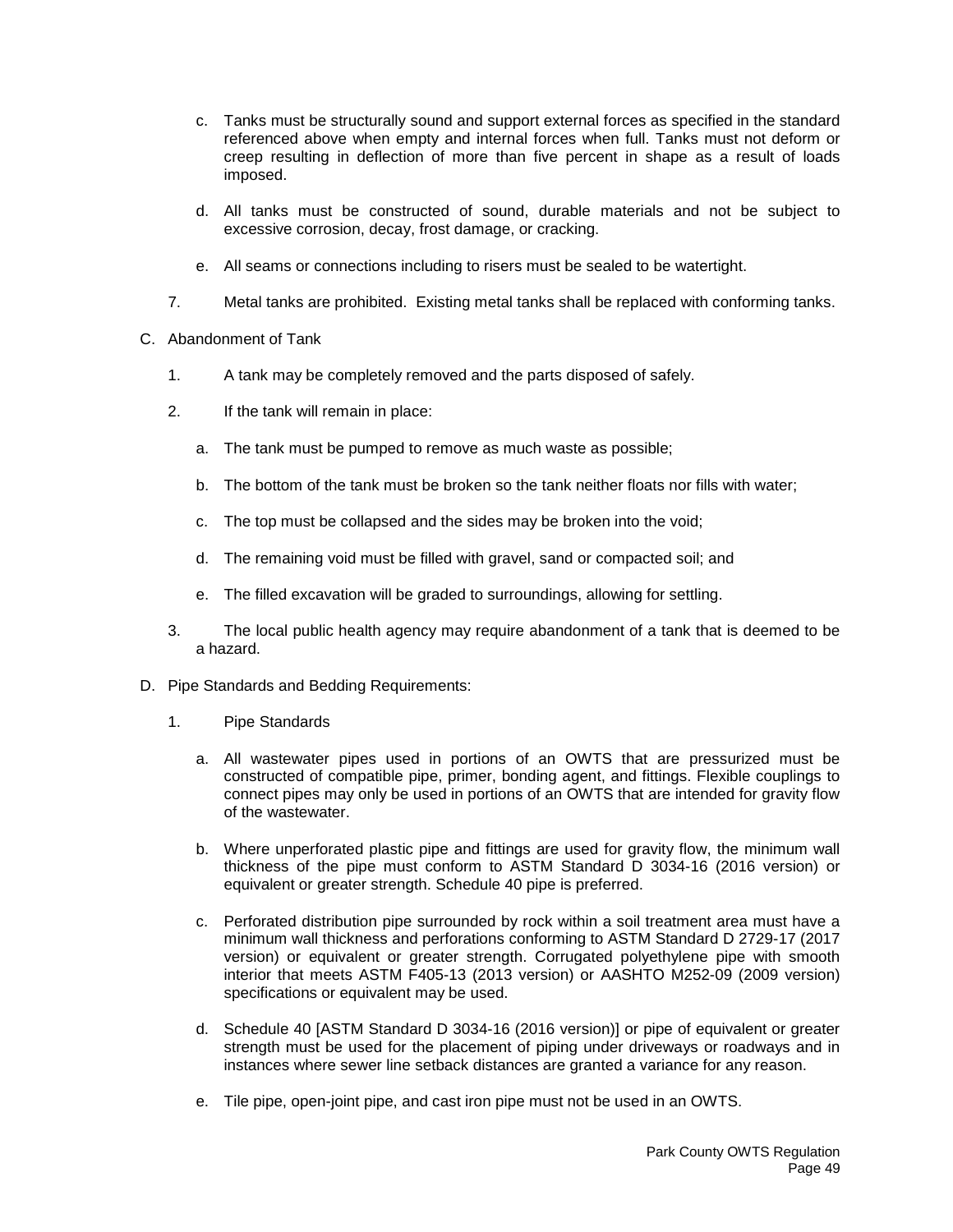- c. Tanks must be structurally sound and support external forces as specified in the standard referenced above when empty and internal forces when full. Tanks must not deform or creep resulting in deflection of more than five percent in shape as a result of loads imposed.
- d. All tanks must be constructed of sound, durable materials and not be subject to excessive corrosion, decay, frost damage, or cracking.
- e. All seams or connections including to risers must be sealed to be watertight.
- 7. Metal tanks are prohibited. Existing metal tanks shall be replaced with conforming tanks.
- C. Abandonment of Tank
	- 1. A tank may be completely removed and the parts disposed of safely.
	- 2. If the tank will remain in place:
		- a. The tank must be pumped to remove as much waste as possible;
		- b. The bottom of the tank must be broken so the tank neither floats nor fills with water;
		- c. The top must be collapsed and the sides may be broken into the void;
		- d. The remaining void must be filled with gravel, sand or compacted soil; and
		- e. The filled excavation will be graded to surroundings, allowing for settling.
	- 3. The local public health agency may require abandonment of a tank that is deemed to be a hazard.
- D. Pipe Standards and Bedding Requirements:
	- 1. Pipe Standards
		- a. All wastewater pipes used in portions of an OWTS that are pressurized must be constructed of compatible pipe, primer, bonding agent, and fittings. Flexible couplings to connect pipes may only be used in portions of an OWTS that are intended for gravity flow of the wastewater.
		- b. Where unperforated plastic pipe and fittings are used for gravity flow, the minimum wall thickness of the pipe must conform to ASTM Standard D 3034-16 (2016 version) or equivalent or greater strength. Schedule 40 pipe is preferred.
		- c. Perforated distribution pipe surrounded by rock within a soil treatment area must have a minimum wall thickness and perforations conforming to ASTM Standard D 2729-17 (2017 version) or equivalent or greater strength. Corrugated polyethylene pipe with smooth interior that meets ASTM F405-13 (2013 version) or AASHTO M252-09 (2009 version) specifications or equivalent may be used.
		- d. Schedule 40 [ASTM Standard D 3034-16 (2016 version)] or pipe of equivalent or greater strength must be used for the placement of piping under driveways or roadways and in instances where sewer line setback distances are granted a variance for any reason.
		- e. Tile pipe, open-joint pipe, and cast iron pipe must not be used in an OWTS.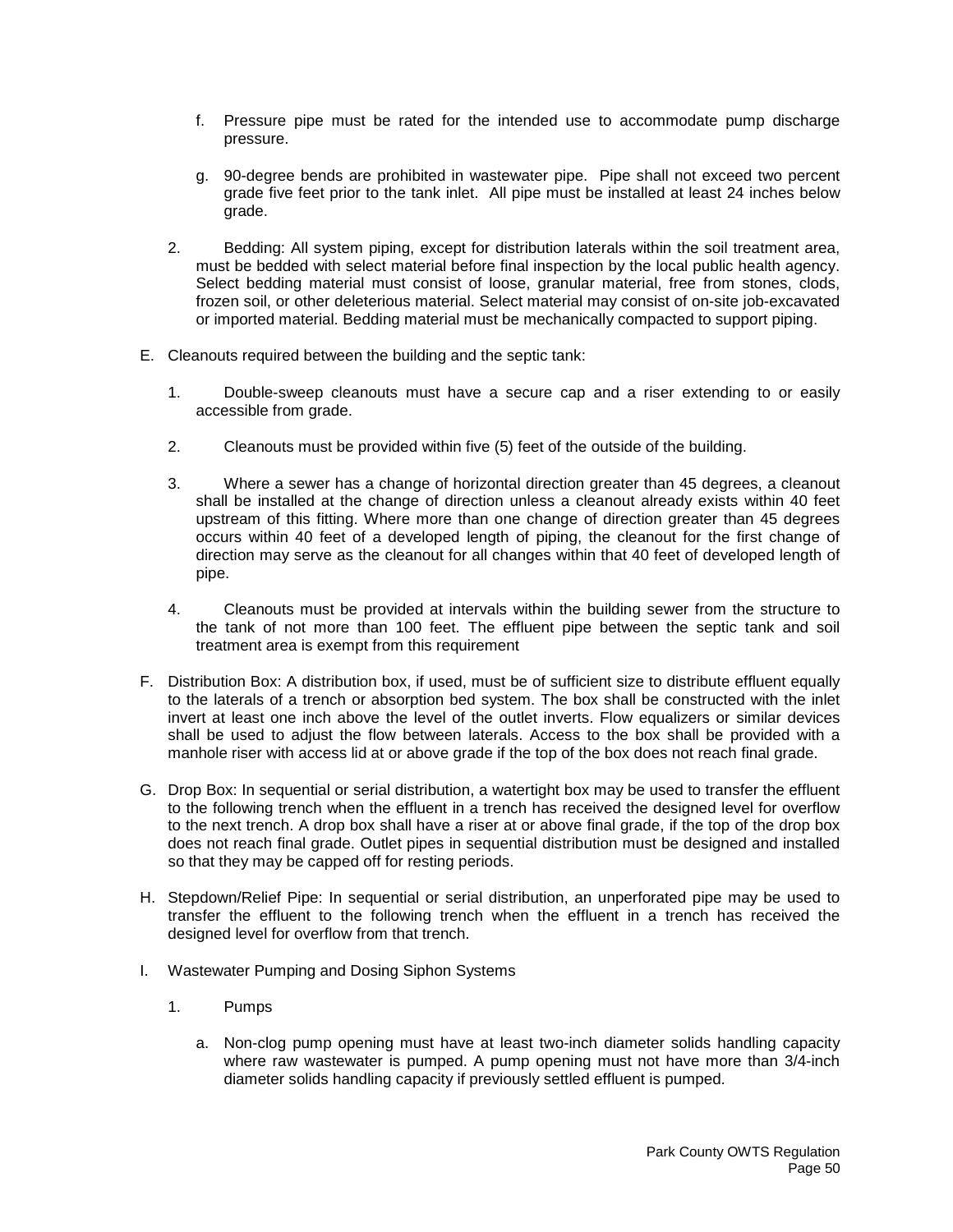- f. Pressure pipe must be rated for the intended use to accommodate pump discharge pressure.
- g. 90-degree bends are prohibited in wastewater pipe. Pipe shall not exceed two percent grade five feet prior to the tank inlet. All pipe must be installed at least 24 inches below grade.
- 2. Bedding: All system piping, except for distribution laterals within the soil treatment area, must be bedded with select material before final inspection by the local public health agency. Select bedding material must consist of loose, granular material, free from stones, clods, frozen soil, or other deleterious material. Select material may consist of on-site job-excavated or imported material. Bedding material must be mechanically compacted to support piping.
- E. Cleanouts required between the building and the septic tank:
	- 1. Double-sweep cleanouts must have a secure cap and a riser extending to or easily accessible from grade.
	- 2. Cleanouts must be provided within five (5) feet of the outside of the building.
	- 3. Where a sewer has a change of horizontal direction greater than 45 degrees, a cleanout shall be installed at the change of direction unless a cleanout already exists within 40 feet upstream of this fitting. Where more than one change of direction greater than 45 degrees occurs within 40 feet of a developed length of piping, the cleanout for the first change of direction may serve as the cleanout for all changes within that 40 feet of developed length of pipe.
	- 4. Cleanouts must be provided at intervals within the building sewer from the structure to the tank of not more than 100 feet. The effluent pipe between the septic tank and soil treatment area is exempt from this requirement
- F. Distribution Box: A distribution box, if used, must be of sufficient size to distribute effluent equally to the laterals of a trench or absorption bed system. The box shall be constructed with the inlet invert at least one inch above the level of the outlet inverts. Flow equalizers or similar devices shall be used to adjust the flow between laterals. Access to the box shall be provided with a manhole riser with access lid at or above grade if the top of the box does not reach final grade.
- G. Drop Box: In sequential or serial distribution, a watertight box may be used to transfer the effluent to the following trench when the effluent in a trench has received the designed level for overflow to the next trench. A drop box shall have a riser at or above final grade, if the top of the drop box does not reach final grade. Outlet pipes in sequential distribution must be designed and installed so that they may be capped off for resting periods.
- H. Stepdown/Relief Pipe: In sequential or serial distribution, an unperforated pipe may be used to transfer the effluent to the following trench when the effluent in a trench has received the designed level for overflow from that trench.
- I. Wastewater Pumping and Dosing Siphon Systems
	- 1. Pumps
		- a. Non-clog pump opening must have at least two-inch diameter solids handling capacity where raw wastewater is pumped. A pump opening must not have more than 3/4-inch diameter solids handling capacity if previously settled effluent is pumped.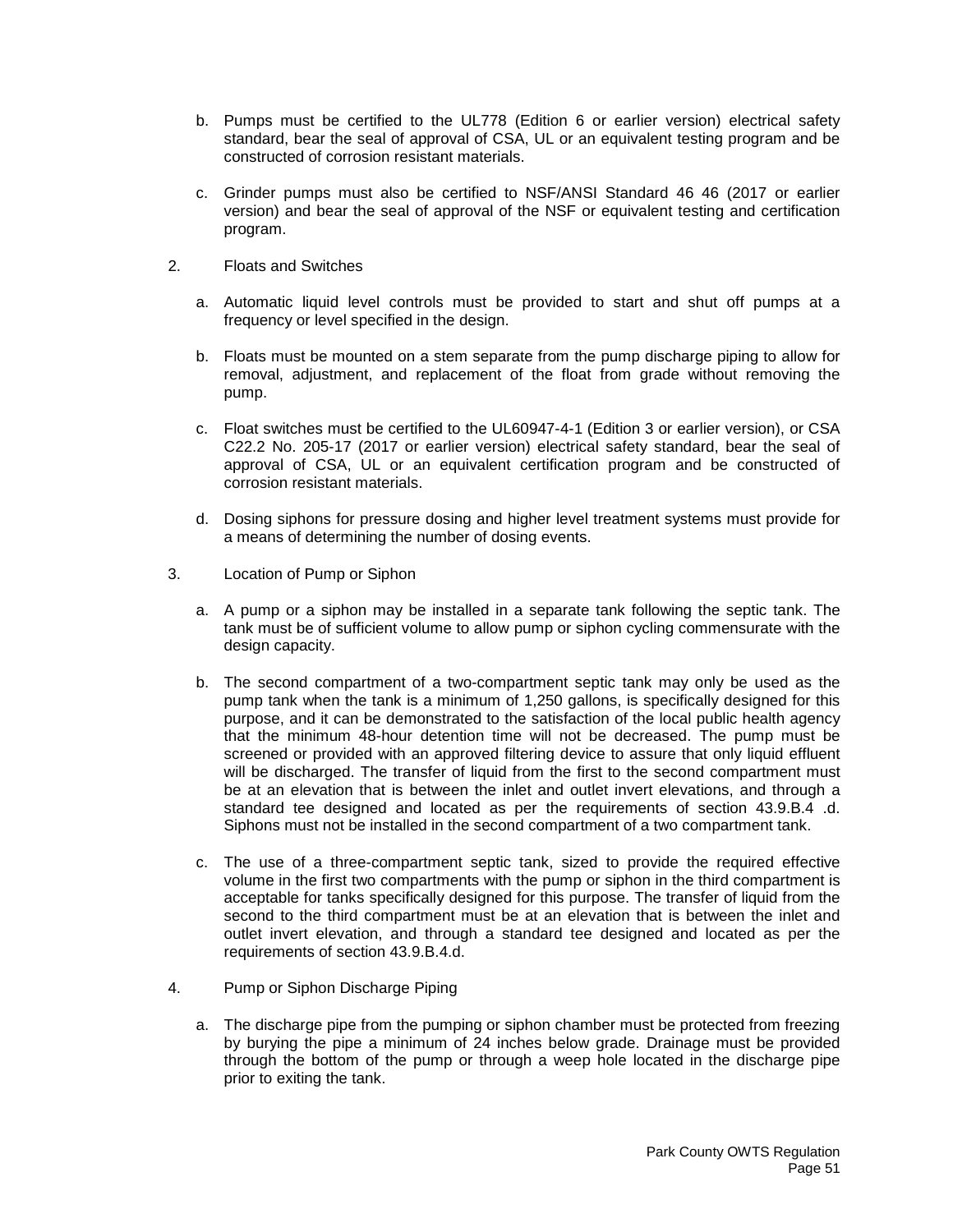- b. Pumps must be certified to the UL778 (Edition 6 or earlier version) electrical safety standard, bear the seal of approval of CSA, UL or an equivalent testing program and be constructed of corrosion resistant materials.
- c. Grinder pumps must also be certified to NSF/ANSI Standard 46 46 (2017 or earlier version) and bear the seal of approval of the NSF or equivalent testing and certification program.
- 2. Floats and Switches
	- a. Automatic liquid level controls must be provided to start and shut off pumps at a frequency or level specified in the design.
	- b. Floats must be mounted on a stem separate from the pump discharge piping to allow for removal, adjustment, and replacement of the float from grade without removing the pump.
	- c. Float switches must be certified to the UL60947-4-1 (Edition 3 or earlier version), or CSA C22.2 No. 205-17 (2017 or earlier version) electrical safety standard, bear the seal of approval of CSA, UL or an equivalent certification program and be constructed of corrosion resistant materials.
	- d. Dosing siphons for pressure dosing and higher level treatment systems must provide for a means of determining the number of dosing events.
- 3. Location of Pump or Siphon
	- a. A pump or a siphon may be installed in a separate tank following the septic tank. The tank must be of sufficient volume to allow pump or siphon cycling commensurate with the design capacity.
	- b. The second compartment of a two-compartment septic tank may only be used as the pump tank when the tank is a minimum of 1,250 gallons, is specifically designed for this purpose, and it can be demonstrated to the satisfaction of the local public health agency that the minimum 48-hour detention time will not be decreased. The pump must be screened or provided with an approved filtering device to assure that only liquid effluent will be discharged. The transfer of liquid from the first to the second compartment must be at an elevation that is between the inlet and outlet invert elevations, and through a standard tee designed and located as per the requirements of section 43.9.B.4 .d. Siphons must not be installed in the second compartment of a two compartment tank.
	- c. The use of a three-compartment septic tank, sized to provide the required effective volume in the first two compartments with the pump or siphon in the third compartment is acceptable for tanks specifically designed for this purpose. The transfer of liquid from the second to the third compartment must be at an elevation that is between the inlet and outlet invert elevation, and through a standard tee designed and located as per the requirements of section 43.9.B.4.d.
- 4. Pump or Siphon Discharge Piping
	- a. The discharge pipe from the pumping or siphon chamber must be protected from freezing by burying the pipe a minimum of 24 inches below grade. Drainage must be provided through the bottom of the pump or through a weep hole located in the discharge pipe prior to exiting the tank.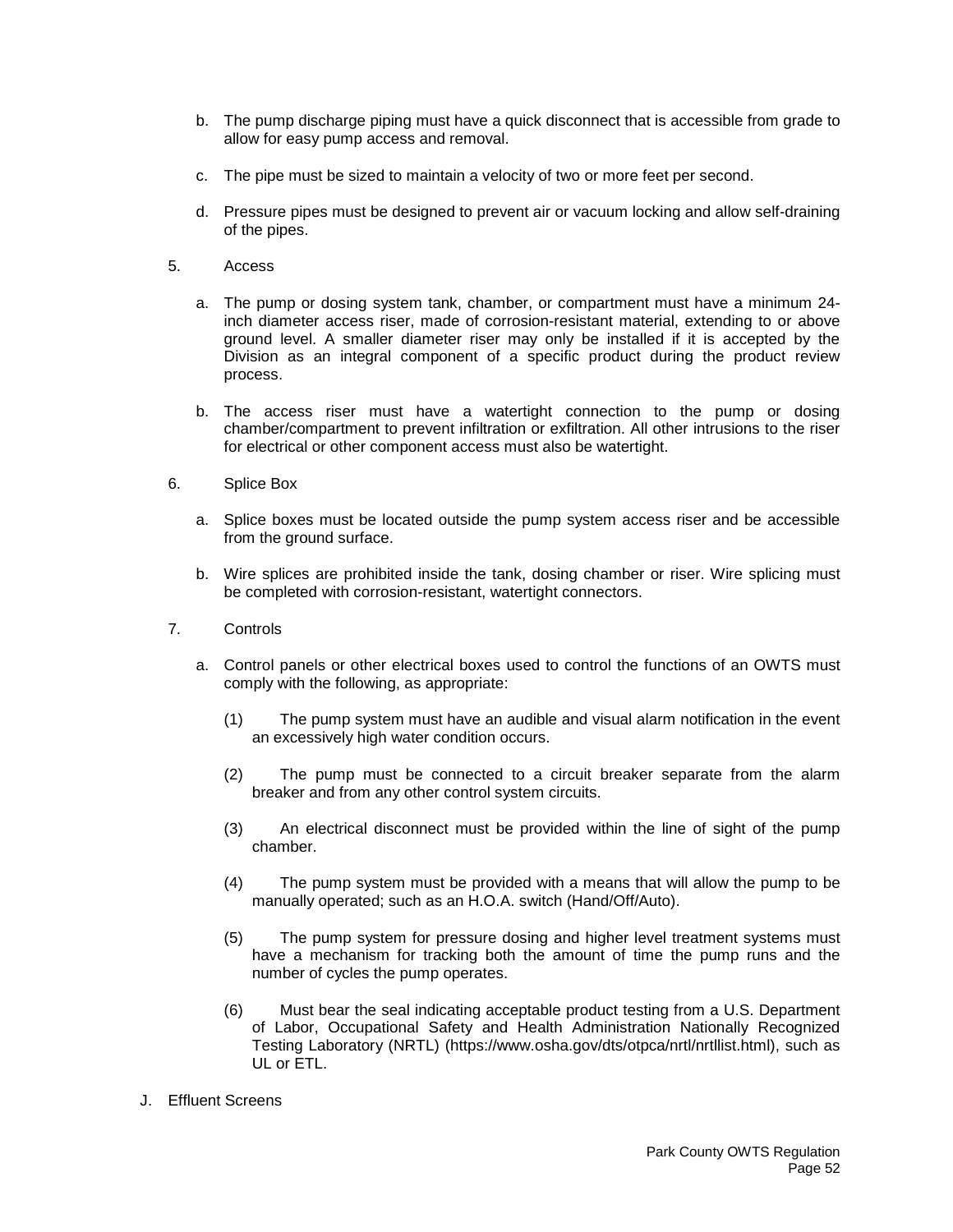- b. The pump discharge piping must have a quick disconnect that is accessible from grade to allow for easy pump access and removal.
- c. The pipe must be sized to maintain a velocity of two or more feet per second.
- d. Pressure pipes must be designed to prevent air or vacuum locking and allow self-draining of the pipes.
- 5. Access
	- a. The pump or dosing system tank, chamber, or compartment must have a minimum 24 inch diameter access riser, made of corrosion-resistant material, extending to or above ground level. A smaller diameter riser may only be installed if it is accepted by the Division as an integral component of a specific product during the product review process.
	- b. The access riser must have a watertight connection to the pump or dosing chamber/compartment to prevent infiltration or exfiltration. All other intrusions to the riser for electrical or other component access must also be watertight.
- 6. Splice Box
	- a. Splice boxes must be located outside the pump system access riser and be accessible from the ground surface.
	- b. Wire splices are prohibited inside the tank, dosing chamber or riser. Wire splicing must be completed with corrosion-resistant, watertight connectors.
- 7. Controls
	- a. Control panels or other electrical boxes used to control the functions of an OWTS must comply with the following, as appropriate:
		- (1) The pump system must have an audible and visual alarm notification in the event an excessively high water condition occurs.
		- (2) The pump must be connected to a circuit breaker separate from the alarm breaker and from any other control system circuits.
		- (3) An electrical disconnect must be provided within the line of sight of the pump chamber.
		- (4) The pump system must be provided with a means that will allow the pump to be manually operated; such as an H.O.A. switch (Hand/Off/Auto).
		- (5) The pump system for pressure dosing and higher level treatment systems must have a mechanism for tracking both the amount of time the pump runs and the number of cycles the pump operates.
		- (6) Must bear the seal indicating acceptable product testing from a U.S. Department of Labor, Occupational Safety and Health Administration Nationally Recognized Testing Laboratory (NRTL) (https://www.osha.gov/dts/otpca/nrtl/nrtllist.html), such as UL or ETL.
- J. Effluent Screens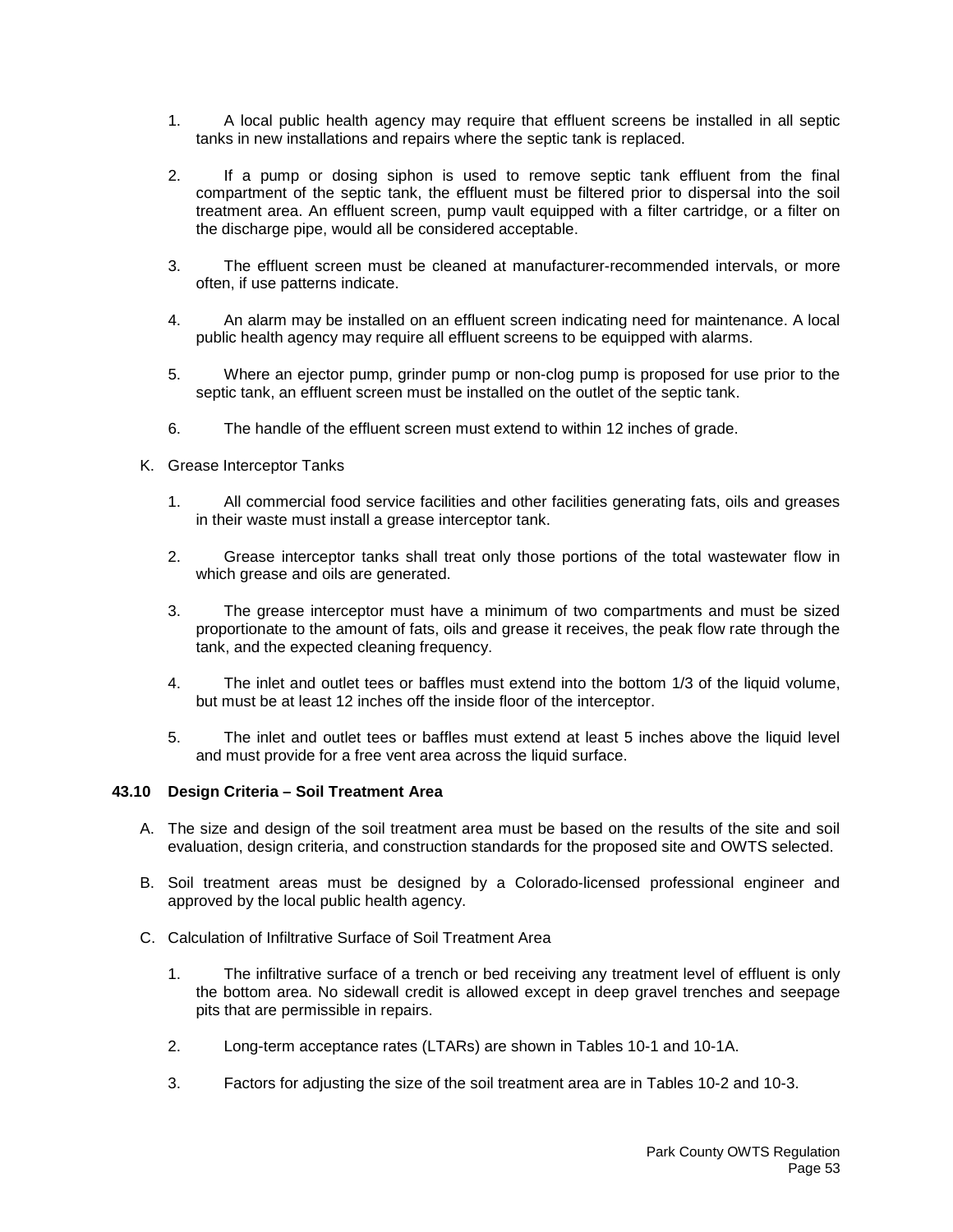- 1. A local public health agency may require that effluent screens be installed in all septic tanks in new installations and repairs where the septic tank is replaced.
- 2. If a pump or dosing siphon is used to remove septic tank effluent from the final compartment of the septic tank, the effluent must be filtered prior to dispersal into the soil treatment area. An effluent screen, pump vault equipped with a filter cartridge, or a filter on the discharge pipe, would all be considered acceptable.
- 3. The effluent screen must be cleaned at manufacturer-recommended intervals, or more often, if use patterns indicate.
- 4. An alarm may be installed on an effluent screen indicating need for maintenance. A local public health agency may require all effluent screens to be equipped with alarms.
- 5. Where an ejector pump, grinder pump or non-clog pump is proposed for use prior to the septic tank, an effluent screen must be installed on the outlet of the septic tank.
- 6. The handle of the effluent screen must extend to within 12 inches of grade.
- K. Grease Interceptor Tanks
	- 1. All commercial food service facilities and other facilities generating fats, oils and greases in their waste must install a grease interceptor tank.
	- 2. Grease interceptor tanks shall treat only those portions of the total wastewater flow in which grease and oils are generated.
	- 3. The grease interceptor must have a minimum of two compartments and must be sized proportionate to the amount of fats, oils and grease it receives, the peak flow rate through the tank, and the expected cleaning frequency.
	- 4. The inlet and outlet tees or baffles must extend into the bottom 1/3 of the liquid volume, but must be at least 12 inches off the inside floor of the interceptor.
	- 5. The inlet and outlet tees or baffles must extend at least 5 inches above the liquid level and must provide for a free vent area across the liquid surface.

# **43.10 Design Criteria – Soil Treatment Area**

- A. The size and design of the soil treatment area must be based on the results of the site and soil evaluation, design criteria, and construction standards for the proposed site and OWTS selected.
- B. Soil treatment areas must be designed by a Colorado-licensed professional engineer and approved by the local public health agency.
- C. Calculation of Infiltrative Surface of Soil Treatment Area
	- 1. The infiltrative surface of a trench or bed receiving any treatment level of effluent is only the bottom area. No sidewall credit is allowed except in deep gravel trenches and seepage pits that are permissible in repairs.
	- 2. Long-term acceptance rates (LTARs) are shown in Tables 10-1 and 10-1A.
	- 3. Factors for adjusting the size of the soil treatment area are in Tables 10-2 and 10-3.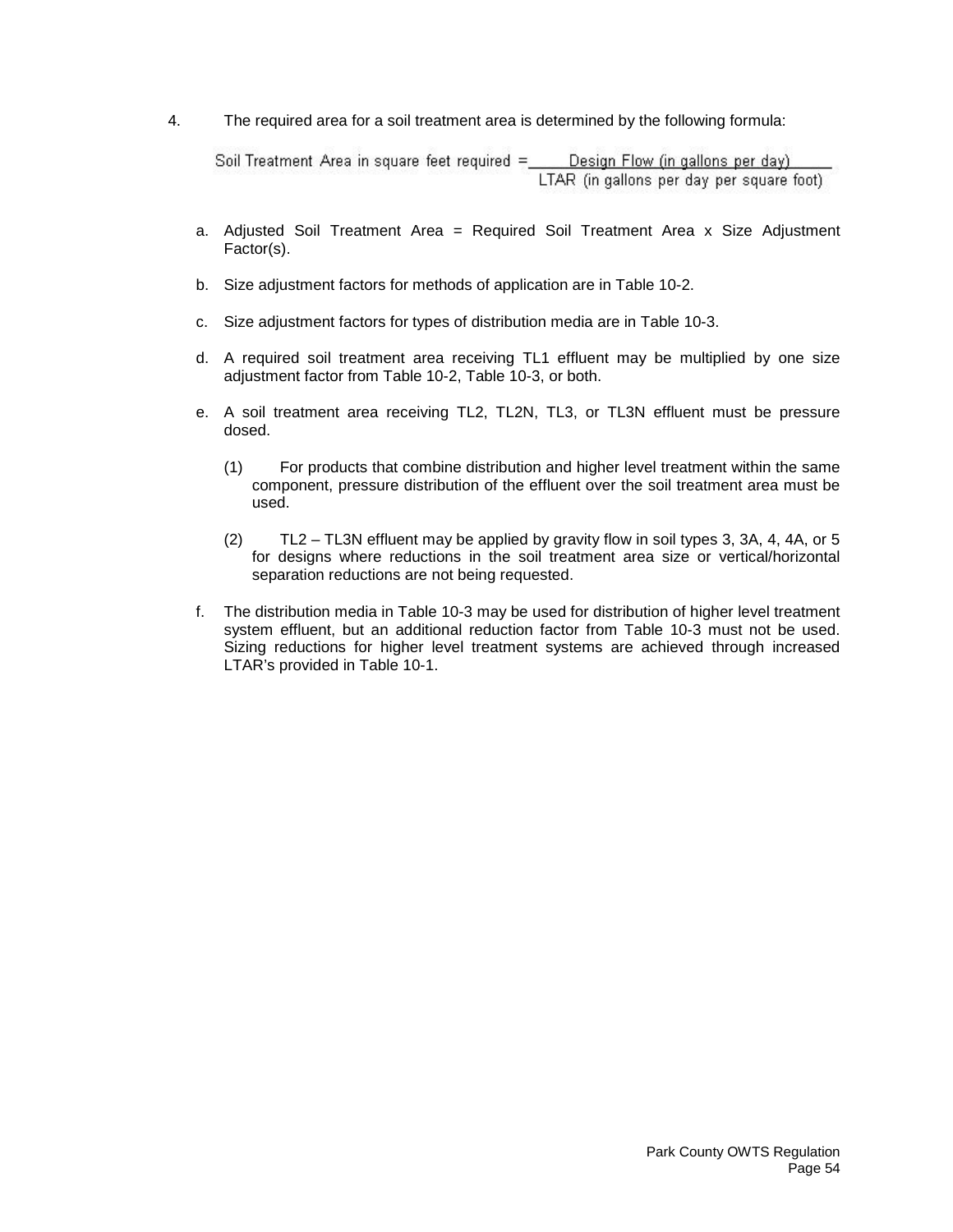4. The required area for a soil treatment area is determined by the following formula:

Soil Treatment Area in square feet required = Design Flow (in gallons per day) LTAR (in gallons per day per square foot)

- a. Adjusted Soil Treatment Area = Required Soil Treatment Area x Size Adjustment Factor(s).
- b. Size adjustment factors for methods of application are in Table 10-2.
- c. Size adjustment factors for types of distribution media are in Table 10-3.
- d. A required soil treatment area receiving TL1 effluent may be multiplied by one size adjustment factor from Table 10-2, Table 10-3, or both.
- e. A soil treatment area receiving TL2, TL2N, TL3, or TL3N effluent must be pressure dosed.
	- (1) For products that combine distribution and higher level treatment within the same component, pressure distribution of the effluent over the soil treatment area must be used.
	- (2) TL2 TL3N effluent may be applied by gravity flow in soil types 3, 3A, 4, 4A, or 5 for designs where reductions in the soil treatment area size or vertical/horizontal separation reductions are not being requested.
- f. The distribution media in Table 10-3 may be used for distribution of higher level treatment system effluent, but an additional reduction factor from Table 10-3 must not be used. Sizing reductions for higher level treatment systems are achieved through increased LTAR's provided in Table 10-1.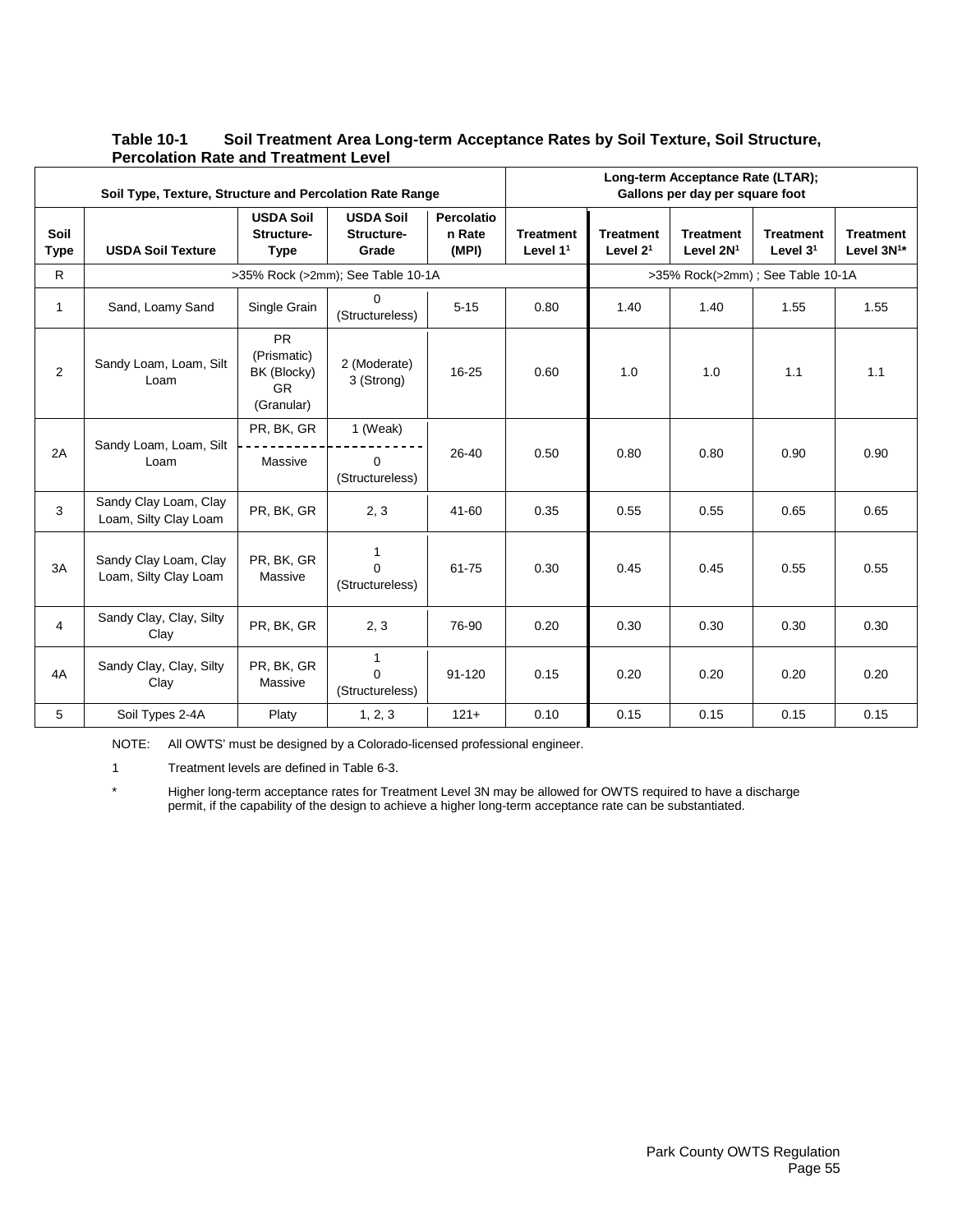#### **Table 10-1 Soil Treatment Area Long-term Acceptance Rates by Soil Texture, Soil Structure, Percolation Rate and Treatment Level** Τ **Long-term Acceptance Rate (LTAR);**

|                     | Soil Type, Texture, Structure and Percolation Rate Range |                                                                    |                                             |                               |                                |                                | Long-term Acceptance Rate (LTAR);<br>Gallons per day per square foot |                                  |                                     |
|---------------------|----------------------------------------------------------|--------------------------------------------------------------------|---------------------------------------------|-------------------------------|--------------------------------|--------------------------------|----------------------------------------------------------------------|----------------------------------|-------------------------------------|
| Soil<br><b>Type</b> | <b>USDA Soil Texture</b>                                 | <b>USDA Soil</b><br>Structure-<br><b>Type</b>                      | <b>USDA Soil</b><br>Structure-<br>Grade     | Percolatio<br>n Rate<br>(MPI) | <b>Treatment</b><br>Level $11$ | <b>Treatment</b><br>Level $21$ | <b>Treatment</b><br>Level 2N <sup>1</sup>                            | <b>Treatment</b><br>Level $31$   | <b>Treatment</b><br>Level $3N^{1*}$ |
| $\mathsf{R}$        |                                                          |                                                                    | >35% Rock (>2mm); See Table 10-1A           |                               |                                |                                |                                                                      | >35% Rock(>2mm); See Table 10-1A |                                     |
| $\mathbf{1}$        | Sand, Loamy Sand                                         | Single Grain                                                       | 0<br>(Structureless)                        | $5 - 15$                      | 0.80                           | 1.40                           | 1.40                                                                 | 1.55                             | 1.55                                |
| $\overline{2}$      | Sandy Loam, Loam, Silt<br>Loam                           | <b>PR</b><br>(Prismatic)<br>BK (Blocky)<br><b>GR</b><br>(Granular) | 2 (Moderate)<br>3 (Strong)                  | 16-25                         | 0.60                           | 1.0                            | 1.0                                                                  | 1.1                              | 1.1                                 |
| 2A                  | Sandy Loam, Loam, Silt                                   | PR, BK, GR                                                         | 1 (Weak)                                    | 26-40                         | 0.50                           | 0.80                           | 0.80                                                                 | 0.90                             | 0.90                                |
|                     | Loam                                                     | Massive                                                            | $\Omega$<br>(Structureless)                 |                               |                                |                                |                                                                      |                                  |                                     |
| 3                   | Sandy Clay Loam, Clay<br>Loam, Silty Clay Loam           | PR, BK, GR                                                         | 2, 3                                        | 41-60                         | 0.35                           | 0.55                           | 0.55                                                                 | 0.65                             | 0.65                                |
| 3A                  | Sandy Clay Loam, Clay<br>Loam, Silty Clay Loam           | PR, BK, GR<br>Massive                                              | 1<br>$\Omega$<br>(Structureless)            | 61-75                         | 0.30                           | 0.45                           | 0.45                                                                 | 0.55                             | 0.55                                |
| $\overline{4}$      | Sandy Clay, Clay, Silty<br>Clay                          | PR, BK, GR                                                         | 2, 3                                        | 76-90                         | 0.20                           | 0.30                           | 0.30                                                                 | 0.30                             | 0.30                                |
| 4A                  | Sandy Clay, Clay, Silty<br>Clay                          | PR, BK, GR<br>Massive                                              | $\mathbf{1}$<br>$\Omega$<br>(Structureless) | 91-120                        | 0.15                           | 0.20                           | 0.20                                                                 | 0.20                             | 0.20                                |
| 5                   | Soil Types 2-4A                                          | Platy                                                              | 1, 2, 3                                     | $121 +$                       | 0.10                           | 0.15                           | 0.15                                                                 | 0.15                             | 0.15                                |

NOTE: All OWTS' must be designed by a Colorado-licensed professional engineer.

1 Treatment levels are defined in Table 6-3.

\* Higher long-term acceptance rates for Treatment Level 3N may be allowed for OWTS required to have a discharge permit, if the capability of the design to achieve a higher long-term acceptance rate can be substantiated.

٦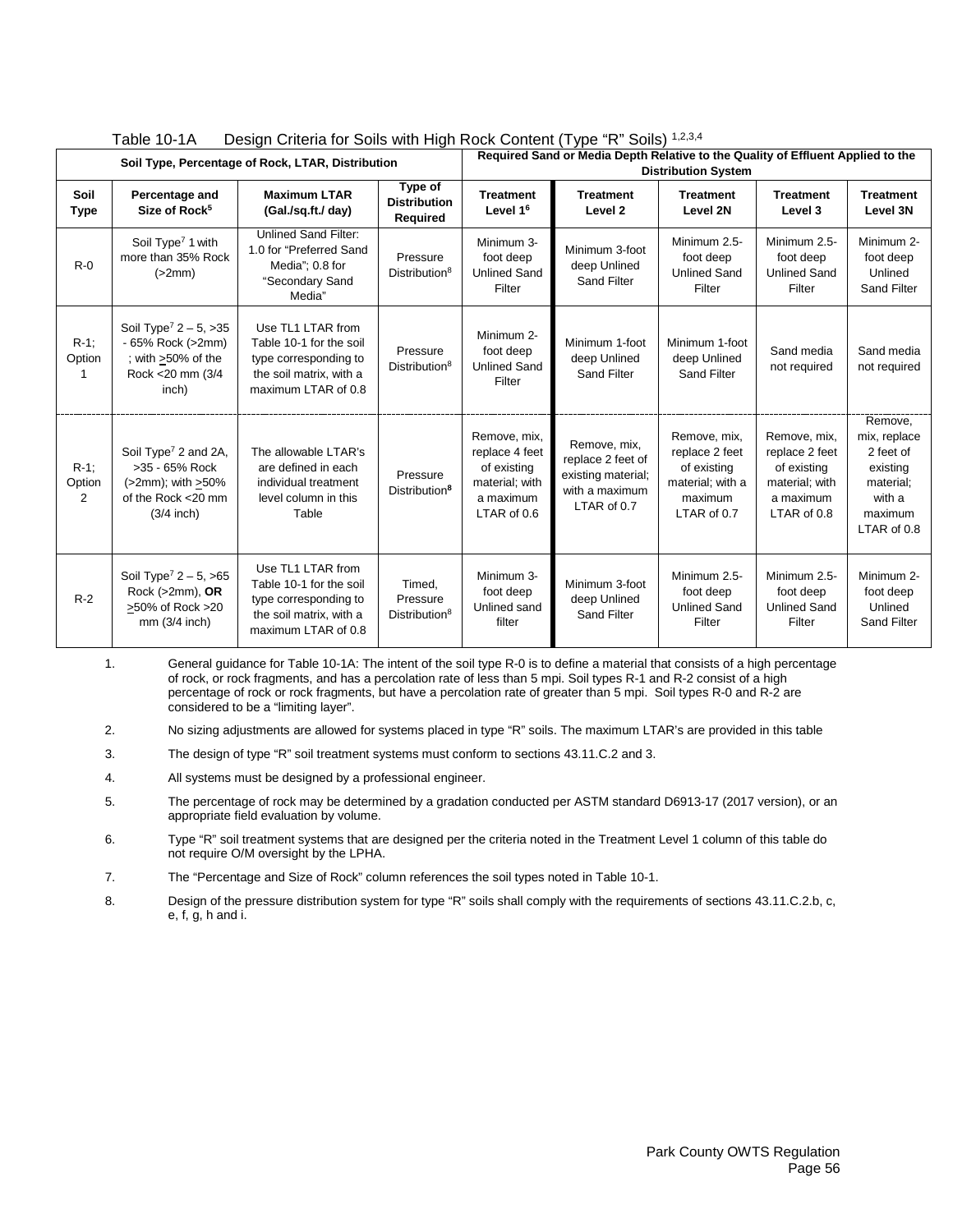|                        | $I$ avic $I$ v- $I$ n<br><b>Design Chilena for Solis With Fight NOCK Content (Type TV Solis)</b><br>Soil Type, Percentage of Rock, LTAR, Distribution |                                                                                                                         |                                                 |                                                                                             | Required Sand or Media Depth Relative to the Quality of Effluent Applied to the          | <b>Distribution System</b>                                                                  |                                                                                             |                                                                                                   |
|------------------------|-------------------------------------------------------------------------------------------------------------------------------------------------------|-------------------------------------------------------------------------------------------------------------------------|-------------------------------------------------|---------------------------------------------------------------------------------------------|------------------------------------------------------------------------------------------|---------------------------------------------------------------------------------------------|---------------------------------------------------------------------------------------------|---------------------------------------------------------------------------------------------------|
| Soil<br><b>Type</b>    | Percentage and<br>Size of Rock <sup>5</sup>                                                                                                           | <b>Maximum LTAR</b><br>(Gal./sq.ft./ day)                                                                               | Type of<br><b>Distribution</b><br>Required      | <b>Treatment</b><br>Level 1 <sup>6</sup>                                                    | <b>Treatment</b><br>Level <sub>2</sub>                                                   | <b>Treatment</b><br>Level 2N                                                                | <b>Treatment</b><br>Level 3                                                                 | <b>Treatment</b><br>Level 3N                                                                      |
| $R-0$                  | Soil Type <sup>7</sup> 1 with<br>more than 35% Rock<br>(>2mm)                                                                                         | <b>Unlined Sand Filter:</b><br>1.0 for "Preferred Sand<br>Media": 0.8 for<br>"Secondary Sand<br>Media"                  | Pressure<br>Distribution <sup>8</sup>           | Minimum 3-<br>foot deep<br><b>Unlined Sand</b><br>Filter                                    | Minimum 3-foot<br>deep Unlined<br><b>Sand Filter</b>                                     | Minimum 2.5-<br>foot deep<br><b>Unlined Sand</b><br>Filter                                  | Minimum 2.5-<br>foot deep<br><b>Unlined Sand</b><br>Filter                                  | Minimum 2-<br>foot deep<br>Unlined<br><b>Sand Filter</b>                                          |
| $R-1$ ;<br>Option      | Soil Type <sup>7</sup> $2 - 5$ , $>35$<br>- 65% Rock (>2mm)<br>: with >50% of the<br>Rock < 20 mm (3/4<br>inch)                                       | Use TL1 LTAR from<br>Table 10-1 for the soil<br>type corresponding to<br>the soil matrix, with a<br>maximum LTAR of 0.8 | Pressure<br>Distribution <sup>8</sup>           | Minimum 2-<br>foot deep<br><b>Unlined Sand</b><br>Filter                                    | Minimum 1-foot<br>deep Unlined<br><b>Sand Filter</b>                                     | Minimum 1-foot<br>deep Unlined<br>Sand Filter                                               | Sand media<br>not required                                                                  | Sand media<br>not required                                                                        |
| $R-1$ ;<br>Option<br>2 | Soil Type <sup>7</sup> 2 and 2A,<br>>35 - 65% Rock<br>(>2mm); with >50%<br>of the Rock <20 mm<br>$(3/4$ inch)                                         | The allowable LTAR's<br>are defined in each<br>individual treatment<br>level column in this<br>Table                    | Pressure<br>Distribution <sup>8</sup>           | Remove, mix,<br>replace 4 feet<br>of existing<br>material; with<br>a maximum<br>LTAR of 0.6 | Remove, mix,<br>replace 2 feet of<br>existing material;<br>with a maximum<br>LTAR of 0.7 | Remove, mix,<br>replace 2 feet<br>of existing<br>material; with a<br>maximum<br>LTAR of 0.7 | Remove, mix,<br>replace 2 feet<br>of existing<br>material; with<br>a maximum<br>LTAR of 0.8 | Remove,<br>mix, replace<br>2 feet of<br>existing<br>material;<br>with a<br>maximum<br>LTAR of 0.8 |
| $R-2$                  | Soil Type <sup>7</sup> $2 - 5$ , >65<br>Rock $(>2mm)$ , OR<br>>50% of Rock >20<br>$mm(3/4$ inch)                                                      | Use TL1 LTAR from<br>Table 10-1 for the soil<br>type corresponding to<br>the soil matrix, with a<br>maximum LTAR of 0.8 | Timed,<br>Pressure<br>Distribution <sup>8</sup> | Minimum 3-<br>foot deep<br>Unlined sand<br>filter                                           | Minimum 3-foot<br>deep Unlined<br>Sand Filter                                            | Minimum 2.5-<br>foot deep<br><b>Unlined Sand</b><br>Filter                                  | Minimum 2.5-<br>foot deep<br><b>Unlined Sand</b><br>Filter                                  | Minimum 2-<br>foot deep<br>Unlined<br><b>Sand Filter</b>                                          |

| Design Criteria for Soils with High Rock Content (Type "R" Soils) 1,2,3,4 | Table 10-1A |  |  |  |  |
|---------------------------------------------------------------------------|-------------|--|--|--|--|
|---------------------------------------------------------------------------|-------------|--|--|--|--|

1. General guidance for Table 10-1A: The intent of the soil type R-0 is to define a material that consists of a high percentage of rock, or rock fragments, and has a percolation rate of less than 5 mpi. Soil types R-1 and R-2 consist of a high percentage of rock or rock fragments, but have a percolation rate of greater than 5 mpi. Soil types R-0 and R-2 are considered to be a "limiting layer".

2. No sizing adjustments are allowed for systems placed in type "R" soils. The maximum LTAR's are provided in this table

- 3. The design of type "R" soil treatment systems must conform to sections 43.11.C.2 and 3.
- 4. All systems must be designed by a professional engineer.
- 5. The percentage of rock may be determined by a gradation conducted per ASTM standard D6913-17 (2017 version), or an appropriate field evaluation by volume.
- 6. Type "R" soil treatment systems that are designed per the criteria noted in the Treatment Level 1 column of this table do not require O/M oversight by the LPHA.

7. The "Percentage and Size of Rock" column references the soil types noted in Table 10-1.

8. Design of the pressure distribution system for type "R" soils shall comply with the requirements of sections 43.11.C.2.b, c, e, f, g, h and i.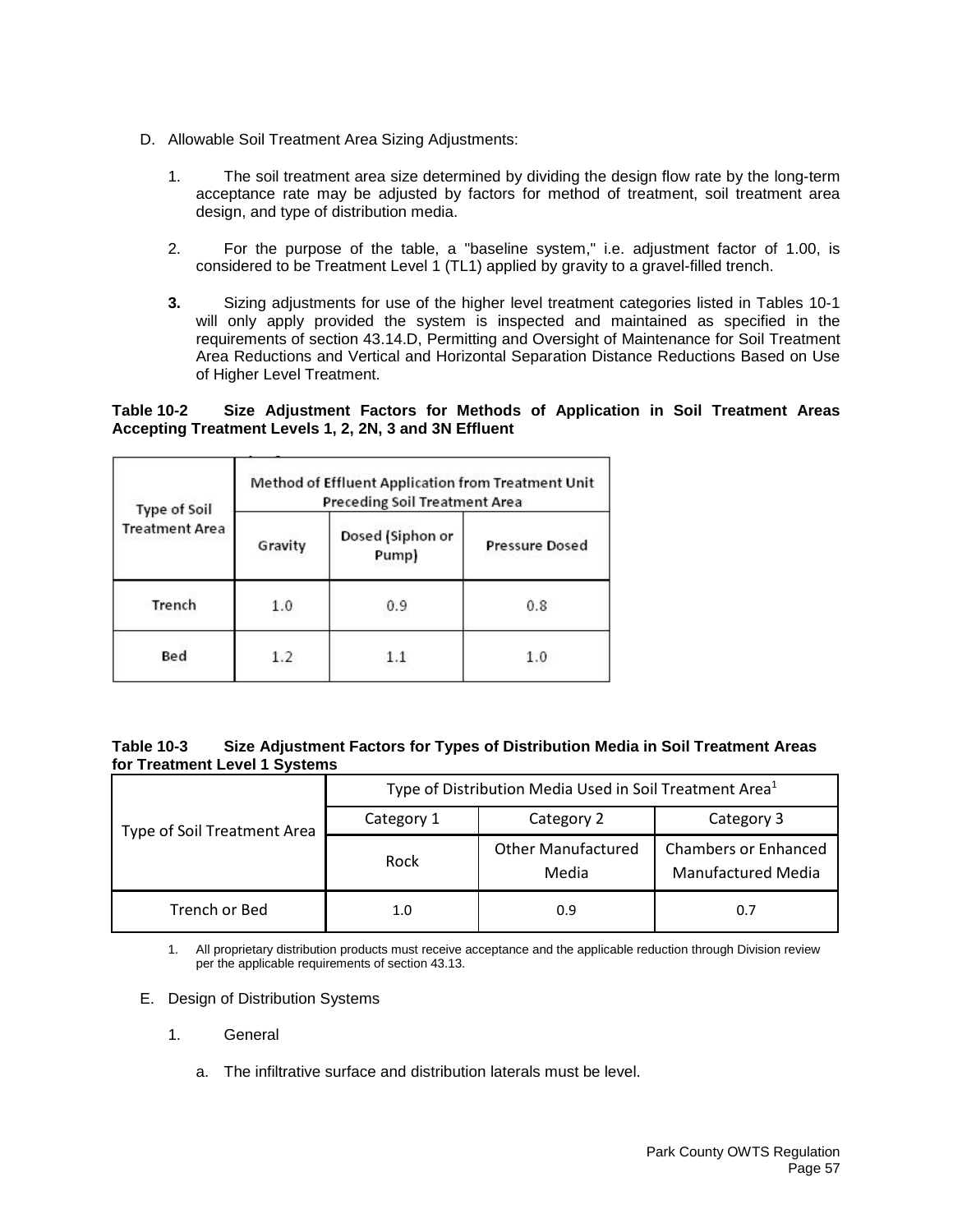- D. Allowable Soil Treatment Area Sizing Adjustments:
	- 1. The soil treatment area size determined by dividing the design flow rate by the long-term acceptance rate may be adjusted by factors for method of treatment, soil treatment area design, and type of distribution media.
	- 2. For the purpose of the table, a "baseline system," i.e. adjustment factor of 1.00, is considered to be Treatment Level 1 (TL1) applied by gravity to a gravel-filled trench.
	- **3.** Sizing adjustments for use of the higher level treatment categories listed in Tables 10-1 will only apply provided the system is inspected and maintained as specified in the requirements of section 43.14.D, Permitting and Oversight of Maintenance for Soil Treatment Area Reductions and Vertical and Horizontal Separation Distance Reductions Based on Use of Higher Level Treatment.

# **Table 10-2 Size Adjustment Factors for Methods of Application in Soil Treatment Areas Accepting Treatment Levels 1, 2, 2N, 3 and 3N Effluent**

| Type of Soil          | Method of Effluent Application from Treatment Unit<br>Preceding Soil Treatment Area |                           |                       |  |
|-----------------------|-------------------------------------------------------------------------------------|---------------------------|-----------------------|--|
| <b>Treatment Area</b> | Gravity                                                                             | Dosed (Siphon or<br>Pump) | <b>Pressure Dosed</b> |  |
| Trench                | 1.0                                                                                 | 0.9                       | 0.8                   |  |
| Bed                   | 1.2                                                                                 | 11                        | 1.0                   |  |

### **Table 10-3 Size Adjustment Factors for Types of Distribution Media in Soil Treatment Areas for Treatment Level 1 Systems**

| Type of Soil Treatment Area | Type of Distribution Media Used in Soil Treatment Area <sup>1</sup> |                                    |                                                   |  |
|-----------------------------|---------------------------------------------------------------------|------------------------------------|---------------------------------------------------|--|
|                             | Category 1                                                          | Category 2                         | Category 3                                        |  |
|                             | Rock                                                                | <b>Other Manufactured</b><br>Media | <b>Chambers or Enhanced</b><br>Manufactured Media |  |
| Trench or Bed               | 1.0                                                                 | 0.9                                | 0.7                                               |  |

1. All proprietary distribution products must receive acceptance and the applicable reduction through Division review per the applicable requirements of section 43.13.

- E. Design of Distribution Systems
	- 1. General
		- a. The infiltrative surface and distribution laterals must be level.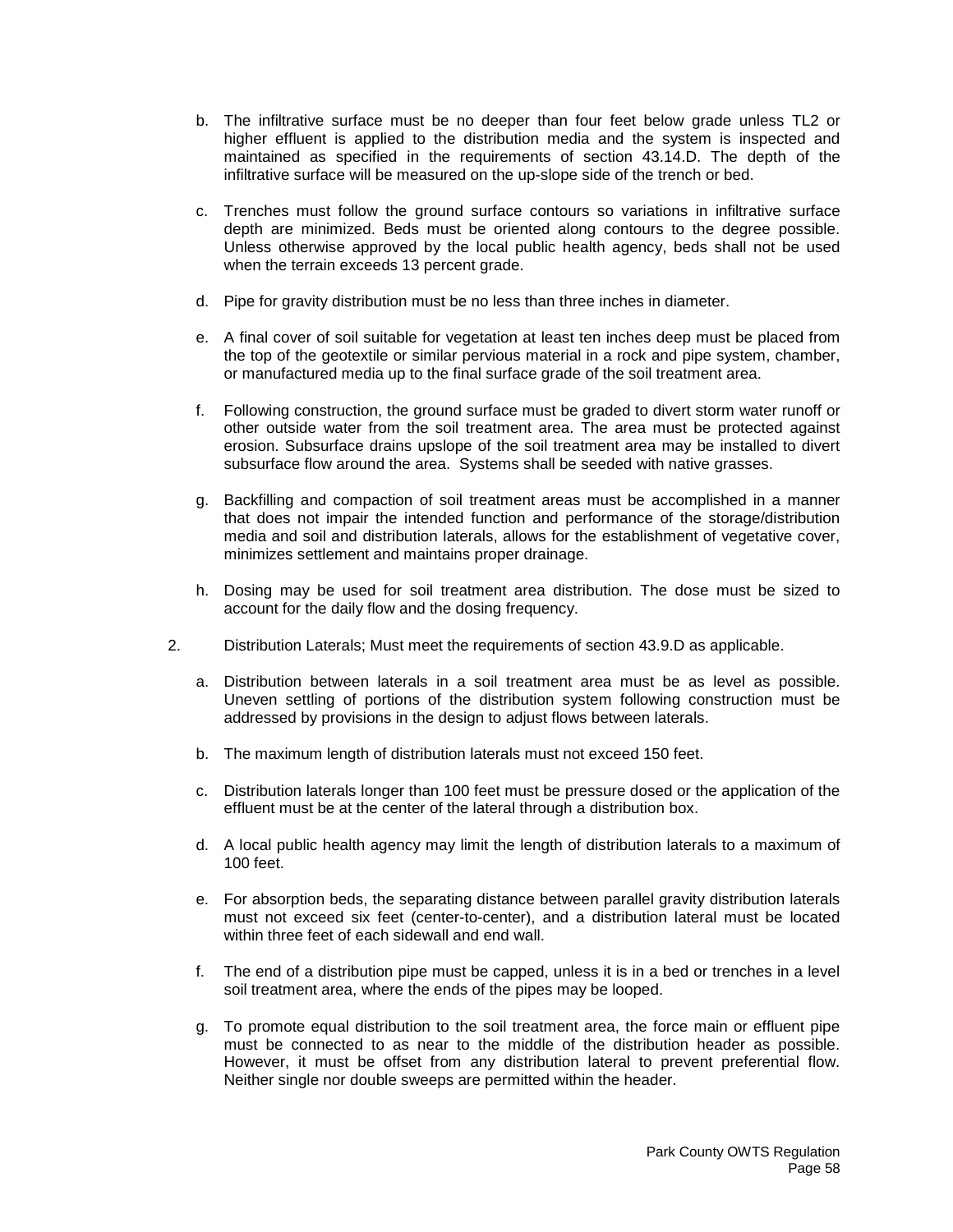- b. The infiltrative surface must be no deeper than four feet below grade unless TL2 or higher effluent is applied to the distribution media and the system is inspected and maintained as specified in the requirements of section 43.14.D. The depth of the infiltrative surface will be measured on the up-slope side of the trench or bed.
- c. Trenches must follow the ground surface contours so variations in infiltrative surface depth are minimized. Beds must be oriented along contours to the degree possible. Unless otherwise approved by the local public health agency, beds shall not be used when the terrain exceeds 13 percent grade.
- d. Pipe for gravity distribution must be no less than three inches in diameter.
- e. A final cover of soil suitable for vegetation at least ten inches deep must be placed from the top of the geotextile or similar pervious material in a rock and pipe system, chamber, or manufactured media up to the final surface grade of the soil treatment area.
- f. Following construction, the ground surface must be graded to divert storm water runoff or other outside water from the soil treatment area. The area must be protected against erosion. Subsurface drains upslope of the soil treatment area may be installed to divert subsurface flow around the area. Systems shall be seeded with native grasses.
- g. Backfilling and compaction of soil treatment areas must be accomplished in a manner that does not impair the intended function and performance of the storage/distribution media and soil and distribution laterals, allows for the establishment of vegetative cover, minimizes settlement and maintains proper drainage.
- h. Dosing may be used for soil treatment area distribution. The dose must be sized to account for the daily flow and the dosing frequency.
- 2. Distribution Laterals; Must meet the requirements of section 43.9.D as applicable.
	- a. Distribution between laterals in a soil treatment area must be as level as possible. Uneven settling of portions of the distribution system following construction must be addressed by provisions in the design to adjust flows between laterals.
	- b. The maximum length of distribution laterals must not exceed 150 feet.
	- c. Distribution laterals longer than 100 feet must be pressure dosed or the application of the effluent must be at the center of the lateral through a distribution box.
	- d. A local public health agency may limit the length of distribution laterals to a maximum of 100 feet.
	- e. For absorption beds, the separating distance between parallel gravity distribution laterals must not exceed six feet (center-to-center), and a distribution lateral must be located within three feet of each sidewall and end wall.
	- f. The end of a distribution pipe must be capped, unless it is in a bed or trenches in a level soil treatment area, where the ends of the pipes may be looped.
	- g. To promote equal distribution to the soil treatment area, the force main or effluent pipe must be connected to as near to the middle of the distribution header as possible. However, it must be offset from any distribution lateral to prevent preferential flow. Neither single nor double sweeps are permitted within the header.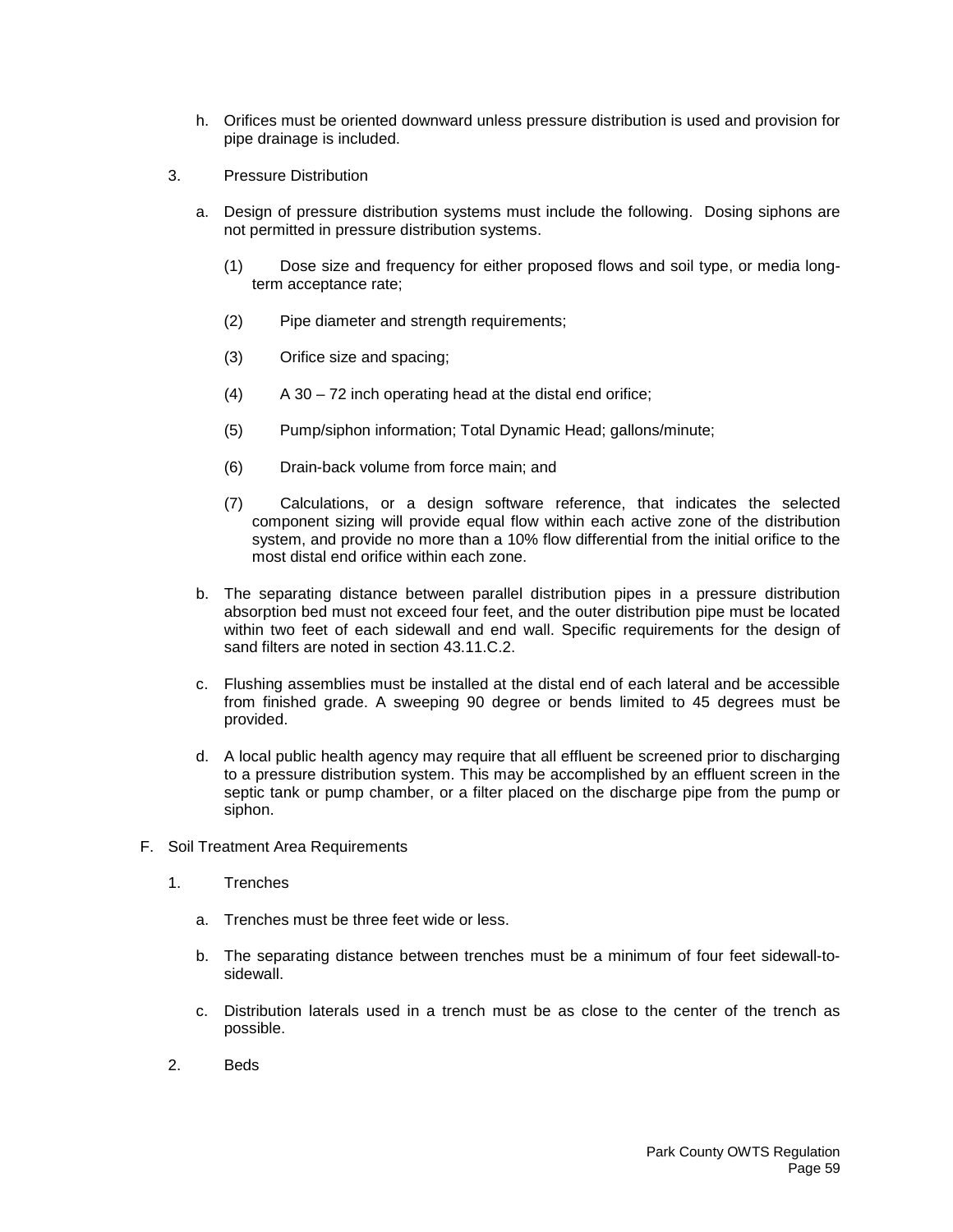- h. Orifices must be oriented downward unless pressure distribution is used and provision for pipe drainage is included.
- 3. Pressure Distribution
	- a. Design of pressure distribution systems must include the following. Dosing siphons are not permitted in pressure distribution systems.
		- (1) Dose size and frequency for either proposed flows and soil type, or media longterm acceptance rate;
		- (2) Pipe diameter and strength requirements;
		- (3) Orifice size and spacing;
		- $(A)$  A 30 72 inch operating head at the distal end orifice;
		- (5) Pump/siphon information; Total Dynamic Head; gallons/minute;
		- (6) Drain-back volume from force main; and
		- (7) Calculations, or a design software reference, that indicates the selected component sizing will provide equal flow within each active zone of the distribution system, and provide no more than a 10% flow differential from the initial orifice to the most distal end orifice within each zone.
	- b. The separating distance between parallel distribution pipes in a pressure distribution absorption bed must not exceed four feet, and the outer distribution pipe must be located within two feet of each sidewall and end wall. Specific requirements for the design of sand filters are noted in section 43.11.C.2.
	- c. Flushing assemblies must be installed at the distal end of each lateral and be accessible from finished grade. A sweeping 90 degree or bends limited to 45 degrees must be provided.
	- d. A local public health agency may require that all effluent be screened prior to discharging to a pressure distribution system. This may be accomplished by an effluent screen in the septic tank or pump chamber, or a filter placed on the discharge pipe from the pump or siphon.
- F. Soil Treatment Area Requirements
	- 1. Trenches
		- a. Trenches must be three feet wide or less.
		- b. The separating distance between trenches must be a minimum of four feet sidewall-tosidewall.
		- c. Distribution laterals used in a trench must be as close to the center of the trench as possible.
	- 2. Beds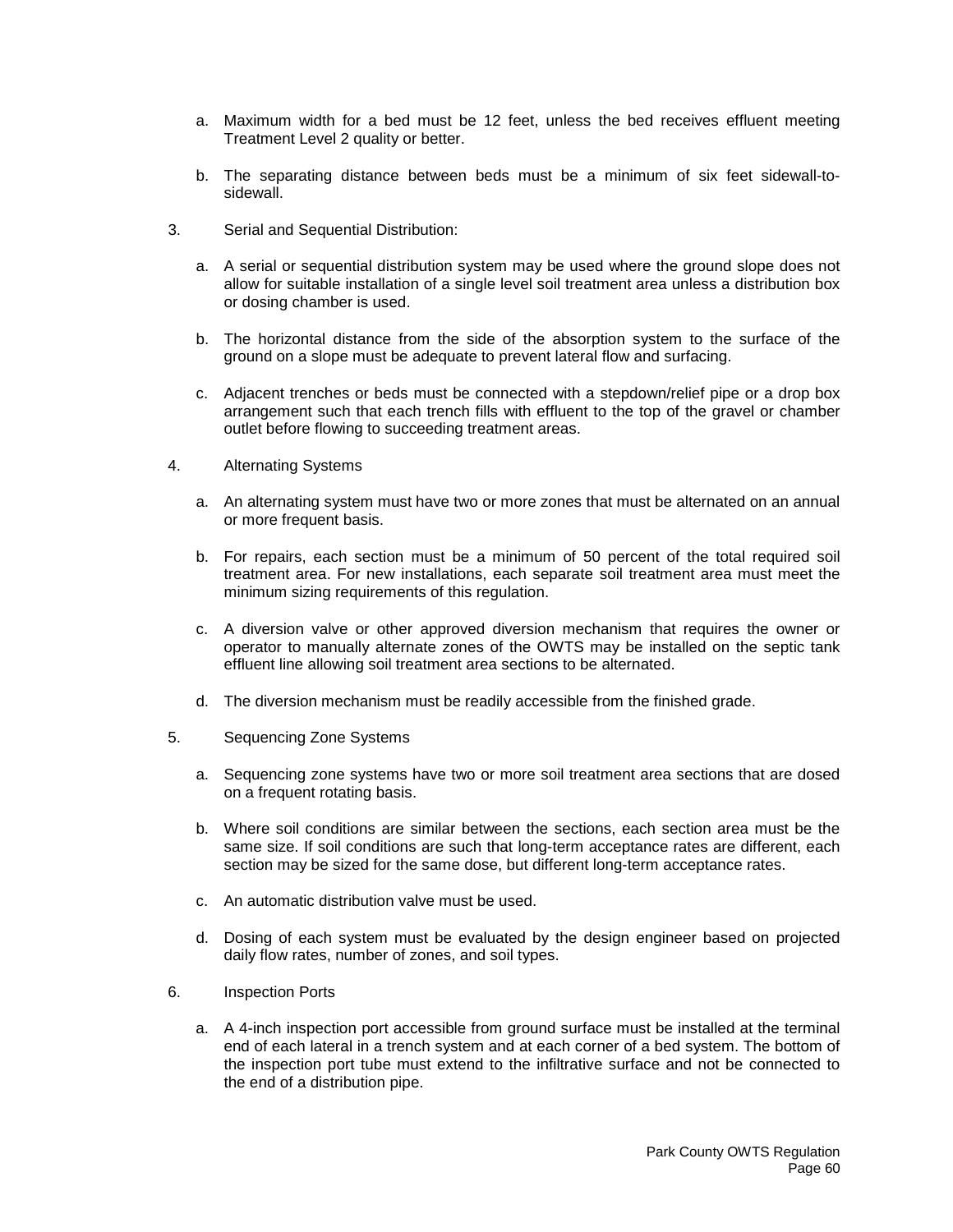- a. Maximum width for a bed must be 12 feet, unless the bed receives effluent meeting Treatment Level 2 quality or better.
- b. The separating distance between beds must be a minimum of six feet sidewall-tosidewall.
- 3. Serial and Sequential Distribution:
	- a. A serial or sequential distribution system may be used where the ground slope does not allow for suitable installation of a single level soil treatment area unless a distribution box or dosing chamber is used.
	- b. The horizontal distance from the side of the absorption system to the surface of the ground on a slope must be adequate to prevent lateral flow and surfacing.
	- c. Adjacent trenches or beds must be connected with a stepdown/relief pipe or a drop box arrangement such that each trench fills with effluent to the top of the gravel or chamber outlet before flowing to succeeding treatment areas.
- 4. Alternating Systems
	- a. An alternating system must have two or more zones that must be alternated on an annual or more frequent basis.
	- b. For repairs, each section must be a minimum of 50 percent of the total required soil treatment area. For new installations, each separate soil treatment area must meet the minimum sizing requirements of this regulation.
	- c. A diversion valve or other approved diversion mechanism that requires the owner or operator to manually alternate zones of the OWTS may be installed on the septic tank effluent line allowing soil treatment area sections to be alternated.
	- d. The diversion mechanism must be readily accessible from the finished grade.
- 5. Sequencing Zone Systems
	- a. Sequencing zone systems have two or more soil treatment area sections that are dosed on a frequent rotating basis.
	- b. Where soil conditions are similar between the sections, each section area must be the same size. If soil conditions are such that long-term acceptance rates are different, each section may be sized for the same dose, but different long-term acceptance rates.
	- c. An automatic distribution valve must be used.
	- d. Dosing of each system must be evaluated by the design engineer based on projected daily flow rates, number of zones, and soil types.
- 6. Inspection Ports
	- a. A 4-inch inspection port accessible from ground surface must be installed at the terminal end of each lateral in a trench system and at each corner of a bed system. The bottom of the inspection port tube must extend to the infiltrative surface and not be connected to the end of a distribution pipe.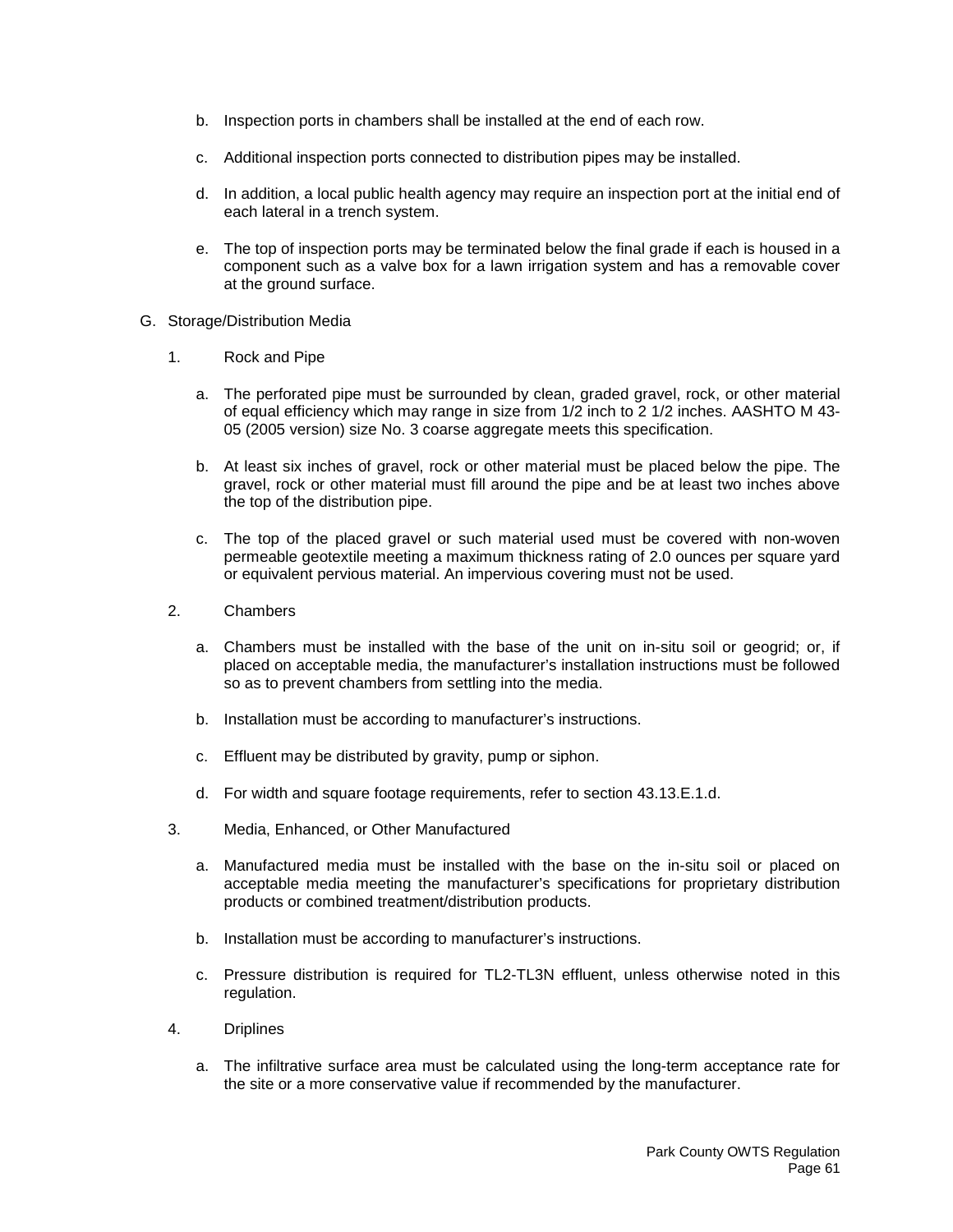- b. Inspection ports in chambers shall be installed at the end of each row.
- c. Additional inspection ports connected to distribution pipes may be installed.
- d. In addition, a local public health agency may require an inspection port at the initial end of each lateral in a trench system.
- e. The top of inspection ports may be terminated below the final grade if each is housed in a component such as a valve box for a lawn irrigation system and has a removable cover at the ground surface.
- G. Storage/Distribution Media
	- 1. Rock and Pipe
		- a. The perforated pipe must be surrounded by clean, graded gravel, rock, or other material of equal efficiency which may range in size from 1/2 inch to 2 1/2 inches. AASHTO M 43- 05 (2005 version) size No. 3 coarse aggregate meets this specification.
		- b. At least six inches of gravel, rock or other material must be placed below the pipe. The gravel, rock or other material must fill around the pipe and be at least two inches above the top of the distribution pipe.
		- c. The top of the placed gravel or such material used must be covered with non-woven permeable geotextile meeting a maximum thickness rating of 2.0 ounces per square yard or equivalent pervious material. An impervious covering must not be used.
	- 2. Chambers
		- a. Chambers must be installed with the base of the unit on in-situ soil or geogrid; or, if placed on acceptable media, the manufacturer's installation instructions must be followed so as to prevent chambers from settling into the media.
		- b. Installation must be according to manufacturer's instructions.
		- c. Effluent may be distributed by gravity, pump or siphon.
		- d. For width and square footage requirements, refer to section 43.13.E.1.d.
	- 3. Media, Enhanced, or Other Manufactured
		- a. Manufactured media must be installed with the base on the in-situ soil or placed on acceptable media meeting the manufacturer's specifications for proprietary distribution products or combined treatment/distribution products.
		- b. Installation must be according to manufacturer's instructions.
		- c. Pressure distribution is required for TL2-TL3N effluent, unless otherwise noted in this regulation.
	- 4. Driplines
		- a. The infiltrative surface area must be calculated using the long-term acceptance rate for the site or a more conservative value if recommended by the manufacturer.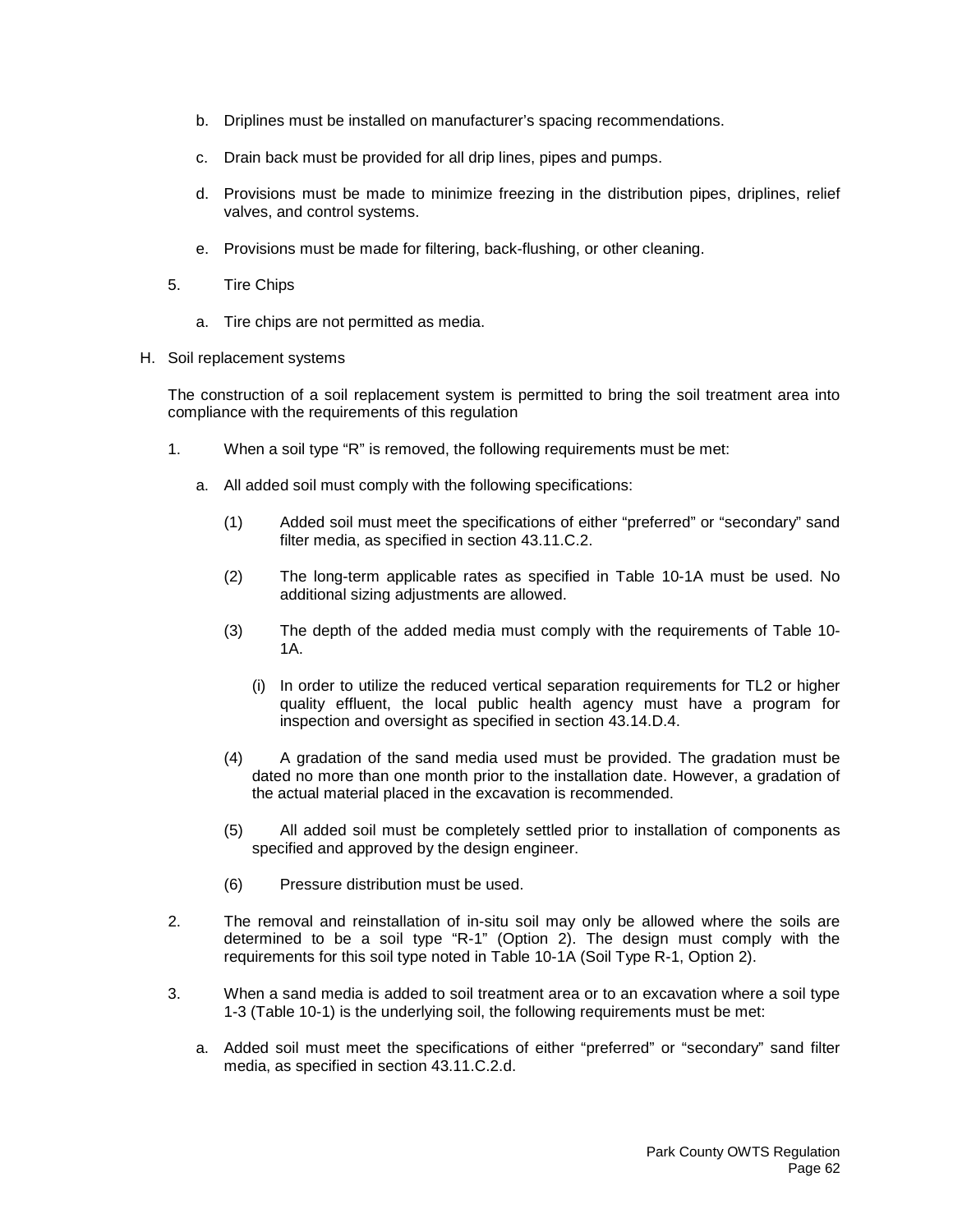- b. Driplines must be installed on manufacturer's spacing recommendations.
- c. Drain back must be provided for all drip lines, pipes and pumps.
- d. Provisions must be made to minimize freezing in the distribution pipes, driplines, relief valves, and control systems.
- e. Provisions must be made for filtering, back-flushing, or other cleaning.
- 5. Tire Chips
	- a. Tire chips are not permitted as media.
- H. Soil replacement systems

The construction of a soil replacement system is permitted to bring the soil treatment area into compliance with the requirements of this regulation

- 1. When a soil type "R" is removed, the following requirements must be met:
	- a. All added soil must comply with the following specifications:
		- (1) Added soil must meet the specifications of either "preferred" or "secondary" sand filter media, as specified in section 43.11.C.2.
		- (2) The long-term applicable rates as specified in Table 10-1A must be used. No additional sizing adjustments are allowed.
		- (3) The depth of the added media must comply with the requirements of Table 10- 1A.
			- (i) In order to utilize the reduced vertical separation requirements for TL2 or higher quality effluent, the local public health agency must have a program for inspection and oversight as specified in section 43.14.D.4.
		- (4) A gradation of the sand media used must be provided. The gradation must be dated no more than one month prior to the installation date. However, a gradation of the actual material placed in the excavation is recommended.
		- (5) All added soil must be completely settled prior to installation of components as specified and approved by the design engineer.
		- (6) Pressure distribution must be used.
- 2. The removal and reinstallation of in-situ soil may only be allowed where the soils are determined to be a soil type "R-1" (Option 2). The design must comply with the requirements for this soil type noted in Table 10-1A (Soil Type R-1, Option 2).
- 3. When a sand media is added to soil treatment area or to an excavation where a soil type 1-3 (Table 10-1) is the underlying soil, the following requirements must be met:
	- a. Added soil must meet the specifications of either "preferred" or "secondary" sand filter media, as specified in section 43.11.C.2.d.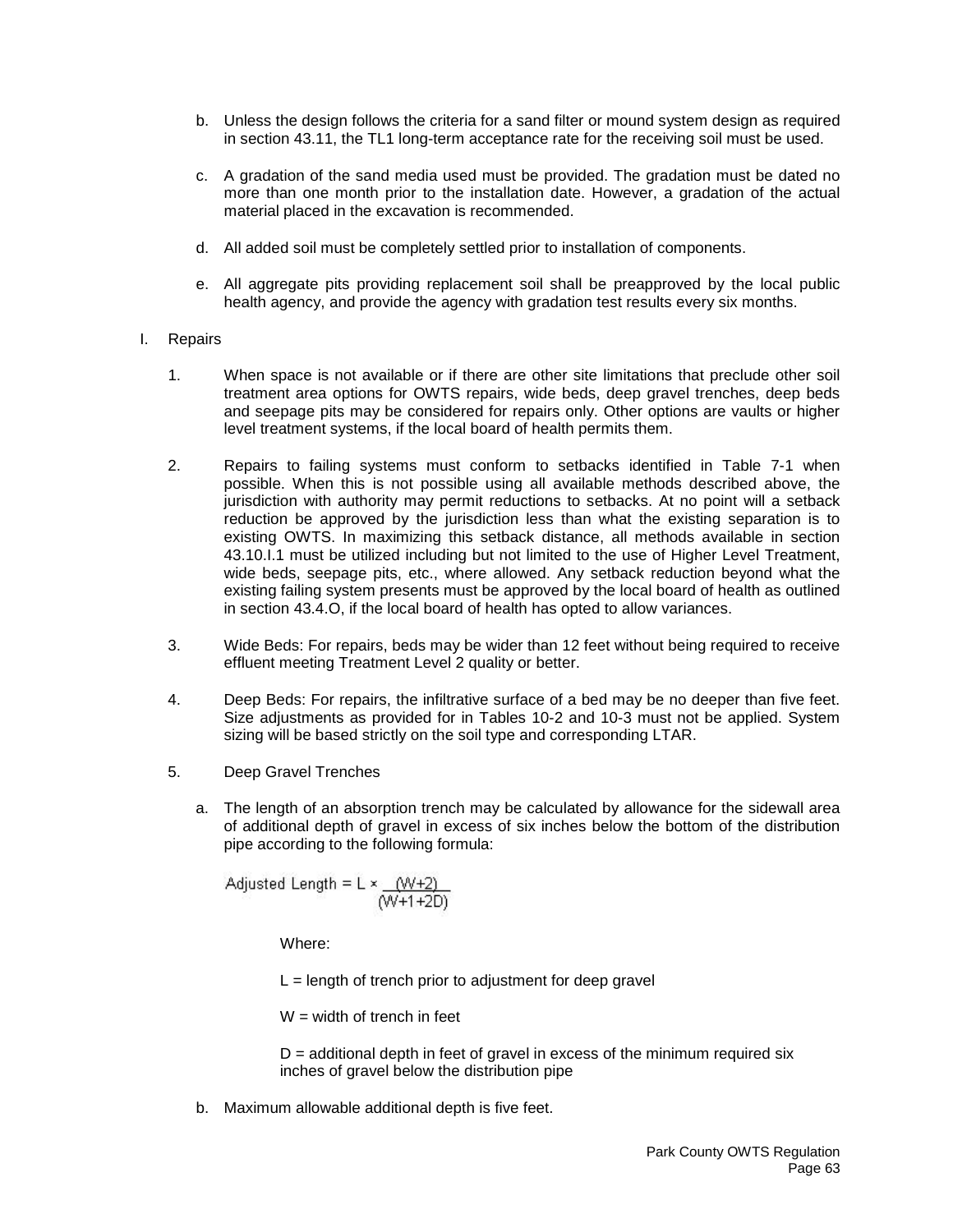- b. Unless the design follows the criteria for a sand filter or mound system design as required in section 43.11, the TL1 long-term acceptance rate for the receiving soil must be used.
- c. A gradation of the sand media used must be provided. The gradation must be dated no more than one month prior to the installation date. However, a gradation of the actual material placed in the excavation is recommended.
- d. All added soil must be completely settled prior to installation of components.
- e. All aggregate pits providing replacement soil shall be preapproved by the local public health agency, and provide the agency with gradation test results every six months.
- I. Repairs
	- 1. When space is not available or if there are other site limitations that preclude other soil treatment area options for OWTS repairs, wide beds, deep gravel trenches, deep beds and seepage pits may be considered for repairs only. Other options are vaults or higher level treatment systems, if the local board of health permits them.
	- 2. Repairs to failing systems must conform to setbacks identified in Table 7-1 when possible. When this is not possible using all available methods described above, the jurisdiction with authority may permit reductions to setbacks. At no point will a setback reduction be approved by the jurisdiction less than what the existing separation is to existing OWTS. In maximizing this setback distance, all methods available in section 43.10.I.1 must be utilized including but not limited to the use of Higher Level Treatment, wide beds, seepage pits, etc., where allowed. Any setback reduction beyond what the existing failing system presents must be approved by the local board of health as outlined in section 43.4.O, if the local board of health has opted to allow variances.
	- 3. Wide Beds: For repairs, beds may be wider than 12 feet without being required to receive effluent meeting Treatment Level 2 quality or better.
	- 4. Deep Beds: For repairs, the infiltrative surface of a bed may be no deeper than five feet. Size adjustments as provided for in Tables 10-2 and 10-3 must not be applied. System sizing will be based strictly on the soil type and corresponding LTAR.
	- 5. Deep Gravel Trenches
		- a. The length of an absorption trench may be calculated by allowance for the sidewall area of additional depth of gravel in excess of six inches below the bottom of the distribution pipe according to the following formula:

Adjusted Length = 
$$
L \times \frac{(W+2)}{(W+1+2D)}
$$

Where:

 $L =$  length of trench prior to adjustment for deep gravel

 $W =$  width of trench in feet

 $D =$  additional depth in feet of gravel in excess of the minimum required six inches of gravel below the distribution pipe

b. Maximum allowable additional depth is five feet.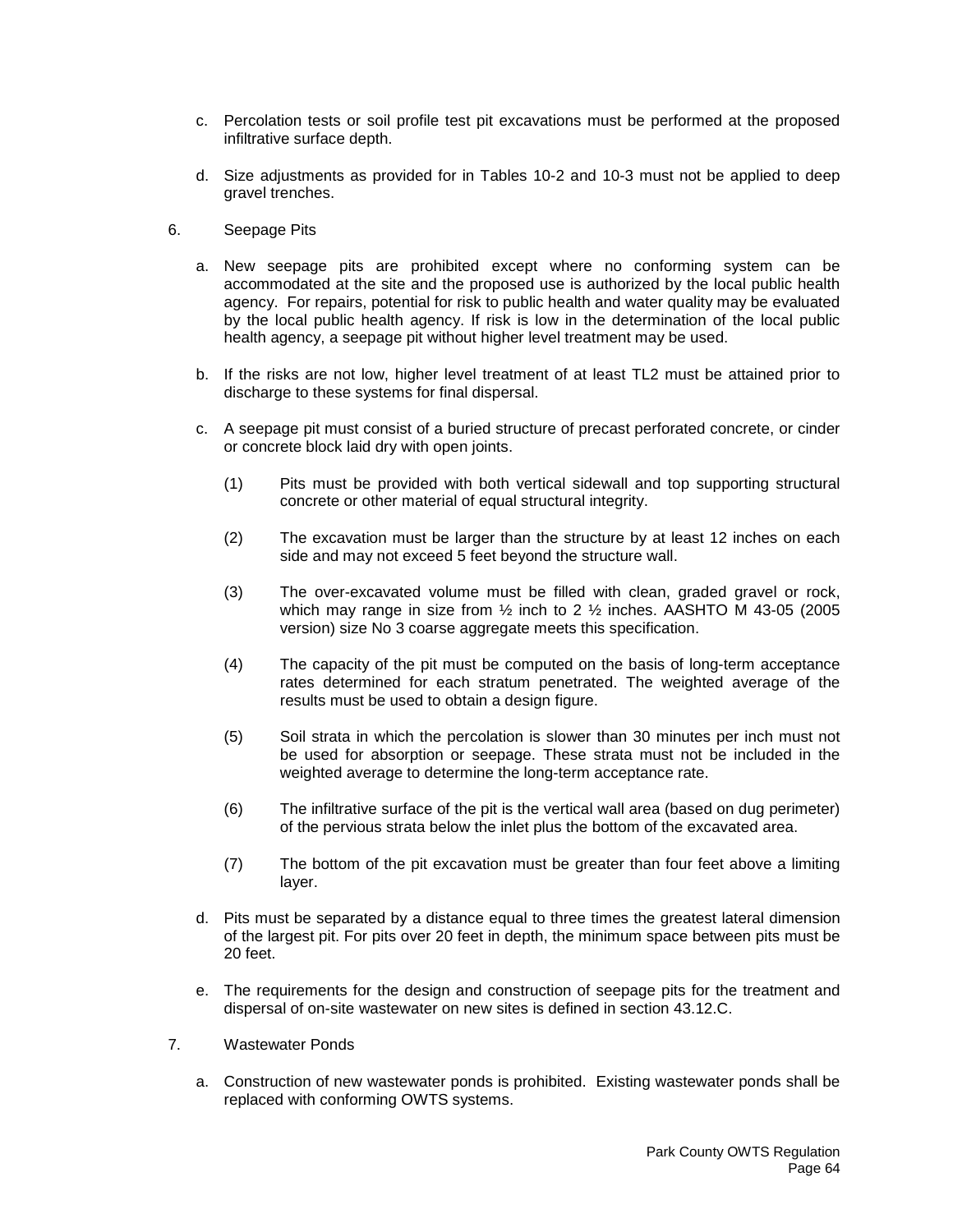- c. Percolation tests or soil profile test pit excavations must be performed at the proposed infiltrative surface depth.
- d. Size adjustments as provided for in Tables 10-2 and 10-3 must not be applied to deep gravel trenches.
- 6. Seepage Pits
	- a. New seepage pits are prohibited except where no conforming system can be accommodated at the site and the proposed use is authorized by the local public health agency. For repairs, potential for risk to public health and water quality may be evaluated by the local public health agency. If risk is low in the determination of the local public health agency, a seepage pit without higher level treatment may be used.
	- b. If the risks are not low, higher level treatment of at least TL2 must be attained prior to discharge to these systems for final dispersal.
	- c. A seepage pit must consist of a buried structure of precast perforated concrete, or cinder or concrete block laid dry with open joints.
		- (1) Pits must be provided with both vertical sidewall and top supporting structural concrete or other material of equal structural integrity.
		- (2) The excavation must be larger than the structure by at least 12 inches on each side and may not exceed 5 feet beyond the structure wall.
		- (3) The over-excavated volume must be filled with clean, graded gravel or rock, which may range in size from  $\frac{1}{2}$  inch to 2  $\frac{1}{2}$  inches. AASHTO M 43-05 (2005 version) size No 3 coarse aggregate meets this specification.
		- (4) The capacity of the pit must be computed on the basis of long-term acceptance rates determined for each stratum penetrated. The weighted average of the results must be used to obtain a design figure.
		- (5) Soil strata in which the percolation is slower than 30 minutes per inch must not be used for absorption or seepage. These strata must not be included in the weighted average to determine the long-term acceptance rate.
		- (6) The infiltrative surface of the pit is the vertical wall area (based on dug perimeter) of the pervious strata below the inlet plus the bottom of the excavated area.
		- (7) The bottom of the pit excavation must be greater than four feet above a limiting layer.
	- d. Pits must be separated by a distance equal to three times the greatest lateral dimension of the largest pit. For pits over 20 feet in depth, the minimum space between pits must be 20 feet.
	- e. The requirements for the design and construction of seepage pits for the treatment and dispersal of on-site wastewater on new sites is defined in section 43.12.C.
- 7. Wastewater Ponds
	- a. Construction of new wastewater ponds is prohibited. Existing wastewater ponds shall be replaced with conforming OWTS systems.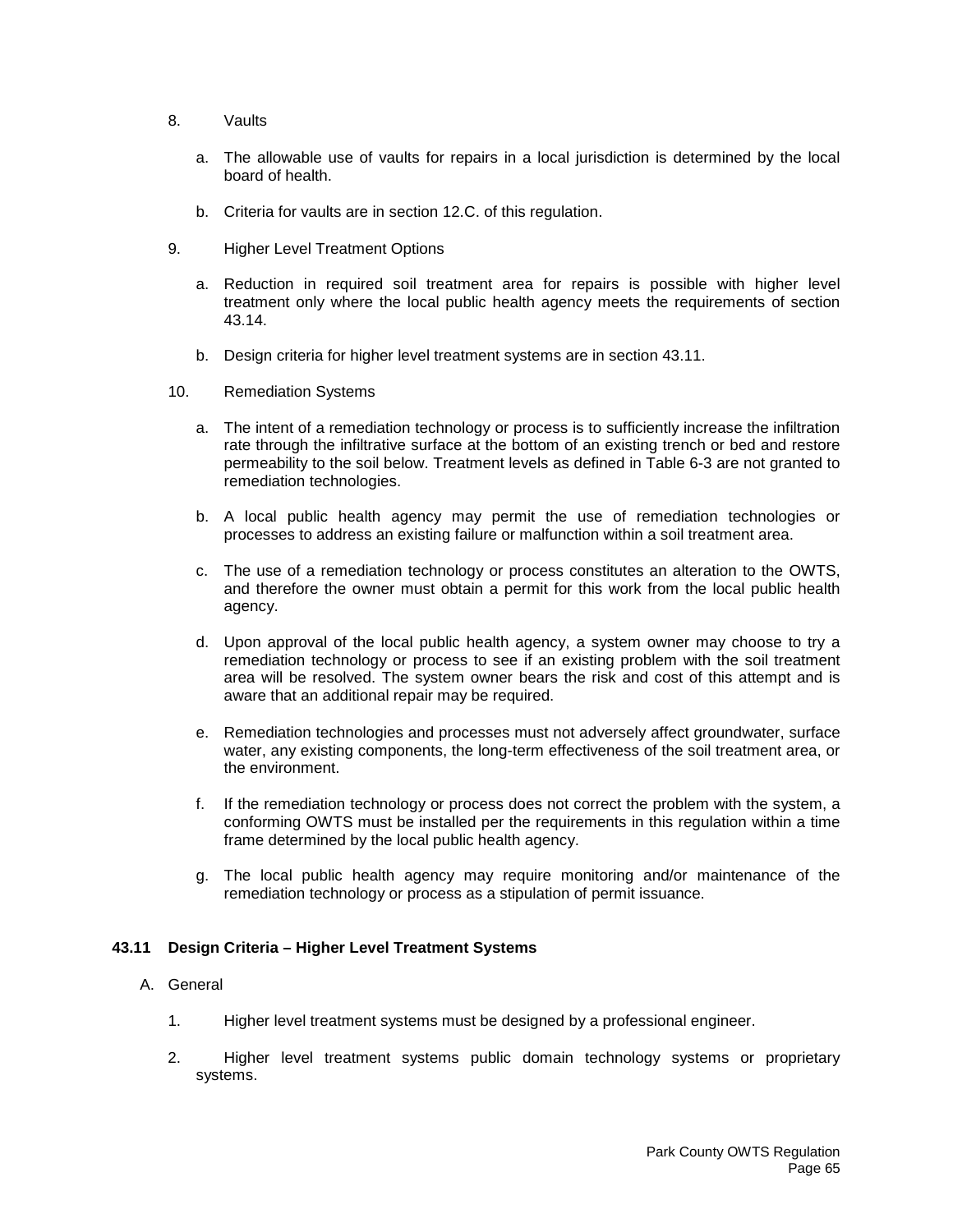- 8. Vaults
	- a. The allowable use of vaults for repairs in a local jurisdiction is determined by the local board of health.
	- b. Criteria for vaults are in section 12.C. of this regulation.
- 9. Higher Level Treatment Options
	- a. Reduction in required soil treatment area for repairs is possible with higher level treatment only where the local public health agency meets the requirements of section 43.14.
	- b. Design criteria for higher level treatment systems are in section 43.11.
- 10. Remediation Systems
	- a. The intent of a remediation technology or process is to sufficiently increase the infiltration rate through the infiltrative surface at the bottom of an existing trench or bed and restore permeability to the soil below. Treatment levels as defined in Table 6-3 are not granted to remediation technologies.
	- b. A local public health agency may permit the use of remediation technologies or processes to address an existing failure or malfunction within a soil treatment area.
	- c. The use of a remediation technology or process constitutes an alteration to the OWTS, and therefore the owner must obtain a permit for this work from the local public health agency.
	- d. Upon approval of the local public health agency, a system owner may choose to try a remediation technology or process to see if an existing problem with the soil treatment area will be resolved. The system owner bears the risk and cost of this attempt and is aware that an additional repair may be required.
	- e. Remediation technologies and processes must not adversely affect groundwater, surface water, any existing components, the long-term effectiveness of the soil treatment area, or the environment.
	- f. If the remediation technology or process does not correct the problem with the system, a conforming OWTS must be installed per the requirements in this regulation within a time frame determined by the local public health agency.
	- g. The local public health agency may require monitoring and/or maintenance of the remediation technology or process as a stipulation of permit issuance.

# **43.11 Design Criteria – Higher Level Treatment Systems**

# A. General

- 1. Higher level treatment systems must be designed by a professional engineer.
- 2. Higher level treatment systems public domain technology systems or proprietary systems.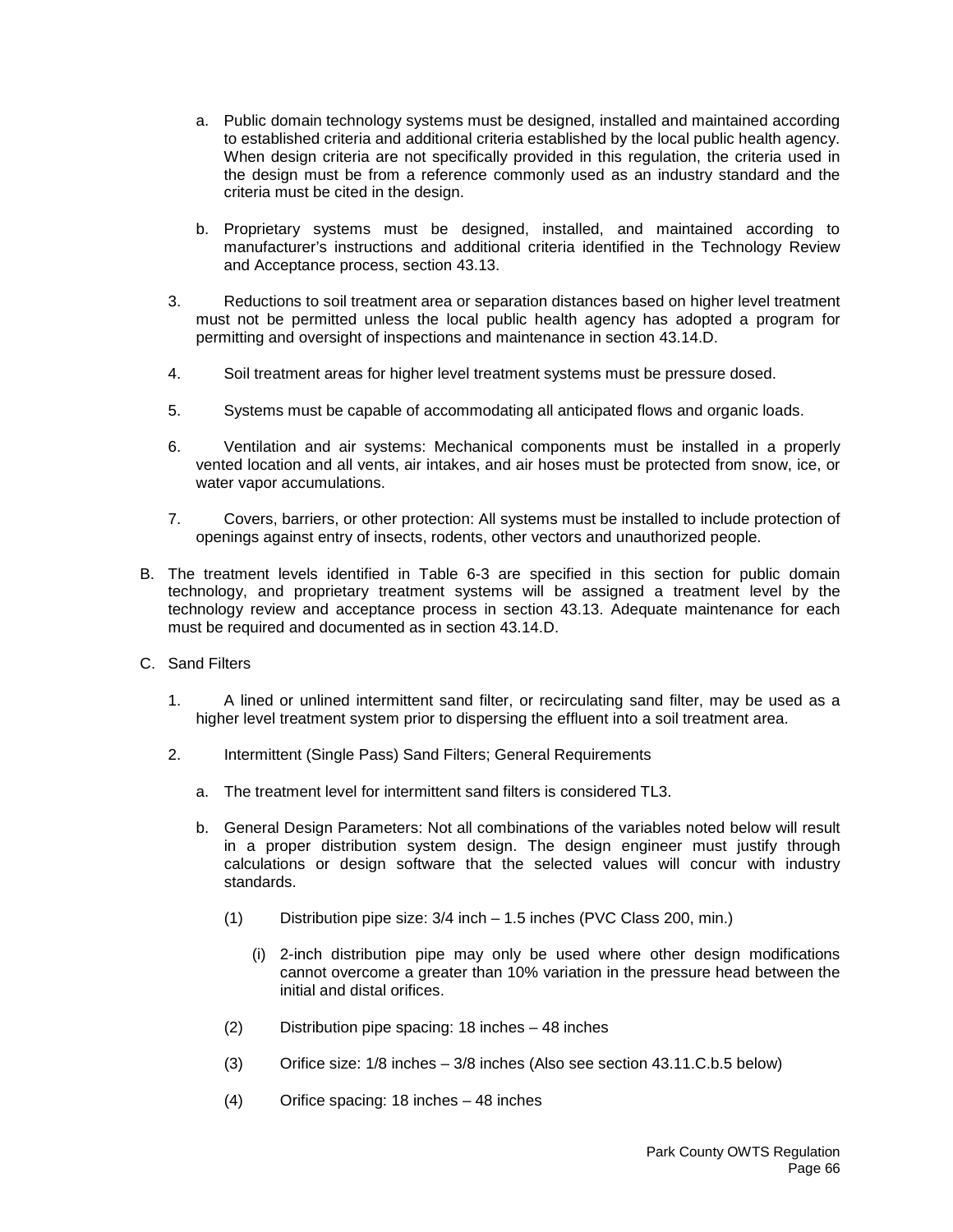- a. Public domain technology systems must be designed, installed and maintained according to established criteria and additional criteria established by the local public health agency. When design criteria are not specifically provided in this regulation, the criteria used in the design must be from a reference commonly used as an industry standard and the criteria must be cited in the design.
- b. Proprietary systems must be designed, installed, and maintained according to manufacturer's instructions and additional criteria identified in the Technology Review and Acceptance process, section 43.13.
- 3. Reductions to soil treatment area or separation distances based on higher level treatment must not be permitted unless the local public health agency has adopted a program for permitting and oversight of inspections and maintenance in section 43.14.D.
- 4. Soil treatment areas for higher level treatment systems must be pressure dosed.
- 5. Systems must be capable of accommodating all anticipated flows and organic loads.
- 6. Ventilation and air systems: Mechanical components must be installed in a properly vented location and all vents, air intakes, and air hoses must be protected from snow, ice, or water vapor accumulations.
- 7. Covers, barriers, or other protection: All systems must be installed to include protection of openings against entry of insects, rodents, other vectors and unauthorized people.
- B. The treatment levels identified in Table 6-3 are specified in this section for public domain technology, and proprietary treatment systems will be assigned a treatment level by the technology review and acceptance process in section 43.13. Adequate maintenance for each must be required and documented as in section 43.14.D.
- C. Sand Filters
	- 1. A lined or unlined intermittent sand filter, or recirculating sand filter, may be used as a higher level treatment system prior to dispersing the effluent into a soil treatment area.
	- 2. Intermittent (Single Pass) Sand Filters; General Requirements
		- a. The treatment level for intermittent sand filters is considered TL3.
		- b. General Design Parameters: Not all combinations of the variables noted below will result in a proper distribution system design. The design engineer must justify through calculations or design software that the selected values will concur with industry standards.
			- (1) Distribution pipe size: 3/4 inch 1.5 inches (PVC Class 200, min.)
				- (i) 2-inch distribution pipe may only be used where other design modifications cannot overcome a greater than 10% variation in the pressure head between the initial and distal orifices.
			- (2) Distribution pipe spacing: 18 inches 48 inches
			- (3) Orifice size: 1/8 inches 3/8 inches (Also see section 43.11.C.b.5 below)
			- (4) Orifice spacing: 18 inches 48 inches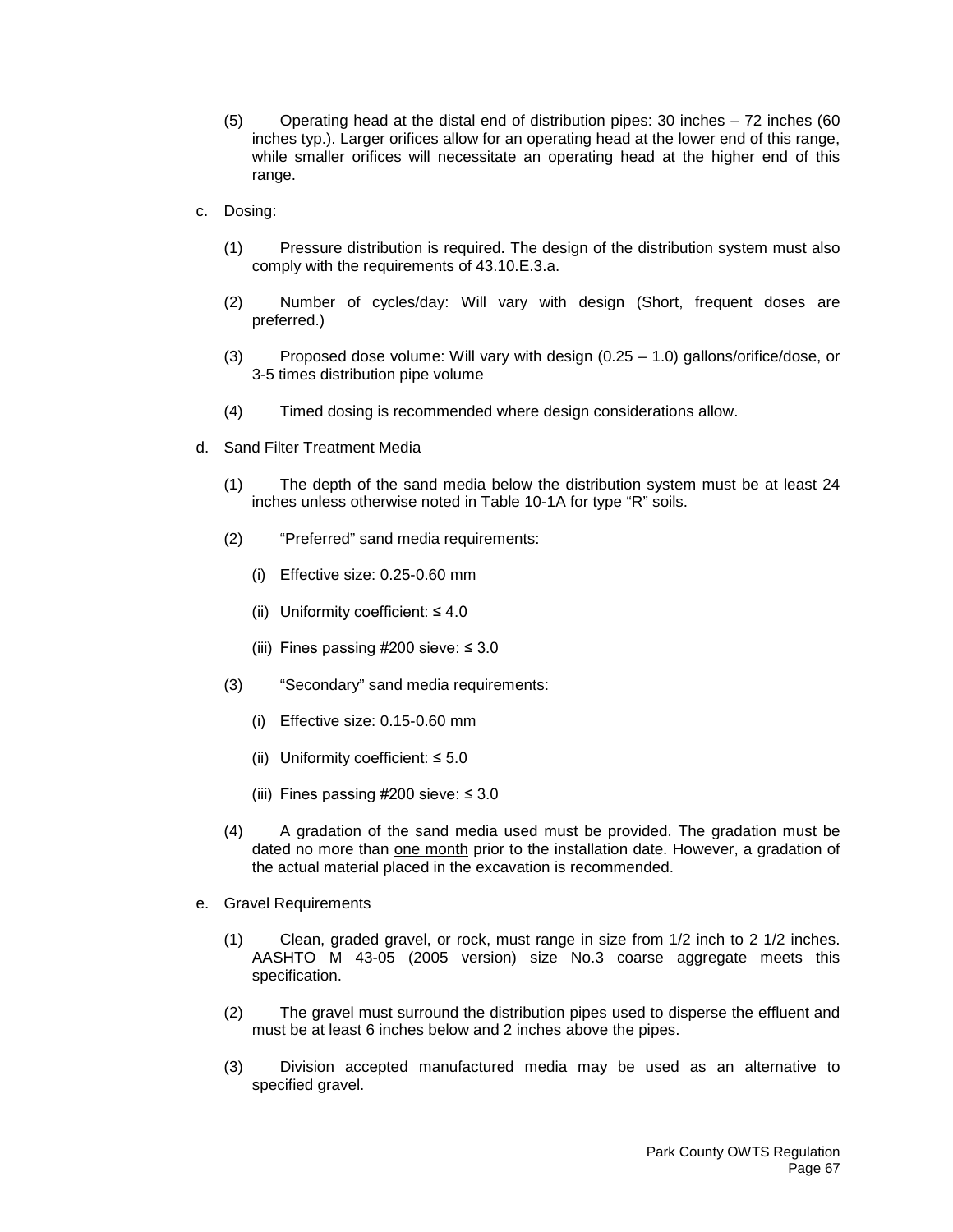- (5) Operating head at the distal end of distribution pipes: 30 inches 72 inches (60 inches typ.). Larger orifices allow for an operating head at the lower end of this range, while smaller orifices will necessitate an operating head at the higher end of this range.
- c. Dosing:
	- (1) Pressure distribution is required. The design of the distribution system must also comply with the requirements of 43.10.E.3.a.
	- (2) Number of cycles/day: Will vary with design (Short, frequent doses are preferred.)
	- (3) Proposed dose volume: Will vary with design (0.25 1.0) gallons/orifice/dose, or 3-5 times distribution pipe volume
	- (4) Timed dosing is recommended where design considerations allow.
- d. Sand Filter Treatment Media
	- (1) The depth of the sand media below the distribution system must be at least 24 inches unless otherwise noted in Table 10-1A for type "R" soils.
	- (2) "Preferred" sand media requirements:
		- (i) Effective size: 0.25-0.60 mm
		- (ii) Uniformity coefficient:  $\leq 4.0$
		- (iii) Fines passing  $\#200$  sieve:  $\leq 3.0$
	- (3) "Secondary" sand media requirements:
		- (i) Effective size: 0.15-0.60 mm
		- (ii) Uniformity coefficient:  $\leq 5.0$
		- (iii) Fines passing  $\#200$  sieve:  $\leq 3.0$
	- (4) A gradation of the sand media used must be provided. The gradation must be dated no more than one month prior to the installation date. However, a gradation of the actual material placed in the excavation is recommended.
- e. Gravel Requirements
	- (1) Clean, graded gravel, or rock, must range in size from 1/2 inch to 2 1/2 inches. AASHTO M 43-05 (2005 version) size No.3 coarse aggregate meets this specification.
	- (2) The gravel must surround the distribution pipes used to disperse the effluent and must be at least 6 inches below and 2 inches above the pipes.
	- (3) Division accepted manufactured media may be used as an alternative to specified gravel.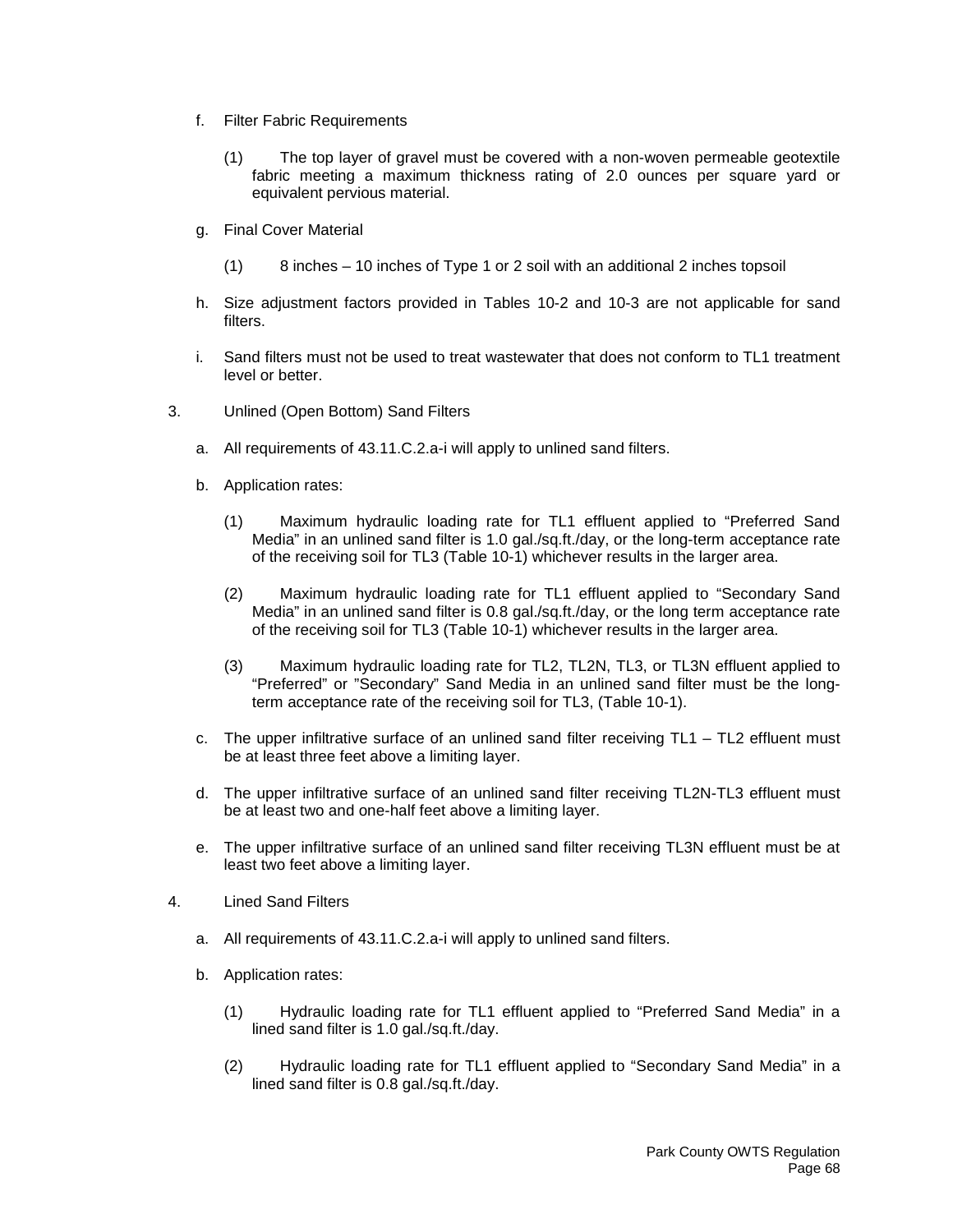- f. Filter Fabric Requirements
	- (1) The top layer of gravel must be covered with a non-woven permeable geotextile fabric meeting a maximum thickness rating of 2.0 ounces per square yard or equivalent pervious material.
- g. Final Cover Material
	- (1) 8 inches 10 inches of Type 1 or 2 soil with an additional 2 inches topsoil
- h. Size adjustment factors provided in Tables 10-2 and 10-3 are not applicable for sand filters.
- i. Sand filters must not be used to treat wastewater that does not conform to TL1 treatment level or better.
- 3. Unlined (Open Bottom) Sand Filters
	- a. All requirements of 43.11.C.2.a-i will apply to unlined sand filters.
	- b. Application rates:
		- (1) Maximum hydraulic loading rate for TL1 effluent applied to "Preferred Sand Media" in an unlined sand filter is 1.0 gal./sq.ft./day, or the long-term acceptance rate of the receiving soil for TL3 (Table 10-1) whichever results in the larger area.
		- (2) Maximum hydraulic loading rate for TL1 effluent applied to "Secondary Sand Media" in an unlined sand filter is 0.8 gal./sq.ft./day, or the long term acceptance rate of the receiving soil for TL3 (Table 10-1) whichever results in the larger area.
		- (3) Maximum hydraulic loading rate for TL2, TL2N, TL3, or TL3N effluent applied to "Preferred" or "Secondary" Sand Media in an unlined sand filter must be the longterm acceptance rate of the receiving soil for TL3, (Table 10-1).
	- c. The upper infiltrative surface of an unlined sand filter receiving  $TL1 TL2$  effluent must be at least three feet above a limiting layer.
	- d. The upper infiltrative surface of an unlined sand filter receiving TL2N-TL3 effluent must be at least two and one-half feet above a limiting layer.
	- e. The upper infiltrative surface of an unlined sand filter receiving TL3N effluent must be at least two feet above a limiting layer.
- 4. Lined Sand Filters
	- a. All requirements of 43.11.C.2.a-i will apply to unlined sand filters.
	- b. Application rates:
		- (1) Hydraulic loading rate for TL1 effluent applied to "Preferred Sand Media" in a lined sand filter is 1.0 gal./sq.ft./day.
		- (2) Hydraulic loading rate for TL1 effluent applied to "Secondary Sand Media" in a lined sand filter is 0.8 gal./sq.ft./day.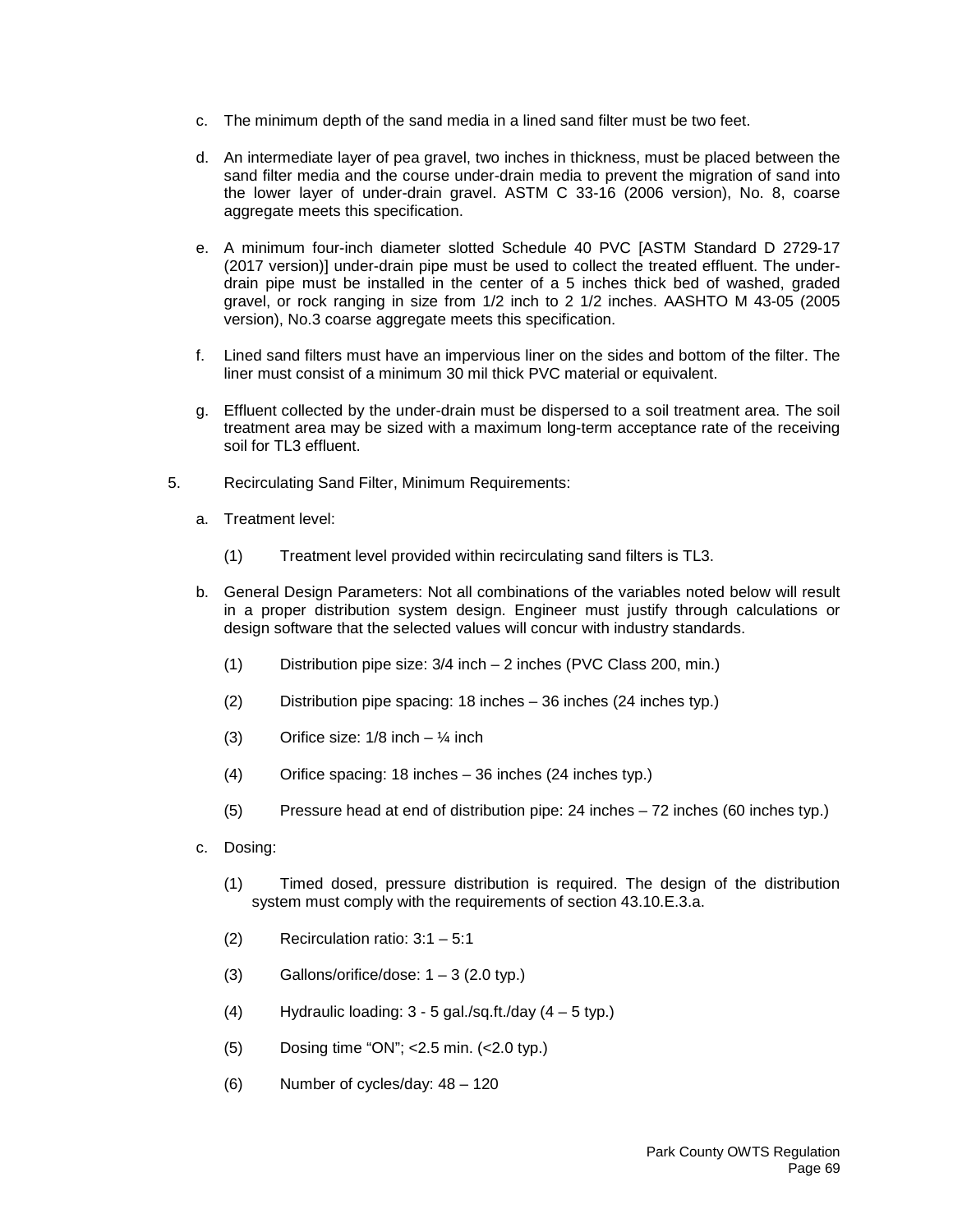- c. The minimum depth of the sand media in a lined sand filter must be two feet.
- d. An intermediate layer of pea gravel, two inches in thickness, must be placed between the sand filter media and the course under-drain media to prevent the migration of sand into the lower layer of under-drain gravel. ASTM C 33-16 (2006 version), No. 8, coarse aggregate meets this specification.
- e. A minimum four-inch diameter slotted Schedule 40 PVC [ASTM Standard D 2729-17 (2017 version)] under-drain pipe must be used to collect the treated effluent. The underdrain pipe must be installed in the center of a 5 inches thick bed of washed, graded gravel, or rock ranging in size from 1/2 inch to 2 1/2 inches. AASHTO M 43-05 (2005 version), No.3 coarse aggregate meets this specification.
- f. Lined sand filters must have an impervious liner on the sides and bottom of the filter. The liner must consist of a minimum 30 mil thick PVC material or equivalent.
- g. Effluent collected by the under-drain must be dispersed to a soil treatment area. The soil treatment area may be sized with a maximum long-term acceptance rate of the receiving soil for TL3 effluent.
- 5. Recirculating Sand Filter, Minimum Requirements:
	- a. Treatment level:
		- (1) Treatment level provided within recirculating sand filters is TL3.
	- b. General Design Parameters: Not all combinations of the variables noted below will result in a proper distribution system design. Engineer must justify through calculations or design software that the selected values will concur with industry standards.
		- (1) Distribution pipe size: 3/4 inch 2 inches (PVC Class 200, min.)
		- (2) Distribution pipe spacing: 18 inches 36 inches (24 inches typ.)
		- (3) Orifice size:  $1/8$  inch  $\frac{1}{4}$  inch
		- (4) Orifice spacing: 18 inches 36 inches (24 inches typ.)
		- (5) Pressure head at end of distribution pipe: 24 inches 72 inches (60 inches typ.)
	- c. Dosing:
		- (1) Timed dosed, pressure distribution is required. The design of the distribution system must comply with the requirements of section 43.10.E.3.a.
		- (2) Recirculation ratio: 3:1 5:1
		- (3) Gallons/orifice/dose:  $1 3$  (2.0 typ.)
		- (4) Hydraulic loading:  $3 5$  gal./sq.ft./day  $(4 5$  typ.)
		- (5) Dosing time "ON"; <2.5 min. (<2.0 typ.)
		- (6) Number of cycles/day: 48 120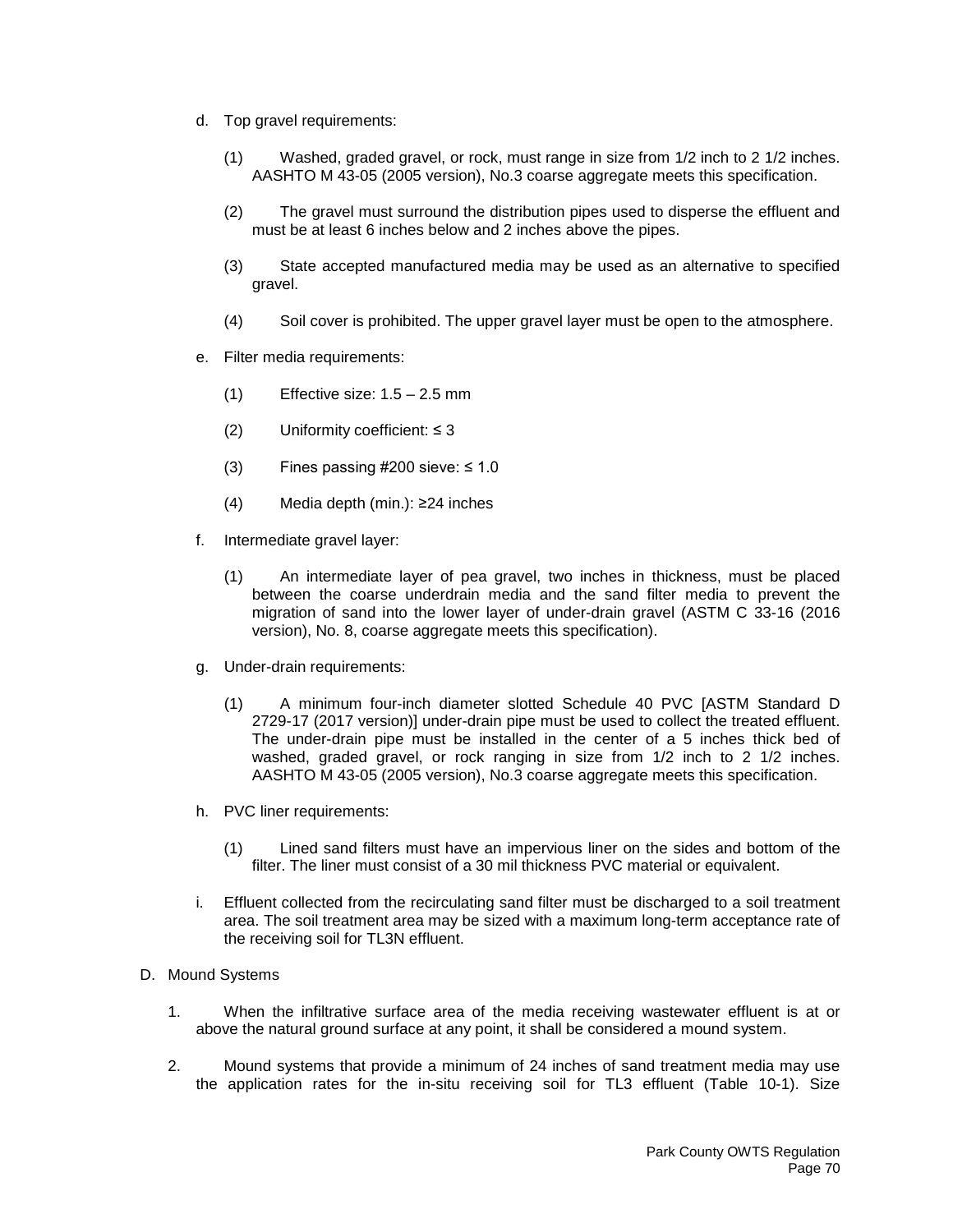- d. Top gravel requirements:
	- (1) Washed, graded gravel, or rock, must range in size from 1/2 inch to 2 1/2 inches. AASHTO M 43-05 (2005 version), No.3 coarse aggregate meets this specification.
	- (2) The gravel must surround the distribution pipes used to disperse the effluent and must be at least 6 inches below and 2 inches above the pipes.
	- (3) State accepted manufactured media may be used as an alternative to specified gravel.
	- (4) Soil cover is prohibited. The upper gravel layer must be open to the atmosphere.
- e. Filter media requirements:
	- $(1)$  Effective size:  $1.5 2.5$  mm
	- (2) Uniformity coefficient:  $\leq$  3
	- (3) Fines passing  $\#200$  sieve:  $\leq 1.0$
	- (4) Media depth (min.): ≥24 inches
- f. Intermediate gravel layer:
	- (1) An intermediate layer of pea gravel, two inches in thickness, must be placed between the coarse underdrain media and the sand filter media to prevent the migration of sand into the lower layer of under-drain gravel (ASTM C 33-16 (2016 version), No. 8, coarse aggregate meets this specification).
- g. Under-drain requirements:
	- (1) A minimum four-inch diameter slotted Schedule 40 PVC [ASTM Standard D 2729-17 (2017 version)] under-drain pipe must be used to collect the treated effluent. The under-drain pipe must be installed in the center of a 5 inches thick bed of washed, graded gravel, or rock ranging in size from 1/2 inch to 2 1/2 inches. AASHTO M 43-05 (2005 version), No.3 coarse aggregate meets this specification.
- h. PVC liner requirements:
	- (1) Lined sand filters must have an impervious liner on the sides and bottom of the filter. The liner must consist of a 30 mil thickness PVC material or equivalent.
- i. Effluent collected from the recirculating sand filter must be discharged to a soil treatment area. The soil treatment area may be sized with a maximum long-term acceptance rate of the receiving soil for TL3N effluent.
- D. Mound Systems
	- 1. When the infiltrative surface area of the media receiving wastewater effluent is at or above the natural ground surface at any point, it shall be considered a mound system.
	- 2. Mound systems that provide a minimum of 24 inches of sand treatment media may use the application rates for the in-situ receiving soil for TL3 effluent (Table 10-1). Size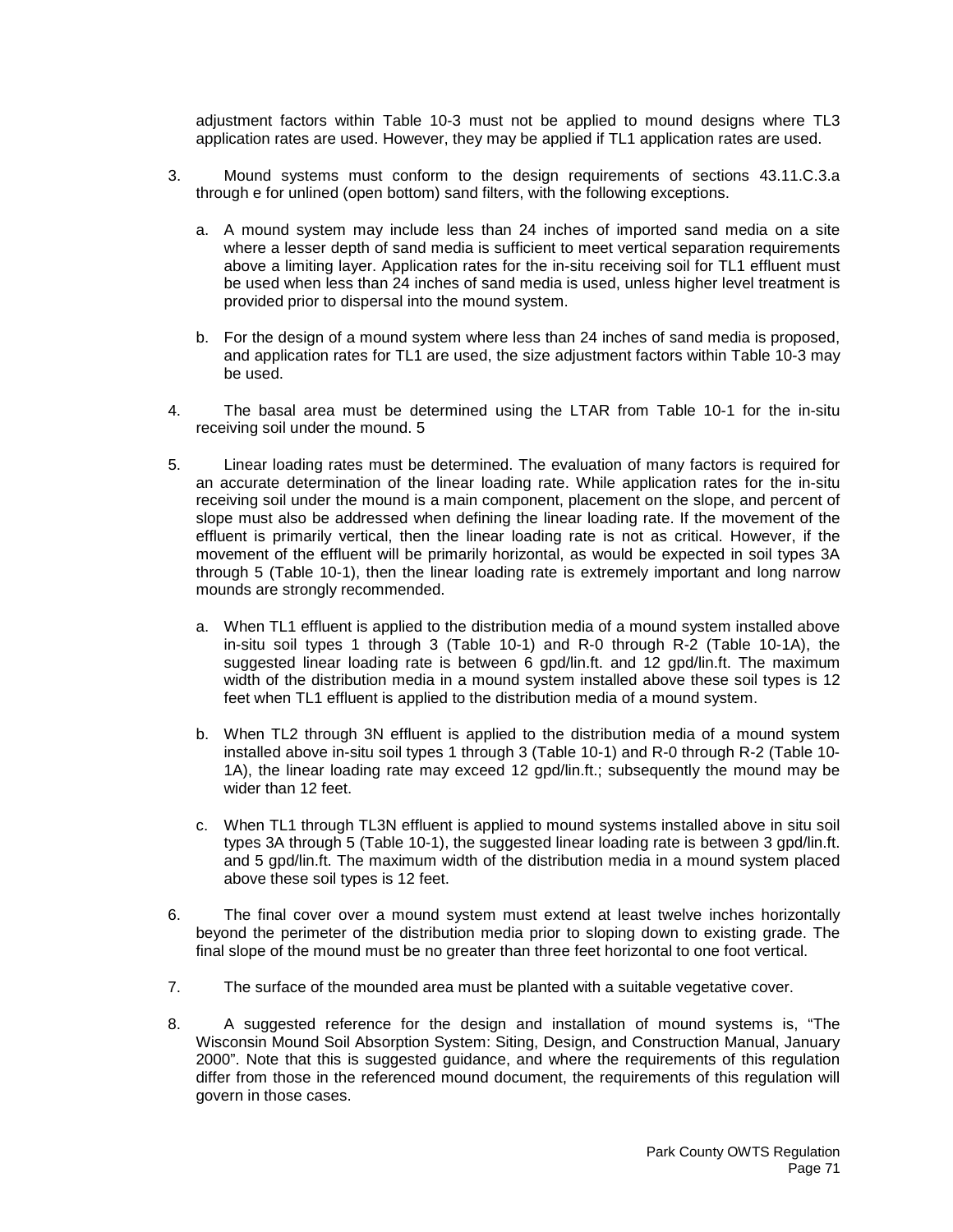adjustment factors within Table 10-3 must not be applied to mound designs where TL3 application rates are used. However, they may be applied if TL1 application rates are used.

- 3. Mound systems must conform to the design requirements of sections 43.11.C.3.a through e for unlined (open bottom) sand filters, with the following exceptions.
	- a. A mound system may include less than 24 inches of imported sand media on a site where a lesser depth of sand media is sufficient to meet vertical separation requirements above a limiting layer. Application rates for the in-situ receiving soil for TL1 effluent must be used when less than 24 inches of sand media is used, unless higher level treatment is provided prior to dispersal into the mound system.
	- b. For the design of a mound system where less than 24 inches of sand media is proposed, and application rates for TL1 are used, the size adjustment factors within Table 10-3 may be used.
- 4. The basal area must be determined using the LTAR from Table 10-1 for the in-situ receiving soil under the mound. 5
- 5. Linear loading rates must be determined. The evaluation of many factors is required for an accurate determination of the linear loading rate. While application rates for the in-situ receiving soil under the mound is a main component, placement on the slope, and percent of slope must also be addressed when defining the linear loading rate. If the movement of the effluent is primarily vertical, then the linear loading rate is not as critical. However, if the movement of the effluent will be primarily horizontal, as would be expected in soil types 3A through 5 (Table 10-1), then the linear loading rate is extremely important and long narrow mounds are strongly recommended.
	- a. When TL1 effluent is applied to the distribution media of a mound system installed above in-situ soil types 1 through 3 (Table 10-1) and R-0 through R-2 (Table 10-1A), the suggested linear loading rate is between 6 gpd/lin.ft. and 12 gpd/lin.ft. The maximum width of the distribution media in a mound system installed above these soil types is 12 feet when TL1 effluent is applied to the distribution media of a mound system.
	- b. When TL2 through 3N effluent is applied to the distribution media of a mound system installed above in-situ soil types 1 through 3 (Table 10-1) and R-0 through R-2 (Table 10- 1A), the linear loading rate may exceed 12 gpd/lin.ft.; subsequently the mound may be wider than 12 feet.
	- c. When TL1 through TL3N effluent is applied to mound systems installed above in situ soil types 3A through 5 (Table 10-1), the suggested linear loading rate is between 3 gpd/lin.ft. and 5 gpd/lin.ft. The maximum width of the distribution media in a mound system placed above these soil types is 12 feet.
- 6. The final cover over a mound system must extend at least twelve inches horizontally beyond the perimeter of the distribution media prior to sloping down to existing grade. The final slope of the mound must be no greater than three feet horizontal to one foot vertical.
- 7. The surface of the mounded area must be planted with a suitable vegetative cover.
- 8. A suggested reference for the design and installation of mound systems is, "The Wisconsin Mound Soil Absorption System: Siting, Design, and Construction Manual, January 2000". Note that this is suggested guidance, and where the requirements of this regulation differ from those in the referenced mound document, the requirements of this regulation will govern in those cases.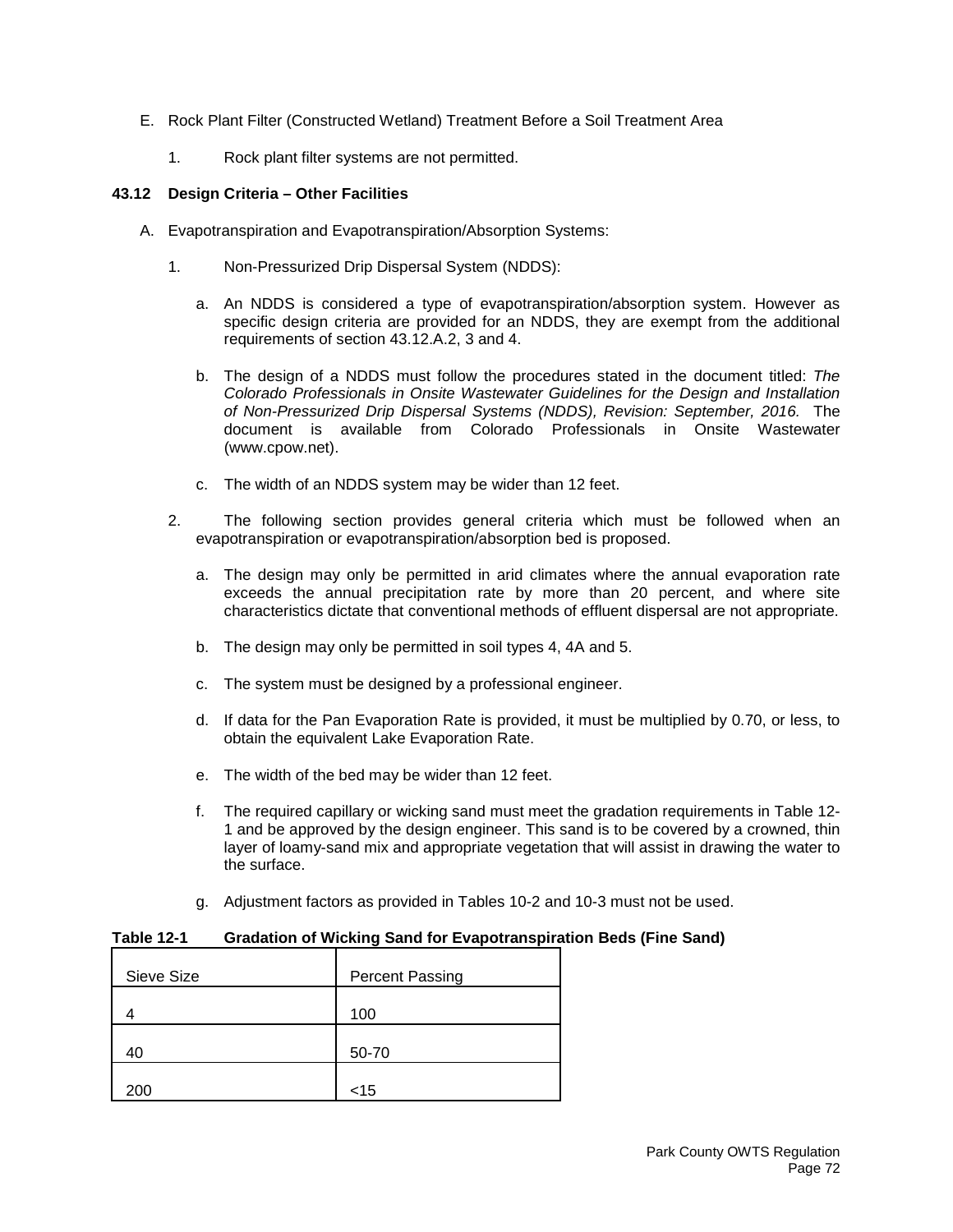- E. Rock Plant Filter (Constructed Wetland) Treatment Before a Soil Treatment Area
	- 1. Rock plant filter systems are not permitted.

## **43.12 Design Criteria – Other Facilities**

- A. Evapotranspiration and Evapotranspiration/Absorption Systems:
	- 1. Non-Pressurized Drip Dispersal System (NDDS):
		- a. An NDDS is considered a type of evapotranspiration/absorption system. However as specific design criteria are provided for an NDDS, they are exempt from the additional requirements of section 43.12.A.2, 3 and 4.
		- b. The design of a NDDS must follow the procedures stated in the document titled: *The Colorado Professionals in Onsite Wastewater Guidelines for the Design and Installation of Non-Pressurized Drip Dispersal Systems (NDDS), Revision: September, 2016.* The document is available from Colorado Professionals in Onsite Wastewater (www.cpow.net).
		- c. The width of an NDDS system may be wider than 12 feet.
	- 2. The following section provides general criteria which must be followed when an evapotranspiration or evapotranspiration/absorption bed is proposed.
		- a. The design may only be permitted in arid climates where the annual evaporation rate exceeds the annual precipitation rate by more than 20 percent, and where site characteristics dictate that conventional methods of effluent dispersal are not appropriate.
		- b. The design may only be permitted in soil types 4, 4A and 5.
		- c. The system must be designed by a professional engineer.
		- d. If data for the Pan Evaporation Rate is provided, it must be multiplied by 0.70, or less, to obtain the equivalent Lake Evaporation Rate.
		- e. The width of the bed may be wider than 12 feet.
		- f. The required capillary or wicking sand must meet the gradation requirements in Table 12- 1 and be approved by the design engineer. This sand is to be covered by a crowned, thin layer of loamy-sand mix and appropriate vegetation that will assist in drawing the water to the surface.
		- g. Adjustment factors as provided in Tables 10-2 and 10-3 must not be used.

### **Table 12-1 Gradation of Wicking Sand for Evapotranspiration Beds (Fine Sand)**

| Sieve Size | <b>Percent Passing</b> |
|------------|------------------------|
|            | 100                    |
| 40         | 50-70                  |
| 200        | $<$ 15                 |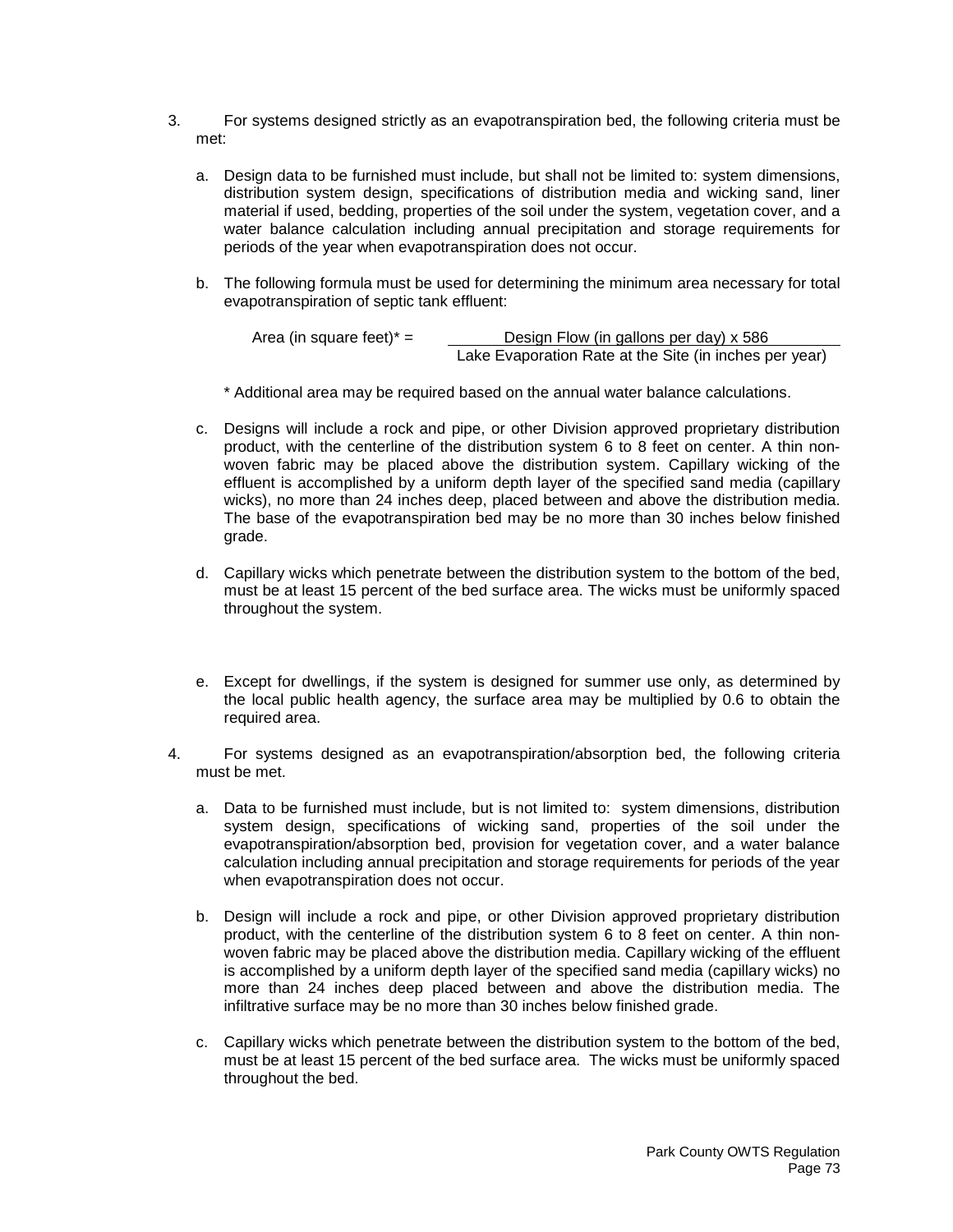- 3. For systems designed strictly as an evapotranspiration bed, the following criteria must be met:
	- a. Design data to be furnished must include, but shall not be limited to: system dimensions, distribution system design, specifications of distribution media and wicking sand, liner material if used, bedding, properties of the soil under the system, vegetation cover, and a water balance calculation including annual precipitation and storage requirements for periods of the year when evapotranspiration does not occur.
	- b. The following formula must be used for determining the minimum area necessary for total evapotranspiration of septic tank effluent:

Area (in square feet)\*  $=$  Design Flow (in gallons per day) x 586 Lake Evaporation Rate at the Site (in inches per year)

\* Additional area may be required based on the annual water balance calculations.

- c. Designs will include a rock and pipe, or other Division approved proprietary distribution product, with the centerline of the distribution system 6 to 8 feet on center. A thin nonwoven fabric may be placed above the distribution system. Capillary wicking of the effluent is accomplished by a uniform depth layer of the specified sand media (capillary wicks), no more than 24 inches deep, placed between and above the distribution media. The base of the evapotranspiration bed may be no more than 30 inches below finished grade.
- d. Capillary wicks which penetrate between the distribution system to the bottom of the bed, must be at least 15 percent of the bed surface area. The wicks must be uniformly spaced throughout the system.
- e. Except for dwellings, if the system is designed for summer use only, as determined by the local public health agency, the surface area may be multiplied by 0.6 to obtain the required area.
- 4. For systems designed as an evapotranspiration/absorption bed, the following criteria must be met.
	- a. Data to be furnished must include, but is not limited to: system dimensions, distribution system design, specifications of wicking sand, properties of the soil under the evapotranspiration/absorption bed, provision for vegetation cover, and a water balance calculation including annual precipitation and storage requirements for periods of the year when evapotranspiration does not occur.
	- b. Design will include a rock and pipe, or other Division approved proprietary distribution product, with the centerline of the distribution system 6 to 8 feet on center. A thin nonwoven fabric may be placed above the distribution media. Capillary wicking of the effluent is accomplished by a uniform depth layer of the specified sand media (capillary wicks) no more than 24 inches deep placed between and above the distribution media. The infiltrative surface may be no more than 30 inches below finished grade.
	- c. Capillary wicks which penetrate between the distribution system to the bottom of the bed, must be at least 15 percent of the bed surface area. The wicks must be uniformly spaced throughout the bed.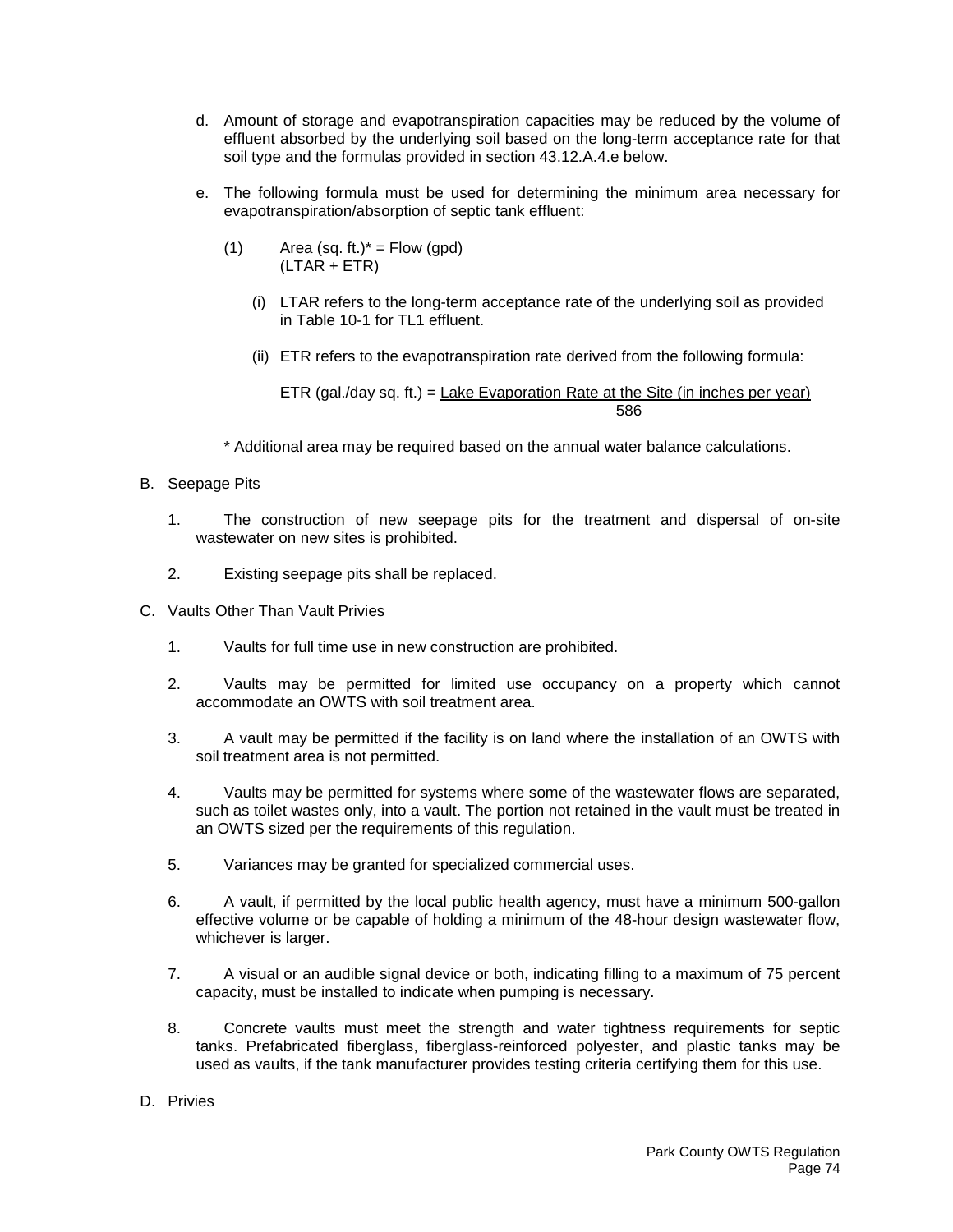- d. Amount of storage and evapotranspiration capacities may be reduced by the volume of effluent absorbed by the underlying soil based on the long-term acceptance rate for that soil type and the formulas provided in section 43.12.A.4.e below.
- e. The following formula must be used for determining the minimum area necessary for evapotranspiration/absorption of septic tank effluent:
	- (1) Area (sq. ft.)\* = Flow (gpd)  $(LTAR + ETR)$ 
		- (i) LTAR refers to the long-term acceptance rate of the underlying soil as provided in Table 10-1 for TL1 effluent.
		- (ii) ETR refers to the evapotranspiration rate derived from the following formula:

ETR (gal./day sq. ft.) =  $\frac{\text{Lake Evaporation Rate at the Site (in inches per year)}}{P}$ 586

- \* Additional area may be required based on the annual water balance calculations.
- B. Seepage Pits
	- 1. The construction of new seepage pits for the treatment and dispersal of on-site wastewater on new sites is prohibited.
	- 2. Existing seepage pits shall be replaced.
- C. Vaults Other Than Vault Privies
	- 1. Vaults for full time use in new construction are prohibited.
	- 2. Vaults may be permitted for limited use occupancy on a property which cannot accommodate an OWTS with soil treatment area.
	- 3. A vault may be permitted if the facility is on land where the installation of an OWTS with soil treatment area is not permitted.
	- 4. Vaults may be permitted for systems where some of the wastewater flows are separated, such as toilet wastes only, into a vault. The portion not retained in the vault must be treated in an OWTS sized per the requirements of this regulation.
	- 5. Variances may be granted for specialized commercial uses.
	- 6. A vault, if permitted by the local public health agency, must have a minimum 500-gallon effective volume or be capable of holding a minimum of the 48-hour design wastewater flow, whichever is larger.
	- 7. A visual or an audible signal device or both, indicating filling to a maximum of 75 percent capacity, must be installed to indicate when pumping is necessary.
	- 8. Concrete vaults must meet the strength and water tightness requirements for septic tanks. Prefabricated fiberglass, fiberglass-reinforced polyester, and plastic tanks may be used as vaults, if the tank manufacturer provides testing criteria certifying them for this use.
- D. Privies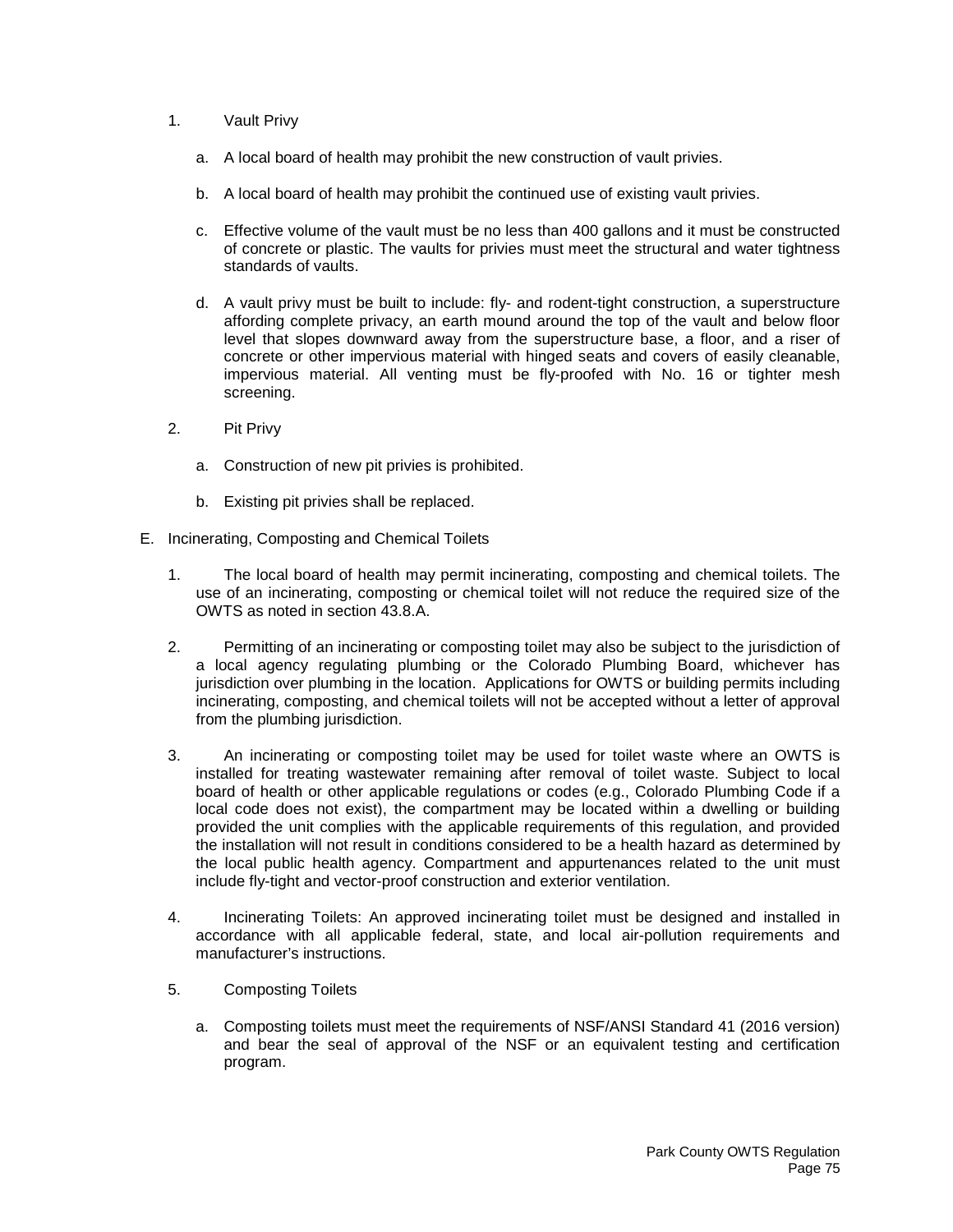- 1. Vault Privy
	- a. A local board of health may prohibit the new construction of vault privies.
	- b. A local board of health may prohibit the continued use of existing vault privies.
	- c. Effective volume of the vault must be no less than 400 gallons and it must be constructed of concrete or plastic. The vaults for privies must meet the structural and water tightness standards of vaults.
	- d. A vault privy must be built to include: fly- and rodent-tight construction, a superstructure affording complete privacy, an earth mound around the top of the vault and below floor level that slopes downward away from the superstructure base, a floor, and a riser of concrete or other impervious material with hinged seats and covers of easily cleanable, impervious material. All venting must be fly-proofed with No. 16 or tighter mesh screening.
- 2. Pit Privy
	- a. Construction of new pit privies is prohibited.
	- b. Existing pit privies shall be replaced.
- E. Incinerating, Composting and Chemical Toilets
	- 1. The local board of health may permit incinerating, composting and chemical toilets. The use of an incinerating, composting or chemical toilet will not reduce the required size of the OWTS as noted in section 43.8.A.
	- 2. Permitting of an incinerating or composting toilet may also be subject to the jurisdiction of a local agency regulating plumbing or the Colorado Plumbing Board, whichever has jurisdiction over plumbing in the location. Applications for OWTS or building permits including incinerating, composting, and chemical toilets will not be accepted without a letter of approval from the plumbing jurisdiction.
	- 3. An incinerating or composting toilet may be used for toilet waste where an OWTS is installed for treating wastewater remaining after removal of toilet waste. Subject to local board of health or other applicable regulations or codes (e.g., Colorado Plumbing Code if a local code does not exist), the compartment may be located within a dwelling or building provided the unit complies with the applicable requirements of this regulation, and provided the installation will not result in conditions considered to be a health hazard as determined by the local public health agency. Compartment and appurtenances related to the unit must include fly-tight and vector-proof construction and exterior ventilation.
	- 4. Incinerating Toilets: An approved incinerating toilet must be designed and installed in accordance with all applicable federal, state, and local air-pollution requirements and manufacturer's instructions.
	- 5. Composting Toilets
		- a. Composting toilets must meet the requirements of NSF/ANSI Standard 41 (2016 version) and bear the seal of approval of the NSF or an equivalent testing and certification program.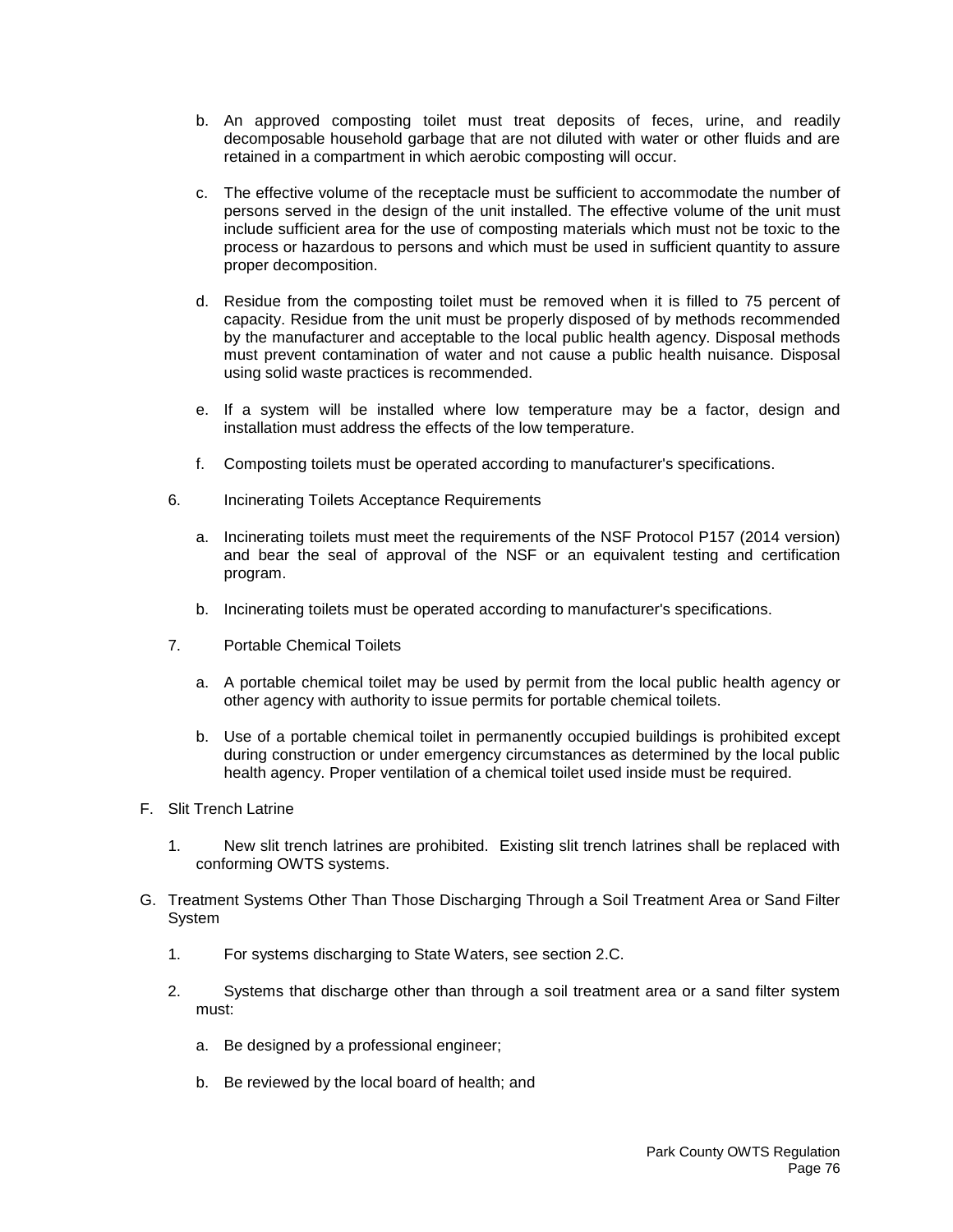- b. An approved composting toilet must treat deposits of feces, urine, and readily decomposable household garbage that are not diluted with water or other fluids and are retained in a compartment in which aerobic composting will occur.
- c. The effective volume of the receptacle must be sufficient to accommodate the number of persons served in the design of the unit installed. The effective volume of the unit must include sufficient area for the use of composting materials which must not be toxic to the process or hazardous to persons and which must be used in sufficient quantity to assure proper decomposition.
- d. Residue from the composting toilet must be removed when it is filled to 75 percent of capacity. Residue from the unit must be properly disposed of by methods recommended by the manufacturer and acceptable to the local public health agency. Disposal methods must prevent contamination of water and not cause a public health nuisance. Disposal using solid waste practices is recommended.
- e. If a system will be installed where low temperature may be a factor, design and installation must address the effects of the low temperature.
- f. Composting toilets must be operated according to manufacturer's specifications.
- 6. Incinerating Toilets Acceptance Requirements
	- a. Incinerating toilets must meet the requirements of the NSF Protocol P157 (2014 version) and bear the seal of approval of the NSF or an equivalent testing and certification program.
	- b. Incinerating toilets must be operated according to manufacturer's specifications.
- 7. Portable Chemical Toilets
	- a. A portable chemical toilet may be used by permit from the local public health agency or other agency with authority to issue permits for portable chemical toilets.
	- b. Use of a portable chemical toilet in permanently occupied buildings is prohibited except during construction or under emergency circumstances as determined by the local public health agency. Proper ventilation of a chemical toilet used inside must be required.
- F. Slit Trench Latrine
	- 1. New slit trench latrines are prohibited. Existing slit trench latrines shall be replaced with conforming OWTS systems.
- G. Treatment Systems Other Than Those Discharging Through a Soil Treatment Area or Sand Filter System
	- 1. For systems discharging to State Waters, see section 2.C.
	- 2. Systems that discharge other than through a soil treatment area or a sand filter system must:
		- a. Be designed by a professional engineer;
		- b. Be reviewed by the local board of health; and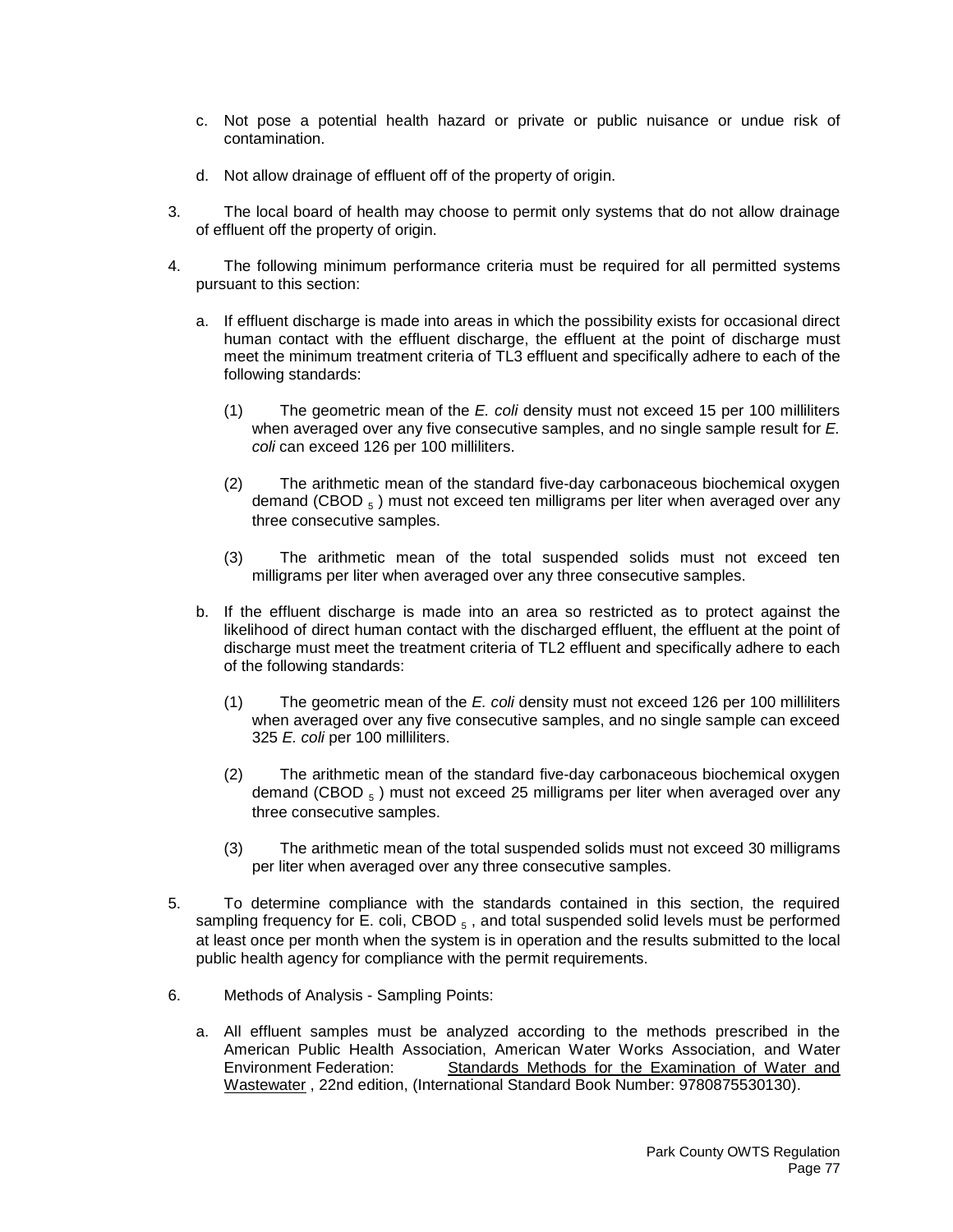- c. Not pose a potential health hazard or private or public nuisance or undue risk of contamination.
- d. Not allow drainage of effluent off of the property of origin.
- 3. The local board of health may choose to permit only systems that do not allow drainage of effluent off the property of origin.
- 4. The following minimum performance criteria must be required for all permitted systems pursuant to this section:
	- a. If effluent discharge is made into areas in which the possibility exists for occasional direct human contact with the effluent discharge, the effluent at the point of discharge must meet the minimum treatment criteria of TL3 effluent and specifically adhere to each of the following standards:
		- (1) The geometric mean of the *E. coli* density must not exceed 15 per 100 milliliters when averaged over any five consecutive samples, and no single sample result for *E. coli* can exceed 126 per 100 milliliters.
		- (2) The arithmetic mean of the standard five-day carbonaceous biochemical oxygen demand (CBOD  $_5$ ) must not exceed ten milligrams per liter when averaged over any three consecutive samples.
		- (3) The arithmetic mean of the total suspended solids must not exceed ten milligrams per liter when averaged over any three consecutive samples.
	- b. If the effluent discharge is made into an area so restricted as to protect against the likelihood of direct human contact with the discharged effluent, the effluent at the point of discharge must meet the treatment criteria of TL2 effluent and specifically adhere to each of the following standards:
		- (1) The geometric mean of the *E. coli* density must not exceed 126 per 100 milliliters when averaged over any five consecutive samples, and no single sample can exceed 325 *E. coli* per 100 milliliters.
		- (2) The arithmetic mean of the standard five-day carbonaceous biochemical oxygen demand (CBOD  $_5$ ) must not exceed 25 milligrams per liter when averaged over any three consecutive samples.
		- (3) The arithmetic mean of the total suspended solids must not exceed 30 milligrams per liter when averaged over any three consecutive samples.
- 5. To determine compliance with the standards contained in this section, the required sampling frequency for E. coli, CBOD  $_5$ , and total suspended solid levels must be performed at least once per month when the system is in operation and the results submitted to the local public health agency for compliance with the permit requirements.
- 6. Methods of Analysis Sampling Points:
	- a. All effluent samples must be analyzed according to the methods prescribed in the American Public Health Association, American Water Works Association, and Water Environment Federation: Standards Methods for the Examination of Water and Wastewater , 22nd edition, (International Standard Book Number: 9780875530130).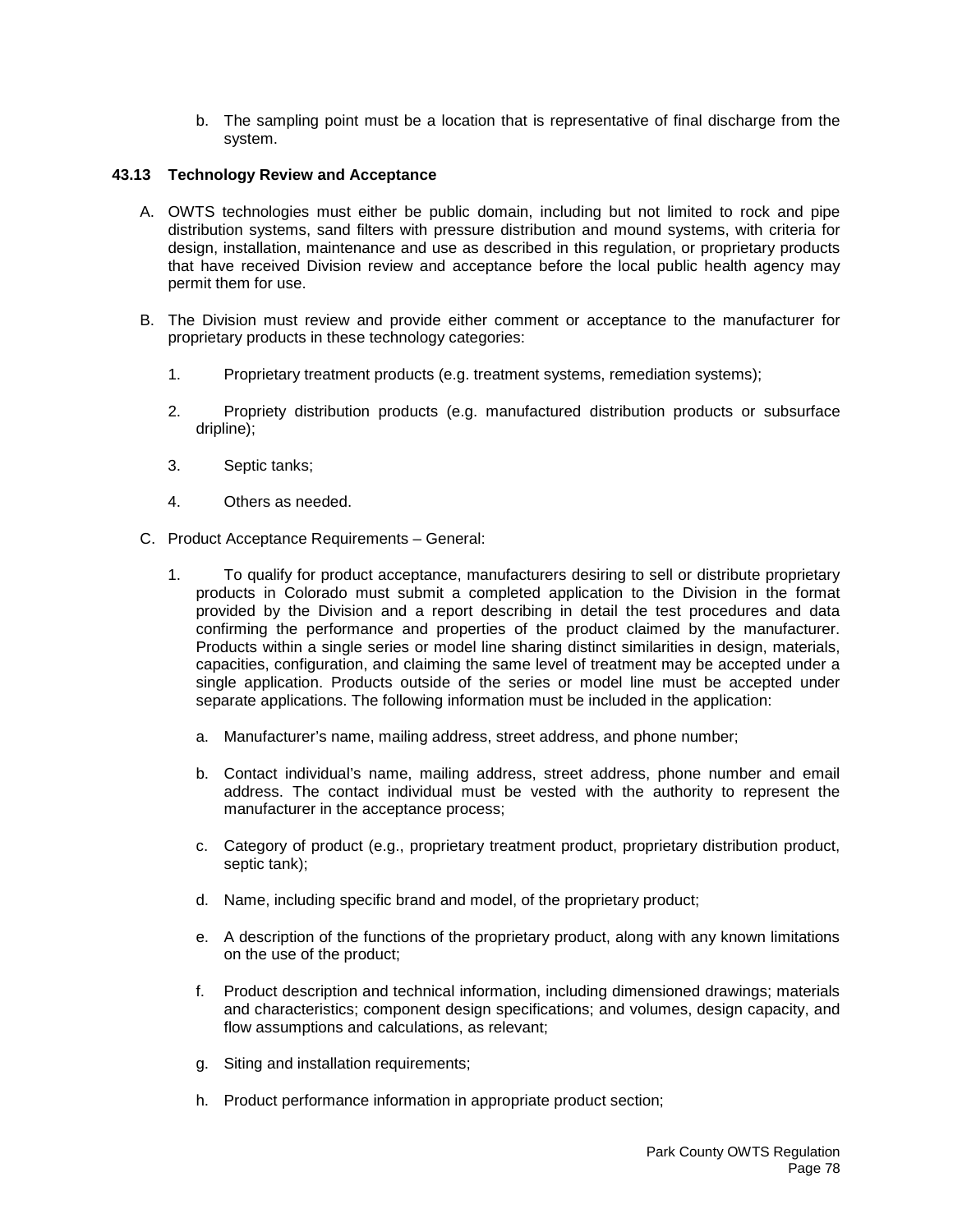b. The sampling point must be a location that is representative of final discharge from the system.

# **43.13 Technology Review and Acceptance**

- A. OWTS technologies must either be public domain, including but not limited to rock and pipe distribution systems, sand filters with pressure distribution and mound systems, with criteria for design, installation, maintenance and use as described in this regulation, or proprietary products that have received Division review and acceptance before the local public health agency may permit them for use.
- B. The Division must review and provide either comment or acceptance to the manufacturer for proprietary products in these technology categories:
	- 1. Proprietary treatment products (e.g. treatment systems, remediation systems);
	- 2. Propriety distribution products (e.g. manufactured distribution products or subsurface dripline);
	- 3. Septic tanks;
	- 4. Others as needed.
- C. Product Acceptance Requirements General:
	- 1. To qualify for product acceptance, manufacturers desiring to sell or distribute proprietary products in Colorado must submit a completed application to the Division in the format provided by the Division and a report describing in detail the test procedures and data confirming the performance and properties of the product claimed by the manufacturer. Products within a single series or model line sharing distinct similarities in design, materials, capacities, configuration, and claiming the same level of treatment may be accepted under a single application. Products outside of the series or model line must be accepted under separate applications. The following information must be included in the application:
		- a. Manufacturer's name, mailing address, street address, and phone number;
		- b. Contact individual's name, mailing address, street address, phone number and email address. The contact individual must be vested with the authority to represent the manufacturer in the acceptance process;
		- c. Category of product (e.g., proprietary treatment product, proprietary distribution product, septic tank);
		- d. Name, including specific brand and model, of the proprietary product;
		- e. A description of the functions of the proprietary product, along with any known limitations on the use of the product;
		- f. Product description and technical information, including dimensioned drawings; materials and characteristics; component design specifications; and volumes, design capacity, and flow assumptions and calculations, as relevant;
		- g. Siting and installation requirements;
		- h. Product performance information in appropriate product section;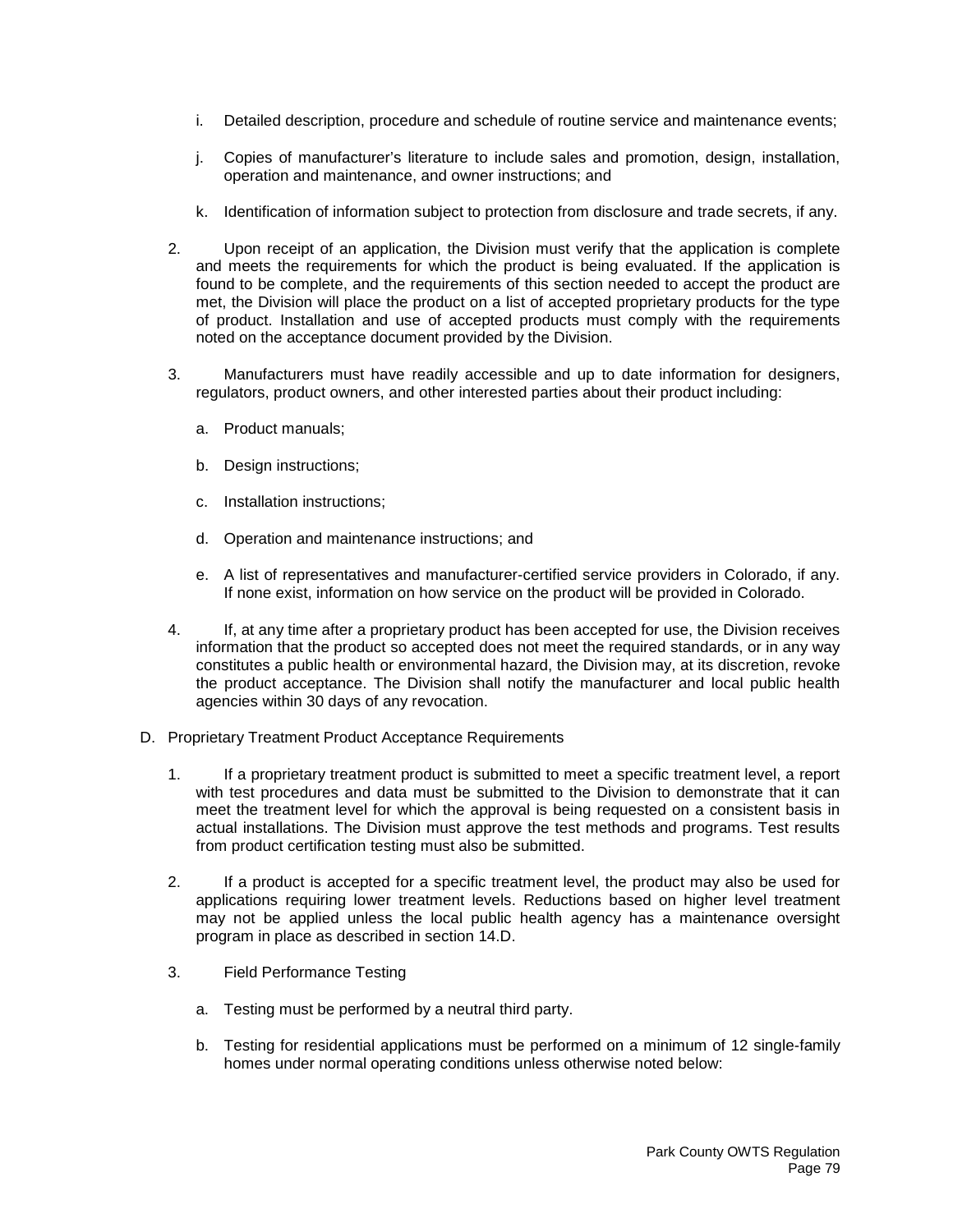- i. Detailed description, procedure and schedule of routine service and maintenance events;
- j. Copies of manufacturer's literature to include sales and promotion, design, installation, operation and maintenance, and owner instructions; and
- k. Identification of information subject to protection from disclosure and trade secrets, if any.
- 2. Upon receipt of an application, the Division must verify that the application is complete and meets the requirements for which the product is being evaluated. If the application is found to be complete, and the requirements of this section needed to accept the product are met, the Division will place the product on a list of accepted proprietary products for the type of product. Installation and use of accepted products must comply with the requirements noted on the acceptance document provided by the Division.
- 3. Manufacturers must have readily accessible and up to date information for designers, regulators, product owners, and other interested parties about their product including:
	- a. Product manuals;
	- b. Design instructions;
	- c. Installation instructions;
	- d. Operation and maintenance instructions; and
	- e. A list of representatives and manufacturer-certified service providers in Colorado, if any. If none exist, information on how service on the product will be provided in Colorado.
- 4. If, at any time after a proprietary product has been accepted for use, the Division receives information that the product so accepted does not meet the required standards, or in any way constitutes a public health or environmental hazard, the Division may, at its discretion, revoke the product acceptance. The Division shall notify the manufacturer and local public health agencies within 30 days of any revocation.
- D. Proprietary Treatment Product Acceptance Requirements
	- 1. If a proprietary treatment product is submitted to meet a specific treatment level, a report with test procedures and data must be submitted to the Division to demonstrate that it can meet the treatment level for which the approval is being requested on a consistent basis in actual installations. The Division must approve the test methods and programs. Test results from product certification testing must also be submitted.
	- 2. If a product is accepted for a specific treatment level, the product may also be used for applications requiring lower treatment levels. Reductions based on higher level treatment may not be applied unless the local public health agency has a maintenance oversight program in place as described in section 14.D.
	- 3. Field Performance Testing
		- a. Testing must be performed by a neutral third party.
		- b. Testing for residential applications must be performed on a minimum of 12 single-family homes under normal operating conditions unless otherwise noted below: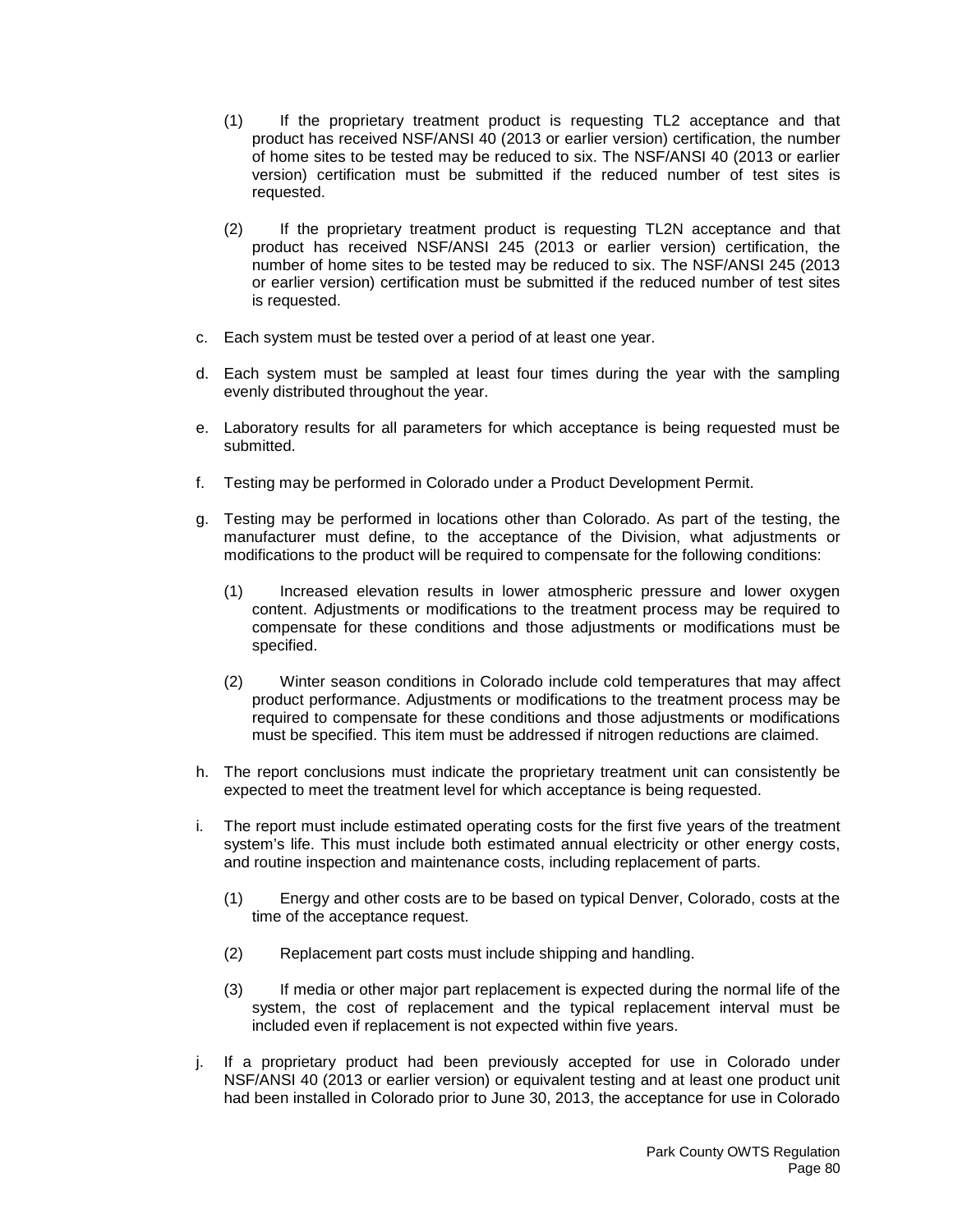- (1) If the proprietary treatment product is requesting TL2 acceptance and that product has received NSF/ANSI 40 (2013 or earlier version) certification, the number of home sites to be tested may be reduced to six. The NSF/ANSI 40 (2013 or earlier version) certification must be submitted if the reduced number of test sites is requested.
- (2) If the proprietary treatment product is requesting TL2N acceptance and that product has received NSF/ANSI 245 (2013 or earlier version) certification, the number of home sites to be tested may be reduced to six. The NSF/ANSI 245 (2013 or earlier version) certification must be submitted if the reduced number of test sites is requested.
- c. Each system must be tested over a period of at least one year.
- d. Each system must be sampled at least four times during the year with the sampling evenly distributed throughout the year.
- e. Laboratory results for all parameters for which acceptance is being requested must be submitted.
- f. Testing may be performed in Colorado under a Product Development Permit.
- g. Testing may be performed in locations other than Colorado. As part of the testing, the manufacturer must define, to the acceptance of the Division, what adjustments or modifications to the product will be required to compensate for the following conditions:
	- (1) Increased elevation results in lower atmospheric pressure and lower oxygen content. Adjustments or modifications to the treatment process may be required to compensate for these conditions and those adjustments or modifications must be specified.
	- (2) Winter season conditions in Colorado include cold temperatures that may affect product performance. Adjustments or modifications to the treatment process may be required to compensate for these conditions and those adjustments or modifications must be specified. This item must be addressed if nitrogen reductions are claimed.
- h. The report conclusions must indicate the proprietary treatment unit can consistently be expected to meet the treatment level for which acceptance is being requested.
- i. The report must include estimated operating costs for the first five years of the treatment system's life. This must include both estimated annual electricity or other energy costs, and routine inspection and maintenance costs, including replacement of parts.
	- (1) Energy and other costs are to be based on typical Denver, Colorado, costs at the time of the acceptance request.
	- (2) Replacement part costs must include shipping and handling.
	- (3) If media or other major part replacement is expected during the normal life of the system, the cost of replacement and the typical replacement interval must be included even if replacement is not expected within five years.
- j. If a proprietary product had been previously accepted for use in Colorado under NSF/ANSI 40 (2013 or earlier version) or equivalent testing and at least one product unit had been installed in Colorado prior to June 30, 2013, the acceptance for use in Colorado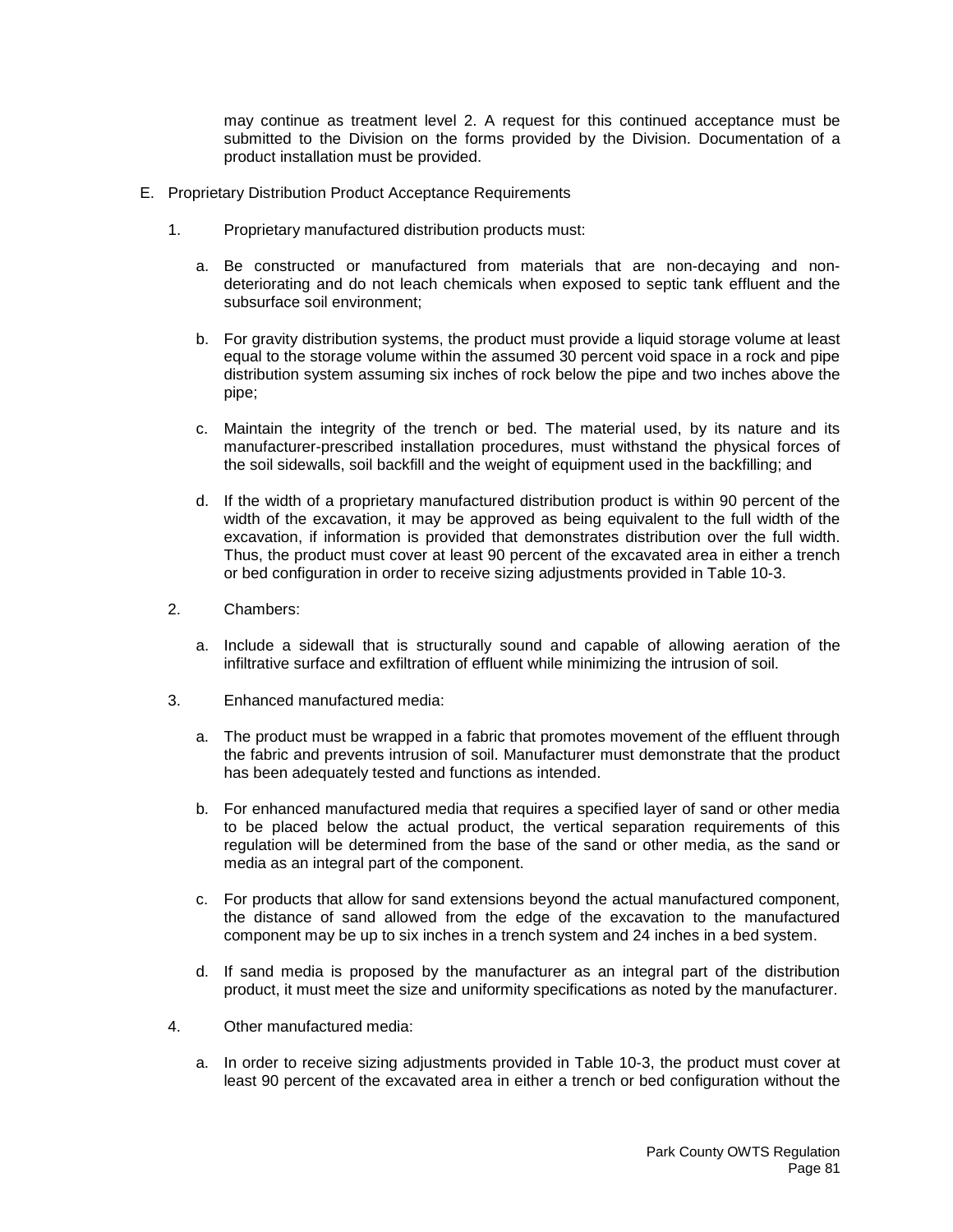may continue as treatment level 2. A request for this continued acceptance must be submitted to the Division on the forms provided by the Division. Documentation of a product installation must be provided.

- E. Proprietary Distribution Product Acceptance Requirements
	- 1. Proprietary manufactured distribution products must:
		- a. Be constructed or manufactured from materials that are non-decaying and nondeteriorating and do not leach chemicals when exposed to septic tank effluent and the subsurface soil environment;
		- b. For gravity distribution systems, the product must provide a liquid storage volume at least equal to the storage volume within the assumed 30 percent void space in a rock and pipe distribution system assuming six inches of rock below the pipe and two inches above the pipe;
		- c. Maintain the integrity of the trench or bed. The material used, by its nature and its manufacturer-prescribed installation procedures, must withstand the physical forces of the soil sidewalls, soil backfill and the weight of equipment used in the backfilling; and
		- d. If the width of a proprietary manufactured distribution product is within 90 percent of the width of the excavation, it may be approved as being equivalent to the full width of the excavation, if information is provided that demonstrates distribution over the full width. Thus, the product must cover at least 90 percent of the excavated area in either a trench or bed configuration in order to receive sizing adjustments provided in Table 10-3.
	- 2. Chambers:
		- a. Include a sidewall that is structurally sound and capable of allowing aeration of the infiltrative surface and exfiltration of effluent while minimizing the intrusion of soil.
	- 3. Enhanced manufactured media:
		- a. The product must be wrapped in a fabric that promotes movement of the effluent through the fabric and prevents intrusion of soil. Manufacturer must demonstrate that the product has been adequately tested and functions as intended.
		- b. For enhanced manufactured media that requires a specified layer of sand or other media to be placed below the actual product, the vertical separation requirements of this regulation will be determined from the base of the sand or other media, as the sand or media as an integral part of the component.
		- c. For products that allow for sand extensions beyond the actual manufactured component, the distance of sand allowed from the edge of the excavation to the manufactured component may be up to six inches in a trench system and 24 inches in a bed system.
		- d. If sand media is proposed by the manufacturer as an integral part of the distribution product, it must meet the size and uniformity specifications as noted by the manufacturer.
	- 4. Other manufactured media:
		- a. In order to receive sizing adjustments provided in Table 10-3, the product must cover at least 90 percent of the excavated area in either a trench or bed configuration without the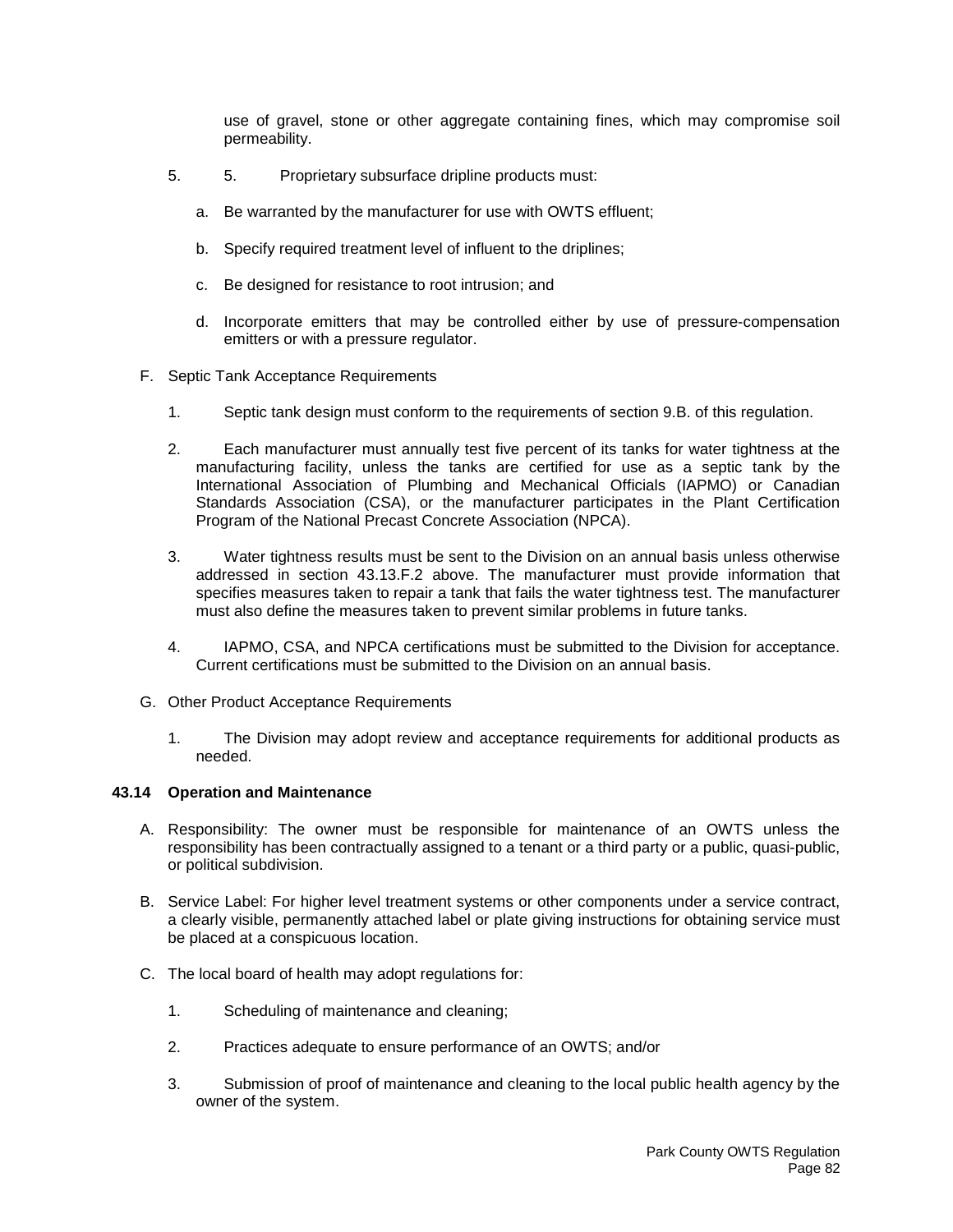use of gravel, stone or other aggregate containing fines, which may compromise soil permeability.

- 5. 5. Proprietary subsurface dripline products must:
	- a. Be warranted by the manufacturer for use with OWTS effluent;
	- b. Specify required treatment level of influent to the driplines;
	- c. Be designed for resistance to root intrusion; and
	- d. Incorporate emitters that may be controlled either by use of pressure-compensation emitters or with a pressure regulator.
- F. Septic Tank Acceptance Requirements
	- 1. Septic tank design must conform to the requirements of section 9.B. of this regulation.
	- 2. Each manufacturer must annually test five percent of its tanks for water tightness at the manufacturing facility, unless the tanks are certified for use as a septic tank by the International Association of Plumbing and Mechanical Officials (IAPMO) or Canadian Standards Association (CSA), or the manufacturer participates in the Plant Certification Program of the National Precast Concrete Association (NPCA).
	- 3. Water tightness results must be sent to the Division on an annual basis unless otherwise addressed in section 43.13.F.2 above. The manufacturer must provide information that specifies measures taken to repair a tank that fails the water tightness test. The manufacturer must also define the measures taken to prevent similar problems in future tanks.
	- 4. IAPMO, CSA, and NPCA certifications must be submitted to the Division for acceptance. Current certifications must be submitted to the Division on an annual basis.
- G. Other Product Acceptance Requirements
	- 1. The Division may adopt review and acceptance requirements for additional products as needed.

### **43.14 Operation and Maintenance**

- A. Responsibility: The owner must be responsible for maintenance of an OWTS unless the responsibility has been contractually assigned to a tenant or a third party or a public, quasi-public, or political subdivision.
- B. Service Label: For higher level treatment systems or other components under a service contract, a clearly visible, permanently attached label or plate giving instructions for obtaining service must be placed at a conspicuous location.
- C. The local board of health may adopt regulations for:
	- 1. Scheduling of maintenance and cleaning;
	- 2. Practices adequate to ensure performance of an OWTS; and/or
	- 3. Submission of proof of maintenance and cleaning to the local public health agency by the owner of the system.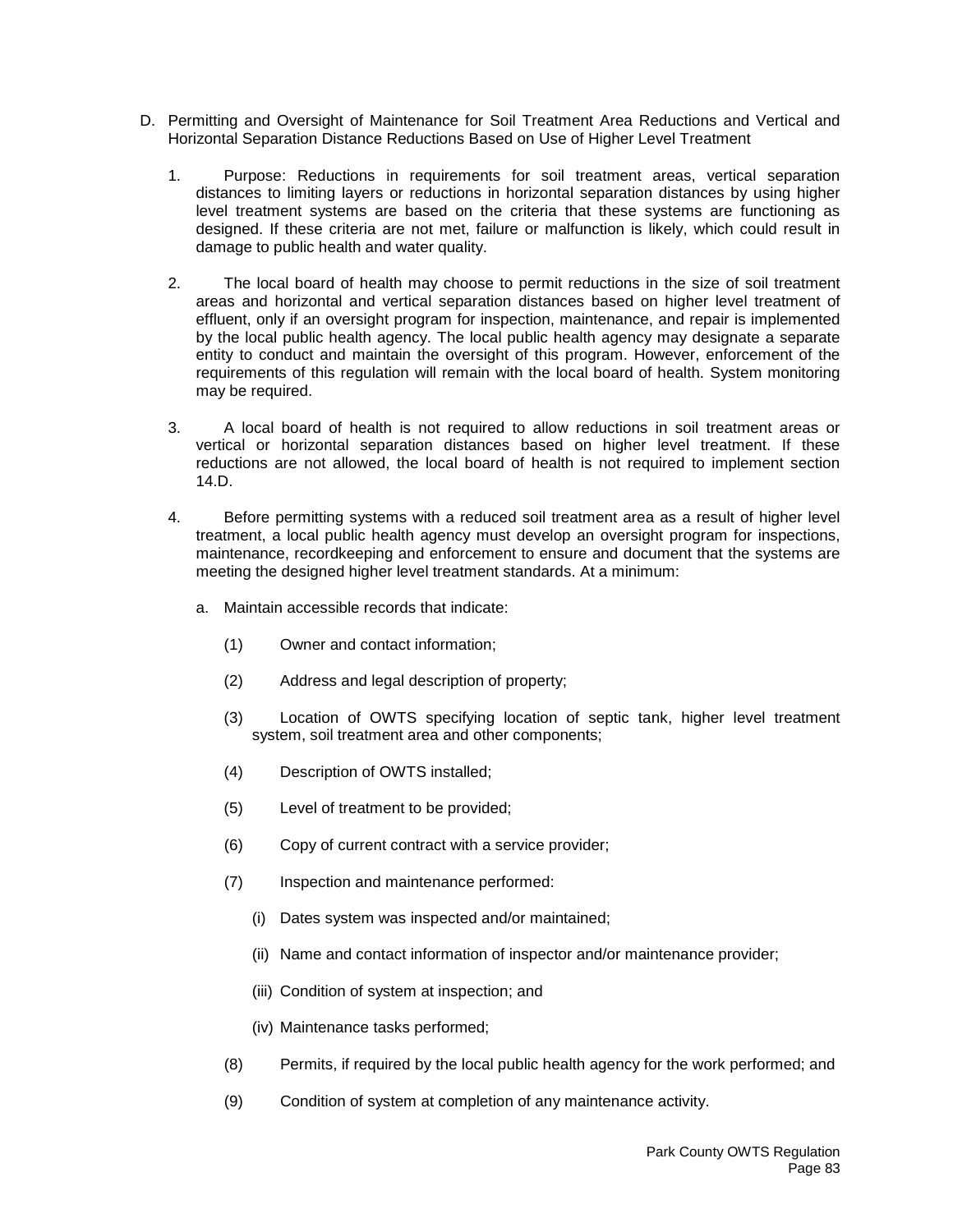- D. Permitting and Oversight of Maintenance for Soil Treatment Area Reductions and Vertical and Horizontal Separation Distance Reductions Based on Use of Higher Level Treatment
	- 1. Purpose: Reductions in requirements for soil treatment areas, vertical separation distances to limiting layers or reductions in horizontal separation distances by using higher level treatment systems are based on the criteria that these systems are functioning as designed. If these criteria are not met, failure or malfunction is likely, which could result in damage to public health and water quality.
	- 2. The local board of health may choose to permit reductions in the size of soil treatment areas and horizontal and vertical separation distances based on higher level treatment of effluent, only if an oversight program for inspection, maintenance, and repair is implemented by the local public health agency. The local public health agency may designate a separate entity to conduct and maintain the oversight of this program. However, enforcement of the requirements of this regulation will remain with the local board of health. System monitoring may be required.
	- 3. A local board of health is not required to allow reductions in soil treatment areas or vertical or horizontal separation distances based on higher level treatment. If these reductions are not allowed, the local board of health is not required to implement section 14.D.
	- 4. Before permitting systems with a reduced soil treatment area as a result of higher level treatment, a local public health agency must develop an oversight program for inspections, maintenance, recordkeeping and enforcement to ensure and document that the systems are meeting the designed higher level treatment standards. At a minimum:
		- a. Maintain accessible records that indicate:
			- (1) Owner and contact information;
			- (2) Address and legal description of property;
			- (3) Location of OWTS specifying location of septic tank, higher level treatment system, soil treatment area and other components;
			- (4) Description of OWTS installed;
			- (5) Level of treatment to be provided;
			- (6) Copy of current contract with a service provider;
			- (7) Inspection and maintenance performed:
				- (i) Dates system was inspected and/or maintained;
				- (ii) Name and contact information of inspector and/or maintenance provider;
				- (iii) Condition of system at inspection; and
				- (iv) Maintenance tasks performed;
			- (8) Permits, if required by the local public health agency for the work performed; and
			- (9) Condition of system at completion of any maintenance activity.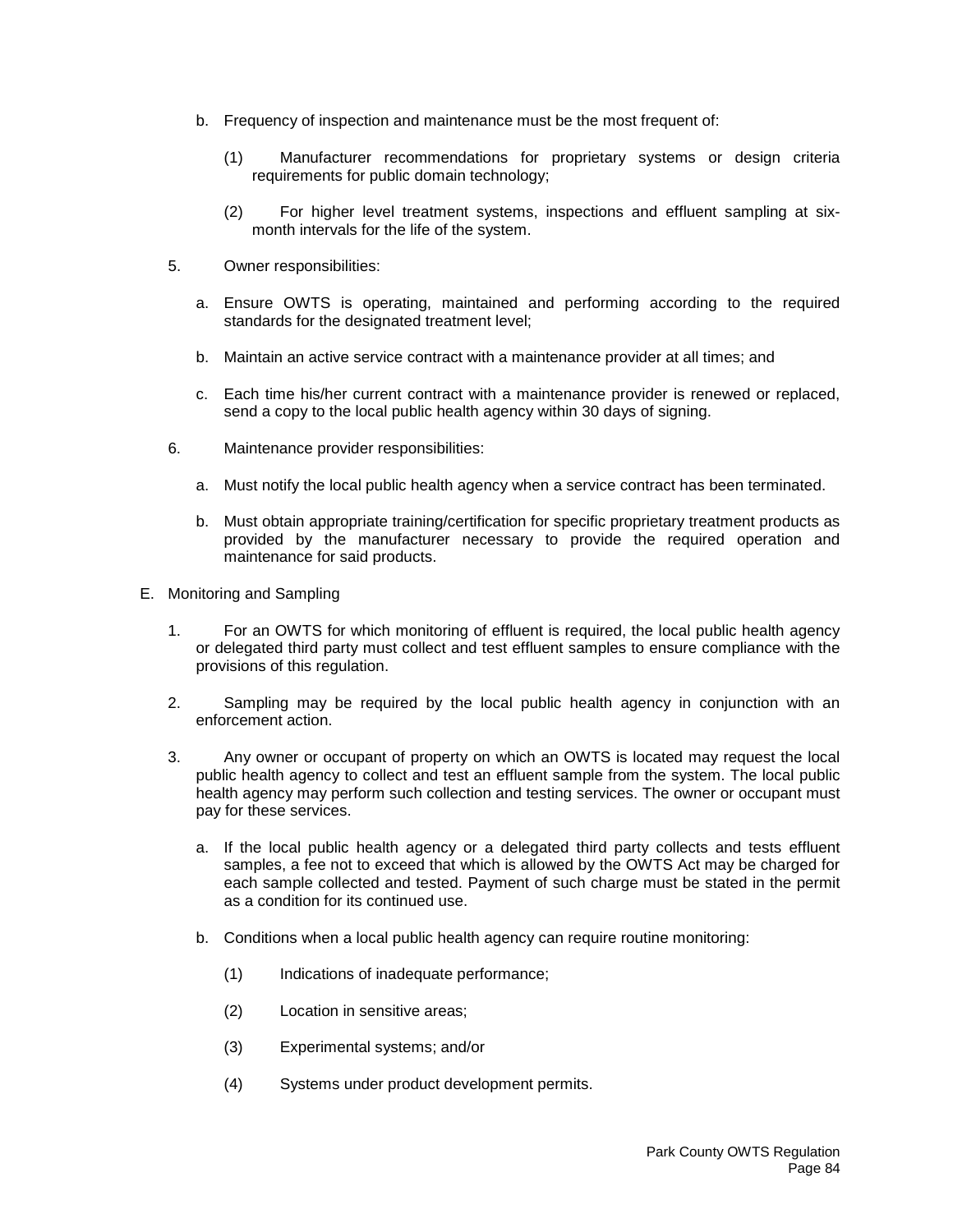- b. Frequency of inspection and maintenance must be the most frequent of:
	- (1) Manufacturer recommendations for proprietary systems or design criteria requirements for public domain technology;
	- (2) For higher level treatment systems, inspections and effluent sampling at sixmonth intervals for the life of the system.
- 5. Owner responsibilities:
	- a. Ensure OWTS is operating, maintained and performing according to the required standards for the designated treatment level;
	- b. Maintain an active service contract with a maintenance provider at all times; and
	- c. Each time his/her current contract with a maintenance provider is renewed or replaced, send a copy to the local public health agency within 30 days of signing.
- 6. Maintenance provider responsibilities:
	- a. Must notify the local public health agency when a service contract has been terminated.
	- b. Must obtain appropriate training/certification for specific proprietary treatment products as provided by the manufacturer necessary to provide the required operation and maintenance for said products.
- E. Monitoring and Sampling
	- 1. For an OWTS for which monitoring of effluent is required, the local public health agency or delegated third party must collect and test effluent samples to ensure compliance with the provisions of this regulation.
	- 2. Sampling may be required by the local public health agency in conjunction with an enforcement action.
	- 3. Any owner or occupant of property on which an OWTS is located may request the local public health agency to collect and test an effluent sample from the system. The local public health agency may perform such collection and testing services. The owner or occupant must pay for these services.
		- a. If the local public health agency or a delegated third party collects and tests effluent samples, a fee not to exceed that which is allowed by the OWTS Act may be charged for each sample collected and tested. Payment of such charge must be stated in the permit as a condition for its continued use.
		- b. Conditions when a local public health agency can require routine monitoring:
			- (1) Indications of inadequate performance;
			- (2) Location in sensitive areas;
			- (3) Experimental systems; and/or
			- (4) Systems under product development permits.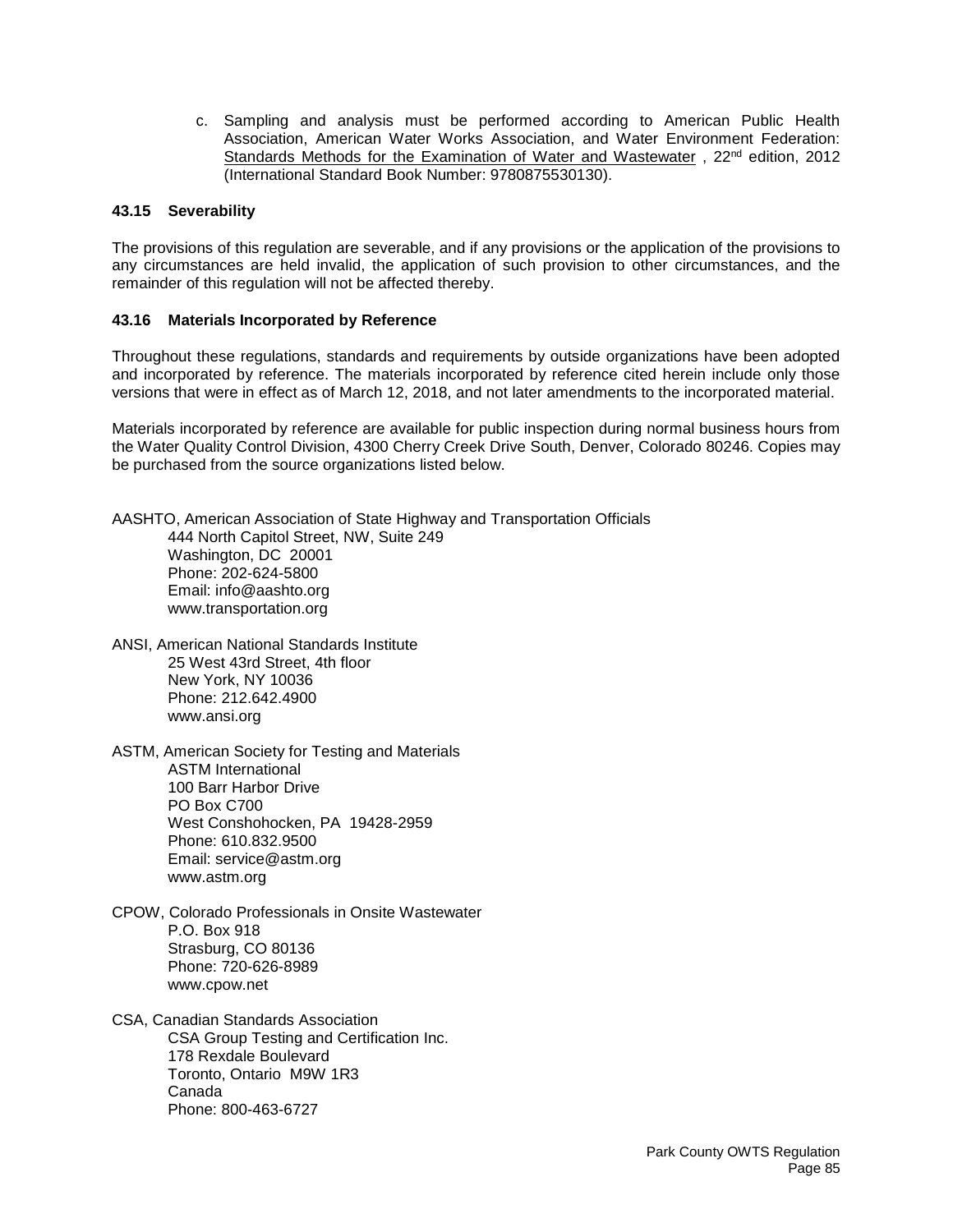c. Sampling and analysis must be performed according to American Public Health Association, American Water Works Association, and Water Environment Federation: Standards Methods for the Examination of Water and Wastewater, 22<sup>nd</sup> edition, 2012 (International Standard Book Number: 9780875530130).

# **43.15 Severability**

The provisions of this regulation are severable, and if any provisions or the application of the provisions to any circumstances are held invalid, the application of such provision to other circumstances, and the remainder of this regulation will not be affected thereby.

## **43.16 Materials Incorporated by Reference**

Throughout these regulations, standards and requirements by outside organizations have been adopted and incorporated by reference. The materials incorporated by reference cited herein include only those versions that were in effect as of March 12, 2018, and not later amendments to the incorporated material.

Materials incorporated by reference are available for public inspection during normal business hours from the Water Quality Control Division, 4300 Cherry Creek Drive South, Denver, Colorado 80246. Copies may be purchased from the source organizations listed below.

AASHTO, American Association of State Highway and Transportation Officials 444 North Capitol Street, NW, Suite 249 Washington, DC 20001 Phone: 202-624-5800 Email: info@aashto.org www.transportation.org

ANSI, American National Standards Institute 25 West 43rd Street, 4th floor New York, NY 10036 Phone: 212.642.4900 www.ansi.org

ASTM, American Society for Testing and Materials ASTM International 100 Barr Harbor Drive PO Box C700 West Conshohocken, PA 19428-2959 Phone: 610.832.9500 Email: service@astm.org www.astm.org

CPOW, Colorado Professionals in Onsite Wastewater P.O. Box 918 Strasburg, CO 80136 Phone: 720-626-8989 www.cpow.net

CSA, Canadian Standards Association CSA Group Testing and Certification Inc. 178 Rexdale Boulevard Toronto, Ontario M9W 1R3 Canada Phone: 800-463-6727